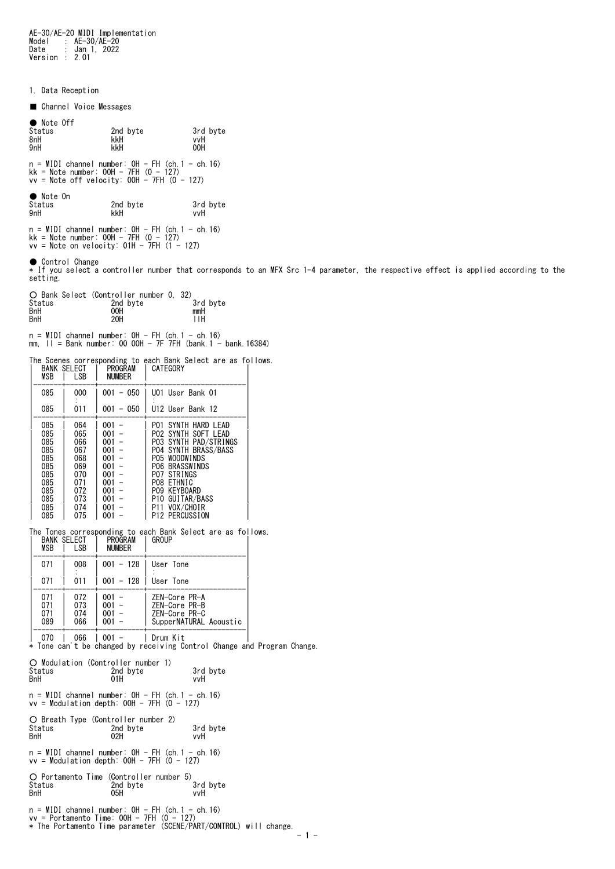AE-30/AE-20 MIDI Implementation Model : AE-30/AE-20 Date : Jan 1, 2022 Version : 2.01

1. Data Reception

■ Channel Voice Messages

| 2nd byte<br>kkH | 3rd byte<br>vvH<br>00H |
|-----------------|------------------------|
|                 |                        |
|                 | kkH                    |

n = MIDI channel number: 0H - FH (ch.1 - ch.16) kk = Note number: 00H - 7FH (0 - 127) vv = Note off velocity: 00H - 7FH (0 - 127)

| $\bullet$ Note On<br>Status<br>9nH | 2nd byte<br>kkH | 3rd byte<br>vvH |
|------------------------------------|-----------------|-----------------|
|                                    |                 |                 |

n = MIDI channel number: 0H - FH (ch.1 - ch.16) kk = Note number: 00H - 7FH (0 - 127) vv = Note on velocity: 01H - 7FH (1 - 127)

● Control Change<br>\* If you select a controller number that corresponds to an MFX Src 1-4 parameter, the respective effect is applied according to the<br>setting.

|            | O Bank Select (Controller number 0, 32) |          |
|------------|-----------------------------------------|----------|
| Status     | 2nd byte                                | 3rd byte |
| <b>BnH</b> | 00H                                     | mmH      |
| <b>BnH</b> | 20H                                     | ĦН       |

n = MIDI channel number: 0H - FH (ch.1 - ch.16) mm, ll = Bank number: 00 00H - 7F 7FH (bank.1 - bank.16384)

The Scenes corresponding to each Bank Select are as follows.

| MSB                                                                              | <b>BANK SELECT</b><br>LSB                                                        | PROGRAM<br><b>NUMBER</b>                                                         | CATEGORY                                                                                                                                                                                                                                                                         |
|----------------------------------------------------------------------------------|----------------------------------------------------------------------------------|----------------------------------------------------------------------------------|----------------------------------------------------------------------------------------------------------------------------------------------------------------------------------------------------------------------------------------------------------------------------------|
| 085                                                                              | 000                                                                              | 050<br>001<br>$\qquad \qquad -$                                                  | U01 User Bank 01                                                                                                                                                                                                                                                                 |
| 085                                                                              | 011                                                                              | 001<br>$-050$                                                                    | U12 User Bank 12                                                                                                                                                                                                                                                                 |
| 085<br>085<br>085<br>085<br>085<br>085<br>085<br>085<br>085<br>085<br>085<br>085 | 064<br>065<br>066<br>067<br>068<br>069<br>070<br>071<br>072<br>073<br>074<br>075 | 001<br>001<br>001<br>001<br>001<br>001<br>001<br>001<br>001<br>001<br>001<br>001 | HARD LEAD<br>SYNTH<br>P01<br>SOFT LEAD<br>P02.<br>SYNTH<br>SYNTH<br>PAD/STRINGS<br>P03<br>SYNTH BRASS/BASS<br>P04<br><b>WOODWINDS</b><br>P05<br><b>BRASSWINDS</b><br>P06 -<br>PO7 STRINGS<br>PO8 ETHNIC<br>PO9 KEYBOARD<br>P10 GUITAR/BASS<br>VOX/CHOIR<br>P11<br>P12 PERCUSSION |

The Tones corresponding to each Bank Select are as follows.<br>| BANK SELECT | PROGRAM | GROUP

| <b>MSB</b>               | I SB                     | <b>NUMBER</b>                    |                                                                           |
|--------------------------|--------------------------|----------------------------------|---------------------------------------------------------------------------|
| 071                      | 008                      |                                  | $001 - 128$   User Tone                                                   |
| 071                      | 011                      | $001 - 128$   User Tone          |                                                                           |
| 071<br>071<br>071<br>089 | 072<br>073<br>074<br>066 | $001 -$<br>$001 -$<br>001<br>001 | ZEN-Core PR-A<br>ZEN-Core PR-B<br>ZEN-Core PR-C<br>SupperNATURAL Acoustic |
|                          | ---                      | .                                | .                                                                         |

|-------+-------+-----------+------------------------| | 070 | 066 | 001 - | Drum Kit | \* Tone can't be changed by receiving Control Change and Program Change.

| O Modulation (Controller number 1)<br>Status<br>BnH  | 2nd byte<br>01H                                                                                        | 3rd byte<br>vvH                                                   |
|------------------------------------------------------|--------------------------------------------------------------------------------------------------------|-------------------------------------------------------------------|
|                                                      | $n = MIDI$ channel number: $OH - FH$ (ch. 1 - ch. 16)<br>$vv = Modulation depth: OOH - 7FH (0 - 127)$  |                                                                   |
| O Breath Type (Controller number 2)<br>Status<br>BnH | 2nd byte<br>02H                                                                                        | 3rd byte<br>vvH                                                   |
|                                                      | $n = MIDI$ channel number: $OH - FH$ (ch. 1 - ch. 16)<br>$vv = Modulation depth: OOH - 7FH (0 - 127)$  |                                                                   |
| Status<br>BnH                                        | O Portamento Time (Controller number 5)<br>2nd bvte<br>05H                                             | 3rd byte<br>vvH                                                   |
|                                                      | $n = MIDI$ channel number: $OH - FH$ (ch. 1 - ch. 16)<br>$vv =$ Portamento Time: 00H - 7FH $(0 - 127)$ | * The Portamento Time parameter (SCENE/PART/CONTROL) will change. |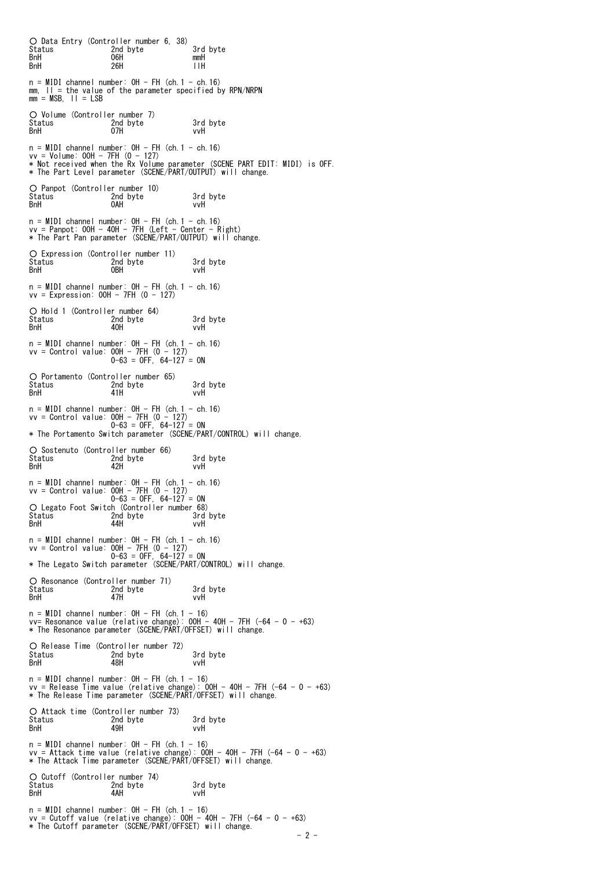○ Data Entry (Controller number 6, 38) Status 2nd byte 3rd byte 3rd byte<br>BnH 06H mmH BnH 06H mmH BnH 26H llH  $n = MIDI$  channel number:  $OH - FH$  (ch. 1 - ch. 16) mm, ll = the value of the parameter specified by RPN/NRPN mm = MSB, ll = LSB ○ Volume (Controller number 7) Status 2nd byte 3rd byte BnH 07H vvH n = MIDI channel number: OH - FH (ch.1 - ch.16)<br>vv = Volume: OOH - 7FH (0 - 127)<br>\* Not received when the Rx Volume parameter (SCENE PART EDIT: MIDI) is OFF.<br>\* The Part Level parameter (SCENE/PART/OUTPUT) will change. ○ Panpot (Controller number 10) Status 2nd byte 3rd byte BnH 0AH vvH n = MIDI channel number: 0H - FH (ch.1 - ch.16) vv = Panpot: 00H - 40H - 7FH (Left - Center - Right) \* The Part Pan parameter (SCENE/PART/OUTPUT) will change. O Expression (Controller number 11)<br>Status – 2nd byte<br>BnH – OBH Status 2nd byte 3rd byte BnH 0BH vvH  $n = MIDI$  channel number:  $OH - FH$  (ch. 1 - ch. 16)  $vv = Expression: OOH - 7FH (0 - 127)$ ○ Hold 1 (Controller number 64) Status 2nd byte 3rd byte Status<br>BnH n = MIDI channel number: 0H - FH (ch.1 - ch.16) vv = Control value: 00H - 7FH (0 - 127) 0-63 = OFF, 64-127 = ON ○ Portamento (Controller number 65) Status 2nd byte 3rd byte BnH 41H vvH n = MIDI channel number: 0H - FH (ch.1 - ch.16) vv = Control value: 00H - 7FH (0 - 127) 0-63 = OFF, 64-127 = ON \* The Portamento Switch parameter (SCENE/PART/CONTROL) will change. ○ Sostenuto (Controller number 66) Status 2nd byte 3rd byte BnH 42H vvH n = MIDI channel number: 0H - FH (ch.1 - ch.16)<br>vv = Control value: 00H - 7FH (0 - 127)<br>0 - 63 = 0FF, 64-127 = 0N<br>O Legato Foot Switch (Controller number 68)<br>Status 2nd byte 3rd byte<br>8nH 44H vvH<br>BnH n = MIDI channel number: 0H - FH (ch.1 - ch.16) vv = Control value: 00H - 7FH (0 - 127) 0-63 = OFF, 64-127 = ON \* The Legato Switch parameter (SCENE/PART/CONTROL) will change. ○ Resonance (Controller number 71) Status 2nd byte 3rd byte BnH 47H vvH n = MIDI channel number: OH - FH (ch.1 - 16)<br>vv= Resonance value (relative change): OOH - 4OH - 7FH (-64 - 0 - +63)<br>\* The Resonance parameter (SCENE/PART/OFFSET) will change. O Release Time (Controller number 72)<br>Status – 2nd byte<br>BnH – 48H Status 2nd byte 3rd byte BnH 48H vvH n = MIDI channel number: OH - FH (ch.1 - 16)<br>vv = Release Time value (relative change): OOH - 4OH - 7FH (-64 - 0 - +63)<br>\* The Release Time parameter (SCENE/PART/OFFSET) will change. ○ Attack time (Controller number 73) Status 2nd byte 3rd byte BnH 49H vvH n = MIDI channel number: OH - FH (ch.1 - 16)<br>vv = Attack time value (relative change): OOH - 4OH - 7FH (-64 - 0 - +63)<br>\* The Attack Time parameter (SCENE/PART/OFFSET) will change. O Cutoff (Controller number 74)<br>Status 2nd byte Status 2nd byte 3rd byte<br>
2nd byte 3rd byte<br>
2nd byte 3rd byte BnH 4AH vvH  $n = MIDI$  channel number:  $OH - FH$  (ch. 1 - 16) vv = Cutoff value (relative change): 00H - 40H - 7FH (-64 - 0 - +63) \* The Cutoff parameter (SCENE/PART/OFFSET) will change.  $- 2 -$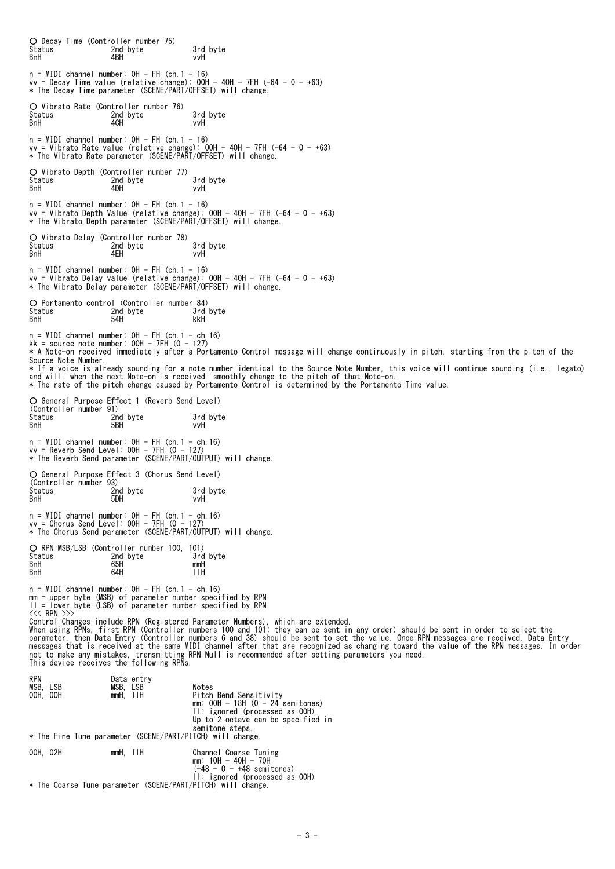| ○ Decay Time (Controller number 75)<br>Status<br>BnH | 2nd byte<br>4BH                                                                                                                                                                      | 3rd byte<br>vvH                                                                                                                                                                                                                                                                                                                                                                                                                                                                                                                                                                                             |
|------------------------------------------------------|--------------------------------------------------------------------------------------------------------------------------------------------------------------------------------------|-------------------------------------------------------------------------------------------------------------------------------------------------------------------------------------------------------------------------------------------------------------------------------------------------------------------------------------------------------------------------------------------------------------------------------------------------------------------------------------------------------------------------------------------------------------------------------------------------------------|
|                                                      | $n = MIDI$ channel number: $OH - FH$ (ch. 1 - 16)<br>* The Decay Time parameter (SCENE/PART/OFFSET) will change.                                                                     | $vv = \text{Decay Time value}$ (relative change): OOH - 40H - 7FH $(-64 - 0 - +63)$                                                                                                                                                                                                                                                                                                                                                                                                                                                                                                                         |
| Status<br>BnH                                        | ○ Vibrato Rate (Controller number 76)<br>2nd byte<br>4CH                                                                                                                             | 3rd byte<br>vvH                                                                                                                                                                                                                                                                                                                                                                                                                                                                                                                                                                                             |
|                                                      | $n = MIDI$ channel number: $OH - FH$ (ch. 1 - 16)                                                                                                                                    | $vv =$ Vibrato Rate value (relative change): 00H - 40H - 7FH (-64 - 0 - +63)<br>* The Vibrato Rate parameter (SCENE/PART/OFFSET) will change.                                                                                                                                                                                                                                                                                                                                                                                                                                                               |
| Status<br>BnH                                        | ○ Vibrato Depth (Controller number 77)<br>2nd byte<br>4DH                                                                                                                            | 3rd byte<br>vvH                                                                                                                                                                                                                                                                                                                                                                                                                                                                                                                                                                                             |
|                                                      | $n = MIDI$ channel number: $OH - FH$ (ch. 1 - 16)                                                                                                                                    | $vv =$ Vibrato Depth Value (relative change): OOH - 40H - 7FH (-64 - 0 - +63)<br>* The Vibrato Depth parameter (SCENE/PART/OFFSET) will change.                                                                                                                                                                                                                                                                                                                                                                                                                                                             |
| Status<br>BnH                                        | O Vibrato Delay (Controller number 78)<br>2nd byte<br>4EH                                                                                                                            | 3rd byte<br>vvH                                                                                                                                                                                                                                                                                                                                                                                                                                                                                                                                                                                             |
|                                                      | $n = MIDI$ channel number: $OH - FH$ (ch. 1 - 16)                                                                                                                                    | $vv =$ Vibrato Delay value (relative change): OOH - 40H - 7FH (-64 - 0 - +63)<br>* The Vibrato Delay parameter (SCENE/PART/OFFSET) will change.                                                                                                                                                                                                                                                                                                                                                                                                                                                             |
| Status<br>BnH                                        | O Portamento control (Controller number 84)<br>2nd byte<br>54H                                                                                                                       | 3rd byte<br>kkH                                                                                                                                                                                                                                                                                                                                                                                                                                                                                                                                                                                             |
| Source Note Number.                                  | $n = MIDI$ channel number: $OH - FH$ (ch. 1 - ch. 16)<br>kk = source note number: $00H - 7FH (0 - 127)$                                                                              | * A Note-on received immediately after a Portamento Control message will change continuously in pitch, starting from the pitch of the<br>* If a voice is already sounding for a note number identical to the Source Note Number, this voice will continue sounding (i.e., legato)<br>and will, when the next Note-on is received, smoothly change to the pitch of that Note-on.<br>* The rate of the pitch change caused by Portamento Control is determined by the Portamento Time value.                                                                                                                  |
| (Controller number 91)<br>Status<br><b>B</b> nH      | ○ General Purpose Effect 1 (Reverb Send Level)<br>2nd byte<br>5BH                                                                                                                    | 3rd byte<br>vvH                                                                                                                                                                                                                                                                                                                                                                                                                                                                                                                                                                                             |
|                                                      | $n = MIDI$ channel number: $OH - FH$ (ch. 1 - ch. 16)<br>$vv =$ Reverb Send Level: OOH - 7FH $(0 - 127)$<br>* The Reverb Send parameter (SCENE/PART/OUTPUT) will change.             |                                                                                                                                                                                                                                                                                                                                                                                                                                                                                                                                                                                                             |
| (Controller number 93)<br>Status<br>BnH              | ○ General Purpose Effect 3 (Chorus Send Level)<br>2nd byte<br>5DH                                                                                                                    | 3rd byte<br>vvH                                                                                                                                                                                                                                                                                                                                                                                                                                                                                                                                                                                             |
|                                                      | $n = MIDI$ channel number: $OH - FH$ (ch. 1 - ch. 16)<br>$vv =$ Chorus Send Level: 00H - 7FH $(0 - 127)$<br>* The Chorus Send parameter (SCENE/PART/OUTPUT) will change.             |                                                                                                                                                                                                                                                                                                                                                                                                                                                                                                                                                                                                             |
| Status<br>BnH<br>BnH                                 | ○ RPN MSB/LSB (Controller number 100, 101)<br>2nd byte<br>65H<br>64H                                                                                                                 | 3rd byte<br>mmH<br>11H                                                                                                                                                                                                                                                                                                                                                                                                                                                                                                                                                                                      |
|                                                      | $n = MIDI$ channel number: $OH - FH$ (ch. 1 - ch. 16)<br>mm = upper byte (MSB) of parameter number specified by RPN<br>$ I $ = lower byte (LSB) of parameter number specified by RPN |                                                                                                                                                                                                                                                                                                                                                                                                                                                                                                                                                                                                             |
| <<< RPN >>>                                          | This device receives the following RPNs.                                                                                                                                             | Control Changes include RPN (Registered Parameter Numbers), which are extended.<br>When using RPNs, first RPN (Controller numbers 100 and 101; they can be sent in any order) should be sent in order to select the<br>parameter, then Data Entry (Controller numbers 6 and 38) should be sent to set the value. Once RPN messages are received, Data Entry<br>messages that is received at the same MIDI channel after that are recognized as changing toward the value of the RPN messages. In order<br>not to make any mistakes, transmitting RPN Null is recommended after setting parameters you need. |
| rpn<br>MSB. LSB<br>00H, 00H                          | Data entry<br>MSB, LSB<br>mmH, IIH                                                                                                                                                   | Notes<br>Pitch Bend Sensitivity<br>$mm:$ OOH - 18H (0 - 24 semitones)<br>$II:$ ignored (processed as $00H$ )<br>Up to 2 octave can be specified in<br>semitone steps.                                                                                                                                                                                                                                                                                                                                                                                                                                       |
|                                                      | * The Fine Tune parameter (SCENE/PART/PITCH) will change.                                                                                                                            |                                                                                                                                                                                                                                                                                                                                                                                                                                                                                                                                                                                                             |
| 00H, 02H                                             | $mmH, \quad \Box H$                                                                                                                                                                  | Channel Coarse Tuning<br>mm: 10H - 40H - 70H<br>$(-48 - 0 - +48 \text{ semitones})$                                                                                                                                                                                                                                                                                                                                                                                                                                                                                                                         |
|                                                      | * The Coarse Tune parameter (SCENE/PART/PITCH) will change                                                                                                                           | II: ignored (processed as OOH)                                                                                                                                                                                                                                                                                                                                                                                                                                                                                                                                                                              |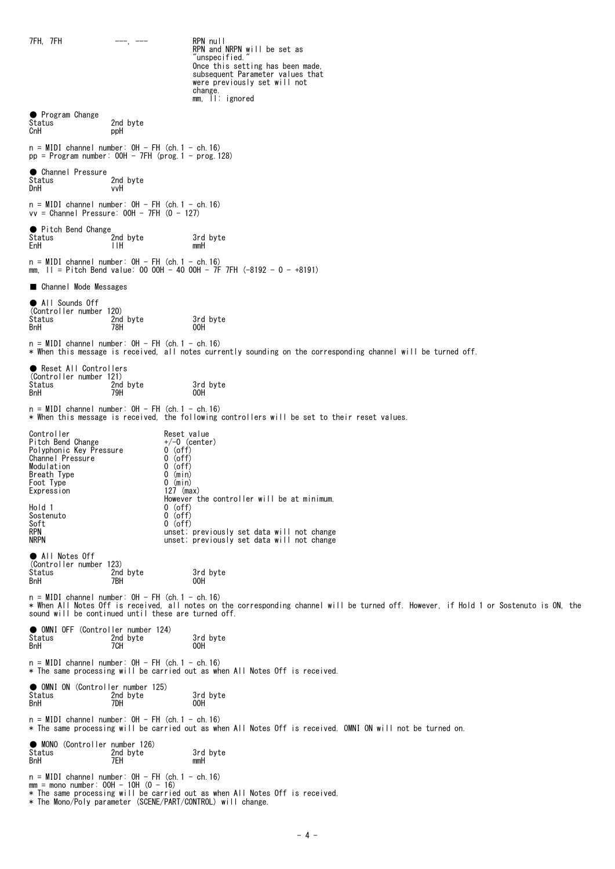$7FH$ ,  $7FH$   $-- ---$  RPN null RPN and NRPN will be set as 'unspecified. Once this setting has been made subsequent Parameter values that were previously set will not change. mm, ll: ignored ● Program Change<br>Status 2nd byte CnH ppH n = MIDI channel number: 0H - FH (ch.1 - ch.16) pp = Program number: 00H - 7FH (prog.1 - prog.128) ● Channel Pressure<br>Status 2nd byte DnH vvH n = MIDI channel number: 0H - FH (ch.1 - ch.16) vv = Channel Pressure: 00H - 7FH (0 - 127) ● Pitch Bend Change<br>Status Status 2014 2014 2nd byte 3rd byte<br>EnH 1.1H mmH EnH llH mmH n = MIDI channel number: 0H - FH (ch.1 - ch.16) mm, ll = Pitch Bend value: 00 00H - 40 00H - 7F 7FH (-8192 - 0 - +8191) ■ Channel Mode Messages ● All Sounds Off (Controller number 120) Status 2nd byte 3rd byte<br>
BnH 78H 78H 00H BnH 78H 00H  $n = MIDI$  channel number:  $OH - FH$  (ch. 1 - ch. 16) \* When this message is received, all notes currently sounding on the corresponding channel will be turned off. ● Reset All Controllers (Controller number 121) Status 2nd byte 3rd byte<br>BnH 3rd 79H 00H BnH 79H 00H n = MIDI channel number: 0H - FH (ch.1 - ch.16) \* When this message is received, the following controllers will be set to their reset values. Controller Reset value Pitch Bend Change +/-0 (center) Polyphonic Key Pressure 0 (off) Channel Pressure 0 (off) Controller Reset value<br>
Pitch Bend Change  $+/-0$  (center)<br>
Polyphonic Key Pressure 0 (off)<br>
Channel Pressure 0 (off)<br>
Modulation 0 (off)<br>
Breath Type 0 (min) Breath Type Foot Type<br>Expression  $0 \text{ (min)}$ <br>127 (max) id a controller will be at minimum.<br>Hold 1 and 1 0 (off) 0 (off)<br>0 (off) Sostenuto<br>Soft<br>RPN  $0$  (off) RPN unset; previously set data will not change<br>unset; previously set data will not change unset; previously set data will not change ● All Notes Off (Controller number 123) Status 2nd byte 3rd byte<br>1991 BnH 2008 7BH 2008 2008 BnH 7BH 00H n = MIDI channel number: 0H - FH (ch.1 - ch.16) \* When All Notes Off is received, all notes on the corresponding channel will be turned off. However, if Hold 1 or Sostenuto is ON, the sound will be continued until these are turned off. ● OMNI OFF (Controller number 124)<br>Status 2nd byte<br>BnH 7CH Status 2nd byte 3rd byte BnH 7CH 00H  $n = MIDI$  channel number:  $OH - FH$  (ch. 1 - ch. 16) \* The same processing will be carried out as when All Notes Off is received. ● OMNI ON (Controller number 125) Status 2nd byte 3rd byte<br>
2nd byte 3rd byte<br>
2DH 00H 00H BnH 7DH 00H  $n = MIDI$  channel number:  $OH - FH$  (ch. 1 - ch. 16) \* The same processing will be carried out as when All Notes Off is received. OMNI ON will not be turned on. ● MONO (Controller number 126) Status 2nd byte 3rd byte<br>BnH 3rd 7EH 7EH mmH BnH 7EH mmH  $n = MIDI$  channel number:  $OH - FH$  (ch. 1 - ch. 16) mm = mono number: 00H - 10H (0 - 16) \* The same processing will be carried out as when All Notes Off is received. \* The Mono/Poly parameter (SCENE/PART/CONTROL) will change.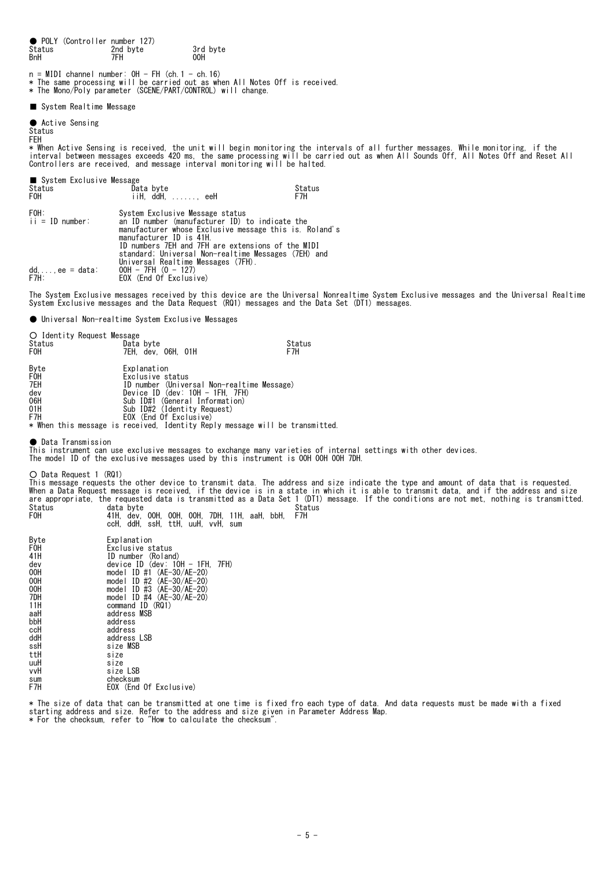● POLY (Controller number 127)<br>Status 2nd byte Status 3rd byte 3rd byte<br>
BnH 7FH 00H BnH 7FH 00H n = MIDI channel number: OH - FH (ch.1 - ch.16)<br>\* The same processing will be carried out as when All Notes Off is received.<br>\* The Mono/Poly parameter (SCENE/PART/CONTROL) will change. ■ System Realtime Message ● Active Sensing Status FEH \* When Active Sensing is received, the unit will begin monitoring the intervals of all further messages. While monitoring, if the<br>interval between messages exceeds 420 ms, the same processing will be carried out as when Al Controllers are received, and message interval monitoring will be halted. ■ System Exclusive Message<br>Status Da Status Charles Controller Data byte<br>FOH Status Data byte Status Status Data byte Status Status Status Data Status  $i$ iiH, ddH,  $\dots$ , eeH FOH: System Exclusive Message status<br>ii = ID number: an ID number (manufacturer ID) ii = ID number: an ID number (manufacturer ID) to indicate the manufacturer whose Exclusive message this is. Roland's manufacturer ID is 41H. ID numbers 7EH and 7FH are extensions of the MIDI standard; Universal Non-realtime Messages (7EH) and<br>Universal Realtime Messages (7FH).<br>dd,...,ee = data: 00H - 7FH (0 - 127) dd, ..., ee = data:  $00H - 7FH (0 - 127)$ <br>F7H: EOX (End Of Exclusive) The System Exclusive messages received by this device are the Universal Nonrealtime System Exclusive messages and the Universal Realtime System Exclusive messages and the Data Request (RQ1) messages and the Data Set (DT1) messages. ● Universal Non-realtime System Exclusive Messages O Identity Request Message<br>Status Data Status <sup>Status</sup> Data byte Status Status<br>FOH 7FH dev O6H 01H STAT STATUS TEH, dev, 06H, 01H F7H Byte Explanation<br>FOH Exclusive s<br>TEH ID number ( Exclusive status 7EH ID number (Universal Non-realtime Message) dev Device ID (dev: 10H - 1FH, 7FH) 06H Sub ID#1 (General Information) 01H Sub ID#2 (Identity Request) F7H EOX (End Of Exclusive) \* When this message is received, Identity Reply message will be transmitted. ● Data Transmission This instrument can use exclusive messages to exchange many varieties of internal settings with other devices. The model ID of the exclusive messages used by this instrument is 00H 00H 00H 7DH. ○ Data Request 1 (RQ1) This message requests the other device to transmit data. The address and size indicate the type and amount of data that is requested.<br>When a Data Request message is received, if the device is in a state in which it is able Status data byte Status F0H 41H, dev, 00H, 00H, 00H, 7DH, 11H, aaH, bbH, F7H ccH, ddH, ssH, ttH, uuH, vvH, sum Byte Explanation<br>FOH Fxclusive s FOH Exclusive status<br>41H ID number (Rolan 41H ID number (Roland)<br>dev device ID (dev: 10 dev device ID (dev: 10H - 1FH, 7FH) 00H model ID #1 (AE-30/AE-20) 00H model ID #2 (AE-30/AE-20) 00H model ID #3 (AE-30/AE-20) 7DH model ID #4 (AE-30/AE-20) 11H command ID (RQ1) aaH address MSB bbH address<br>ccH address address ddH address LSB<br>ssH size MSB ssH<br>ssH size MSB<br>ttH size ttH size uuH size<br>vvH size size LSB

\* The size of data that can be transmitted at one time is fixed fro each type of data. And data requests must be made with a fixed starting address and size. Refer to the address and size given in Parameter Address Map. \* For the checksum, refer to "How to calculate the checksum".

sum checksum

EOX (End Of Exclusive)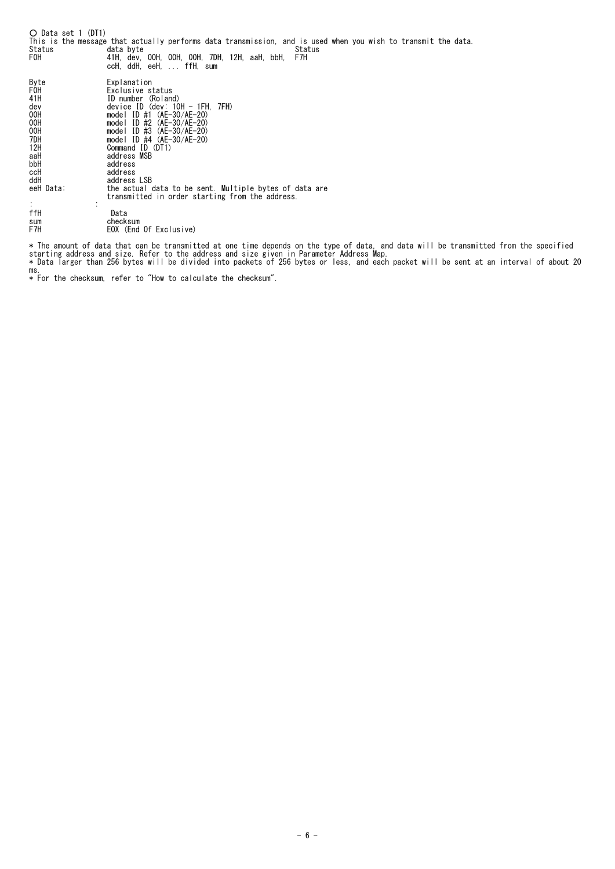○ Data set 1 (DT1) This is the message that actually performs data transmission, and is used when you wish to transmit the data. Status data byte Status F0H 41H, dev, 00H, 00H, 00H, 7DH, 12H, aaH, bbH, F7H ccH, ddH, eeH, ... ffH, sum Byte<br>
FOH Exclusive status<br>
4H<br>
4H<br>
4ev device ID (dev: 10H - 1FH, 7FH)<br>
00H device ID (dev: 10H - 1FH, 7FH)<br>
00H model ID #1 (AE-30/AE-20)<br>
00H model ID #2 (AE-30/AE-20)<br>
00H model ID #3 (AE-30/AE-20)<br>
12H Command ID (DT1 aaH address<br>bbH address<br>ccH address<br>ddH address address ddH<br>
eeH Data: address LSB<br>
eeH Data: the actual eeH Data: the actual data to be sent. Multiple bytes of data are transmitted in order starting from the address.  $\mathbf{r} = \mathbf{r} \times \mathbf{r}$  , where  $\mathbf{r} = \mathbf{r} \times \mathbf{r}$ ffH Data<br>sum checks<br>F7H EOX (I sum checksum F7H EOX (End Of Exclusive)

\* The amount of data that can be transmitted at one time depends on the type of data, and data will be transmitted from the specified<br>starting address and size. Refer to the address and size given in Parameter Address Map. ms.

\* For the checksum, refer to "How to calculate the checksum".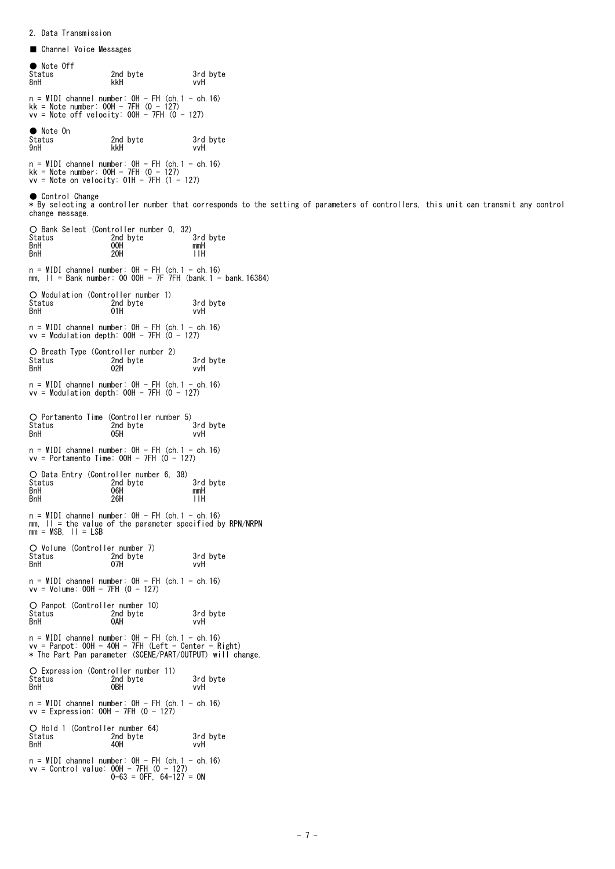■ Channel Voice Messages ● Note Off<br>Status<br>8nH Status 2nd byte 3rd byte 8nH kkH vvH n = MIDI channel number: 0H - FH (ch.1 - ch.16) kk = Note number: 00H - 7FH (0 - 127) vv = Note off velocity: 00H - 7FH (0 - 127) ● Note On Status 2nd byte 3rd byte 9nH kkH vvH n = MIDI channel number: 0H - FH (ch.1 - ch.16) kk = Note number: 00H - 7FH (0 - 127) vv = Note on velocity: 01H - 7FH (1 - 127) ● Control Change \* By selecting a controller number that corresponds to the setting of parameters of controllers, this unit can transmit any control change message. O Bank Select (Controller number 0, 32)<br>Status 2nd byte 3rd byte Status 2nd byte 3rd<br>BnH 00H mmH BnH 00H mmH BnH 20H llH n = MIDI channel number: 0H - FH (ch.1 - ch.16) mm, ll = Bank number: 00 00H - 7F 7FH (bank.1 - bank.16384) ○ Modulation (Controller number 1) Status 2nd byte 3rd byte BnH 01H vvH  $n = MIDI$  channel number:  $OH - FH$  (ch. 1 - ch. 16)  $vv = Modulation depth: OOH - 7FH (0 - 127)$ ○ Breath Type(Controller number 2) Status 2nd byte 3rd byte BnH 02H vvH n = MIDI channel number: 0H - FH (ch.1 - ch.16) vv = Modulation depth: 00H - 7FH (0 - 127) O Portamento Time (Controller number 5)<br>Status 2nd byte 3rd byte Status 2nd byte 3rd<br>BnH 2nd byte 3rd<br>BnH 05H vvH BnH 05H vvH n = MIDI channel number: 0H - FH (ch.1 - ch.16) vv = Portamento Time: 00H - 7FH (0 - 127) ○ Data Entry (Controller number 6, 38) Status 2nd byte 3rd byte BnH 06H mmH BnH 26H llH  $n = MIDI$  channel number:  $OH - FH$  (ch. 1 - ch. 16) mm, II = the value of the parameter specified by RPN/NRPN<br>mm = MSB, II = LSB ○ Volume (Controller number 7) Status 2003 2nd byte 3rd byte<br>
2nd byte 3rd byte 3rd byte<br>
207H vvH BnH 07H vvH n = MIDI channel number: 0H - FH (ch.1 - ch.16) vv = Volume: 00H - 7FH (0 - 127) O Panpot (Controller number 10)<br>Status 2nd byte Status 2nd byte 3rd byte<br>
BnH 2nd byte 3rd byte<br>
2nd byte 3rd byte 3rd byte BnH 0AH vvH n = MIDI channel number: 0H - FH (ch.1 - ch.16) vv = Panpot: 00H - 40H - 7FH (Left - Center - Right) \* The Part Pan parameter (SCENE/PART/OUTPUT) will change. ○ Expression (Controller number 11) Status 2nd byte 3rd byte BnH 0BH vvH  $n = MIDI$  channel number:  $OH - FH$  (ch. 1 - ch. 16)  $vv = Expression: OOH - 7FH (0 - 127)$ ○ Hold 1 (Controller number 64) Status 2nd byte 3rd byte BnH 40H vvH n = MIDI channel number: 0H - FH (ch.1 - ch.16) vv = Control value: 00H - 7FH (0 - 127) 0-63 = OFF, 64-127 = ON

2. Data Transmission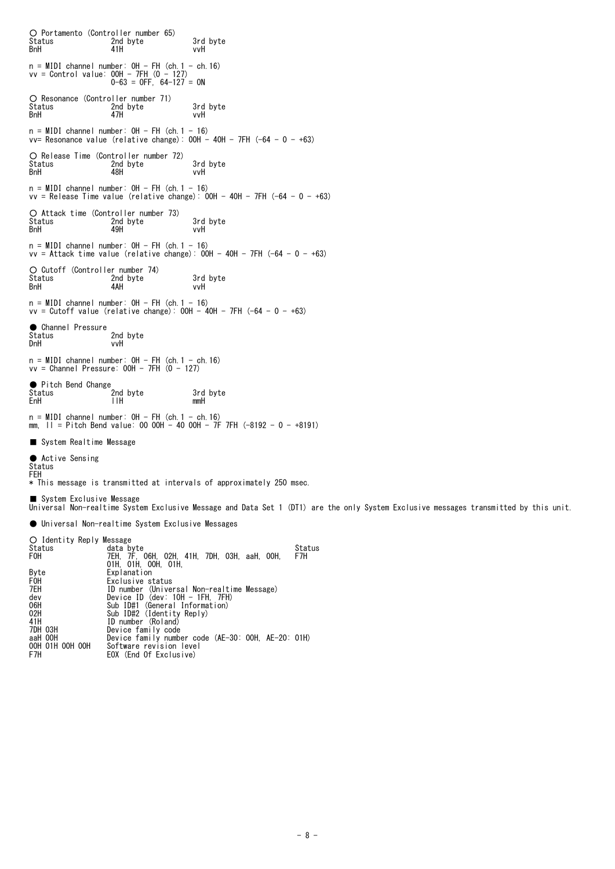○ Portamento (Controller number 65) Status 2nd byte 3rd byte BnH 41H vvH n = MIDI channel number: 0H - FH (ch.1 - ch.16) vv = Control value: 00H - 7FH (0 - 127) 0-63 = OFF, 64-127 = ON O Resonance (Controller number 71)<br>Status 2nd byte Status 2nd byte 3rd byte<br>
BnH 47H vvH BnH 47H vvH n = MIDI channel number: OH - FH (ch.1 - 16)<br>vv= Resonance value (relative change): OOH - 4OH - 7FH (-64 - 0 - +63) O Release Time (Controller number 72)<br>Status – 2nd byte<br>BnH – 48H Status 2nd byte 3rd byte BnH 48H vvH n = MIDI channel number: 0H - FH (ch.1 - 16) vv = Release Time value (relative change): 00H - 40H - 7FH (-64 - 0 - +63) O Attack time (Controller number 73)<br>Status 2nd byte Status 2nd byte 3rd byte BnH 49H vvH  $n = MIDI$  channel number:  $OH - FH$  (ch. 1 - 16)  $vv =$  Attack time value (relative change):  $00H - 40H - 7FH$  (-64 - 0 - +63) ○ Cutoff (Controller number 74) Status 2nd byte 3rd byte BnH 4AH vvH n = MIDI channel number: 0H - FH (ch.1 - 16) vv = Cutoff value (relative change): 00H - 40H - 7FH (-64 - 0 - +63) ● Channel Pressure<br>Status Status 2nd byte<br>
DnH vvH vvH n = MIDI channel number: 0H - FH (ch.1 - ch.16) vv = Channel Pressure: 00H - 7FH (0 - 127) ● Pitch Bend Change and byte 3rd byte<br>TIH and mmH Status<br>EnH  $n = MIDI$  channel number:  $OH - FH$  (ch. 1 - ch. 16) mm,  $11 =$  Pitch Bend value: 00 00H - 40 00H - 7F 7FH (-8192 - 0 - +8191) ■ System Realtime Message ● Active Sensing Status FEH \* This message is transmitted at intervals of approximately 250 msec. ■ System Exclusive Message Universal Non-realtime System Exclusive Message and Data Set 1 (DT1) are the only System Exclusive messages transmitted by this unit. ● Universal Non-realtime System Exclusive Messages O Identity Reply Message<br>Status data b Status data byte Status F0H 7EH, 7F, 06H, 02H, 41H, 7DH, 03H, aaH, 00H, F7H 01H, 01H, 00H, 01H, Byte Explanation<br>FOH Exclusive s<br>TEH ID number ( F0H Exclusive status 7EH ID number (Universal Non-realtime Message) dev Device ID (dev: 10H - 1FH, 7FH) 06H Sub ID#1 (General Information) 02H Sub ID#2 (Identity Reply)

41H ID number (Roland)<br>10H 03H Device family code 7DH 03H Device family code aaH 00H Device family number code (AE-30: 00H, AE-20: 01H) 00H 01H 00H 00H Software revision level F7H EOX (End Of Exclusive)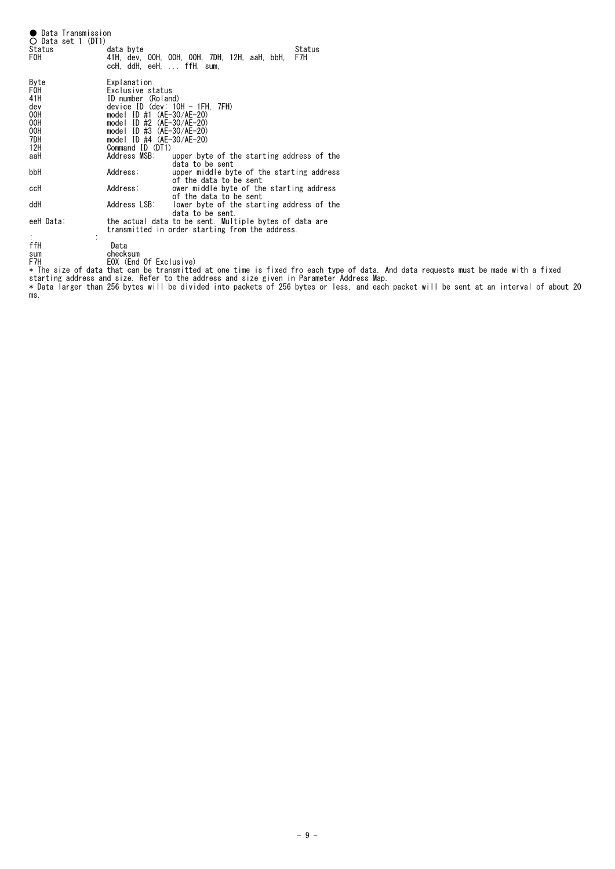| Status<br>FOH                                                | ● Data Transmission<br>O Data set 1 (DT1) | data byte<br>ccH,ddH,eeH,… ffH,sum,                                                                                                                                                                                                               | 41H, dev, 00H, 00H, 00H, 7DH, 12H, aaH, bbH,                                                              | Status<br>F7H |
|--------------------------------------------------------------|-------------------------------------------|---------------------------------------------------------------------------------------------------------------------------------------------------------------------------------------------------------------------------------------------------|-----------------------------------------------------------------------------------------------------------|---------------|
| Byte<br>F0H<br>41H<br>dev<br>00H<br>00H<br>00H<br>7DH<br>12H |                                           | Explanation<br>Exclusive status<br>ID number (Roland)<br>$device ID$ (dev: $10H - 1FH$ , $7FH$ )<br>model ID #1 $(AE-30/AE-20)$<br>model ID $#2$ (AE-30/AE-20)<br>model ID #3 $(AE-30/AE-20)$<br>model ID $\#4$ (AE-30/AE-20)<br>Command ID (DT1) |                                                                                                           |               |
| aaH                                                          |                                           | Address MSB:                                                                                                                                                                                                                                      | upper byte of the starting address of the<br>data to be sent                                              |               |
| bbH                                                          |                                           | Address:                                                                                                                                                                                                                                          | upper middle byte of the starting address<br>of the data to be sent                                       |               |
| ccH                                                          |                                           | Address:                                                                                                                                                                                                                                          | ower middle byte of the starting address<br>of the data to be sent                                        |               |
| ddH                                                          |                                           | Address LSB:                                                                                                                                                                                                                                      | lower byte of the starting address of the<br>data to be sent.                                             |               |
| eeH Data:                                                    |                                           |                                                                                                                                                                                                                                                   | the actual data to be sent. Multiple bytes of data are<br>transmitted in order starting from the address. |               |
| ffH                                                          |                                           | Data                                                                                                                                                                                                                                              |                                                                                                           |               |

ffH Data sum checksum F7H EOX (End Of Exclusive) \* The size of data that can be transmitted at one time is fixed fro each type of data. And data requests must be made with a fixed starting address and size. Refer to the address and size given in Parameter Address Map. \* Data larger than 256 bytes will be divided into packets of 256 bytes or less, and each packet will be sent at an interval of about 20

ms.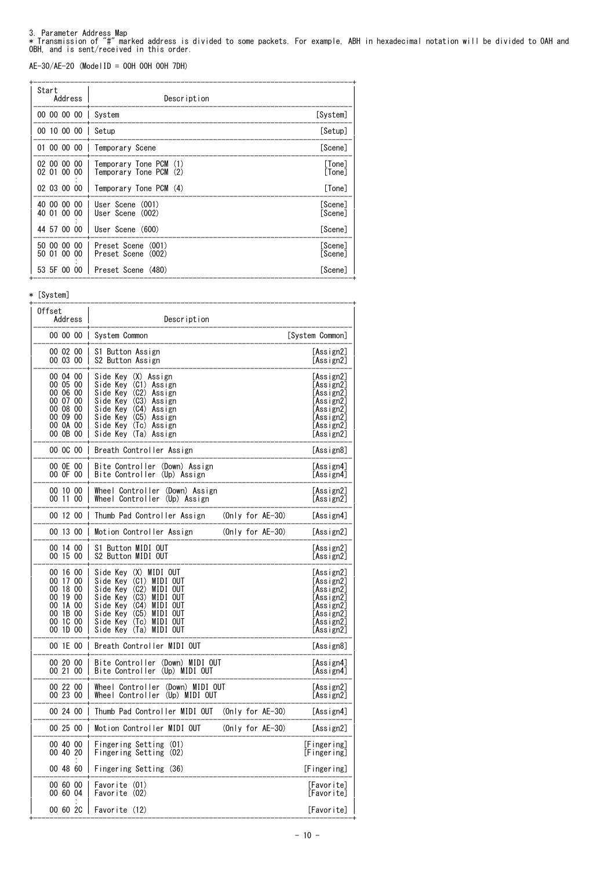3. Parameter Address Map<br>\* Transmission of "#" marked address is divided to some packets. For example, ABH in hexadecimal notation will be divided to OAH and<br>OBH, and is sent/received in this order.

AE-30/AE-20 (ModelID = 00H 00H 00H 7DH)

| Start<br>Address                        | Description                                            |                    |
|-----------------------------------------|--------------------------------------------------------|--------------------|
| 00 00 00 00                             | Svstem                                                 | [System]           |
| 00 10 00 00                             | Setup                                                  | [Setup]            |
| 01 00 00 00 1                           | Temporary Scene                                        | [Scene]            |
| 02 00 00<br>00<br>$00\,$<br>02 01<br>00 | Temporary Tone PCM<br>(1)<br>Temporary Tone PCM<br>(2) | [Tone]<br>[Tone]   |
| 02 03 00 00                             | Temporary Tone PCM (4)                                 | [Tone]             |
| 00 00<br>00<br>40<br>40 01 00<br>00     | User Scene (001)<br>User Scene (002)                   | [Scene]<br>[Scene] |
| 44 57 00 00                             | User Scene (600)                                       | [Scene]            |
| 50 00 00<br>00<br>00<br>50 01<br>00     | Preset Scene<br>(001)<br>Preset Scene<br>(002)         | [Scene]<br>[Scene] |
| 53 5F 00<br>00                          | Preset Scene (480)                                     | [Scene]            |

\* [System]

| Offset<br>Address                                                                            | Description                                                                                                                                                                                                                                  |                     |                                                                                                      |
|----------------------------------------------------------------------------------------------|----------------------------------------------------------------------------------------------------------------------------------------------------------------------------------------------------------------------------------------------|---------------------|------------------------------------------------------------------------------------------------------|
|                                                                                              | 00 00 00 System Common                                                                                                                                                                                                                       |                     | [System Common]                                                                                      |
| 00 02 00<br>00 03 00                                                                         | S1 Button Assign<br>S2 Button Assign                                                                                                                                                                                                         |                     | [Assign2]<br>[Assign2]                                                                               |
| 00 04 00<br>00 05 00<br>00 06 00<br>00 07 00<br>00 08 00<br>00 09 00<br>00 0A 00<br>00 OB 00 | Side Key (X) Assign<br>Side Key (C1) Assign<br>Side Kev<br>(C2)<br>Ass i gn<br>(C3)<br>Side Kev<br>Assign<br>Side Key<br>(C4)<br>Assign<br>Side Kev<br>(C5)<br>Assign<br>Side Kev (Tc) Assign<br>Side Key (Ta) Assign                        |                     | [Assign2]<br>[Assign2]<br>[Assign2]<br>[Assign2]<br>[Assign2]<br>[Assign2]<br>[Assign2]<br>[Assign2] |
| 00 OC 00                                                                                     | Breath Controller Assign                                                                                                                                                                                                                     |                     | [Assign8]                                                                                            |
| 00 OE 00<br>00 OF 00                                                                         | Bite Controller (Down) Assign<br>Bite Controller<br>(Up) Assign                                                                                                                                                                              |                     | [Assign4]<br>[Assign4]                                                                               |
| 00 10 00<br>00 11 00                                                                         | Wheel Controller<br>(Down) Assign<br>Wheel Controller<br>(Up) Assign                                                                                                                                                                         |                     | [Assign2]<br>[Assign2]                                                                               |
| 00 12 00<br>$\overline{\phantom{a}}$                                                         | Thumb Pad Controller Assign                                                                                                                                                                                                                  | (Only for AE-30)    | [Assign4]                                                                                            |
| 00 13 00<br>-1                                                                               | Motion Controller Assign                                                                                                                                                                                                                     | $(Only for AE-30)$  | [Assign2]                                                                                            |
| 00 14 00<br>00 15 00                                                                         | S1 Button MIDI OUT<br>S2 Button MIDI OUT                                                                                                                                                                                                     |                     | [Assign2]<br>[Assign2]                                                                               |
| 00 16 00<br>00 17 00<br>00 18 00<br>00 19 00<br>00 1A 00<br>00 1B 00<br>00 1C 00<br>00 1D 00 | Side Kev (X) MIDI OUT<br>Side Kev (C1)<br>MIDI OUT<br>Side Kev<br>(C2)<br>MIDI OUT<br>Side Key<br>(C3)<br>MIDI OUT<br>Side Kev<br>(C4)<br>MIDI OUT<br>Side Key<br>(C5)<br>MIDI OUT<br>Side Key (Tc)<br>MIDI OUT<br>Side Key (Ta)<br>MIDI OUT |                     | [Assign2]<br>[Assign2]<br>[Assign2]<br>[Assign2]<br>[Assign2]<br>[Assign2]<br>[Assign2]<br>[Assign2] |
| 00 1E 00<br>$\mathbf{I}$                                                                     | Breath Controller MIDI OUT                                                                                                                                                                                                                   |                     | [Assign8]                                                                                            |
| 00 20 00<br>00 21 00                                                                         | Bite Controller<br>(Down) MIDI OUT<br>Bite Controller<br>(Up) MIDI OUT                                                                                                                                                                       |                     | [Assign4]<br>[Assign4]                                                                               |
| 00 22 00<br>00, 23, 00                                                                       | Wheel Controller<br>(Down) MIDI OUT<br>Wheel Controller<br>(Up) MIDI OUT                                                                                                                                                                     |                     | [Assign2]<br>[Assign2]                                                                               |
| 00 24 00                                                                                     | Thumb Pad Controller MIDI OUT                                                                                                                                                                                                                | (Only for $AE-30$ ) | [Assign4]                                                                                            |
| 00 25 00                                                                                     | Motion Controller MIDI OUT                                                                                                                                                                                                                   | $(Only for AE-30)$  | [Assign2]                                                                                            |
| 00 40 00<br>00 40 20                                                                         | Fingering Setting<br>(01)<br>Fingering Setting<br>(02)                                                                                                                                                                                       |                     | [Fingering]<br>[Fingering]                                                                           |
| 00 48 60                                                                                     | Fingering Setting (36)                                                                                                                                                                                                                       |                     | [Fingering]                                                                                          |
| 00 60 00<br>00 60 04                                                                         | Favorite (01)<br>Favorite (02)                                                                                                                                                                                                               |                     | [Favorite]<br>[Favorite]                                                                             |
| 00 60 2C                                                                                     | Favorite (12)                                                                                                                                                                                                                                |                     | [Favorite]                                                                                           |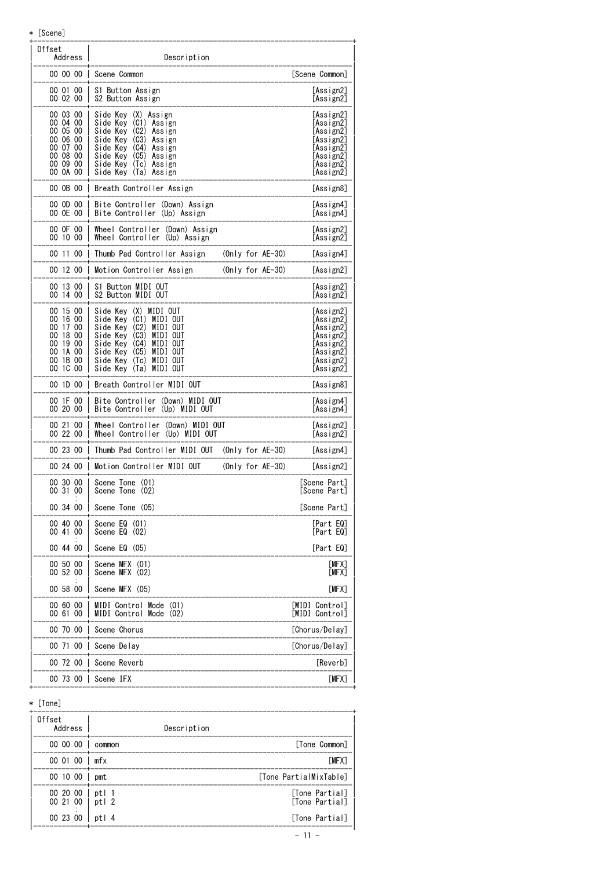\* [Scene]

| Offset<br>Address                                                                            | Description                                                                                                                                                                                                                               |                     |                                                                                                      |
|----------------------------------------------------------------------------------------------|-------------------------------------------------------------------------------------------------------------------------------------------------------------------------------------------------------------------------------------------|---------------------|------------------------------------------------------------------------------------------------------|
|                                                                                              | 00 00 00 Scene Common                                                                                                                                                                                                                     |                     | [Scene Common]                                                                                       |
| 00 01 00<br>00 02 00                                                                         | S1 Button Assign<br>S2 Button Assign                                                                                                                                                                                                      |                     | [Assign2]<br>[Assign2]                                                                               |
| 00 03 00<br>00 04 00<br>00 05 00<br>00 06 00<br>00 07 00<br>00 08 00<br>00 09 00<br>00 OA 00 | Side Key (X) Assign<br>Side Key<br>$(C1)$ Assign<br>Side Key (C2) Assign<br>(C3)<br>Side Kev<br>Assign<br>Side Kev<br>$(C4)$ Assign<br>(C5)<br>Side Key<br>Assign<br>Side Key<br>(Tc) Assign<br>Side Key (Ta) Assign                      |                     | [Assign2]<br>[Assign2]<br>[Assign2]<br>[Assign2]<br>[Assign2]<br>[Assign2]<br>[Assign2]<br>[Assign2] |
|                                                                                              | 00 OB 00   Breath Controller Assign                                                                                                                                                                                                       |                     | [Assign8]                                                                                            |
| 00 OD 00<br>00 OE 00 I                                                                       | Bite Controller (Down) Assign<br>Bite Controller (Up) Assign                                                                                                                                                                              |                     | [Assign4]<br>[Assign4]                                                                               |
| 00 OF 00<br>00 10 00                                                                         | Wheel Controller (Down) Assign<br>Wheel Controller (Up) Assign                                                                                                                                                                            |                     | [Assign2]<br>[Assign2]                                                                               |
| 00 11 00 1                                                                                   | Thumb Pad Controller Assign                                                                                                                                                                                                               | (Only for AE-30)    | [Assign4]                                                                                            |
| 00 12 00 1                                                                                   | Motion Controller Assign                                                                                                                                                                                                                  | $(Only for AE-30)$  | [Assign2]                                                                                            |
| 00 13 00<br>00 14 00                                                                         | S1 Button MIDI OUT<br>S2 Button MIDI OUT                                                                                                                                                                                                  |                     | [Assign2]<br>[Assign2]                                                                               |
| 00 15 00<br>00 16 00<br>00 17 00<br>00 18 00<br>00 19 00<br>00 1A 00<br>00 1B 00<br>00 1C 00 | Side Key (X) MIDI OUT<br>Side Key (C1) MIDI OUT<br>Side Key<br>(C2)<br>MIDI OUT<br>Side Key<br>(C3)<br>MIDI OUT<br>Side Kev<br>(C4)<br>MIDI OUT<br>Side Kev<br>(C5)<br>MIDI OUT<br>Side Key (Tc)<br>MIDI OUT<br>Side Key (Ta)<br>MIDI OUT |                     | [Assign2]<br>[Assign2]<br>[Assign2]<br>[Assign2]<br>[Assign2]<br>[Assign2]<br>[Assign2]<br>[Assign2] |
| 00 1D 00                                                                                     | Breath Controller MIDI OUT                                                                                                                                                                                                                |                     | [Assign8]                                                                                            |
| 00 1F 00<br>00 20 00                                                                         | Bite Controller (Down) MIDI OUT<br>Bite Controller<br>(Up) MIDI OUT                                                                                                                                                                       |                     | [Assign4]<br>[Assign4]                                                                               |
| 00 21 00<br>00 22 00                                                                         | Wheel Controller (Down) MIDI OUT<br>Wheel Controller<br>(Up) MIDI OUT                                                                                                                                                                     |                     | [Assign2]<br>[Assign2]                                                                               |
| 00 23 00                                                                                     | Thumb Pad Controller MIDI OUT                                                                                                                                                                                                             | (Only for AE-30)    | [Assigma]                                                                                            |
| 00 24 00 1                                                                                   | Motion Controller MIDI OUT                                                                                                                                                                                                                | (Only for $AE-30$ ) | [Assign2]                                                                                            |
| 00 30 00<br>00 31 00                                                                         | Scene Tone (01)<br>Scene Tone (02)                                                                                                                                                                                                        |                     | [Scene Part]<br>[Scene Part]                                                                         |
| 00 34 00                                                                                     | Scene Tone (05)                                                                                                                                                                                                                           |                     | [Scene Part]                                                                                         |
| 00 40 00<br>00 41 00                                                                         | Scene EQ (01)<br>Scene $EQ$ $(02)$                                                                                                                                                                                                        |                     | [Part EQ]<br>[Part EQ]                                                                               |
| 00 44 00                                                                                     | Scene $EQ(05)$                                                                                                                                                                                                                            |                     | [Part EQ]                                                                                            |
| 00 50 00<br>00 52 00                                                                         | Scene MFX (01)<br>Scene MFX (02)                                                                                                                                                                                                          |                     | [MFX]<br>[MFX]                                                                                       |
| 00 58 00                                                                                     | Scene MFX (05)                                                                                                                                                                                                                            |                     | [MFX]                                                                                                |
| 00 60 00<br>00 61 00                                                                         | MIDI Control Mode<br>(01)<br>MIDI Control Mode<br>(02)                                                                                                                                                                                    |                     | [MIDI Control]<br>[MIDI Control]                                                                     |
| 00 70 00                                                                                     | Scene Chorus                                                                                                                                                                                                                              |                     | [Chorus/Delay]                                                                                       |
| 00 71 00                                                                                     | Scene Delay                                                                                                                                                                                                                               |                     | [Chorus/Delay]                                                                                       |
| 00 72 00                                                                                     | Scene Reverb                                                                                                                                                                                                                              |                     | [Reverb]                                                                                             |
| 00 73 00                                                                                     | Scene IFX                                                                                                                                                                                                                                 |                     | [MFX]                                                                                                |

\* [Tone]

| 0ffset<br>Address    | Description        |                                  |
|----------------------|--------------------|----------------------------------|
| 000000               | common             | [Tone Common]                    |
| 00 01 00 mfx         |                    | <b>TMFX7</b>                     |
| 00 10 00   pmt       |                    | [Tone PartialMixTable]           |
| 00 20 00<br>00 21 00 | ptl 1<br>$ $ ptl 2 | [Tone Partial]<br>[Tone Partial] |
| 00 23 00             | ptl 4              | [Tone Partial]                   |

+------------------------------------------------------------------------------+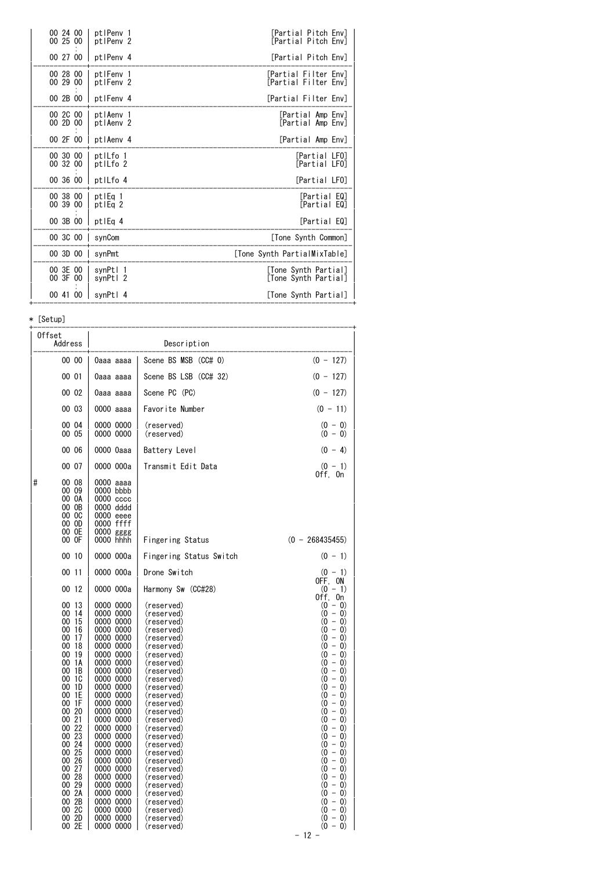| 00 24 00<br>00 25 00 | ptlPenv 1<br>ptlPeny 2            | [Partial Pitch Env]<br>[Partial Pitch Env]   |
|----------------------|-----------------------------------|----------------------------------------------|
| 00 27 00             | ptlPeny 4                         | [Partial Pitch Env]                          |
| 00 28 00<br>00 29 00 | ptlFenv 1<br>ptlFenv 2            | [Partial Filter Env]<br>[Partial Filter Env] |
| 00 2B 00             | ptlFenv 4                         | [Partial Filter Env]                         |
| 00 2C 00<br>00 2D 00 | ptlAenv 1<br>ptlAenv <sub>2</sub> | [Partial Amp Env]<br>[Partial Amp Env]       |
| 00 2F 00             | ptlAenv 4                         | [Partial Amp Env]                            |
| 00 30 00<br>00 32 00 | ptlLfo 1<br>ptlLfo <sub>2</sub>   | [Partial LFO]<br>[Partial LFO]               |
| 00 36 00             | ptlLfo 4                          | [Partial LFO]                                |
| 00 38 00<br>00 39 00 | ptlEq 1<br>ptlEg <sub>2</sub>     | [Partial EQ]<br>[Partial EQ]                 |
| 00 3B 00             | ptlEg 4                           | [Partial EQ]                                 |
| 00 3C 00             | synCom                            | [Tone Synth Common]                          |
| 00 3D 00   synPmt    |                                   | [Tone Synth PartialMixTable]                 |
| 00 3E 00<br>00 3F 00 | svnPtl 1<br>svnPtl 2              | [Tone Synth Partial]<br>[Tone Synth Partial] |
| 00 41 00             | synPtl 4                          | [Tone Synth Partial]                         |

\* [Setup]

| Offset<br>Address                                                                                                                                                                                                                                                                         |                                                                                                                                                                                                                                                                                                                                                                          | Description                                                                                                                                                                                                                                                                                                                                                                                          |                                                                                                                                                                                                                                                                                                                                                                          |
|-------------------------------------------------------------------------------------------------------------------------------------------------------------------------------------------------------------------------------------------------------------------------------------------|--------------------------------------------------------------------------------------------------------------------------------------------------------------------------------------------------------------------------------------------------------------------------------------------------------------------------------------------------------------------------|------------------------------------------------------------------------------------------------------------------------------------------------------------------------------------------------------------------------------------------------------------------------------------------------------------------------------------------------------------------------------------------------------|--------------------------------------------------------------------------------------------------------------------------------------------------------------------------------------------------------------------------------------------------------------------------------------------------------------------------------------------------------------------------|
| 00 00                                                                                                                                                                                                                                                                                     | 0aaa aaaa                                                                                                                                                                                                                                                                                                                                                                | Scene BS MSB (CC# 0)                                                                                                                                                                                                                                                                                                                                                                                 | $(0 - 127)$                                                                                                                                                                                                                                                                                                                                                              |
| 00 01                                                                                                                                                                                                                                                                                     | 0aaa aaaa                                                                                                                                                                                                                                                                                                                                                                | Scene BS LSB (CC# 32)                                                                                                                                                                                                                                                                                                                                                                                | $(0 - 127)$                                                                                                                                                                                                                                                                                                                                                              |
| 00 02                                                                                                                                                                                                                                                                                     | 0aaa aaaa                                                                                                                                                                                                                                                                                                                                                                | Scene PC (PC)                                                                                                                                                                                                                                                                                                                                                                                        | $(0 - 127)$                                                                                                                                                                                                                                                                                                                                                              |
| 00 03                                                                                                                                                                                                                                                                                     | 0000 aaaa                                                                                                                                                                                                                                                                                                                                                                | Favorite Number                                                                                                                                                                                                                                                                                                                                                                                      | $(0 - 11)$                                                                                                                                                                                                                                                                                                                                                               |
| 00 04<br>00 05                                                                                                                                                                                                                                                                            | 0000 0000<br>0000 0000                                                                                                                                                                                                                                                                                                                                                   | (reserved)<br>(reserved)                                                                                                                                                                                                                                                                                                                                                                             | $(0 - 0)$<br>$(0 - 0)$                                                                                                                                                                                                                                                                                                                                                   |
| 00 06                                                                                                                                                                                                                                                                                     | 0000 0aaa                                                                                                                                                                                                                                                                                                                                                                | Battery Level                                                                                                                                                                                                                                                                                                                                                                                        | $(0 - 4)$                                                                                                                                                                                                                                                                                                                                                                |
| 00 07                                                                                                                                                                                                                                                                                     | 0000 000a                                                                                                                                                                                                                                                                                                                                                                | Transmit Edit Data                                                                                                                                                                                                                                                                                                                                                                                   | $(0 - 1)$<br>Off, On                                                                                                                                                                                                                                                                                                                                                     |
| 00 08<br>#<br>00 09<br>00 0A<br>00 OB<br>00 OC<br>00 OD<br>00 OE<br>00 OF                                                                                                                                                                                                                 | 0000 aaaa<br>0000 bbbb<br>0000 cccc<br>0000 dddd<br>0000 eeee<br>0000 ffff<br>0000 gggg<br>0000 hhhh                                                                                                                                                                                                                                                                     | Fingering Status                                                                                                                                                                                                                                                                                                                                                                                     | $(0 - 268435455)$                                                                                                                                                                                                                                                                                                                                                        |
| 00 10                                                                                                                                                                                                                                                                                     | 0000 000a                                                                                                                                                                                                                                                                                                                                                                | Fingering Status Switch                                                                                                                                                                                                                                                                                                                                                                              | $(0 - 1)$                                                                                                                                                                                                                                                                                                                                                                |
| 00 11                                                                                                                                                                                                                                                                                     | 0000 000a                                                                                                                                                                                                                                                                                                                                                                | Drone Switch                                                                                                                                                                                                                                                                                                                                                                                         | $(0 - 1)$                                                                                                                                                                                                                                                                                                                                                                |
| 00 12                                                                                                                                                                                                                                                                                     | 0000 000a                                                                                                                                                                                                                                                                                                                                                                | Harmony Sw (CC#28)                                                                                                                                                                                                                                                                                                                                                                                   | OFF, ON<br>$(0 - 1)$<br>$0$ ff, $0n$                                                                                                                                                                                                                                                                                                                                     |
| 00 13<br>00 14<br>00 15<br>00 16<br>00 17<br>00 18<br>00 19<br>00 1A<br>00 1B<br>00 1C<br>00 1D<br>00 1E<br>$00$ $1\overline{F}$<br>00 20<br>00 21<br>00 22<br>00 23<br>$00\,24$<br>00 25<br>00 26<br>$00\,27$<br>00 28<br>00 29<br>00 2A<br>00 2B<br>$00\overline{2C}$<br>00 2D<br>00 2E | 0000 0000<br>0000 0000<br>0000 0000<br>0000 0000<br>0000 0000<br>0000 0000<br>0000 0000<br>0000 0000<br>0000 0000<br>0000 0000<br>0000 0000<br>0000 0000<br>0000 0000<br>0000 0000<br>0000 0000<br>0000 0000<br>0000 0000<br>0000 0000<br>0000 0000<br>0000 0000<br>0000 0000<br>0000 0000<br>0000 0000<br>0000 0000<br>0000 0000<br>0000 0000<br>0000 0000<br>0000 0000 | (reserved)<br>(reserved)<br>(reserved)<br>(reserved)<br>(reserved)<br>(reserved)<br>(reserved)<br>(reserved)<br>(reserved)<br>(reserved)<br>(reserved)<br>(reserved)<br>(reserved)<br>(reserved)<br>(reserved)<br>(reserved)<br>(reserved)<br>(reserved)<br>(reserved)<br>(reserved)<br>(reserved)<br>(reserved)<br>(reserved)<br>(reserved)<br>(reserved)<br>(reserved)<br>(reserved)<br>(reserved) | $(0 - 0)$<br>$(0 - 0)$<br>$(0 - 0)$<br>$(0 - 0)$<br>$(0 - 0)$<br>$(0 - 0)$<br>$(0 - 0)$<br>$(0 - 0)$<br>$(0 - 0)$<br>$(0 - 0)$<br>$(0 - 0)$<br>$(0 - 0)$<br>$(0 - 0)$<br>$(0 - 0)$<br>$(0 - 0)$<br>$(0 - 0)$<br>$(0 - 0)$<br>$(0 - 0)$<br>$(0 - 0)$<br>$(0 - 0)$<br>$(0 - 0)$<br>$(0 - 0)$<br>$(0 - 0)$<br>$(0 - 0)$<br>$(0 - 0)$<br>$(0 - 0)$<br>$(0 - 0)$<br>$(0 - 0)$ |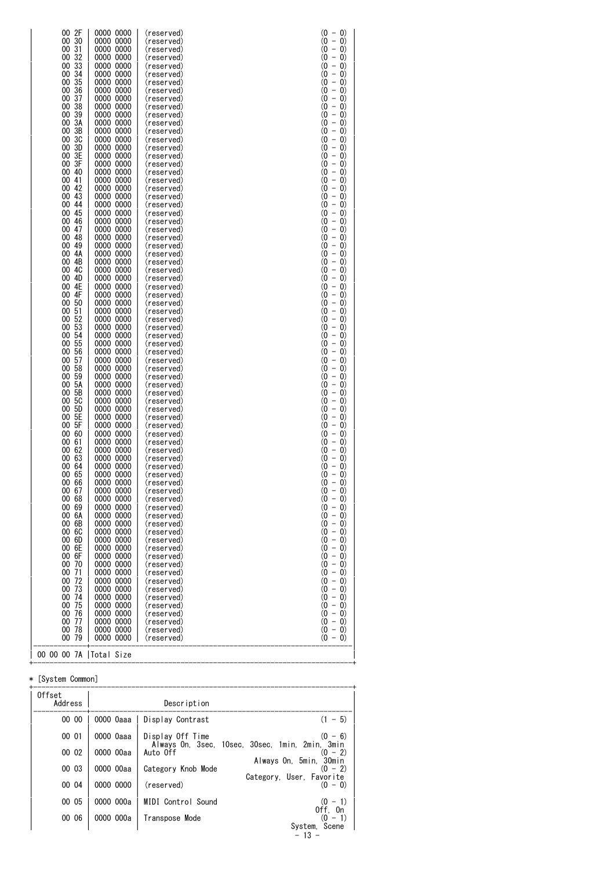| 31<br>00<br>32<br>00<br>00 33<br>00<br>34<br>35<br>00<br>36<br>00<br>00<br>37<br>38<br>00<br>00 39<br>00<br>ЗΑ<br>3B<br>00<br>00 3C<br>00<br>3D<br>3E<br>00<br>00 3F<br>40<br>00<br>00 41<br>42<br>00<br>43<br>00<br>00 44<br>00<br>45<br>46<br>00<br>00 47<br>48<br>00<br>49<br>00<br>00 4A<br>4B<br>00<br>00<br>4C<br>4D<br>00<br>4E<br>00<br>4F<br>00<br>00<br>50<br>51<br>00<br>00 52<br>00<br>53<br>00 54<br>00 55<br>00<br>56<br>00 57<br>00 58<br>59<br>00<br>00 5A<br>5B<br>00<br>5C<br>00<br>00 5D<br>00 5E<br>00 5F<br>00 60<br>00 61<br>00 62<br>00 63<br>00 64<br>00 65<br>00 66<br>00 67<br>00 68<br>00 69<br>00 6A<br>00 6B<br>00 6C<br>00 6D<br>00 6E<br>00 6F<br>00 70<br>00 71 | 0000 0000<br>(reserved)<br>0000 0000<br>(reserved)<br>0000 0000<br>(reserved)<br>0000 0000<br>(reserved)<br>0000 0000<br>(reserved)<br>0000 0000<br>(reserved)<br>0000 0000<br>(reserved)<br>0000 0000<br>(reserved)<br>0000 0000<br>(reserved)<br>0000 0000<br>(reserved)<br>0000 0000<br>(reserved)<br>0000 0000<br>(reserved)<br>0000 0000<br>(reserved)<br>0000 0000<br>(reserved)<br>0000 0000<br>(reserved)<br>0000 0000<br>(reserved)<br>0000 0000<br>(reserved)<br>0000 0000<br>(reserved)<br>0000 0000<br>(reserved)<br>0000 0000<br>(reserved)<br>0000 0000<br>(reserved)<br>0000 0000<br>(reserved)<br>0000 0000<br>(reserved)<br>0000 0000<br>(reserved)<br>0000 0000<br>(reserved)<br>0000 0000<br>(reserved)<br>0000 0000<br>(reserved)<br>0000 0000<br>(reserved)<br>0000 0000<br>(reserved)<br>0000 0000<br>(reserved)<br>0000 0000<br>(reserved)<br>0000 0000<br>(reserved)<br>0000 0000<br>(reserved)<br>0000 0000<br>(reserved)<br>0000 0000<br>(reserved)<br>0000 0000<br>(reserved)<br>0000 0000<br>(reserved)<br>0000 0000<br>(reserved)<br>0000 0000<br>(reserved)<br>0000 0000<br>(reserved)<br>0000 0000<br>(reserved)<br>0000 0000<br>(reserved)<br>0000 0000<br>(reserved)<br>0000 0000<br>(reserved)<br>0000 0000<br>(reserved)<br>0000 0000<br>(reserved)<br>0000 0000<br>(reserved)<br>0000 0000<br>(reserved)<br>0000 0000<br>(reserved)<br>0000 0000<br>(reserved)<br>0000 0000<br>(reserved)<br>0000 0000<br>(reserved)<br>0000 0000<br>(reserved)<br>0000 0000<br>(reserved)<br>0000 0000<br>(reserved)<br>0000 0000<br>(reserved)<br>0000 0000<br>(reserved)<br>0000 0000<br>(reserved)<br>0000 0000<br>(reserved)<br>0000 0000<br>(reserved)<br>0000 0000<br>(reserved)<br>0000 0000<br>(reserved)<br>0000 0000<br>(reserved)<br>0000 0000<br>(reserved)<br>0000 0000<br>(reserved) |  | $(0 - 0)$<br>$(0 - 0)$<br>$(0 - 0)$<br>$(0 - 0)$<br>$(0 -$<br>$\left( 0\right)$<br>$(0 -$<br>$\left( 0\right)$<br>$(0 - 0)$<br>$(0 -$<br>$\left( 0\right)$<br>$(0 -$<br>$\left( 0\right)$<br>$(0 - 0)$<br>$(0 -$<br>$\left( 0\right)$<br>$\frac{1}{2}$<br>$^{(0)}$<br>$\left( 0\right)$<br>$(0 - 0)$<br>$(0 -$<br>$\left( 0\right)$<br>$\frac{1}{2}$<br>$^{(0)}$<br>$\left( 0\right)$<br>$(0 - 0)$<br>$(0 - 0)$<br>$\qquad \qquad -$<br>$\omega$<br>$\vert 0\rangle$<br>$\bar{ }$<br>$^{(0)}$<br>$\vert 0\rangle$<br>$(0 - 0)$<br>$\bar{ }$<br>$\omega$<br>$\left( 0\right)$<br>$\overline{\phantom{0}}$<br>$^{(0)}$<br>$\left( 0\right)$<br>$(0 - 0)$<br>$\omega$<br>$\overline{\phantom{a}}$<br>$\left( 0\right)$<br>$(0 -$<br>$\left( 0\right)$<br>$(0 - 0)$<br>$(0 -$<br>$\left( 0\right)$<br>$(0 -$<br>$\left( 0\right)$<br>$(0 - 0)$<br>$(0 -$<br>$\left( 0\right)$<br>$(0 - 0)$<br>$(0 - 0)$<br>$(0 -$<br>$\left( 0\right)$<br>$(0 -$<br>$\left( 0\right)$<br>$(0 - 0)$<br>$(0 - 0)$<br>$(0 -$<br>$\left( 0\right)$<br>$(0 - 0)$<br>$(0 -$<br>$\left( 0\right)$<br>$\overline{\phantom{0}}$<br>$\omega$<br>$\left( 0\right)$<br>$(0 - 0)$<br>$(0 - 0)$<br>$\omega$<br>$\overline{\phantom{a}}$<br>$\left( 0\right)$<br>$(0 - 0)$<br>$(0 - 0)$<br>$-$ 0)<br>$\omega$<br>$\bar{ }$<br>$^{(0)}$<br>$\vert 0\rangle$<br>$(0 - 0)$<br>$\overline{\phantom{a}}$<br>$^{(0)}$<br>$\left( 0\right)$<br>$\omega$<br>$\overline{\phantom{a}}$<br>$\left( 0\right)$<br>$(0 -$<br>$\left( 0\right)$<br>(0<br>$\overline{\phantom{a}}$<br>$\left( 0\right)$<br>$(0 -$<br>$\left( 0\right)$<br>$(0 -$<br>$\left( 0\right)$<br>$(0 - 0)$<br>$(0 - 0)$<br>$(0 - 0)$<br>$(0 - 0)$<br>$(0 - 0)$<br>$(0 - 0)$<br>$(0 - 0)$<br>$(0 - 0)$<br>$(0 - 0)$<br>$(0 - 0)$<br>$(0 - 0)$<br>$(0 - 0)$ |
|-------------------------------------------------------------------------------------------------------------------------------------------------------------------------------------------------------------------------------------------------------------------------------------------------------------------------------------------------------------------------------------------------------------------------------------------------------------------------------------------------------------------------------------------------------------------------------------------------------------------------------------------------------------------------------------------------|-------------------------------------------------------------------------------------------------------------------------------------------------------------------------------------------------------------------------------------------------------------------------------------------------------------------------------------------------------------------------------------------------------------------------------------------------------------------------------------------------------------------------------------------------------------------------------------------------------------------------------------------------------------------------------------------------------------------------------------------------------------------------------------------------------------------------------------------------------------------------------------------------------------------------------------------------------------------------------------------------------------------------------------------------------------------------------------------------------------------------------------------------------------------------------------------------------------------------------------------------------------------------------------------------------------------------------------------------------------------------------------------------------------------------------------------------------------------------------------------------------------------------------------------------------------------------------------------------------------------------------------------------------------------------------------------------------------------------------------------------------------------------------------------------------------------------|--|--------------------------------------------------------------------------------------------------------------------------------------------------------------------------------------------------------------------------------------------------------------------------------------------------------------------------------------------------------------------------------------------------------------------------------------------------------------------------------------------------------------------------------------------------------------------------------------------------------------------------------------------------------------------------------------------------------------------------------------------------------------------------------------------------------------------------------------------------------------------------------------------------------------------------------------------------------------------------------------------------------------------------------------------------------------------------------------------------------------------------------------------------------------------------------------------------------------------------------------------------------------------------------------------------------------------------------------------------------------------------------------------------------------------------------------------------------------------------------------------------------------------------------------------------------------------------------------------------------------------------------------------------------------------------------------------------------------------------------------------------------------------------------|
|-------------------------------------------------------------------------------------------------------------------------------------------------------------------------------------------------------------------------------------------------------------------------------------------------------------------------------------------------------------------------------------------------------------------------------------------------------------------------------------------------------------------------------------------------------------------------------------------------------------------------------------------------------------------------------------------------|-------------------------------------------------------------------------------------------------------------------------------------------------------------------------------------------------------------------------------------------------------------------------------------------------------------------------------------------------------------------------------------------------------------------------------------------------------------------------------------------------------------------------------------------------------------------------------------------------------------------------------------------------------------------------------------------------------------------------------------------------------------------------------------------------------------------------------------------------------------------------------------------------------------------------------------------------------------------------------------------------------------------------------------------------------------------------------------------------------------------------------------------------------------------------------------------------------------------------------------------------------------------------------------------------------------------------------------------------------------------------------------------------------------------------------------------------------------------------------------------------------------------------------------------------------------------------------------------------------------------------------------------------------------------------------------------------------------------------------------------------------------------------------------------------------------------------|--|--------------------------------------------------------------------------------------------------------------------------------------------------------------------------------------------------------------------------------------------------------------------------------------------------------------------------------------------------------------------------------------------------------------------------------------------------------------------------------------------------------------------------------------------------------------------------------------------------------------------------------------------------------------------------------------------------------------------------------------------------------------------------------------------------------------------------------------------------------------------------------------------------------------------------------------------------------------------------------------------------------------------------------------------------------------------------------------------------------------------------------------------------------------------------------------------------------------------------------------------------------------------------------------------------------------------------------------------------------------------------------------------------------------------------------------------------------------------------------------------------------------------------------------------------------------------------------------------------------------------------------------------------------------------------------------------------------------------------------------------------------------------------------|

#### \* [System Common]

| 0ffset<br>Address |           | Description        |                                                              |
|-------------------|-----------|--------------------|--------------------------------------------------------------|
| 00 00             | 0000 Oaaa | Display Contrast   | $(1 - 5)$                                                    |
| 00 01             | 0000 0aaa | Display Off Time   | $(0 - 6)$                                                    |
| 00 02             | 0000 00aa | Auto Off           | Always On, 3sec, 10sec, 30sec, 1min, 2min, 3min<br>$(0 - 2)$ |
| 00 03             | 0000 00aa | Category Knob Mode | Always On, 5min,<br>30min<br>$-2)$<br>(0)                    |
| 00 04             | 0000 0000 | (reserved)         | Category, User, Favorite<br>$(0 - 0)$                        |
| 00 05             | 0000 000a | MIDI Control Sound | $(0 - 1)$                                                    |
| 00 06             | 0000 000a | Transpose Mode     | Off. On<br>$-1)$<br>0)                                       |
|                   |           |                    | Scene<br>System,<br>$-13 -$                                  |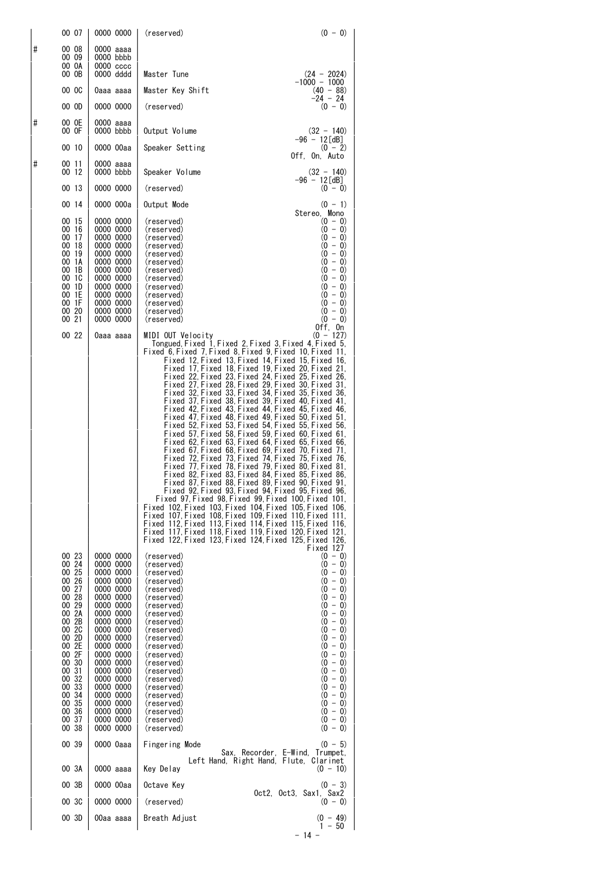|          | 00 07                                                                                                                                                                                              | 0000 0000                                                                                                                                                                                                                                                                                  | (reserved)<br>$(0 - 0)$                                                                                                                                                                                                                                                                                                                                                                                                                                                                                                                                                                                                                                                                                                                                                                                                                                                                                                                                                                                                                                                                                                                                                                                                                                                                                                                                                                    |
|----------|----------------------------------------------------------------------------------------------------------------------------------------------------------------------------------------------------|--------------------------------------------------------------------------------------------------------------------------------------------------------------------------------------------------------------------------------------------------------------------------------------------|--------------------------------------------------------------------------------------------------------------------------------------------------------------------------------------------------------------------------------------------------------------------------------------------------------------------------------------------------------------------------------------------------------------------------------------------------------------------------------------------------------------------------------------------------------------------------------------------------------------------------------------------------------------------------------------------------------------------------------------------------------------------------------------------------------------------------------------------------------------------------------------------------------------------------------------------------------------------------------------------------------------------------------------------------------------------------------------------------------------------------------------------------------------------------------------------------------------------------------------------------------------------------------------------------------------------------------------------------------------------------------------------|
| $\sharp$ | 00 08<br>00 09<br>00 OA<br>00 OB                                                                                                                                                                   | 0000 aaaa<br>0000 bbbb<br>$0000$ $cccc$<br>0000 dddd                                                                                                                                                                                                                                       | Master Tune<br>$(24 - 2024)$                                                                                                                                                                                                                                                                                                                                                                                                                                                                                                                                                                                                                                                                                                                                                                                                                                                                                                                                                                                                                                                                                                                                                                                                                                                                                                                                                               |
|          | 00 OC                                                                                                                                                                                              | 0aaa aaaa                                                                                                                                                                                                                                                                                  | $-1000 - 1000$<br>Master Key Shift<br>$(40 - 88)$                                                                                                                                                                                                                                                                                                                                                                                                                                                                                                                                                                                                                                                                                                                                                                                                                                                                                                                                                                                                                                                                                                                                                                                                                                                                                                                                          |
|          | 00 OD                                                                                                                                                                                              | 0000 0000                                                                                                                                                                                                                                                                                  | -24 - 24<br>(reserved)<br>$(0 - 0)$                                                                                                                                                                                                                                                                                                                                                                                                                                                                                                                                                                                                                                                                                                                                                                                                                                                                                                                                                                                                                                                                                                                                                                                                                                                                                                                                                        |
| #        | 00 OE<br>00 OF                                                                                                                                                                                     | 0000 aaaa<br>0000 bbbb                                                                                                                                                                                                                                                                     | Output Volume<br>$(32 - 140)$                                                                                                                                                                                                                                                                                                                                                                                                                                                                                                                                                                                                                                                                                                                                                                                                                                                                                                                                                                                                                                                                                                                                                                                                                                                                                                                                                              |
|          | 00 10                                                                                                                                                                                              | 0000 00aa                                                                                                                                                                                                                                                                                  | $-96 - 12 \text{ [dB]}$<br>Speaker Setting<br>$(0 - 2)$                                                                                                                                                                                                                                                                                                                                                                                                                                                                                                                                                                                                                                                                                                                                                                                                                                                                                                                                                                                                                                                                                                                                                                                                                                                                                                                                    |
| #        | 00 11<br>00 12                                                                                                                                                                                     | 0000 aaaa<br>0000 bbbb                                                                                                                                                                                                                                                                     | Off, On, Auto<br>Speaker Volume<br>$(32 - 140)$                                                                                                                                                                                                                                                                                                                                                                                                                                                                                                                                                                                                                                                                                                                                                                                                                                                                                                                                                                                                                                                                                                                                                                                                                                                                                                                                            |
|          | 00 13                                                                                                                                                                                              | 0000 0000                                                                                                                                                                                                                                                                                  | $-96 - 12 [dB]$<br>(reserved)<br>$(0 - 0)$                                                                                                                                                                                                                                                                                                                                                                                                                                                                                                                                                                                                                                                                                                                                                                                                                                                                                                                                                                                                                                                                                                                                                                                                                                                                                                                                                 |
|          | 00 14                                                                                                                                                                                              | 0000 000a                                                                                                                                                                                                                                                                                  | Output Mode<br>$(0 - 1)$                                                                                                                                                                                                                                                                                                                                                                                                                                                                                                                                                                                                                                                                                                                                                                                                                                                                                                                                                                                                                                                                                                                                                                                                                                                                                                                                                                   |
|          | 00 15<br>00 16<br>00 17<br>00 18<br>00 19<br>00 1A<br>00 1B<br>00 1C<br>00 1D<br>00 1E<br>00 1F<br>00 20<br>00 21                                                                                  | 0000 0000<br>0000 0000<br>0000 0000<br>0000 0000<br>0000 0000<br>0000 0000<br>0000 0000<br>0000 0000<br>0000 0000<br>0000 0000<br>0000 0000<br>0000 0000<br>0000 0000                                                                                                                      | Stereo, Mono<br>$(0 - 0)$<br>(reserved)<br>$(0 - 0)$<br>(reserved)<br>$(0 - 0)$<br>(reserved)<br>$(0 - 0)$<br>(reserved)<br>$(0 - 0)$<br>(reserved)<br>$(0 - 0)$<br>(reserved)<br>$(0 - 0)$<br>(reserved)<br>$(0 - 0)$<br>(reserved)<br>$(0 - 0)$<br>(reserved)<br>$(0 - 0)$<br>(reserved)<br>$(0 - 0)$<br>(reserved)<br>$(0 - 0)$<br>(reserved)<br>$(0 - 0)$<br>(reserved)<br>Off, On                                                                                                                                                                                                                                                                                                                                                                                                                                                                                                                                                                                                                                                                                                                                                                                                                                                                                                                                                                                                     |
|          | 00 22                                                                                                                                                                                              | 0aaa aaaa                                                                                                                                                                                                                                                                                  | $(0 - 127)$<br>MIDI OUT Velocity<br>Tongued, Fixed 1, Fixed 2, Fixed 3, Fixed 4, Fixed 5,<br>Fixed 6 Fixed 7 Fixed 8 Fixed 9 Fixed 10 Fixed 11.<br>Fixed 12 Fixed 13 Fixed 14 Fixed 15 Fixed 16.<br>Fixed 17,Fixed 18,Fixed 19,Fixed 20,Fixed 21,<br>Fixed 22, Fixed 23, Fixed 24, Fixed 25, Fixed 26,<br>Fixed 27, Fixed 28, Fixed 29, Fixed 30, Fixed 31,<br>Fixed 32, Fixed 33, Fixed 34, Fixed 35, Fixed 36,<br>Fixed 37 Fixed 38 Fixed 39 Fixed 40 Fixed 41.<br>Fixed 42 Fixed 43 Fixed 44 Fixed 45 Fixed 46.<br>Fixed 47 Fixed 48 Fixed 49 Fixed 50 Fixed 51.<br>Fixed 52 Fixed 53 Fixed 54 Fixed 55 Fixed 56.<br>Fixed 57, Fixed 58, Fixed 59, Fixed 60, Fixed 61,<br>Fixed 62 Fixed 63 Fixed 64 Fixed 65 Fixed 66.<br>Fixed 67 Fixed 68 Fixed 69 Fixed 70 Fixed 71.<br>Fixed 72, Fixed 73, Fixed 74, Fixed 75, Fixed 76,<br>Fixed 77 Fixed 78 Fixed 79 Fixed 80 Fixed 81.<br>Fixed 82 Fixed 83 Fixed 84 Fixed 85 Fixed 86.<br>Fixed 87, Fixed 88, Fixed 89, Fixed 90, Fixed 91,<br>Fixed 92 Fixed 93 Fixed 94 Fixed 95 Fixed 96.<br>Fixed 97 Fixed 98 Fixed 99 Fixed 100 Fixed 101.<br>Fixed 102 Fixed 103 Fixed 104 Fixed 105 Fixed 106.<br>Fixed 107 Fixed 108 Fixed 109 Fixed 110 Fixed 111.<br>Fixed 112, Fixed 113, Fixed 114, Fixed 115, Fixed 116,<br>Fixed 117 Fixed 118 Fixed 119 Fixed 120 Fixed 121.<br>Fixed 122 Fixed 123 Fixed 124 Fixed 125 Fixed 126.<br>Fixed 127 |
|          | 00 23<br>00 24<br>00 25<br>00 26<br>00 27<br>00 28<br>00 29<br>00 2A<br>00 2B<br>00 2C<br>00 2D<br>00 2E<br>00 2F<br>00 30<br>00 31<br>00 32<br>00 33<br>00 34<br>00 35<br>00 36<br>00 37<br>00 38 | 0000 0000<br>0000 0000<br>0000 0000<br>0000 0000<br>0000 0000<br>0000 0000<br>0000 0000<br>0000 0000<br>0000 0000<br>0000 0000<br>0000 0000<br>0000 0000<br>0000 0000<br>0000 0000<br>0000 0000<br>0000 0000<br>0000 0000<br>0000 0000<br>0000 0000<br>0000 0000<br>0000 0000<br>0000 0000 | (reserved)<br>$(0 - 0)$<br>$(0 - 0)$<br>(reserved)<br>$(0 - 0)$<br>(reserved)<br>$(0 - 0)$<br>(reserved)<br>$(0 - 0)$<br>(reserved)<br>$(0 - 0)$<br>(reserved)<br>$(0 - 0)$<br>(reserved)<br>$(0 - 0)$<br>(reserved)<br>$(0 - 0)$<br>(reserved)<br>$(0 - 0)$<br>(reserved)<br>$(0 - 0)$<br>(reserved)<br>$(0 - 0)$<br>(reserved)<br>$(0 - 0)$<br>(reserved)<br>$(0 - 0)$<br>(reserved)<br>$(0 - 0)$<br>(reserved)<br>$(0 - 0)$<br>(reserved)<br>$(0 - 0)$<br>(reserved)<br>$(0 - 0)$<br>(reserved)<br>$(0 - 0)$<br>(reserved)<br>$(0 - 0)$<br>(reserved)<br>$(0 - 0)$<br>(reserved)<br>$(0 - 0)$<br>(reserved)                                                                                                                                                                                                                                                                                                                                                                                                                                                                                                                                                                                                                                                                                                                                                                             |
|          | 00 39                                                                                                                                                                                              | 0000 Oaaa                                                                                                                                                                                                                                                                                  | Fingering Mode<br>$(0 - 5)$<br>Sax, Recorder, E-Wind, Trumpet,                                                                                                                                                                                                                                                                                                                                                                                                                                                                                                                                                                                                                                                                                                                                                                                                                                                                                                                                                                                                                                                                                                                                                                                                                                                                                                                             |
|          | 00 3A                                                                                                                                                                                              | 0000 aaaa                                                                                                                                                                                                                                                                                  | Left Hand, Right Hand, Flute, Clarinet<br>Key Delay<br>$(0 - 10)$                                                                                                                                                                                                                                                                                                                                                                                                                                                                                                                                                                                                                                                                                                                                                                                                                                                                                                                                                                                                                                                                                                                                                                                                                                                                                                                          |
|          | 00 3B                                                                                                                                                                                              | 0000 00aa                                                                                                                                                                                                                                                                                  | Octave Key<br>$(0 - 3)$<br>Oct2, Oct3, Sax1, Sax2                                                                                                                                                                                                                                                                                                                                                                                                                                                                                                                                                                                                                                                                                                                                                                                                                                                                                                                                                                                                                                                                                                                                                                                                                                                                                                                                          |
|          | 00 3C                                                                                                                                                                                              | 0000 0000                                                                                                                                                                                                                                                                                  | (reserved)<br>$(0 - 0)$                                                                                                                                                                                                                                                                                                                                                                                                                                                                                                                                                                                                                                                                                                                                                                                                                                                                                                                                                                                                                                                                                                                                                                                                                                                                                                                                                                    |
|          | 00 3D                                                                                                                                                                                              | 00aa aaaa                                                                                                                                                                                                                                                                                  | $(0 - 49)$<br>Breath Adjust<br>$1 - 50$                                                                                                                                                                                                                                                                                                                                                                                                                                                                                                                                                                                                                                                                                                                                                                                                                                                                                                                                                                                                                                                                                                                                                                                                                                                                                                                                                    |

 $14 -$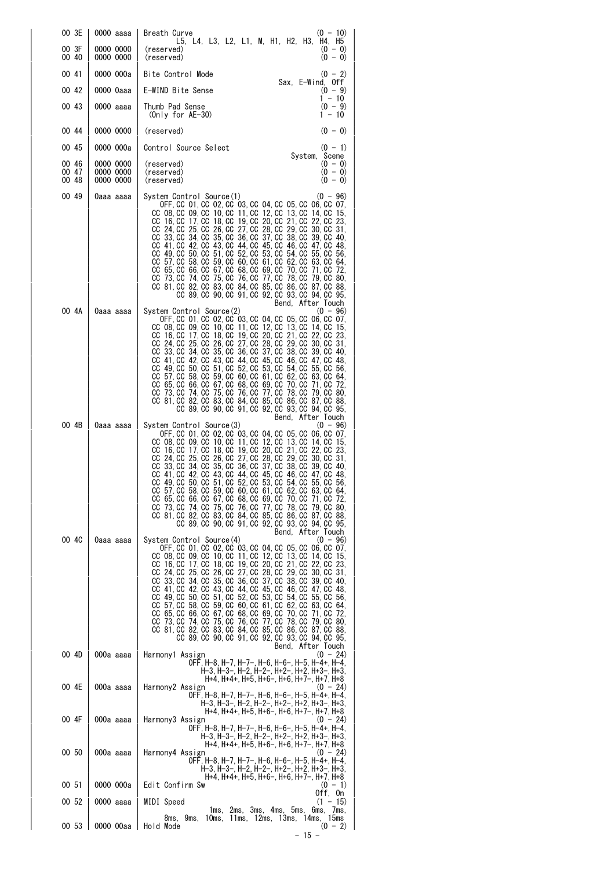| 00 3E                   | 0000 aaaa                           | Breath Curve<br>$(0 - 10)$<br>L5, L4, L3, L2, L1, M, H1, H2, H3, H4, H5                                                                                                                                                                                                                                                                                                                                                                                                                                                                                                                                                                                                                                                                                                                                   |
|-------------------------|-------------------------------------|-----------------------------------------------------------------------------------------------------------------------------------------------------------------------------------------------------------------------------------------------------------------------------------------------------------------------------------------------------------------------------------------------------------------------------------------------------------------------------------------------------------------------------------------------------------------------------------------------------------------------------------------------------------------------------------------------------------------------------------------------------------------------------------------------------------|
| 00 3F<br>00 40          | 0000 0000<br>0000 0000              | $(0 - 0)$<br>(reserved)<br>$(0 - 0)$<br>(reserved)                                                                                                                                                                                                                                                                                                                                                                                                                                                                                                                                                                                                                                                                                                                                                        |
| 00 41                   | 0000 000a                           | Bite Control Mode<br>$(0 - 2)$<br>Sax, E-Wind, Off                                                                                                                                                                                                                                                                                                                                                                                                                                                                                                                                                                                                                                                                                                                                                        |
| 00 42                   | 0000 Oaaa                           | E-WIND Bite Sense<br>$(0 - 9)$<br>$1 - 10$                                                                                                                                                                                                                                                                                                                                                                                                                                                                                                                                                                                                                                                                                                                                                                |
| 00 43                   | 0000 aaaa                           | $(0 - 9)$<br>Thumb Pad Sense<br>1 - 10<br>(Only for $AE-30$ )                                                                                                                                                                                                                                                                                                                                                                                                                                                                                                                                                                                                                                                                                                                                             |
| 00 44                   | 0000 0000                           | $(0 - 0)$<br>(reserved)                                                                                                                                                                                                                                                                                                                                                                                                                                                                                                                                                                                                                                                                                                                                                                                   |
| 00 45                   | 0000 000a                           | Control Source Select<br>$(0 - 1)$<br>System, Scene                                                                                                                                                                                                                                                                                                                                                                                                                                                                                                                                                                                                                                                                                                                                                       |
| 00 46<br>00 47<br>00 48 | 0000 0000<br>0000 0000<br>0000 0000 | $(0 - 0)$<br>(reserved)<br>$(0 - 0)$<br>(reserved)<br>$(0 - 0)$<br>(reserved)                                                                                                                                                                                                                                                                                                                                                                                                                                                                                                                                                                                                                                                                                                                             |
| 00 49                   | 0aaa aaaa                           | System Control Source(1)<br>$(0 - 96)$<br>OFF, CC 01, CC 02, CC 03, CC 04, CC 05, CC 06, CC 07,<br>CC 08, CC 09, CC 10, CC 11, CC 12, CC 13, CC 14, CC 15,<br>CC 16, CC 17, CC 18, CC 19, CC 20, CC 21, CC 22, CC 23,<br>CC 24, CC 25, CC 26, CC 27, CC 28, CC 29, CC 30, CC 31,<br>CC 33, CC 34, CC 35, CC 36, CC 37, CC 38, CC 39, CC 40,<br>CC 41, CC 42, CC 43, CC 44, CC 45, CC 46, CC 47, CC<br>-48.<br>CC 49, CC 50, CC 51, CC 52, CC 53, CC 54, CC 55, CC 56,<br>CC 57 CC 58 CC 59 CC 60 CC 61 CC 62 CC 63 CC 64<br>CC 65, CC 66, CC 67, CC 68, CC 69, CC 70, CC 71, CC 72,<br>CC 73, CC 74, CC 75, CC 76, CC 77, CC 78, CC 79, CC 80,<br>CC 81, CC 82, CC 83, CC 84, CC 85, CC 86, CC 87, CC 88,<br>CC 89, CC 90, CC 91, CC 92, CC 93, CC 94, CC 95,<br>Bend, After Touch                        |
| 00 4A                   | 0aaa aaaa                           | System Control Source(2)<br>$(0 - 96)$<br>OFF, CC 01, CC 02, CC 03, CC 04, CC 05, CC 06, CC 07,<br>CC 08, CC 09, CC 10, CC 11, CC 12, CC 13, CC 14, CC 15,<br>CC 16, CC 17, CC 18, CC 19, CC 20, CC 21, CC 22, CC 23,<br>CC 24, CC 25, CC 26, CC 27, CC 28, CC 29, CC 30, CC 31,<br>CC 33, CC 34, CC 35, CC 36, CC 37, CC 38, CC 39, CC 40,<br>CC 41, CC 42, CC 43, CC 44, CC 45, CC 46, CC 47, CC 48,<br>CC 49, CC 50, CC 51, CC 52, CC 53, CC 54, CC 55, CC 56,<br>CC 57, CC 58, CC 59, CC 60, CC 61, CC 62, CC 63, CC 64,<br>CC 65, CC 66, CC 67, CC 68, CC 69, CC 70, CC 71, CC 72,<br>CC 73, CC 74, CC 75, CC 76, CC 77, CC 78, CC 79, CC 80,<br>CC 81, CC 82, CC 83, CC 84, CC 85, CC 86, CC 87, CC 88,<br>CC 89, CC 90, CC 91, CC 92, CC 93, CC 94, CC 95,<br>Bend, After Touch                    |
| 00 4B                   | 0aaa aaaa                           | System Control Source(3)<br>$(0 - 96)$<br>OFF, CC 01, CC 02, CC 03, CC 04, CC 05, CC 06, CC 07,<br>CC 08, CC 09, CC 10, CC 11, CC 12, CC 13, CC 14, CC 15,<br>CC 16, CC 17, CC 18, CC 19, CC 20, CC 21, CC 22, CC 23,<br>CC 24, CC 25, CC 26, CC 27, CC 28, CC 29, CC 30, CC 31,<br>CC 33, CC 34, CC 35, CC 36, CC 37, CC 38, CC 39, CC 40,<br>CC 41, CC 42, CC 43, CC 44, CC 45, CC 46, CC 47, CC 48,<br>CC 49, CC 50, CC 51, CC 52, CC 53, CC 54, CC 55, CC 56,<br>CC 57, CC 58, CC 59, CC 60, CC 61, CC 62, CC 63, CC 64,<br>CC 65, CC 66, CC 67, CC 68, CC 69, CC 70, CC 71, CC 72,<br>CC 73, CC 74, CC 75, CC 76, CC 77, CC 78, CC 79, CC 80,<br>CC 81, CC 82, CC 83, CC 84, CC 85, CC 86, CC 87, CC 88,<br>CC 89, CC 90, CC 91, CC 92, CC 93, CC 94, CC 95,                                         |
| 00 4C                   | 0aaa aaaa                           | Bend, After Touch<br>System Control Source(4)<br>$(0 - 96)$<br>OFF, CC 01, CC 02, CC 03, CC 04, CC 05, CC 06, CC 07,<br>CC 08, CC 09, CC 10, CC 11, CC 12, CC 13, CC 14, CC<br>15,<br>CC 16, CC 17, CC 18, CC 19, CC 20, CC 21, CC 22, CC 23,<br>CC 24, CC 25, CC 26, CC 27, CC 28, CC 29, CC 30, CC 31,<br>CC 33, CC 34, CC 35, CC 36, CC 37, CC 38, CC 39, CC 40,<br>CC 41, CC 42, CC 43, CC 44, CC 45, CC 46, CC 47, CC 48,<br>CC 49 CC 50 CC 51 CC 52 CC 53 CC 54 CC 55 CC 56<br>CC 57, CC 58, CC 59, CC 60, CC 61, CC 62, CC 63, CC 64,<br>CC 65, CC 66, CC 67, CC 68, CC 69, CC<br>70, CC 71, CC 72,<br>CC 73, CC 74, CC 75, CC 76, CC 77, CC 78, CC 79, CC 80,<br>CC 81, CC 82, CC 83, CC 84, CC 85, CC 86, CC 87, CC 88,<br>CC 89, CC 90, CC 91, CC 92, CC 93, CC 94, CC 95,<br>Bend, After Touch |
| 00 4D                   | 000a aaaa                           | Harmony1 Assign<br>$(0 - 24)$<br>OFF, H-8, H-7, H-7-, H-6, H-6-, H-5, H-4+, H-4,                                                                                                                                                                                                                                                                                                                                                                                                                                                                                                                                                                                                                                                                                                                          |
| 00 4E                   | 000a aaaa                           | H-3, H-3-, H-2, H-2-, H+2-, H+2, H+3-, H+3,<br>H+4, H+4+, H+5, H+6-, H+6, H+7-, H+7, H+8<br>Harmony2 Assign<br>$(0 - 24)$<br>OFF. H-8. H-7. H-7-. H-6. H-6-. H-5. H-4+. H-4.<br>H-3, H-3-, H-2, H-2-, H+2-, H+2, H+3-, H+3,                                                                                                                                                                                                                                                                                                                                                                                                                                                                                                                                                                               |
| 00 4F                   | 000a aaaa                           | H+4, H+4+, H+5, H+6-, H+6, H+7-, H+7, H+8<br>Harmony3 Assign<br>$(0 - 24)$<br>OFF, H-8, H-7, H-7-, H-6, H-6-, H-5, H-4+, H-4,<br>H-3, H-3-, H-2, H-2-, H+2-, H+2, H+3-, H+3,                                                                                                                                                                                                                                                                                                                                                                                                                                                                                                                                                                                                                              |
| 00 50                   | 000a aaaa                           | H+4, H+4+, H+5, H+6-, H+6, H+7-, H+7, H+8<br>Harmony4 Assign<br>$(0 - 24)$<br>OFF, H-8, H-7, H-7-, H-6, H-6-, H-5, H-4+, H-4,<br>H-3, H-3-, H-2, H-2-, H+2-, H+2, H+3-, H+3,                                                                                                                                                                                                                                                                                                                                                                                                                                                                                                                                                                                                                              |
| 00 51                   | 0000 000a                           | H+4, H+4+, H+5, H+6-, H+6, H+7-, H+7, H+8<br>Edit Confirm Sw<br>$(0 - 1)$                                                                                                                                                                                                                                                                                                                                                                                                                                                                                                                                                                                                                                                                                                                                 |
| 00 52                   | 0000 aaaa                           | Off, On<br>MIDI Speed<br>$(1 - 15)$                                                                                                                                                                                                                                                                                                                                                                                                                                                                                                                                                                                                                                                                                                                                                                       |
|                         |                                     | 1ms, 2ms, 3ms, 4ms, 5ms, 6ms, 7ms,<br>9ms, 10ms, 11ms, 12ms, 13ms, 14ms, 15ms<br>8ms,                                                                                                                                                                                                                                                                                                                                                                                                                                                                                                                                                                                                                                                                                                                     |
| 00 53                   | 0000 00aa                           | $(0 - 2)$<br>Hold Mode                                                                                                                                                                                                                                                                                                                                                                                                                                                                                                                                                                                                                                                                                                                                                                                    |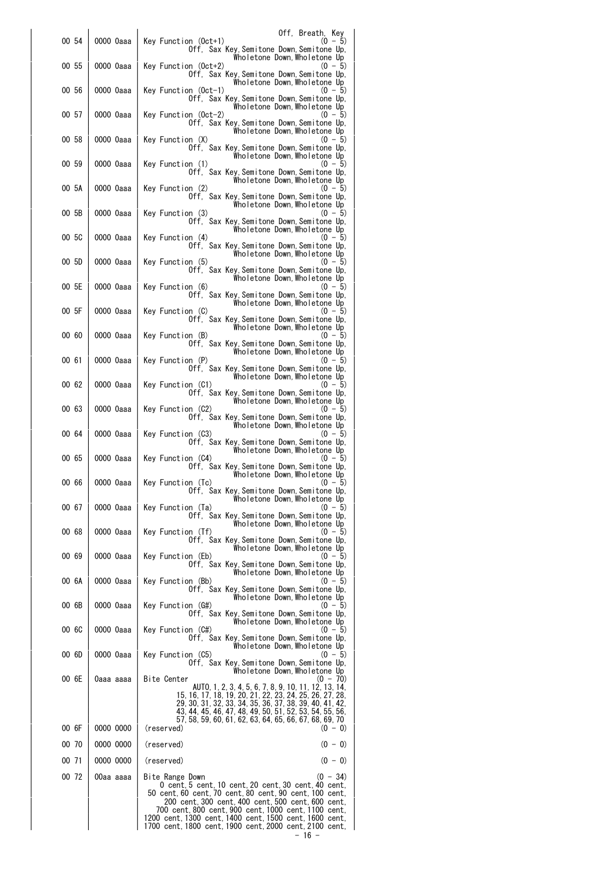|       |           | Off, Breath, Key                                                                                                                                                                                                                                                                                                                                                           |
|-------|-----------|----------------------------------------------------------------------------------------------------------------------------------------------------------------------------------------------------------------------------------------------------------------------------------------------------------------------------------------------------------------------------|
| 00 54 | 0000 0aaa | Key Function (Oct+1)<br>$(0 - 5)$<br>Off, Sax Key, Semitone Down, Semitone Up,<br>Wholetone Down,Wholetone Up                                                                                                                                                                                                                                                              |
| 00 55 | 0000 0aaa | Key Function (Oct+2)<br>$(0 - 5)$<br>Off, Sax Key, Semitone Down, Semitone Up,<br>Wholetone Down,Wholetone Up                                                                                                                                                                                                                                                              |
| 00 56 | 0000 0aaa | Key Function (Oct-1)<br>$(0 - 5)$<br>Off, Sax Key, Semitone Down, Semitone Up,<br>Wholetone Down,Wholetone Up                                                                                                                                                                                                                                                              |
| 00 57 | 0000 0aaa | Key Function (Oct-2)<br>$(0 - 5)$<br>Off, Sax Key,Semitone Down,Semitone Up,<br>Wholetone Down, Wholetone Up                                                                                                                                                                                                                                                               |
| 00 58 | 0000 0aaa | Key Function (X)<br>$(0 - 5)$<br>Off. Sax Key. Semitone Down. Semitone Up.                                                                                                                                                                                                                                                                                                 |
| 00 59 | 0000 0aaa | Wholetone Down, Wholetone Up<br>Key Function (1)<br>$(0 - 5)$<br>Off. Sax Key Semitone Down Semitone Up.                                                                                                                                                                                                                                                                   |
| 00 5A | 0000 0aaa | Wholetone Down,Wholetone Up<br>Key Function (2)<br>$(0 - 5)$<br>Off, Sax Key, Semitone Down, Semitone Up,                                                                                                                                                                                                                                                                  |
| 00 5B | 0000 0aaa | Wholetone Down,Wholetone Up<br>Key Function (3)<br>$(0 - 5)$<br>Off, Sax Key, Semitone Down, Semitone Up,                                                                                                                                                                                                                                                                  |
| 00 5C | 0000 0aaa | Wholetone Down Wholetone Up<br>Key Function (4)<br>$(0 - 5)$<br>Off. Sax Key Semitone Down Semitone Up.                                                                                                                                                                                                                                                                    |
| 00 5D | 0000 0aaa | Wholetone Down, Wholetone Up<br>Key Function (5)<br>$(0 - 5)$<br>Off. Sax Key, Semitone Down, Semitone Up.                                                                                                                                                                                                                                                                 |
| 00 5E | 0000 0aaa | Wholetone Down, Wholetone Up<br>Key Function (6)<br>$(0 - 5)$<br>Off. Sax Key, Semitone Down, Semitone Up.                                                                                                                                                                                                                                                                 |
| 00 5F | 0000 0aaa | Wholetone Down,Wholetone Up<br>Key Function (C)<br>(0 — 5)<br>Off. Sax Key Semitone Down Semitone Up.                                                                                                                                                                                                                                                                      |
| 00 60 | 0000 0aaa | Wholetone Down,Wholetone Up<br>Key Function (B)<br>(0 - 5)<br>Off. Sax Key.Semitone Down.Semitone Up.                                                                                                                                                                                                                                                                      |
| 00 61 | 0000 0aaa | Wholetone Down, Wholetone Up<br>Key Function (P)<br>(0 — 5)<br>Off, Sax Key,Semitone Down,Semitone Up,                                                                                                                                                                                                                                                                     |
| 00 62 | 0000 0aaa | Wholetone Down, Wholetone Up<br>Key Function (C1)<br>(0 - 5)<br>Off, Sax Key,Semitone Down,Semitone Up,                                                                                                                                                                                                                                                                    |
| 00 63 | 0000 0aaa | Wholetone Down,Wholetone Up<br>Key Function (C2)<br>(0 - 5)                                                                                                                                                                                                                                                                                                                |
| 00 64 | 0000 0aaa | Off, Sax Key,Semitone Down,Semitone Up,<br>Wholetone Down, Wholetone Up<br>Key Function (C3)<br>(0 - 5)                                                                                                                                                                                                                                                                    |
| 00 65 | 0000 0aaa | Off, Sax Key,Semitone Down,Semitone Up,<br>Wholetone Down, Wholetone Up<br>Key Function (C4)<br>(0 — 5)                                                                                                                                                                                                                                                                    |
| 00 66 | 0000 0aaa | Off, Sax Key, Semitone Down, Semitone Up,<br>Wholetone Down, Wholetone Up<br>Key Function (Tc)<br>$(0 - 5)$<br>Off, Sax Key, Semitone Down, Semitone Up,                                                                                                                                                                                                                   |
| 00 67 | 0000 0aaa | Wholetone Down,Wholetone Up<br>Key Function (Ta)<br>(0 - 5)                                                                                                                                                                                                                                                                                                                |
| 00 68 | 0000 0aaa | Off, Sax Key, Semitone Down, Semitone Up,<br>Wholetone Down,Wholetone Up<br>Key Function (Tf)<br>(0 - 5)                                                                                                                                                                                                                                                                   |
| 00 69 | 0000 0aaa | Off, Sax Key, Semitone Down, Semitone Up,<br>Wholetone Down,Wholetone Up<br>Key Function (Eb)<br>(0 - 5)                                                                                                                                                                                                                                                                   |
| 00 6A | 0000 0aaa | Off, Sax Key, Semitone Down, Semitone Up,<br>Wholetone Down, Wholetone Up<br>Key Function (Bb)<br>(0 - 5)                                                                                                                                                                                                                                                                  |
| 00 6B | 0000 0aaa | Off, Sax Key, Semitone Down, Semitone Up,<br>Wholetone Down, Wholetone Up<br>Key Function (G#)<br>(0 - 5)                                                                                                                                                                                                                                                                  |
| 00 GC | 0000 0aaa | Off. Sax Key Semitone Down Semitone Up.<br>Wholetone Down,Wholetone Up<br>Key Function (C#)<br>$(0 - 5)$                                                                                                                                                                                                                                                                   |
| 00 6D | 0000 0aaa | Off. Sax Key.Semitone Down.Semitone Up.<br>Wholetone Down,Wholetone Up<br>Key Function (C5)<br>(0 - 5)                                                                                                                                                                                                                                                                     |
| 00 6E | 0aaa aaaa | Off. Sax Key, Semitone Down, Semitone Up.<br>Wholetone Down,Wholetone Up<br>Bite Center<br>(0 - 70)                                                                                                                                                                                                                                                                        |
|       |           | AUTO, 1, 2, 3, 4, 5, 6, 7, 8, 9, 10, 11, 12, 13, 14,<br>15, 16, 17, 18, 19, 20, 21, 22, 23, 24, 25, 26, 27, 28,<br>29, 30, 31, 32, 33, 34, 35, 36, 37, 38, 39, 40, 41, 42,                                                                                                                                                                                                 |
| 00 6F | 0000 0000 | 43, 44, 45, 46, 47, 48, 49, 50, 51, 52, 53, 54, 55, 56,<br>57, 58, 59, 60, 61, 62, 63, 64, 65, 66, 67, 68, 69, 70<br>(reserved)<br>$(0 - 0)$                                                                                                                                                                                                                               |
| 00 70 | 0000 0000 | (reserved)<br>$(0 - 0)$                                                                                                                                                                                                                                                                                                                                                    |
| 00 71 | 0000 0000 | $(0 - 0)$<br>(reserved)                                                                                                                                                                                                                                                                                                                                                    |
|       |           |                                                                                                                                                                                                                                                                                                                                                                            |
| 00 72 | 00aa aaaa | $(0 - 34)$<br>Bite Range Down<br>0 cent, 5 cent, 10 cent, 20 cent, 30 cent, 40 cent,<br>50 cent, 60 cent, 70 cent, 80 cent, 90 cent, 100 cent,<br>200 cent, 300 cent, 400 cent, 500 cent, 600 cent,<br>700 cent,800 cent,900 cent,1000 cent,1100 cent,<br>1200 cent, 1300 cent, 1400 cent, 1500 cent, 1600 cent,<br>1700 cent, 1800 cent, 1900 cent, 2000 cent, 2100 cent, |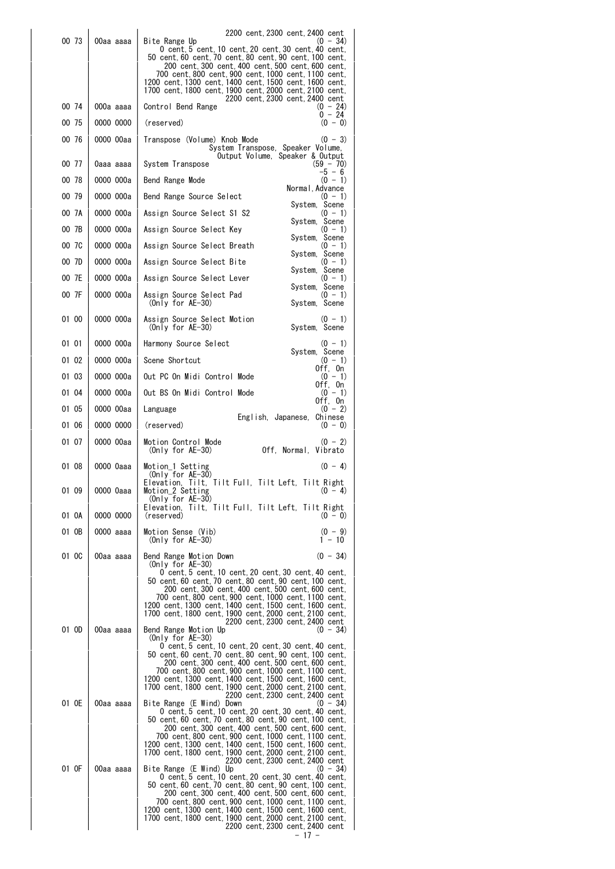| 00 73 | 00aa aaaa | 2200 cent, 2300 cent, 2400 cent<br>(0 - 34)                                                                                                                                                                                                                                                                                                                                                                                                     |
|-------|-----------|-------------------------------------------------------------------------------------------------------------------------------------------------------------------------------------------------------------------------------------------------------------------------------------------------------------------------------------------------------------------------------------------------------------------------------------------------|
|       |           | Bite Range Up<br>0 cent, 5 cent, 10 cent, 20 cent, 30 cent, 40 cent,<br>50 cent, 60 cent, 70 cent, 80 cent, 90 cent, 100 cent,<br>200 cent, 300 cent, 400 cent, 500 cent, 600 cent,<br>700 cent, 800 cent, 900 cent, 1000 cent, 1100 cent,                                                                                                                                                                                                      |
|       |           | 1200 cent. 1300 cent. 1400 cent. 1500 cent. 1600 cent.<br>1700 cent, 1800 cent, 1900 cent, 2000 cent, 2100 cent,                                                                                                                                                                                                                                                                                                                                |
| 00 74 | 000a aaaa | 2200 cent, 2300 cent, 2400 cent<br>$(0 - 24)$<br>Control Bend Range                                                                                                                                                                                                                                                                                                                                                                             |
| 00 75 | 0000 0000 | $0 - 24$<br>$(0 - 0)$<br>(reserved)                                                                                                                                                                                                                                                                                                                                                                                                             |
| 00 76 | 0000 00aa | Transpose (Volume) Knob Mode<br>$(0 - 3)$<br>System Transpose, Speaker Volume,<br>Output Volume, Speaker & Output                                                                                                                                                                                                                                                                                                                               |
| 00 77 | 0aaa aaaa | System Transpose<br>$(59 - 70)$<br>-5 - 6                                                                                                                                                                                                                                                                                                                                                                                                       |
| 00 78 | 0000 000a | $(0 - 1)$<br>Bend Range Mode<br>Normal, Advance                                                                                                                                                                                                                                                                                                                                                                                                 |
| 00 79 | 0000 000a | Bend Range Source Select<br>$(0 - 1)$<br>System, Scene                                                                                                                                                                                                                                                                                                                                                                                          |
| 00 7A | 0000 000a | Assign Source Select S1 S2<br>$(0 - 1)$<br>System, Scene                                                                                                                                                                                                                                                                                                                                                                                        |
| 00 7B | 0000 000a | Assign Source Select Key<br>$(0 - 1)$<br>System, Scene                                                                                                                                                                                                                                                                                                                                                                                          |
| 00 7C | 0000 000a | Assign Source Select Breath<br>$(0 - 1)$<br>System, Scene                                                                                                                                                                                                                                                                                                                                                                                       |
| 00 7D | 0000 000a | Assign Source Select Bite<br>$(0 - 1)$                                                                                                                                                                                                                                                                                                                                                                                                          |
| 00 7E | 0000 000a | System, Scene<br>Assign Source Select Lever<br>$(0 - 1)$                                                                                                                                                                                                                                                                                                                                                                                        |
| 00 7F | 0000 000a | System, Scene<br>Assign Source Select Pad<br>$(0 - 1)$<br>$(On v for AE-30)$<br>System, Scene                                                                                                                                                                                                                                                                                                                                                   |
| 01 00 | 0000 000a | Assign Source Select Motion<br>$(0 - 1)$<br>$(Only for AE-30)$<br>System, Scene                                                                                                                                                                                                                                                                                                                                                                 |
| 01 01 | 0000 000a | Harmony Source Select<br>(0 - 1)<br>System, Scene                                                                                                                                                                                                                                                                                                                                                                                               |
| 01 02 | 0000 000a | Scene Shortcut<br>$(0 - 1)$<br>Off, On                                                                                                                                                                                                                                                                                                                                                                                                          |
| 01 03 | 0000 000a | Out PC On Midi Control Mode<br>$(0 - 1)$<br>Off, On                                                                                                                                                                                                                                                                                                                                                                                             |
| 01 04 | 0000 000a | Out BS On Midi Control Mode<br>$(0 - 1)$<br>Off, On                                                                                                                                                                                                                                                                                                                                                                                             |
| 01 05 | 0000 00aa | $(0 - 2)$<br>Language<br>English, Japanese, Chinese                                                                                                                                                                                                                                                                                                                                                                                             |
| 01 06 | 0000 0000 | (reserved)<br>$(0 - 0)$                                                                                                                                                                                                                                                                                                                                                                                                                         |
| 01 07 | 0000 00aa | $(0 - 2)$<br>Motion Control Mode<br>(Only for $AE-30$ )<br>Off. Normal. Vibrato                                                                                                                                                                                                                                                                                                                                                                 |
| 01 08 | 0000 0aaa | $(0 - 4)$<br>Motion 1 Setting<br>(Only for $AE-30$ )<br>Elevation, Tilt, Tilt Full, Tilt Left, Tilt Right                                                                                                                                                                                                                                                                                                                                       |
| 01 09 | 0000 0aaa | Motion_2 Setting<br>$(U - 4)$<br>(Only for $AE-30$ )<br>Elevation, Tilt, Tilt Full, Tilt Left, Tilt Right                                                                                                                                                                                                                                                                                                                                       |
| 01 OA | 0000 0000 | $(0 - 0)$<br>(reserved)                                                                                                                                                                                                                                                                                                                                                                                                                         |
| 01 OB | 0000 aaaa | $(0 - 9)$<br>Motion Sense (Vib)<br>(Only for $AE-30$ )<br>1 - 10                                                                                                                                                                                                                                                                                                                                                                                |
| 01 OC | 00aa aaaa | $(0 - 34)$<br>Bend Range Motion Down<br>(Only for $AE-30$ )<br>0 cent, 5 cent, 10 cent, 20 cent, 30 cent, 40 cent,<br>50 cent, 60 cent, 70 cent, 80 cent, 90 cent, 100 cent,<br>200 cent, 300 cent, 400 cent, 500 cent, 600 cent,<br>700 cent, 800 cent, 900 cent, 1000 cent, 1100 cent,<br>1200 cent, 1300 cent, 1400 cent, 1500 cent, 1600 cent,<br>1700 cent, 1800 cent, 1900 cent, 2000 cent, 2100 cent,<br>2200 cent. 2300 cent. 2400 cent |
| 01 OD | 00aa aaaa | Bend Range Motion Up<br>$(0 - 34)$<br>(Only for $AE-30$ )<br>0 cent, 5 cent, 10 cent, 20 cent, 30 cent, 40 cent,<br>200 cent, 300 cent, 400 cent, 500 cent, 600 cent,<br>700 cent,800 cent,900 cent,1000 cent,1100 cent,<br>1200 cent, 1300 cent, 1400 cent, 1500 cent, 1600 cent,<br>1700 cent, 1800 cent, 1900 cent, 2000 cent, 2100 cent,<br>2200 cent, 2300 cent, 2400 cent                                                                 |
| 01 OE | 00aa aaaa | Bite Range (E Wind) Down<br>$(0 - 34)$<br>0 cent, 5 cent, 10 cent, 20 cent, 30 cent, 40 cent,<br>50 cent, 60 cent, 70 cent, 80 cent, 90 cent, 100 cent,<br>200 cent, 300 cent, 400 cent, 500 cent, 600 cent,<br>700 cent, 800 cent, 900 cent, 1000 cent, 1100 cent,<br>1200 cent,1300 cent,1400 cent,1500 cent,1600 cent,<br>1700 cent, 1800 cent, 1900 cent, 2000 cent, 2100 cent,<br>2200 cent, 2300 cent, 2400 cent                          |
| 01 OF | 00aa aaaa | Bite Range (E Wind) Up<br>$(0 - 34)$<br>0 cent, 5 cent, 10 cent, 20 cent, 30 cent, 40 cent,<br>50 cent, 60 cent, 70 cent, 80 cent, 90 cent, 100 cent,<br>200 cent, 300 cent, 400 cent, 500 cent, 600 cent,<br>700 cent, 800 cent, 900 cent, 1000 cent, 1100 cent,<br>1200 cent, 1300 cent, 1400 cent, 1500 cent, 1600 cent,<br>1700 cent, 1800 cent, 1900 cent, 2000 cent, 2100 cent,<br>2200 cent, 2300 cent, 2400 cent<br>- 17 -              |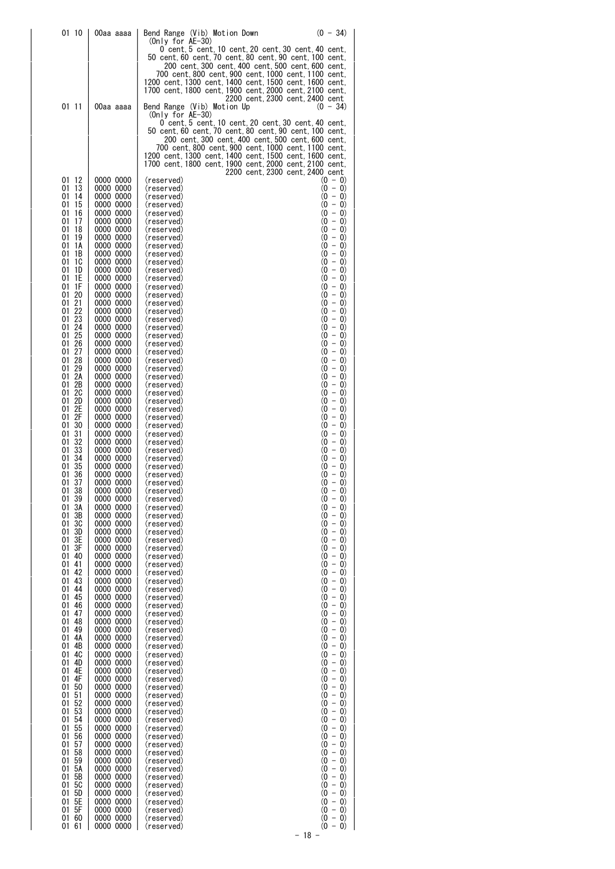| 01 10                | 00aa aaaa              | $(0 - 34)$<br>Bend Range (Vib) Motion Down<br>(Only for AE-30)                                                |
|----------------------|------------------------|---------------------------------------------------------------------------------------------------------------|
|                      |                        | 0 cent, 5 cent, 10 cent, 20 cent, 30 cent, 40 cent,<br>50 cent, 60 cent, 70 cent, 80 cent, 90 cent, 100 cent, |
|                      |                        | 200 cent, 300 cent, 400 cent, 500 cent, 600 cent,<br>700 cent,800 cent,900 cent,1000 cent,1100 cent,          |
|                      |                        | 1200 cent,1300 cent,1400 cent,1500 cent,1600 cent,<br>1700 cent, 1800 cent, 1900 cent, 2000 cent, 2100 cent,  |
| 01 11                | 00aa aaaa              | 2200 cent, 2300 cent, 2400 cent<br>Bend Range (Vib) Motion Up<br>$(0 - 34)$                                   |
|                      |                        | (Only for $AE-30$ )                                                                                           |
|                      |                        | 0 cent  5 cent  10 cent  20 cent  30 cent  40 cent.<br>50 cent, 60 cent, 70 cent, 80 cent, 90 cent, 100 cent, |
|                      |                        | 200 cent,300 cent,400 cent,500 cent,600 cent,<br>700 cent,800 cent,900 cent,1000 cent,1100 cent,              |
|                      |                        | 1200 cent,1300 cent,1400 cent,1500 cent,1600 cent,<br>1700 cent,1800 cent,1900 cent,2000 cent,2100 cent,      |
| 01<br>-12            | 0000 0000              | 2200 cent, 2300 cent, 2400 cent<br>$(0 - 0)$<br>(reserved)                                                    |
| 13<br>01             | 0000 0000              | $(0 - 0)$<br>(reserved)<br>$(0 - 0)$                                                                          |
| 01<br>14<br>01<br>15 | 0000 0000<br>0000 0000 | (reserved)<br>$(0 - 0)$<br>(reserved)                                                                         |
| 16<br>01<br>01<br>17 | 0000 0000<br>0000 0000 | $(0 - 0)$<br>(reserved)<br>$(0 - 0)$<br>(reserved)                                                            |
| 01<br>18<br>01<br>19 | 0000 0000<br>0000 0000 | $(0 - 0)$<br>(reserved)<br>$(0 - 0)$<br>(reserved)                                                            |
| 01<br>1A<br>01<br>1B | 0000 0000<br>0000 0000 | $(0 - 0)$<br>(reserved)<br>$(0 - 0)$<br>(reserved)                                                            |
| 01<br>1C<br>01<br>1D | 0000 0000<br>0000 0000 | $(0 - 0)$<br>(reserved)<br>$(0 - 0)$<br>(reserved)                                                            |
| 01<br>1E<br>01<br>1F | 0000 0000<br>0000 0000 | $(0 - 0)$<br>(reserved)<br>$(0 - 0)$<br>(reserved)                                                            |
| 01<br>20             | 0000 0000              | $(0 - 0)$<br>(reserved)                                                                                       |
| 21<br>01<br>22<br>01 | 0000 0000<br>0000 0000 | $(0 - 0)$<br>(reserved)<br>$(0 - 0)$<br>(reserved)                                                            |
| 01<br>23<br>24<br>01 | 0000 0000<br>0000 0000 | $(0 - 0)$<br>(reserved)<br>$(0 - 0)$<br>(reserved)                                                            |
| 25<br>01<br>01<br>26 | 0000 0000<br>0000 0000 | $(0 - 0)$<br>(reserved)<br>$(0 - 0)$<br>(reserved)                                                            |
| 27<br>01<br>28<br>01 | 0000 0000<br>0000 0000 | $(0 - 0)$<br>(reserved)<br>$(0 - 0)$<br>(reserved)                                                            |
| 01<br>29<br>2Α       | 0000 0000              | $(0 - 0)$<br>(reserved)                                                                                       |
| 01<br>2B<br>01       | 0000 0000<br>0000 0000 | $(0 - 0)$<br>(reserved)<br>$(0 - 0)$<br>(reserved)                                                            |
| 20<br>01<br>2D<br>01 | 0000 0000<br>0000 0000 | $(0 - 0)$<br>(reserved)<br>$(0 - 0)$<br>(reserved)                                                            |
| 2Е<br>01<br>2F<br>01 | 0000 0000<br>0000 0000 | $(0 - 0)$<br>(reserved)<br>$(0 - 0)$<br>(reserved)                                                            |
| 30<br>01<br>01<br>31 | 0000 0000<br>0000 0000 | $(0 - 0)$<br>(reserved)<br>$(0 - 0)$<br>(reserved)                                                            |
| 32<br>01<br>33<br>01 | 0000 0000<br>0000 0000 | $(0 - 0)$<br>(reserved)<br>$(0 - 0)$<br>(reserved)                                                            |
| 34<br>01<br>35<br>01 | 0000 0000<br>0000 0000 | $(0 - 0)$<br>(reserved)<br>$(0 - 0)$<br>(reserved)                                                            |
| 36<br>01<br>37<br>01 | 0000 0000<br>0000 0000 | $(0 - 0)$<br>(reserved)<br>$(0 - 0)$<br>(reserved)                                                            |
| 0138                 | 0000 0000<br>0000 0000 | $(0 - 0)$<br>(reserved)                                                                                       |
| 39<br>01<br>3A<br>01 | 0000 0000              | $(0 - 0)$<br>(reserved)<br>$(0 - 0)$<br>(reserved)                                                            |
| 3B<br>01<br>01<br>3C | 0000 0000<br>0000 0000 | $(0 - 0)$<br>(reserved)<br>$(0 - 0)$<br>(reserved)                                                            |
| 3D<br>01<br>3E<br>01 | 0000 0000<br>0000 0000 | $(0 - 0)$<br>(reserved)<br>$(0 - 0)$<br>(reserved)                                                            |
| 01<br>3F<br>40<br>01 | 0000 0000<br>0000 0000 | $(0 - 0)$<br>(reserved)<br>$(0 - 0)$<br>(reserved)                                                            |
| 41<br>01<br>42<br>01 | 0000 0000<br>0000 0000 | $(0 - 0)$<br>(reserved)<br>$(0 - 0)$<br>(reserved)                                                            |
| 43<br>01<br>44<br>01 | 0000 0000<br>0000 0000 | $(0 - 0)$<br>(reserved)<br>$(0 - 0)$<br>(reserved)                                                            |
| 45<br>01             | 0000 0000              | $(0 - 0)$<br>(reserved)                                                                                       |
| 46<br>01<br>47<br>01 | 0000 0000<br>0000 0000 | $(0 - 0)$<br>(reserved)<br>$(0 - 0)$<br>(reserved)                                                            |
| 48<br>01<br>49<br>01 | 0000 0000<br>0000 0000 | $(0 - 0)$<br>(reserved)<br>$(0 - 0)$<br>(reserved)                                                            |
| 01<br>4А<br>4B<br>01 | 0000 0000<br>0000 0000 | $(0 - 0)$<br>(reserved)<br>$-0)$<br>(0<br>(reserved)                                                          |
| 4C<br>01<br>4D<br>01 | 0000 0000<br>0000 0000 | $\overline{\phantom{0}}$<br>(0<br>$\vert 0\rangle$<br>(reserved)<br>$(0 - 0)$<br>(reserved)                   |
| 4E<br>01<br>4F<br>01 | 0000 0000<br>0000 0000 | $-$ 0)<br>(0<br>(reserved)<br>$(0 - 0)$<br>(reserved)                                                         |
| 50<br>01<br>51       | 0000 0000              | $(0 - 0)$<br>(reserved)                                                                                       |
| 01<br>52<br>01       | 0000 0000<br>0000 0000 | $(0 - 0)$<br>(reserved)<br>$(0 - 0)$<br>(reserved)                                                            |
| 53<br>01<br>54<br>01 | 0000 0000<br>0000 0000 | $(0 - 0)$<br>(reserved)<br>$(0 - 0)$<br>(reserved)                                                            |
| 55<br>01<br>01<br>56 | 0000 0000<br>0000 0000 | $(0 - 0)$<br>(reserved)<br>$(0 - 0)$<br>(reserved)                                                            |
| 57<br>01<br>58<br>01 | 0000 0000<br>0000 0000 | $(0 - 0)$<br>(reserved)<br>$(0 - 0)$<br>(reserved)                                                            |
| 01<br>59<br>5А<br>01 | 0000 0000<br>0000 0000 | $(0 - 0)$<br>(reserved)<br>$(0 - 0)$<br>(reserved)                                                            |
| 5В<br>01<br>01<br>5C | 0000 0000<br>0000 0000 | $(0 - 0)$<br>(reserved)<br>$(0 - 0)$<br>(reserved)                                                            |
| 5D<br>01<br>5E       | 0000 0000              | $(0 - 0)$<br>(reserved)                                                                                       |
| 01<br>5F<br>01       | 0000 0000<br>0000 0000 | $(0 - 0)$<br>(reserved)<br>$(0 - 0)$<br>(reserved)                                                            |
| 0160<br>61<br>01     | 0000 0000<br>0000 0000 | $(0 - 0)$<br>(reserved)<br>$(0 - 0)$<br>(reserved)                                                            |
|                      |                        | $-18 -$                                                                                                       |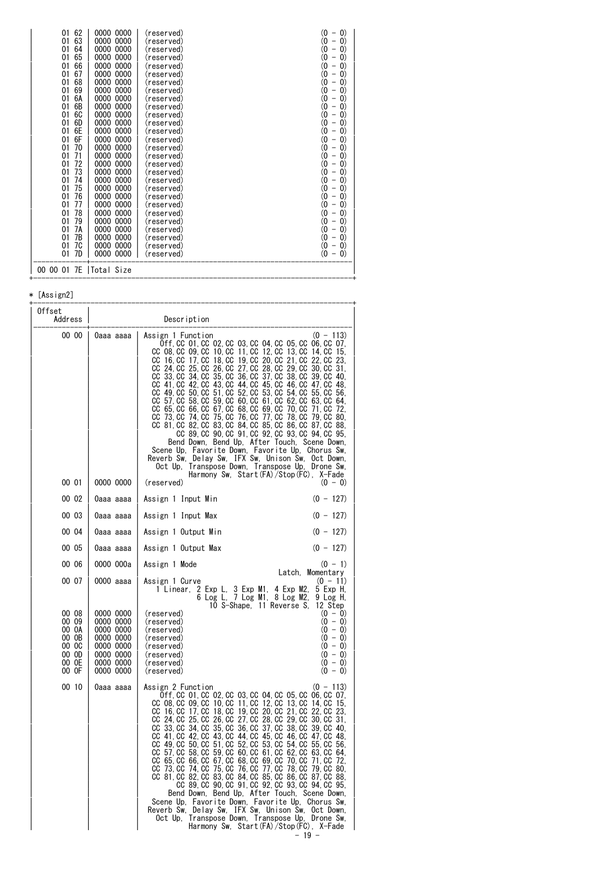| 62<br>01                 | 0000 0000    | (reserved) | $\left( 0\right)$<br>(0<br>$\overline{ }$    |
|--------------------------|--------------|------------|----------------------------------------------|
| 63<br>01                 | 0000<br>0000 | (reserved) | (0<br>$\left( 0\right)$<br>$\qquad \qquad -$ |
| 64<br>01                 | 0000<br>0000 | (reserved) | (0<br>$\left( 0\right)$<br>-                 |
| 65<br>01                 | 0000<br>0000 | (reserved) | (0<br>$\left( 0\right)$<br>-                 |
| 66<br>01                 | 0000<br>0000 | (reserved) | (0<br>$\left( 0\right)$<br>$\overline{ }$    |
| 67<br>01                 | 0000<br>0000 | (reserved) | (0<br>$\left( 0\right)$<br>-                 |
| 68<br>01                 | 0000<br>0000 | (reserved) | (0<br>$\left( 0\right)$<br>-                 |
| 69<br>01                 | 0000<br>0000 | (reserved) | (0<br>$\left( 0\right)$<br>-                 |
| 6A<br>01                 | 0000<br>0000 | (reserved) | (0<br>$\left( 0\right)$<br>-                 |
| 6B<br>01                 | 0000<br>0000 | (reserved) | (0<br>$\left( 0\right)$<br>-                 |
| 6C<br>01                 | 0000<br>0000 | (reserved) | 0)<br>$\left( 0\right)$                      |
| 01<br>6D                 | 0000<br>0000 | (reserved) | (0<br>$\left( 0\right)$<br>-                 |
| 6E<br>01                 | 0000<br>0000 | (reserved) | (0<br>$\left( 0\right)$<br>-                 |
| 6F<br>01                 | 0000<br>0000 | (reserved) | (0<br>$\left( 0\right)$<br>-                 |
| 70<br>01                 | 0000<br>0000 | (reserved) | (0<br>$\left( 0\right)$<br>-                 |
| 01<br>71                 | 0000<br>0000 | (reserved) | 0)<br>$\left( 0\right)$<br>-                 |
| 72<br>01                 | 0000<br>0000 | (reserved) | (0<br>$\left( 0\right)$<br>$\overline{ }$    |
| 73<br>01                 | 0000<br>0000 | (reserved) | (0<br>$\left( 0\right)$<br>-                 |
| 01<br>74                 | 0000<br>0000 | (reserved) | (0<br>$\left( 0\right)$<br>-                 |
| 75<br>01                 | 0000<br>0000 | (reserved) | (0<br>$\left( 0\right)$<br>-                 |
| 76<br>01                 | 0000<br>0000 | (reserved) | 0)<br>$\left( 0\right)$<br>-                 |
| 77<br>01                 | 0000<br>0000 | (reserved) | (0<br>$\left( 0\right)$<br>$\overline{ }$    |
| 01<br>78                 | 0000<br>0000 | (reserved) | 0)<br>$\left( 0\right)$                      |
| 79<br>01                 | 0000<br>0000 | (reserved) | (0<br>$\left( 0\right)$<br>-                 |
| 01<br>7А                 | 0000<br>0000 | (reserved) | (0<br>$\left( 0\right)$<br>-                 |
| 7В<br>01                 | 0000<br>0000 | (reserved) | (0<br>$\left( 0\right)$<br>—                 |
| 01<br>7C                 | 0000<br>0000 | (reserved) | (0<br>$\left( 0\right)$<br>$\overline{a}$    |
| 7D<br>01                 | 0000 0000    | (reserved) | (0<br>$\left( 0\right)$                      |
|                          |              |            |                                              |
| 00 00 01 7E   Total Size |              |            |                                              |
|                          |              |            |                                              |

# $*$  [Assign2]

| Offset<br>Address                                                    | Description                                                                                          |                                                                                                                                                                                                                                                                                                                                                                                                                                                                                                                                                                                                                                                                                                                                                                                                                                                                                                                                                                                                                                                                                                                                                                                                   |
|----------------------------------------------------------------------|------------------------------------------------------------------------------------------------------|---------------------------------------------------------------------------------------------------------------------------------------------------------------------------------------------------------------------------------------------------------------------------------------------------------------------------------------------------------------------------------------------------------------------------------------------------------------------------------------------------------------------------------------------------------------------------------------------------------------------------------------------------------------------------------------------------------------------------------------------------------------------------------------------------------------------------------------------------------------------------------------------------------------------------------------------------------------------------------------------------------------------------------------------------------------------------------------------------------------------------------------------------------------------------------------------------|
| 00 00                                                                | 0aaa aaaa                                                                                            | $(0 - 113)$<br>Assign 1 Function<br>0ff, CC 01, CC 02, CC 03, CC 04, CC 05, CC 06, CC 07,<br>CC 08.CC 09.CC<br>10, CC 11, CC 12, CC<br>13. CC<br>14. CC<br>15.<br>18, CC 19, CC<br>20, CC<br>CC<br>16, CC<br>17, CC<br>21, CC<br>22. CC<br>23,<br>24. CC<br>25. CC<br>26, CC<br>27. CC<br>28, CC<br>29, CC<br>30. CC<br>CС<br>31.<br>35, CC 36, CC<br>37, CC<br>CC 33.CC 34.CC<br>38. CC<br>39. CC<br>-40.<br>43, CC 44, CC<br>CC 41, CC 42, CC<br>45. CC<br>46. CC<br>47. CC<br>-48.<br>50, CC<br>51, CC 52, CC<br>53, CC<br>55, CC<br>CC<br>49. CC<br>54. CC<br>56.<br>57. CC<br>58. CC<br>59. CC 60. CC 61. CC<br>62. CC<br>63. CC<br>CC<br>64.<br>65. CC<br>66. CC<br>67, CC 68, CC 69, CC<br>70, CC<br>CC<br>71. CC<br>72.<br>75, CC<br>73. CC<br>74. CC<br>76, CC<br>77. CC<br>79. CC<br>CС<br>78, CC<br>80.<br>CC 81, CC 82, CC<br>83, CC 84, CC 85, CC<br>86, CC<br>87. CC<br>-88.<br>CC 89.CC 90.CC 91.CC 92.CC 93.CC 94.CC 95.<br>Bend Down, Bend Up, After Touch, Scene Down,<br>Scene Up, Favorite Down, Favorite Up, Chorus Sw,<br>Reverb Sw, Delay Sw, IFX Sw, Unison Sw, Oct Down,<br>Oct Up. Transpose Down. Transpose Up.<br>Drone Sw.<br>Harmony Sw. Start(FA)/Stop(FC). X-Fade |
| 00 01                                                                | 0000 0000                                                                                            | (reserved)<br>$(0 - 0)$                                                                                                                                                                                                                                                                                                                                                                                                                                                                                                                                                                                                                                                                                                                                                                                                                                                                                                                                                                                                                                                                                                                                                                           |
| 00 02<br>00 03                                                       | 0aaa aaaa<br>0aaa aaaa                                                                               | $(0 - 127)$<br>Assign 1 Input Min<br>$(0 - 127)$<br>Assign 1 Input Max                                                                                                                                                                                                                                                                                                                                                                                                                                                                                                                                                                                                                                                                                                                                                                                                                                                                                                                                                                                                                                                                                                                            |
| 00 04                                                                | 0aaa aaaa                                                                                            | $(0 - 127)$<br>Assign 1 Output Min                                                                                                                                                                                                                                                                                                                                                                                                                                                                                                                                                                                                                                                                                                                                                                                                                                                                                                                                                                                                                                                                                                                                                                |
| 00 05                                                                | 0aaa aaaa                                                                                            | $(0 - 127)$<br>Assign 1 Output Max                                                                                                                                                                                                                                                                                                                                                                                                                                                                                                                                                                                                                                                                                                                                                                                                                                                                                                                                                                                                                                                                                                                                                                |
| 00 06                                                                | 0000 000a                                                                                            | Assign 1 Mode<br>$(0 - 1)$                                                                                                                                                                                                                                                                                                                                                                                                                                                                                                                                                                                                                                                                                                                                                                                                                                                                                                                                                                                                                                                                                                                                                                        |
| 00 07                                                                | 0000 aaaa                                                                                            | Latch, Momentary<br>Assign 1 Curve<br>$(0 - 11)$<br>3 Exp M1, 4 Exp M2,<br>2 Exp L,<br>5 Exp H.<br>1 Linear,<br>6 Log L, 7 Log M1, 8 Log M2,<br>10 S-Shape, 11 Reverse S,<br>9 Log H,<br>12 Step                                                                                                                                                                                                                                                                                                                                                                                                                                                                                                                                                                                                                                                                                                                                                                                                                                                                                                                                                                                                  |
| 00 08<br>00 09<br>00 OA<br>00 OB<br>00 OC<br>00 OD<br>00 OE<br>00 OF | 0000 0000<br>0000 0000<br>0000 0000<br>0000 0000<br>0000 0000<br>0000 0000<br>0000 0000<br>0000 0000 | (reserved)<br>$(0 - 0)$<br>(reserved)<br>$(0 - 0)$<br>$(0 - 0)$<br>(reserved)<br>$(0 - 0)$<br>(reserved)<br>$(0 - 0)$<br>(reserved)<br>$(0 - 0)$<br>(reserved)<br>$(0 - 0)$<br>(reserved)<br>$(0 - 0)$<br>(reserved)                                                                                                                                                                                                                                                                                                                                                                                                                                                                                                                                                                                                                                                                                                                                                                                                                                                                                                                                                                              |
| 00 10                                                                | 0aaa aaaa                                                                                            | Assign 2 Function<br>$(0 - 113)$<br>Off, CC 01, CC 02, CC 03, CC 04, CC 05, CC 06, CC 07,<br>CC 08, CC 09, CC 10, CC 11, CC 12, CC 13, CC 14, CC 15,<br>CC 16, CC 17, CC 18, CC 19, CC 20, CC<br>21, CC 22, CC<br>-23.<br>CC 24, CC 25, CC<br>26, CC 27, CC 28, CC<br>29, CC<br>30. CC<br>31.<br>35, CC 36, CC<br>34, CC<br>37, CC<br>33, CC<br>38, CC<br>39, CC<br>CC<br>40.<br>41, CC<br>42. CC<br>43, CC<br>44, CC<br>45, CC<br>46, CC<br>CC<br>47. CC<br>48.<br>CC 49, CC 50, CC<br>51, CC 52, CC 53, CC<br>54. CC<br>55, CC 56,<br>CC 57, CC 58, CC<br>59, CC 60, CC 61, CC<br>62. CC<br>63. CC<br>64.<br>67, CC 68, CC 69, CC<br>65, CC 66, CC<br>70. CC<br>71, CC<br>CC<br>72.<br>75, CC 76, CC 77, CC<br>CC 73, CC<br>74. CC<br>78, CC<br>79. CC<br>-80.<br>CC 81, CC 82, CC 83, CC 84, CC 85, CC 86, CC 87, CC 88,<br>CC 89, CC 90, CC 91, CC 92, CC 93, CC 94, CC 95,<br>Bend Down, Bend Up, After Touch, Scene Down,<br>Scene Up, Favorite Down, Favorite Up, Chorus Sw,<br>Reverb Sw, Delay Sw, IFX Sw, Unison Sw, Oct Down,<br>Transpose Down, Transpose Up, Drone Sw,<br>Oct Up.<br>Harmony Sw, Start (FA)/Stop (FC), X-Fade<br>$-19 -$                                             |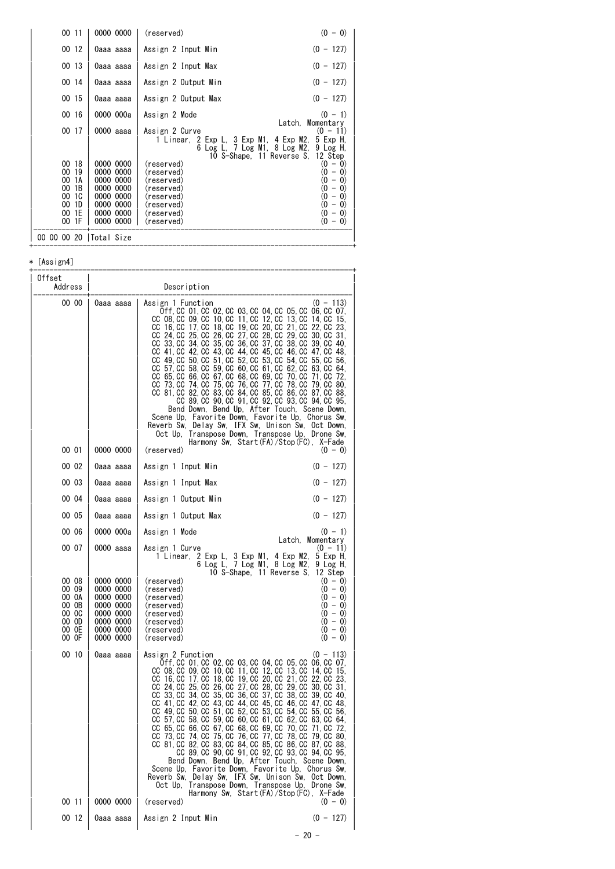| 00 11                                                                                                | 0000 0000                                                                                            | $(0 - 0)$<br>(reserved)                                                                                                                                                                                                                                                                                                                                                                                                                                                         |
|------------------------------------------------------------------------------------------------------|------------------------------------------------------------------------------------------------------|---------------------------------------------------------------------------------------------------------------------------------------------------------------------------------------------------------------------------------------------------------------------------------------------------------------------------------------------------------------------------------------------------------------------------------------------------------------------------------|
| 00 12                                                                                                | 0aaa aaaa                                                                                            | Assign 2 Input Min<br>$(0 - 127)$                                                                                                                                                                                                                                                                                                                                                                                                                                               |
| 00 13                                                                                                | 0aaa aaaa                                                                                            | $(0 - 127)$<br>Assign 2 Input Max                                                                                                                                                                                                                                                                                                                                                                                                                                               |
| 00 14                                                                                                | 0aaa aaaa                                                                                            | Assign 2 Output Min<br>$(0 - 127)$                                                                                                                                                                                                                                                                                                                                                                                                                                              |
| 00 15                                                                                                | 0aaa aaaa                                                                                            | $(0 - 127)$<br>Assign 2 Output Max                                                                                                                                                                                                                                                                                                                                                                                                                                              |
| 00 16                                                                                                | 0000 000a                                                                                            | $(0 - 1)$<br>Assign 2 Mode                                                                                                                                                                                                                                                                                                                                                                                                                                                      |
| 00 17                                                                                                | 0000 aaaa                                                                                            | Latch, Momentary<br>Assign 2 Curve<br>(0 - 11)<br>1 Linear, 2 Exp L, 3 Exp M1, 4 Exp M2,<br>5 Exp H.<br>6 Log L. 7 Log M1. 8 Log M2.<br>9 Log H,<br>10 S-Shape, 11 Reverse S, 12 Step                                                                                                                                                                                                                                                                                           |
| 18<br>00<br>19<br>00<br>00<br>1 A<br>1B<br>00<br><b>1C</b><br>00<br>1D<br>00<br>1E<br>00<br>1F<br>00 | 0000 0000<br>0000 0000<br>0000 0000<br>0000 0000<br>0000 0000<br>0000 0000<br>0000 0000<br>0000 0000 | (reserved)<br>$\vert 0\rangle$<br>0)<br>$\overline{\phantom{m}}$<br>0)<br>$\left( 0\right)$<br>(reserved)<br>-<br>0)<br>$ 0\rangle$<br>(reserved)<br>$\qquad \qquad -$<br>$\left( 0\right)$<br>0<br>(reserved)<br>$\qquad \qquad -$<br>0)<br>$\left( 0\right)$<br>(reserved)<br>$\overline{\phantom{m}}$<br>(0<br>$\left( 0\right)$<br>(reserved)<br>$\overline{\phantom{a}}$<br>$\left( 0\right)$<br>0)<br>(reserved)<br>$\overline{\phantom{m}}$<br>0)<br>$-0)$<br>(reserved) |
| 00 00 00 20  Total Size                                                                              |                                                                                                      |                                                                                                                                                                                                                                                                                                                                                                                                                                                                                 |

+------------------------------------------------------------------------------+

#### \* [Assign4]

| Offset<br>Address                                                             |                                                                                                                   | Description                                                                                                                                                                                                                                                                                                                                                                                                                                                                                                                                                                                                                                                                                                                                                                                                                                                                                                                                                                                                                                  |
|-------------------------------------------------------------------------------|-------------------------------------------------------------------------------------------------------------------|----------------------------------------------------------------------------------------------------------------------------------------------------------------------------------------------------------------------------------------------------------------------------------------------------------------------------------------------------------------------------------------------------------------------------------------------------------------------------------------------------------------------------------------------------------------------------------------------------------------------------------------------------------------------------------------------------------------------------------------------------------------------------------------------------------------------------------------------------------------------------------------------------------------------------------------------------------------------------------------------------------------------------------------------|
| 00 00                                                                         | 0aaa aaaa                                                                                                         | $(0 - 113)$<br>Assign 1 Function<br>0ff, CC 01, CC 02, CC 03, CC 04, CC 05, CC 06, CC 07,<br>CC 08, CC 09, CC 10, CC 11, CC 12, CC 13, CC 14, CC<br>15,<br>CC 16, CC 17, CC 18, CC 19, CC 20, CC 21, CC 22, CC 23,<br>CC 24, CC 25, CC 26, CC 27, CC 28, CC 29, CC 30, CC 31,<br>CC 33, CC 34, CC 35, CC 36, CC 37, CC 38, CC<br>39. CC<br>-40.<br>CC 41, CC 42, CC 43, CC 44, CC 45, CC 46, CC 47, CC 48,<br>CC 49, CC 50, CC 51, CC 52, CC 53, CC 54, CC 55, CC 56,<br>CC 57, CC 58, CC 59, CC 60, CC 61, CC 62, CC 63, CC<br>64.<br>CC 65, CC 66, CC 67, CC 68, CC 69, CC 70, CC 71, CC<br>-72.<br>CC 73, CC 74, CC 75, CC 76, CC 77, CC 78, CC 79, CC 80,<br>CC 81, CC 82, CC 83, CC 84, CC 85, CC 86, CC 87, CC 88,<br>CC 89, CC 90, CC 91, CC 92, CC 93, CC 94, CC 95,<br>Bend Down, Bend Up, After Touch, Scene Down,<br>Scene Up, Favorite Down, Favorite Up, Chorus Sw,<br>Reverb Sw, Delay Sw, IFX Sw, Unison Sw, Oct Down,<br>Oct Up. Transpose Down, Transpose Up. Drone Sw.                                                     |
| 00 01                                                                         | 0000 0000                                                                                                         | Harmony Sw, Start(FA)/Stop(FC), X-Fade<br>(reserved)<br>$(0 - 0)$                                                                                                                                                                                                                                                                                                                                                                                                                                                                                                                                                                                                                                                                                                                                                                                                                                                                                                                                                                            |
| 00 02                                                                         | 0aaa aaaa                                                                                                         | $(0 - 127)$<br>Assign 1 Input Min                                                                                                                                                                                                                                                                                                                                                                                                                                                                                                                                                                                                                                                                                                                                                                                                                                                                                                                                                                                                            |
| 00 03                                                                         | 0aaa aaaa                                                                                                         | $(0 - 127)$<br>Assign 1 Input Max                                                                                                                                                                                                                                                                                                                                                                                                                                                                                                                                                                                                                                                                                                                                                                                                                                                                                                                                                                                                            |
| 00 04                                                                         | 0aaa aaaa                                                                                                         | $(0 - 127)$<br>Assign 1 Output Min                                                                                                                                                                                                                                                                                                                                                                                                                                                                                                                                                                                                                                                                                                                                                                                                                                                                                                                                                                                                           |
| 00 05                                                                         | 0aaa aaaa                                                                                                         | $(0 - 127)$<br>Assign 1 Output Max                                                                                                                                                                                                                                                                                                                                                                                                                                                                                                                                                                                                                                                                                                                                                                                                                                                                                                                                                                                                           |
| 00 06                                                                         | 0000 000a                                                                                                         | Assign 1 Mode<br>$(0 - 1)$<br>Latch. Momentary                                                                                                                                                                                                                                                                                                                                                                                                                                                                                                                                                                                                                                                                                                                                                                                                                                                                                                                                                                                               |
| 00 07<br>00 08<br>00 09<br>00 OA<br>00 OB<br>00 OC<br>00 OD<br>00 OE<br>00 OF | 0000 aaaa<br>0000 0000<br>0000 0000<br>0000 0000<br>0000 0000<br>0000 0000<br>0000 0000<br>0000 0000<br>0000 0000 | Assign 1 Curve<br>$(0 - 11)$<br>2 Exp L, 3 Exp M1, 4 Exp M2,<br>5 Exp H.<br>1 Linear,<br>6 Log L, 7 Log M1, 8 Log M2,<br>9 Log H.<br>10 S-Shape, 11 Reverse S,<br>12 Step<br>$(0 - 0)$<br>(reserved)<br>(reserved)<br>$(0 - 0)$<br>$(0 - 0)$<br>(reserved)<br>$(0 - 0)$<br>(reserved)<br>$(0 - 0)$<br>(reserved)<br>$(0 - 0)$<br>(reserved)<br>$(0 - 0)$<br>(reserved)<br>$(0 - 0)$<br>(reserved)                                                                                                                                                                                                                                                                                                                                                                                                                                                                                                                                                                                                                                            |
| 00 10<br>00 11                                                                | 0aaa aaaa<br>0000 0000                                                                                            | Assign 2 Function<br>$(0 - 113)$<br>0ff, CC 01, CC 02, CC 03, CC 04, CC 05, CC 06, CC 07,<br>CC 08, CC 09, CC 10, CC 11, CC 12, CC 13, CC 14, CC 15,<br>CC 16, CC 17, CC 18, CC 19, CC 20, CC 21, CC 22, CC 23,<br>CC 24, CC 25, CC 26, CC 27, CC 28, CC 29, CC 30, CC 31,<br>CC 33, CC 34, CC 35, CC 36, CC 37, CC 38, CC 39, CC 40.<br>CC 41, CC 42, CC 43, CC 44, CC 45, CC 46, CC 47, CC 48,<br>CC 49, CC 50, CC 51, CC 52, CC 53, CC 54, CC 55, CC 56,<br>CC 57, CC 58, CC 59, CC 60, CC 61, CC 62, CC 63, CC 64,<br>CC 65, CC 66, CC 67, CC 68, CC 69, CC 70, CC 71, CC 72,<br>CC 73, CC 74, CC 75, CC 76, CC 77, CC 78, CC 79, CC 80,<br>CC 81, CC 82, CC 83, CC 84, CC 85, CC 86, CC 87, CC 88,<br>CC 89, CC 90, CC 91, CC 92, CC 93, CC 94, CC 95,<br>Bend Down, Bend Up, After Touch, Scene Down,<br>Scene Up, Favorite Down, Favorite Up, Chorus Sw,<br>Reverb Sw, Delay Sw, IFX Sw, Unison Sw, Oct Down,<br>Oct Up, Transpose Down, Transpose Up, Drone Sw,<br>Harmony Sw, Start(FA)/Stop(FC), X-Fade<br>(reserved)<br>$(0 - 0)$ |
| 00 12                                                                         | Oaaa aaaa                                                                                                         | $(0 - 127)$<br>Assign 2 Input Min                                                                                                                                                                                                                                                                                                                                                                                                                                                                                                                                                                                                                                                                                                                                                                                                                                                                                                                                                                                                            |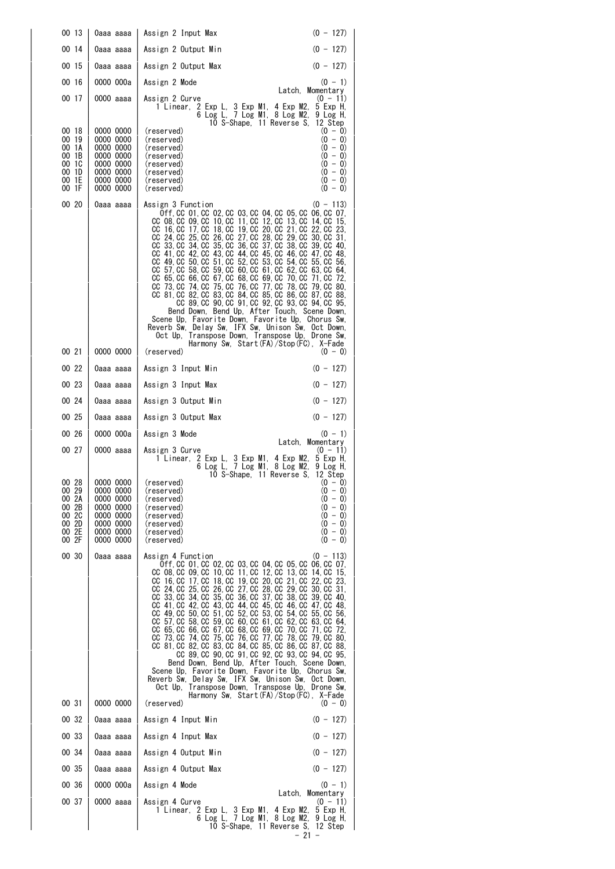| 00 13                                                                | 0aaa aaaa                                                                                            | Assign 2 Input Max                                                                                                                                                                                                                                                                                                                                                                                                                                                                                                                                                                                                                                                                                                                                                                                                                                                                                                                                                                                 | $(0 - 127)$                                                                                          |
|----------------------------------------------------------------------|------------------------------------------------------------------------------------------------------|----------------------------------------------------------------------------------------------------------------------------------------------------------------------------------------------------------------------------------------------------------------------------------------------------------------------------------------------------------------------------------------------------------------------------------------------------------------------------------------------------------------------------------------------------------------------------------------------------------------------------------------------------------------------------------------------------------------------------------------------------------------------------------------------------------------------------------------------------------------------------------------------------------------------------------------------------------------------------------------------------|------------------------------------------------------------------------------------------------------|
| 00 14                                                                | 0aaa aaaa                                                                                            | Assign 2 Output Min                                                                                                                                                                                                                                                                                                                                                                                                                                                                                                                                                                                                                                                                                                                                                                                                                                                                                                                                                                                | $(0 - 127)$                                                                                          |
| 00 15                                                                | 0aaa aaaa                                                                                            | Assign 2 Output Max                                                                                                                                                                                                                                                                                                                                                                                                                                                                                                                                                                                                                                                                                                                                                                                                                                                                                                                                                                                | $(0 - 127)$                                                                                          |
| 00 16                                                                | 0000 000a                                                                                            | Assign 2 Mode                                                                                                                                                                                                                                                                                                                                                                                                                                                                                                                                                                                                                                                                                                                                                                                                                                                                                                                                                                                      | $(0 - 1)$                                                                                            |
| 00 17                                                                | 0000 aaaa                                                                                            | Assign 2 Curve<br>1 Linear, 2 Exp L, 3 Exp M1, 4 Exp M2,<br>$\overline{6}$ Log L, 7 Log M1, 8 Log M2,<br>10 S-Shape, 11 Reverse S,                                                                                                                                                                                                                                                                                                                                                                                                                                                                                                                                                                                                                                                                                                                                                                                                                                                                 | Latch, Momentary<br>$(0 - 11)$<br>5 Exp H,<br>9 Log H,<br>12 Step                                    |
| 00 18<br>00 19<br>00 1A<br>00 1B<br>00 1C<br>001D<br>00 1E<br>00 1F  | 0000 0000<br>0000 0000<br>0000 0000<br>0000 0000<br>0000 0000<br>0000 0000<br>0000 0000<br>0000 0000 | (reserved)<br>(reserved)<br>(reserved)<br>(reserved)<br>(reserved)<br>(reserved)<br>(reserved)<br>(reserved)                                                                                                                                                                                                                                                                                                                                                                                                                                                                                                                                                                                                                                                                                                                                                                                                                                                                                       | $(0 - 0)$<br>$(0 - 0)$<br>$(0 - 0)$<br>$(0 - 0)$<br>$(0 - 0)$<br>$(0 - 0)$<br>$(0 - 0)$<br>$(0 - 0)$ |
| 00 20                                                                | 0aaa aaaa                                                                                            | Assign 3 Function<br>Off. CC 01. CC 02. CC 03. CC 04. CC 05. CC 06. CC 07.<br>CC 08, CC 09, CC 10, CC 11, CC 12, CC 13, CC 14, CC 15,<br>CC 16, CC 17, CC 18, CC 19, CC 20, CC 21, CC 22, CC 23,<br>CC 24, CC 25, CC 26, CC 27, CC 28, CC 29, CC 30, CC 31,<br>CC 33, CC 34, CC 35, CC 36, CC 37, CC 38, CC 39, CC 40,<br>CC 41, CC 42, CC 43, CC 44, CC 45, CC 46, CC 47, CC 48,<br>CC 49. CC 50. CC 51. CC 52. CC 53. CC 54. CC 55. CC 56.<br>CC 57, CC 58, CC 59, CC 60, CC 61, CC 62, CC 63, CC 64,<br>CC 65, CC 66, CC 67, CC 68, CC 69, CC 70, CC 71, CC 72,<br>CC 73 CC 74 CC 75 CC 76 CC 77 CC 78 CC 79 CC 80<br>CC 81, CC 82, CC 83, CC 84, CC 85, CC 86, CC 87, CC 88,<br>CC 89, CC 90, CC 91, CC 92, CC 93, CC 94, CC 95,<br>Bend Down, Bend Up, After Touch, Scene Down,<br>Scene Up, Favorite Down, Favorite Up, Chorus Sw,<br>Reverb Sw, Delay Sw, IFX Sw, Unison Sw, Oct Down,<br>Oct Up, Transpose Down, Transpose Up, Drone Sw,<br>Harmony Sw, Start(FA)/Stop(FC), X-Fade         | $(0 - 113)$                                                                                          |
| 00 21                                                                | 0000 0000                                                                                            | (reserved)                                                                                                                                                                                                                                                                                                                                                                                                                                                                                                                                                                                                                                                                                                                                                                                                                                                                                                                                                                                         | $(0 - 0)$                                                                                            |
| 00 22                                                                | 0aaa aaaa                                                                                            | Assign 3 Input Min                                                                                                                                                                                                                                                                                                                                                                                                                                                                                                                                                                                                                                                                                                                                                                                                                                                                                                                                                                                 | $(0 - 127)$                                                                                          |
| 00 23                                                                | 0aaa aaaa                                                                                            | Assign 3 Input Max                                                                                                                                                                                                                                                                                                                                                                                                                                                                                                                                                                                                                                                                                                                                                                                                                                                                                                                                                                                 | $(0 - 127)$                                                                                          |
| 00 24                                                                | 0aaa aaaa                                                                                            | Assign 3 Output Min                                                                                                                                                                                                                                                                                                                                                                                                                                                                                                                                                                                                                                                                                                                                                                                                                                                                                                                                                                                | $(0 - 127)$                                                                                          |
| 00 25                                                                | 0aaa aaaa                                                                                            | Assign 3 Output Max                                                                                                                                                                                                                                                                                                                                                                                                                                                                                                                                                                                                                                                                                                                                                                                                                                                                                                                                                                                | $(0 - 127)$                                                                                          |
| 00 26                                                                | 0000 000a                                                                                            | Assign 3 Mode                                                                                                                                                                                                                                                                                                                                                                                                                                                                                                                                                                                                                                                                                                                                                                                                                                                                                                                                                                                      | $(0 - 1)$<br>Latch, Momentary                                                                        |
| 00 27                                                                | 0000 aaaa                                                                                            | Assign 3 Curve<br>1 Linear, 2 Exp L, 3 Exp M1, 4 Exp M2,<br>6 Log L, 7 Log M1, 8 Log M2,<br>10 S-Shape, 11 Reverse S,                                                                                                                                                                                                                                                                                                                                                                                                                                                                                                                                                                                                                                                                                                                                                                                                                                                                              | $(0 - 11)$<br>5 Exp H,<br>9 Log H.<br>12 Step                                                        |
| 00 28<br>00 29<br>00 2A<br>00 2B<br>00 2C<br>00 2D<br>00 2E<br>00 2F | 0000 0000<br>0000 0000<br>0000 0000<br>0000 0000<br>0000 0000<br>0000 0000<br>0000 0000<br>0000 0000 | (reserved)<br>(reservea)<br>(reserved)<br>(reserved)<br>(reserved)<br>(reserved)<br>(reserved)<br>(reserved)                                                                                                                                                                                                                                                                                                                                                                                                                                                                                                                                                                                                                                                                                                                                                                                                                                                                                       | $(0 - 0)$<br>$(0 - 0)$<br>$(0 - 0)$<br>$(0 - 0)$<br>$(0 - 0)$<br>$(0 - 0)$<br>$(0 - 0)$<br>$(0 - 0)$ |
| 00 30                                                                | 0aaa aaaa                                                                                            | Assign 4 Function<br>0ff, CC 01, CC 02, CC 03, CC 04, CC 05, CC 06, CC 07,<br>CC 08, CC 09, CC 10, CC 11, CC 12, CC 13, CC 14, CC 15,<br>CC 16, CC 17, CC 18, CC 19, CC 20, CC 21, CC 22, CC 23,<br>CC 24, CC 25, CC 26, CC 27, CC 28, CC 29, CC 30, CC 31,<br>CC 33, CC 34, CC 35, CC 36, CC 37, CC 38, CC 39, CC 40,<br>CC 41, CC 42, CC 43, CC 44, CC 45, CC 46, CC 47, CC 48,<br>CC 49, CC 50, CC 51, CC 52, CC 53, CC 54, CC 55, CC 56,<br>CC 57, CC 58, CC 59, CC 60, CC 61, CC 62, CC 63, CC 64,<br>CC 65, CC 66, CC 67, CC 68, CC 69, CC 70, CC 71, CC 72,<br>CC 73, CC 74, CC 75, CC 76, CC 77, CC 78, CC 79, CC 80,<br>CC 81, CC 82, CC 83, CC 84, CC 85, CC 86, CC 87, CC 88,<br>CC 89, CC 90, CC 91, CC 92, CC 93, CC 94, CC 95,<br>Bend Down, Bend Up, After Touch, Scene Down,<br>Scene Up, Favorite Down, Favorite Up, Chorus Sw,<br>Reverb Sw, Delay Sw, IFX Sw, Unison Sw, Oct Down,<br>Oct Up, Transpose Down, Transpose Up, Drone Sw,<br>Harmony Sw, Start(FA)/Stop(FC), X-Fade | $(0 - 113)$                                                                                          |
| 00 31                                                                | 0000 0000                                                                                            | (reserved)                                                                                                                                                                                                                                                                                                                                                                                                                                                                                                                                                                                                                                                                                                                                                                                                                                                                                                                                                                                         | $(0 - 0)$                                                                                            |
| 00 32                                                                | 0aaa aaaa                                                                                            | Assign 4 Input Min                                                                                                                                                                                                                                                                                                                                                                                                                                                                                                                                                                                                                                                                                                                                                                                                                                                                                                                                                                                 | $(0 - 127)$                                                                                          |
| 00 33                                                                | 0aaa aaaa                                                                                            | Assign 4 Input Max                                                                                                                                                                                                                                                                                                                                                                                                                                                                                                                                                                                                                                                                                                                                                                                                                                                                                                                                                                                 | $(0 - 127)$                                                                                          |
| 00 34                                                                | 0aaa aaaa                                                                                            | Assign 4 Output Min                                                                                                                                                                                                                                                                                                                                                                                                                                                                                                                                                                                                                                                                                                                                                                                                                                                                                                                                                                                | $(0 - 127)$                                                                                          |
| 00 35                                                                | 0aaa aaaa                                                                                            | Assign 4 Output Max                                                                                                                                                                                                                                                                                                                                                                                                                                                                                                                                                                                                                                                                                                                                                                                                                                                                                                                                                                                | $(0 - 127)$                                                                                          |
| 00 36                                                                | 0000 000a                                                                                            | Assign 4 Mode                                                                                                                                                                                                                                                                                                                                                                                                                                                                                                                                                                                                                                                                                                                                                                                                                                                                                                                                                                                      | $(0 - 1)$<br>Latch, Momentary                                                                        |
| 00 37                                                                | 0000 aaaa                                                                                            | Assign 4 Curve<br>1 Linear, 2 Exp L, 3 Exp M1, 4 Exp M2, 5 Exp H,<br>6 Log L, 7 Log M1, 8 Log M2, 9 Log H,<br>10 S-Shape, 11 Reverse S, 12 Step                                                                                                                                                                                                                                                                                                                                                                                                                                                                                                                                                                                                                                                                                                                                                                                                                                                    | $(0 - 11)$<br>$-21$                                                                                  |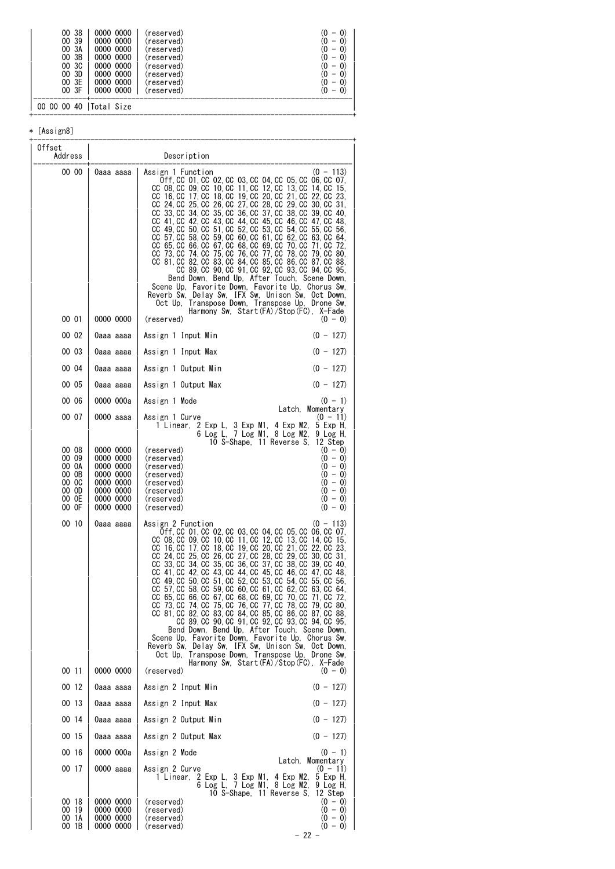| -38<br>0000<br>00<br>00 39<br>0000<br>0000<br>-3A<br>0000<br>00<br>0000<br>00 3B<br>0000<br>0000<br>00 3C<br>0000<br>0000<br>00 3D<br>0000<br>0000<br>00 3E<br>0000<br>0000<br>00 3F<br>0000 0000 | (reserved)<br>(reserved)<br>(reserved)<br>(reserved)<br>(reserved)<br>(reserved)<br>(reserved)<br>(reserved) | —<br>- |
|---------------------------------------------------------------------------------------------------------------------------------------------------------------------------------------------------|--------------------------------------------------------------------------------------------------------------|--------|
| 00 00 00 40   Total Size                                                                                                                                                                          |                                                                                                              |        |

#### \* [Assign8]

| Offset<br>Address                                                    |                                                                                                      | Description                                                                                                                                                                                                                                                                                                                                                                                                                                                                                                                                                                                                                                                                                                                                                                                                                                                                                                                                                                                                                                                     |
|----------------------------------------------------------------------|------------------------------------------------------------------------------------------------------|-----------------------------------------------------------------------------------------------------------------------------------------------------------------------------------------------------------------------------------------------------------------------------------------------------------------------------------------------------------------------------------------------------------------------------------------------------------------------------------------------------------------------------------------------------------------------------------------------------------------------------------------------------------------------------------------------------------------------------------------------------------------------------------------------------------------------------------------------------------------------------------------------------------------------------------------------------------------------------------------------------------------------------------------------------------------|
| 00 00<br>00 01                                                       | 0aaa aaaa<br>0000 0000                                                                               | $(0 - 113)$<br>Assign 1 Function<br>0ff, CC 01, CC 02, CC 03, CC 04, CC 05, CC 06, CC 07,<br>CC 08, CC 09, CC 10, CC 11, CC 12, CC 13, CC 14, CC<br>-15.<br>CC 16, CC 17, CC 18, CC 19, CC 20, CC 21, CC 22, CC 23,<br>CC 24, CC 25, CC 26, CC 27, CC 28, CC 29, CC 30, CC 31,<br>CC 33, CC 34, CC 35, CC 36, CC 37, CC 38, CC 39, CC<br>40.<br>CC 41, CC 42, CC 43, CC 44, CC 45, CC 46, CC 47, CC<br>-48.<br>CC 49, CC 50, CC 51, CC 52, CC 53, CC 54, CC 55, CC 56,<br>CC 57, CC 58, CC 59, CC 60, CC 61, CC 62, CC 63, CC<br>-64.<br>CC 65, CC 66, CC 67, CC 68, CC 69, CC 70, CC 71, CC<br>-72.<br>CC 73, CC 74, CC 75, CC 76, CC 77, CC 78, CC 79, CC 80,<br>CC 81, CC 82, CC 83, CC 84, CC 85, CC 86, CC 87, CC 88,<br>CC 89, CC 90, CC 91, CC 92, CC 93, CC 94, CC 95,<br>Bend Down, Bend Up, After Touch, Scene Down,<br>Scene Up, Favorite Down, Favorite Up, Chorus Sw,<br>Reverb Sw, Delay Sw, IFX Sw, Unison Sw, Oct Down,<br>Oct Up, Transpose Down, Transpose Up, Drone Sw,<br>Harmony Sw, Start(FA)/Stop(FC), X-Fade<br>(reserved)<br>$(0 - 0)$ |
| 00 02                                                                | 0aaa aaaa                                                                                            | $(0 - 127)$<br>Assign 1 Input Min                                                                                                                                                                                                                                                                                                                                                                                                                                                                                                                                                                                                                                                                                                                                                                                                                                                                                                                                                                                                                               |
| 00 03                                                                | 0aaa aaaa                                                                                            | $(0 - 127)$<br>Assign 1 Input Max                                                                                                                                                                                                                                                                                                                                                                                                                                                                                                                                                                                                                                                                                                                                                                                                                                                                                                                                                                                                                               |
| 00 04                                                                | 0aaa aaaa                                                                                            | Assign 1 Output Min<br>$(0 - 127)$                                                                                                                                                                                                                                                                                                                                                                                                                                                                                                                                                                                                                                                                                                                                                                                                                                                                                                                                                                                                                              |
| 00 05                                                                | 0aaa aaaa                                                                                            | $(0 - 127)$<br>Assign 1 Output Max                                                                                                                                                                                                                                                                                                                                                                                                                                                                                                                                                                                                                                                                                                                                                                                                                                                                                                                                                                                                                              |
| 00 06                                                                | 0000 000a                                                                                            | Assign 1 Mode<br>$(0 - 1)$                                                                                                                                                                                                                                                                                                                                                                                                                                                                                                                                                                                                                                                                                                                                                                                                                                                                                                                                                                                                                                      |
| 00 07                                                                | 0000 aaaa                                                                                            | Latch, Momentary<br>Assign 1 Curve<br>$(0 - 11)$<br>1 Linear, 2 Exp L, 3 Exp M1, 4 Exp M2,<br>5 Exp H.<br>6 Log L, 7 Log M1, 8 Log M2,<br>9 Log H.<br>10 S-Shape, 11 Reverse S.<br>12 Step                                                                                                                                                                                                                                                                                                                                                                                                                                                                                                                                                                                                                                                                                                                                                                                                                                                                      |
| 00 08<br>00 09<br>00 OA<br>00 OB<br>00 OC<br>00 OD<br>00 OE<br>00 OF | 0000 0000<br>0000 0000<br>0000 0000<br>0000 0000<br>0000 0000<br>0000 0000<br>0000 0000<br>0000 0000 | $(0 - 0)$<br>(reserved)<br>$(0 - 0)$<br>(reserved)<br>$(0 - 0)$<br>(reserved)<br>$(0 - 0)$<br>(reserved)<br>$(0 - 0)$<br>(reserved)<br>$(0 - 0)$<br>(reserved)<br>$(0 - 0)$<br>(reserved)<br>$(0 - 0)$<br>(reserved)                                                                                                                                                                                                                                                                                                                                                                                                                                                                                                                                                                                                                                                                                                                                                                                                                                            |
| 00 10<br>00 11                                                       | 0aaa aaaa<br>0000 0000                                                                               | Assign 2 Function<br>$(0 - 113)$<br>0ff, CC 01, CC 02, CC 03, CC 04, CC 05, CC 06, CC 07,<br>CC 08, CC 09, CC 10, CC 11, CC 12, CC 13, CC 14, CC 15,<br>CC 16, CC 17, CC 18, CC 19, CC 20, CC 21, CC 22, CC 23,<br>CC 24, CC 25, CC 26, CC 27, CC 28, CC 29, CC 30, CC 31,<br>CC 33, CC 34, CC 35, CC 36, CC 37, CC 38, CC 39, CC 40,<br>CC 41, CC 42, CC 43, CC 44, CC 45, CC 46, CC 47, CC 48,<br>CC 49, CC 50, CC 51, CC 52, CC 53, CC 54, CC 55, CC 56,<br>CC 57, CC 58, CC 59, CC 60, CC 61, CC 62, CC 63, CC 64,<br>CC 65 CC 66 CC 67 CC 68 CC 69 CC 70 CC 71 CC 72<br>CC 73, CC 74, CC 75, CC 76, CC 77, CC 78, CC 79, CC 80,<br>CC 81, CC 82, CC 83, CC 84, CC 85, CC 86, CC 87, CC 88,<br>CC 89, CC 90, CC 91, CC 92, CC 93, CC 94, CC 95,<br>Bend Down, Bend Up, After Touch, Scene Down,<br>Scene Up, Favorite Down, Favorite Up, Chorus Sw,<br>Reverb Sw, Delay Sw, IFX Sw, Unison Sw, Oct Down,<br>Oct Up, Transpose Down, Transpose Up, Drone Sw,<br>Harmony Sw, Start(FA)/Stop(FC), X-Fade<br>(reserved)<br>$(0 - 0)$                            |
| 00 12                                                                | 0aaa aaaa                                                                                            | $(0 - 127)$<br>Assign 2 Input Min                                                                                                                                                                                                                                                                                                                                                                                                                                                                                                                                                                                                                                                                                                                                                                                                                                                                                                                                                                                                                               |
| 00 13                                                                | 0aaa aaaa                                                                                            | Assign 2 Input Max<br>$(0 - 127)$                                                                                                                                                                                                                                                                                                                                                                                                                                                                                                                                                                                                                                                                                                                                                                                                                                                                                                                                                                                                                               |
| 00 14                                                                | 0aaa aaaa                                                                                            | $(0 - 127)$<br>Assign 2 Output Min                                                                                                                                                                                                                                                                                                                                                                                                                                                                                                                                                                                                                                                                                                                                                                                                                                                                                                                                                                                                                              |
| 00 15                                                                | 0aaa aaaa                                                                                            | Assign 2 Output Max<br>$(0 - 127)$                                                                                                                                                                                                                                                                                                                                                                                                                                                                                                                                                                                                                                                                                                                                                                                                                                                                                                                                                                                                                              |
| 00 16                                                                | 0000 000a                                                                                            | Assign 2 Mode<br>$(0 - 1)$<br>Latch, Momentary                                                                                                                                                                                                                                                                                                                                                                                                                                                                                                                                                                                                                                                                                                                                                                                                                                                                                                                                                                                                                  |
| 00 17                                                                | 0000 aaaa                                                                                            | Assign 2 Curve<br>$(0 - 11)$<br>1 Linear, 2 Exp L, 3 Exp M1, 4 Exp M2,<br>5 Exp H,<br>6 Log L, 7 Log M1, 8 Log M2,<br>9 Log H.<br>10 S-Shape, 11 Reverse S,<br>12 Step                                                                                                                                                                                                                                                                                                                                                                                                                                                                                                                                                                                                                                                                                                                                                                                                                                                                                          |
| 00 18<br>00 19<br>00 1A<br>00 1B                                     | 0000 0000<br>0000 0000<br>0000 0000<br>0000 0000                                                     | $(0 - 0)$<br>(reserved)<br>$(0 - 0)$<br>(reserved)<br>$(0 - 0)$<br>(reserved)<br>$(0 - 0)$<br>(reserved)<br>- 22 -                                                                                                                                                                                                                                                                                                                                                                                                                                                                                                                                                                                                                                                                                                                                                                                                                                                                                                                                              |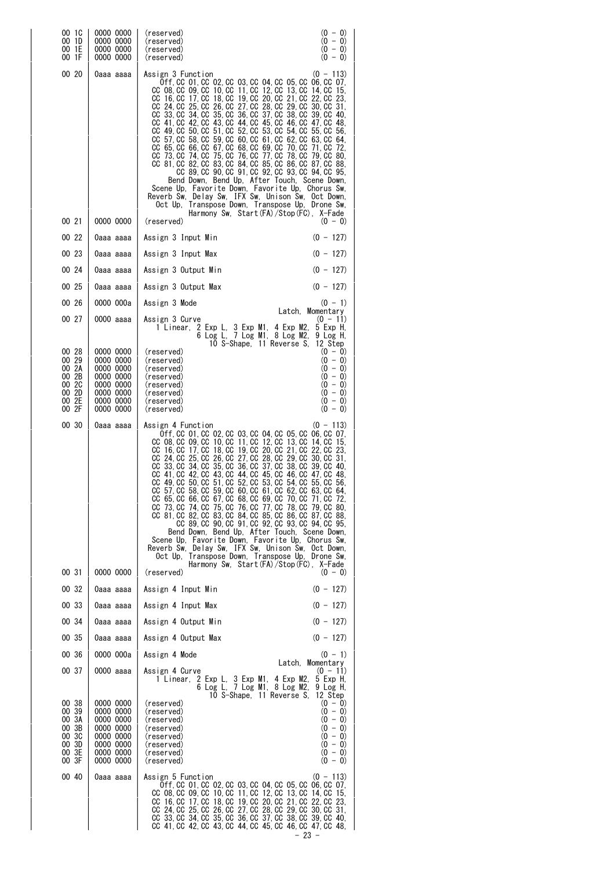| 00 1C<br>00 1D<br>00 1E<br>00 1F                                     | 0000 0000<br>0000 0000<br>0000 0000<br>0000 0000                                                     | $(0 - 0)$<br>(reserved)<br>$(0 - 0)$<br>(reserved)<br>$(0 - 0)$<br>(reserved)<br>$(0 - 0)$<br>(reserved)                                                                                                                                                                                                                                                                                                                                                                                                                                                                                                                                                                                                                                                                                                                                                                                                                                                                                                                       |
|----------------------------------------------------------------------|------------------------------------------------------------------------------------------------------|--------------------------------------------------------------------------------------------------------------------------------------------------------------------------------------------------------------------------------------------------------------------------------------------------------------------------------------------------------------------------------------------------------------------------------------------------------------------------------------------------------------------------------------------------------------------------------------------------------------------------------------------------------------------------------------------------------------------------------------------------------------------------------------------------------------------------------------------------------------------------------------------------------------------------------------------------------------------------------------------------------------------------------|
| 00 20                                                                | 0aaa aaaa                                                                                            | Assign 3 Function<br>$(0 - 113)$<br>0ff. CC 01. CC 02. CC 03. CC 04. CC 05. CC 06. CC 07.<br>CC 08, CC 09, CC 10, CC 11, CC 12, CC 13, CC 14, CC<br>-15.<br>CC 16, CC 17, CC 18, CC 19, CC 20, CC 21, CC 22, CC 23,<br>CC 24, CC 25, CC 26, CC 27, CC 28, CC 29, CC 30, CC 31,<br>CC 33, CC 34, CC 35, CC 36, CC 37, CC 38, CC<br>39.CC 40.<br>CC 41, CC 42, CC 43, CC 44, CC 45, CC 46, CC 47, CC 48,<br>CC 49, CC 50, CC 51, CC 52, CC 53, CC 54, CC 55, CC 56,<br>CC 57, CC 58, CC 59, CC 60, CC 61, CC 62, CC 63, CC<br>64.<br>CC 65, CC 66, CC 67, CC 68, CC 69, CC 70, CC 71, CC<br>-72.<br>CC 73. CC 74. CC 75. CC 76. CC 77. CC 78. CC 79. CC 80.<br>CC 81, CC 82, CC 83, CC 84, CC 85, CC 86, CC 87, CC 88,<br>CC 89, CC 90, CC 91, CC 92, CC 93, CC 94, CC 95,<br>Bend Down, Bend Up, After Touch, Scene Down,<br>Scene Up, Favorite Down, Favorite Up, Chorus Sw,<br>Reverb Sw, Delay Sw, IFX Sw, Unison Sw, Oct Down,<br>Oct Up, Transpose Down, Transpose Up, Drone Sw,<br>Harmony Sw. Start(FA)/Stop(FC). X-Fade |
| 00 21                                                                | 0000 0000                                                                                            | (reserved)<br>$(0 - 0)$                                                                                                                                                                                                                                                                                                                                                                                                                                                                                                                                                                                                                                                                                                                                                                                                                                                                                                                                                                                                        |
| 00 22                                                                | 0aaa aaaa                                                                                            | $(0 - 127)$<br>Assign 3 Input Min                                                                                                                                                                                                                                                                                                                                                                                                                                                                                                                                                                                                                                                                                                                                                                                                                                                                                                                                                                                              |
| 00 23                                                                | 0aaa aaaa                                                                                            | $(0 - 127)$<br>Assign 3 Input Max                                                                                                                                                                                                                                                                                                                                                                                                                                                                                                                                                                                                                                                                                                                                                                                                                                                                                                                                                                                              |
| 00 24                                                                | 0aaa aaaa                                                                                            | $(0 - 127)$<br>Assign 3 Output Min                                                                                                                                                                                                                                                                                                                                                                                                                                                                                                                                                                                                                                                                                                                                                                                                                                                                                                                                                                                             |
| 00 25                                                                | 0aaa aaaa                                                                                            | $(0 - 127)$<br>Assign 3 Output Max                                                                                                                                                                                                                                                                                                                                                                                                                                                                                                                                                                                                                                                                                                                                                                                                                                                                                                                                                                                             |
| 00 26                                                                | 0000 000a                                                                                            | Assign 3 Mode<br>$(0 - 1)$<br>Latch, Momentary                                                                                                                                                                                                                                                                                                                                                                                                                                                                                                                                                                                                                                                                                                                                                                                                                                                                                                                                                                                 |
| 00 27                                                                | 0000 aaaa                                                                                            | Assign 3 Curve<br>$(0 - 11)$<br>2 Exp L, 3 Exp M1, 4 Exp M2,<br>5 Exp H.<br>1 Linear,<br>6 Log L, 7 Log M1, 8 Log M2,<br>9 Log H.<br>10 S-Shape, 11 Reverse S,<br>12 Step                                                                                                                                                                                                                                                                                                                                                                                                                                                                                                                                                                                                                                                                                                                                                                                                                                                      |
| 00 28<br>00 29<br>00 2A<br>00 2B<br>00 2C<br>00 2D<br>00 2E<br>00 2F | 0000 0000<br>0000 0000<br>0000 0000<br>0000 0000<br>0000 0000<br>0000 0000<br>0000 0000<br>0000 0000 | $(0 - 0)$<br>(reserved)<br>$(0 - 0)$<br>(reserved)<br>$(0 - 0)$<br>(reserved)<br>$(0 - 0)$<br>(reserved)<br>$(0 - 0)$<br>(reserved)<br>$(0 - 0)$<br>(reserved)<br>$(0 - 0)$<br>(reserved)<br>$(0 - 0)$<br>(reserved)                                                                                                                                                                                                                                                                                                                                                                                                                                                                                                                                                                                                                                                                                                                                                                                                           |
| 00 30                                                                | 0aaa aaaa                                                                                            | Assign 4 Function<br>$(0 - 113)$<br>0ff, CC 01, CC 02, CC 03, CC 04, CC 05, CC 06, CC 07,<br>CC 08, CC 09, CC 10, CC 11, CC 12, CC 13, CC 14, CC 15,<br>CC 16, CC 17, CC 18, CC 19, CC 20, CC 21, CC 22, CC 23,<br>CC 24, CC 25, CC 26, CC 27, CC 28, CC 29, CC 30, CC 31,<br>CC 33, CC 34, CC 35, CC 36, CC 37, CC 38, CC 39, CC 40,<br>CC 41, CC 42, CC 43, CC 44, CC 45, CC 46, CC 47, CC 48,<br>CC 49, CC 50, CC 51, CC 52, CC 53, CC 54, CC 55, CC 56,<br>CC 57, CC 58, CC 59, CC 60, CC 61, CC 62, CC 63, CC 64,<br>CC 65, CC 66, CC 67, CC 68, CC 69, CC 70, CC 71, CC 72,<br>CC 73, CC 74, CC 75, CC 76, CC 77, CC 78, CC 79, CC 80,<br>CC 81, CC 82, CC 83, CC 84, CC 85, CC 86, CC 87, CC 88,<br>CC 89, CC 90, CC 91, CC 92, CC 93, CC 94, CC 95,<br>Bend Down, Bend Up, After Touch, Scene Down,<br>Scene Up, Favorite Down, Favorite Up, Chorus Sw,<br>Reverb Sw, Delay Sw, IFX Sw, Unison Sw, Oct Down,<br>Oct Up, Transpose Down, Transpose Up, Drone Sw,<br>Harmony Sw, Start(FA)/Stop(FC), X-Fade              |
| 00 31                                                                | 0000 0000                                                                                            | (reserved)<br>$(0 - 0)$                                                                                                                                                                                                                                                                                                                                                                                                                                                                                                                                                                                                                                                                                                                                                                                                                                                                                                                                                                                                        |
| 00 32                                                                | 0aaa aaaa                                                                                            | $(0 - 127)$<br>Assign 4 Input Min                                                                                                                                                                                                                                                                                                                                                                                                                                                                                                                                                                                                                                                                                                                                                                                                                                                                                                                                                                                              |
| 00 33                                                                | 0aaa aaaa                                                                                            | $(0 - 127)$<br>Assign 4 Input Max                                                                                                                                                                                                                                                                                                                                                                                                                                                                                                                                                                                                                                                                                                                                                                                                                                                                                                                                                                                              |
| 00 34                                                                | 0aaa aaaa                                                                                            | $(0 - 127)$<br>Assign 4 Output Min                                                                                                                                                                                                                                                                                                                                                                                                                                                                                                                                                                                                                                                                                                                                                                                                                                                                                                                                                                                             |
| 00 35                                                                | Oaaa aaaa                                                                                            | $(0 - 127)$<br>Assign 4 Output Max                                                                                                                                                                                                                                                                                                                                                                                                                                                                                                                                                                                                                                                                                                                                                                                                                                                                                                                                                                                             |
| 00 36                                                                | 0000 000a                                                                                            | Assign 4 Mode<br>$(0 - 1)$<br>Latch, Momentary                                                                                                                                                                                                                                                                                                                                                                                                                                                                                                                                                                                                                                                                                                                                                                                                                                                                                                                                                                                 |
| 00 37                                                                | 0000 aaaa                                                                                            | Assign 4 Curve<br>$(0 - 11)$<br>1 Linear, 2 Exp L, 3 Exp M1, 4 Exp M2,<br>5 Exp H,<br>6 Log L, 7 Log M1, 8 Log M2,<br>9 Log H,<br>10 S-Shape, 11 Reverse S,<br>12 Step                                                                                                                                                                                                                                                                                                                                                                                                                                                                                                                                                                                                                                                                                                                                                                                                                                                         |
| 00 38<br>00 39<br>00 3A<br>00 3B<br>00 3C<br>00 3D<br>00 3E<br>00 3F | 0000 0000<br>0000 0000<br>0000 0000<br>0000 0000<br>0000 0000<br>0000 0000<br>0000 0000<br>0000 0000 | (reserved)<br>$(0 - 0)$<br>$(0 - 0)$<br>(reserved)<br>$(0 - 0)$<br>(reserved)<br>$(0 - 0)$<br>(reserved)<br>$(0 - 0)$<br>(reserved)<br>$(0 - 0)$<br>(reserved)<br>$(0 - 0)$<br>(reserved)<br>$(0 - 0)$<br>(reserved)                                                                                                                                                                                                                                                                                                                                                                                                                                                                                                                                                                                                                                                                                                                                                                                                           |
| 00 40                                                                | 0aaa aaaa                                                                                            | Assign 5 Function<br>$(0 - 113)$<br>0ff, CC 01, CC 02, CC 03, CC 04, CC 05, CC 06, CC 07,<br>CC 08, CC 09, CC 10, CC 11, CC 12, CC 13, CC 14, CC 15,<br>CC 16, CC 17, CC 18, CC 19, CC 20, CC 21, CC 22, CC 23,<br>CC 24, CC 25, CC 26, CC 27, CC 28, CC 29, CC 30, CC 31,<br>CC 33, CC 34, CC 35, CC 36, CC 37, CC 38, CC 39, CC 40,<br>CC 41, CC 42, CC 43, CC 44, CC 45, CC 46, CC 47, CC 48,                                                                                                                                                                                                                                                                                                                                                                                                                                                                                                                                                                                                                               |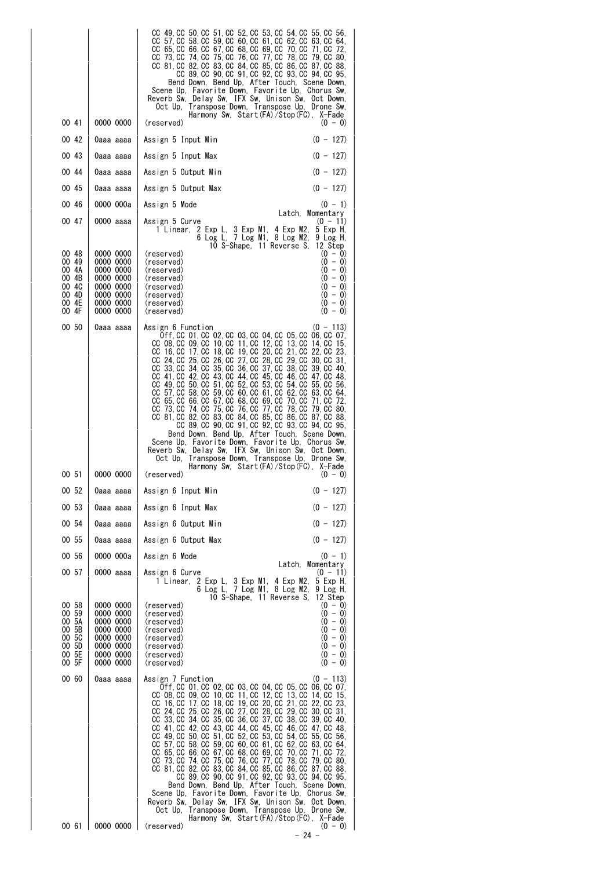|                    | CC 49, CC 50, CC 51, CC 52, CC 53, CC 54, CC 55, CC 56,<br>CC 57, CC 58, CC 59, CC 60, CC 61, CC 62, CC 63, CC 64,<br>CC 65, CC 66, CC 67, CC 68, CC 69, CC 70, CC 71, CC 72,<br>CC 73. CC 74. CC 75. CC 76. CC 77. CC 78. CC 79. CC 80.<br>CC 81, CC 82, CC 83, CC 84, CC 85, CC 86, CC 87, CC 88,<br>CC 89, CC 90, CC 91, CC 92, CC 93, CC 94, CC 95,<br>Bend Down, Bend Up, After Touch, Scene Down,<br>Scene Up, Favorite Down, Favorite Up, Chorus Sw,<br>Reverb Sw, Delay Sw, IFX Sw, Unison Sw, Oct Down,<br>Oct Up, Transpose Down, Transpose Up, Drone Sw,                                                                                                                                                                                                                                                                                                                                                                                                                                                      |
|--------------------|--------------------------------------------------------------------------------------------------------------------------------------------------------------------------------------------------------------------------------------------------------------------------------------------------------------------------------------------------------------------------------------------------------------------------------------------------------------------------------------------------------------------------------------------------------------------------------------------------------------------------------------------------------------------------------------------------------------------------------------------------------------------------------------------------------------------------------------------------------------------------------------------------------------------------------------------------------------------------------------------------------------------------|
| 00 41<br>0000 0000 | Harmony Sw, Start(FA)/Stop(FC), X-Fade<br>(reserved)<br>$(0 - 0)$                                                                                                                                                                                                                                                                                                                                                                                                                                                                                                                                                                                                                                                                                                                                                                                                                                                                                                                                                        |
| 00 42              | $(0 - 127)$                                                                                                                                                                                                                                                                                                                                                                                                                                                                                                                                                                                                                                                                                                                                                                                                                                                                                                                                                                                                              |
| 0aaa aaaa          | Assign 5 Input Min                                                                                                                                                                                                                                                                                                                                                                                                                                                                                                                                                                                                                                                                                                                                                                                                                                                                                                                                                                                                       |
| 00 43              | $(0 - 127)$                                                                                                                                                                                                                                                                                                                                                                                                                                                                                                                                                                                                                                                                                                                                                                                                                                                                                                                                                                                                              |
| 0aaa aaaa          | Assign 5 Input Max                                                                                                                                                                                                                                                                                                                                                                                                                                                                                                                                                                                                                                                                                                                                                                                                                                                                                                                                                                                                       |
| 00 44              | $(0 - 127)$                                                                                                                                                                                                                                                                                                                                                                                                                                                                                                                                                                                                                                                                                                                                                                                                                                                                                                                                                                                                              |
| 0aaa aaaa          | Assign 5 Output Min                                                                                                                                                                                                                                                                                                                                                                                                                                                                                                                                                                                                                                                                                                                                                                                                                                                                                                                                                                                                      |
| 00 45              | Assign 5 Output Max                                                                                                                                                                                                                                                                                                                                                                                                                                                                                                                                                                                                                                                                                                                                                                                                                                                                                                                                                                                                      |
| 0aaa aaaa          | $(0 - 127)$                                                                                                                                                                                                                                                                                                                                                                                                                                                                                                                                                                                                                                                                                                                                                                                                                                                                                                                                                                                                              |
| 00 46              | Assign 5 Mode                                                                                                                                                                                                                                                                                                                                                                                                                                                                                                                                                                                                                                                                                                                                                                                                                                                                                                                                                                                                            |
| 0000 000a          | $(0 - 1)$                                                                                                                                                                                                                                                                                                                                                                                                                                                                                                                                                                                                                                                                                                                                                                                                                                                                                                                                                                                                                |
| 00 47<br>0000 aaaa | Latch, Momentary<br>$(0 - 11)$<br>Assign 5 Curve<br>2 Exp L, 3 Exp M1, 4 Exp M2,<br>5 Exp H,<br>1 Linear,<br>6 Log L, 7 Log M1, 8 Log M2,<br>9 Log H,<br>10 S-Shape, 11 Reverse S,<br>12 Step                                                                                                                                                                                                                                                                                                                                                                                                                                                                                                                                                                                                                                                                                                                                                                                                                            |
| 00 48              | $(0 - 0)$                                                                                                                                                                                                                                                                                                                                                                                                                                                                                                                                                                                                                                                                                                                                                                                                                                                                                                                                                                                                                |
| 0000 0000          | (reserved)                                                                                                                                                                                                                                                                                                                                                                                                                                                                                                                                                                                                                                                                                                                                                                                                                                                                                                                                                                                                               |
| 00 49              | $(0 - 0)$                                                                                                                                                                                                                                                                                                                                                                                                                                                                                                                                                                                                                                                                                                                                                                                                                                                                                                                                                                                                                |
| 0000 0000          | (reserved)                                                                                                                                                                                                                                                                                                                                                                                                                                                                                                                                                                                                                                                                                                                                                                                                                                                                                                                                                                                                               |
| 00 4A              | $(0 - 0)$                                                                                                                                                                                                                                                                                                                                                                                                                                                                                                                                                                                                                                                                                                                                                                                                                                                                                                                                                                                                                |
| 0000 0000          | (reserved)                                                                                                                                                                                                                                                                                                                                                                                                                                                                                                                                                                                                                                                                                                                                                                                                                                                                                                                                                                                                               |
| 00 4B              | $(0 - 0)$                                                                                                                                                                                                                                                                                                                                                                                                                                                                                                                                                                                                                                                                                                                                                                                                                                                                                                                                                                                                                |
| 0000 0000          | (reserved)                                                                                                                                                                                                                                                                                                                                                                                                                                                                                                                                                                                                                                                                                                                                                                                                                                                                                                                                                                                                               |
| 00 4C              | $(0 - 0)$                                                                                                                                                                                                                                                                                                                                                                                                                                                                                                                                                                                                                                                                                                                                                                                                                                                                                                                                                                                                                |
| 0000 0000          | (reserved)                                                                                                                                                                                                                                                                                                                                                                                                                                                                                                                                                                                                                                                                                                                                                                                                                                                                                                                                                                                                               |
| 0000 0000          | $(0 - 0)$                                                                                                                                                                                                                                                                                                                                                                                                                                                                                                                                                                                                                                                                                                                                                                                                                                                                                                                                                                                                                |
| 00 4D              | (reserved)                                                                                                                                                                                                                                                                                                                                                                                                                                                                                                                                                                                                                                                                                                                                                                                                                                                                                                                                                                                                               |
| 00 4E              | $(0 - 0)$                                                                                                                                                                                                                                                                                                                                                                                                                                                                                                                                                                                                                                                                                                                                                                                                                                                                                                                                                                                                                |
| 0000 0000          | (reserved)                                                                                                                                                                                                                                                                                                                                                                                                                                                                                                                                                                                                                                                                                                                                                                                                                                                                                                                                                                                                               |
| 00 4F              | $(0 - 0)$                                                                                                                                                                                                                                                                                                                                                                                                                                                                                                                                                                                                                                                                                                                                                                                                                                                                                                                                                                                                                |
| 0000 0000          | (reserved)                                                                                                                                                                                                                                                                                                                                                                                                                                                                                                                                                                                                                                                                                                                                                                                                                                                                                                                                                                                                               |
| 00 50<br>Oaaa aaaa | Assign 6 Function<br>$(0 - 113)$<br>0ff, CC 01, CC 02, CC 03, CC 04, CC 05, CC 06, CC 07,<br>CC 08, CC 09, CC 10, CC 11, CC 12, CC 13, CC 14, CC 15,<br>CC 16, CC 17, CC 18, CC 19, CC 20, CC 21, CC 22, CC 23,<br>CC 24, CC 25, CC 26, CC 27, CC 28, CC 29, CC 30, CC 31,<br>CC 33, CC 34, CC 35, CC 36, CC 37, CC 38, CC 39, CC 40,<br>CC 41, CC 42, CC 43, CC 44, CC 45, CC 46, CC 47, CC 48,<br>CC 49, CC 50, CC 51, CC 52, CC 53, CC 54, CC 55, CC 56,<br>CC 57, CC 58, CC 59, CC 60, CC 61, CC 62, CC 63, CC 64,<br>CC 65, CC 66, CC 67, CC 68, CC 69, CC 70, CC 71, CC 72,<br>CC 73, CC 74, CC 75, CC 76, CC 77, CC 78, CC 79, CC 80,<br>CC 81, CC 82, CC 83, CC 84, CC 85, CC 86, CC 87, CC 88,<br>CC 89, CC 90, CC 91, CC 92, CC 93, CC 94, CC 95,<br>Bend Down, Bend Up, After Touch, Scene Down,<br>Scene Up. Favorite Down, Favorite Up. Chorus Sw.<br>Reverb Sw, Delay Sw, IFX Sw, Unison Sw, Oct Down,<br>Transpose Down, Transpose Up, Drone Sw,<br>Oct Up.<br>Harmony Sw, Start (FA) / Stop (FC), X-Fade |
| 00 51              | $(0 - 0)$                                                                                                                                                                                                                                                                                                                                                                                                                                                                                                                                                                                                                                                                                                                                                                                                                                                                                                                                                                                                                |
| 0000 0000          | (reserved)                                                                                                                                                                                                                                                                                                                                                                                                                                                                                                                                                                                                                                                                                                                                                                                                                                                                                                                                                                                                               |
| 00 52              | $(0 - 127)$                                                                                                                                                                                                                                                                                                                                                                                                                                                                                                                                                                                                                                                                                                                                                                                                                                                                                                                                                                                                              |
| 0aaa aaaa          | Assign 6 Input Min                                                                                                                                                                                                                                                                                                                                                                                                                                                                                                                                                                                                                                                                                                                                                                                                                                                                                                                                                                                                       |
| 00 53              | $(0 - 127)$                                                                                                                                                                                                                                                                                                                                                                                                                                                                                                                                                                                                                                                                                                                                                                                                                                                                                                                                                                                                              |
| 0aaa aaaa          | Assign 6 Input Max                                                                                                                                                                                                                                                                                                                                                                                                                                                                                                                                                                                                                                                                                                                                                                                                                                                                                                                                                                                                       |
| 00 54              | $(0 - 127)$                                                                                                                                                                                                                                                                                                                                                                                                                                                                                                                                                                                                                                                                                                                                                                                                                                                                                                                                                                                                              |
| 0aaa aaaa          | Assign 6 Output Min                                                                                                                                                                                                                                                                                                                                                                                                                                                                                                                                                                                                                                                                                                                                                                                                                                                                                                                                                                                                      |
| 00 55              | Assign 6 Output Max                                                                                                                                                                                                                                                                                                                                                                                                                                                                                                                                                                                                                                                                                                                                                                                                                                                                                                                                                                                                      |
| 0aaa aaaa          | $(0 - 127)$                                                                                                                                                                                                                                                                                                                                                                                                                                                                                                                                                                                                                                                                                                                                                                                                                                                                                                                                                                                                              |
| 00 56<br>0000 000a | $(0 - 1)$<br>Assign 6 Mode<br>Latch. Momentary                                                                                                                                                                                                                                                                                                                                                                                                                                                                                                                                                                                                                                                                                                                                                                                                                                                                                                                                                                           |
| 00 57<br>0000 aaaa | Assign 6 Curve<br>$(0 - 11)$<br>1 Linear, 2 Exp L, 3 Exp M1, 4 Exp M2, 5 Exp H,<br>6 Log L, 7 Log M1, 8 Log M2,<br>9 Log H,<br>10 S-Shape, 11 Reverse S.<br>12 Step                                                                                                                                                                                                                                                                                                                                                                                                                                                                                                                                                                                                                                                                                                                                                                                                                                                      |
| 00 58              | (reserved)                                                                                                                                                                                                                                                                                                                                                                                                                                                                                                                                                                                                                                                                                                                                                                                                                                                                                                                                                                                                               |
| 0000 0000          | $(0 - 0)$                                                                                                                                                                                                                                                                                                                                                                                                                                                                                                                                                                                                                                                                                                                                                                                                                                                                                                                                                                                                                |
| 00 59              | $(0 - 0)$                                                                                                                                                                                                                                                                                                                                                                                                                                                                                                                                                                                                                                                                                                                                                                                                                                                                                                                                                                                                                |
| 0000 0000          | (reserved)                                                                                                                                                                                                                                                                                                                                                                                                                                                                                                                                                                                                                                                                                                                                                                                                                                                                                                                                                                                                               |
| 00 5A              | $(0 - 0)$                                                                                                                                                                                                                                                                                                                                                                                                                                                                                                                                                                                                                                                                                                                                                                                                                                                                                                                                                                                                                |
| 0000 0000          | (reserved)                                                                                                                                                                                                                                                                                                                                                                                                                                                                                                                                                                                                                                                                                                                                                                                                                                                                                                                                                                                                               |
| 00 5B              | $(0 - 0)$                                                                                                                                                                                                                                                                                                                                                                                                                                                                                                                                                                                                                                                                                                                                                                                                                                                                                                                                                                                                                |
| 0000 0000          | (reserved)                                                                                                                                                                                                                                                                                                                                                                                                                                                                                                                                                                                                                                                                                                                                                                                                                                                                                                                                                                                                               |
| 00 5C              | $(0 - 0)$                                                                                                                                                                                                                                                                                                                                                                                                                                                                                                                                                                                                                                                                                                                                                                                                                                                                                                                                                                                                                |
| 0000 0000          | (reserved)                                                                                                                                                                                                                                                                                                                                                                                                                                                                                                                                                                                                                                                                                                                                                                                                                                                                                                                                                                                                               |
| 00 5D              | $(0 - 0)$                                                                                                                                                                                                                                                                                                                                                                                                                                                                                                                                                                                                                                                                                                                                                                                                                                                                                                                                                                                                                |
| 0000 0000          | (reserved)                                                                                                                                                                                                                                                                                                                                                                                                                                                                                                                                                                                                                                                                                                                                                                                                                                                                                                                                                                                                               |
| 00 5E              | $(0 - 0)$                                                                                                                                                                                                                                                                                                                                                                                                                                                                                                                                                                                                                                                                                                                                                                                                                                                                                                                                                                                                                |
| 0000 0000          | (reserved)                                                                                                                                                                                                                                                                                                                                                                                                                                                                                                                                                                                                                                                                                                                                                                                                                                                                                                                                                                                                               |
| 00 5F              | $(0 - 0)$                                                                                                                                                                                                                                                                                                                                                                                                                                                                                                                                                                                                                                                                                                                                                                                                                                                                                                                                                                                                                |
| 0000 0000          | (reserved)                                                                                                                                                                                                                                                                                                                                                                                                                                                                                                                                                                                                                                                                                                                                                                                                                                                                                                                                                                                                               |
| 00 60<br>Oaaa aaaa | $(0 - 113)$<br>Assign 7 Function<br>0ff, CC 01, CC 02, CC 03, CC 04, CC 05, CC 06, CC 07,<br>CC 08, CC 09, CC 10, CC 11, CC 12, CC 13, CC 14, CC 15,<br>CC 16, CC 17, CC 18, CC 19, CC 20, CC 21, CC 22, CC 23,<br>CC 24, CC 25, CC 26, CC 27, CC 28, CC 29, CC 30, CC 31,<br>CC 33, CC 34, CC 35, CC 36, CC 37, CC 38, CC 39, CC 40,<br>CC 41, CC 42, CC 43, CC 44, CC 45, CC 46, CC 47, CC 48,<br>CC 49, CC 50, CC 51, CC 52, CC 53, CC 54, CC 55, CC 56,<br>CC 57, CC 58, CC 59, CC 60, CC 61, CC 62, CC 63, CC 64,<br>CC 65, CC 66, CC 67, CC 68, CC 69, CC 70, CC 71, CC 72,<br>CC 73, CC 74, CC 75, CC 76, CC 77, CC 78, CC 79, CC 80,<br>CC 81, CC 82, CC 83, CC 84, CC 85, CC 86, CC 87, CC 88,<br>CC 89, CC 90, CC 91, CC 92, CC 93, CC 94, CC 95,<br>Bend Down, Bend Up, After Touch, Scene Down,<br>Scene Up, Favorite Down, Favorite Up, Chorus Sw,<br>Reverb Sw, Delay Sw, IFX Sw, Unison Sw, Oct Down,<br>Oct Up, Transpose Down, Transpose Up, Drone Sw,<br>Harmony Sw, Start (FA) / Stop (FC), X-Fade    |
| 0000 0000<br>00 61 | (reserved)<br>$(0 - 0)$<br>$-24 -$                                                                                                                                                                                                                                                                                                                                                                                                                                                                                                                                                                                                                                                                                                                                                                                                                                                                                                                                                                                       |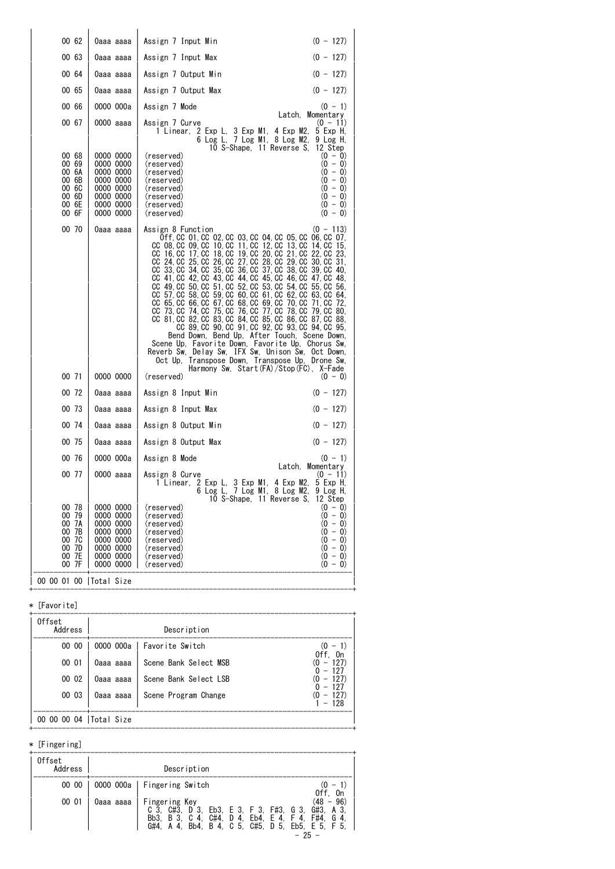| 00 62                                                                | 0aaa aaaa                                                                                            | $(0 - 127)$<br>Assign 7 Input Min                                                                                                                                                                                                                                                                                                                                                                                                                                                                                                                                                                                                                                                                                                                                                                                                                                                                                                                                                                                                            |
|----------------------------------------------------------------------|------------------------------------------------------------------------------------------------------|----------------------------------------------------------------------------------------------------------------------------------------------------------------------------------------------------------------------------------------------------------------------------------------------------------------------------------------------------------------------------------------------------------------------------------------------------------------------------------------------------------------------------------------------------------------------------------------------------------------------------------------------------------------------------------------------------------------------------------------------------------------------------------------------------------------------------------------------------------------------------------------------------------------------------------------------------------------------------------------------------------------------------------------------|
| 00 63                                                                | Оааа аааа                                                                                            | Assign 7 Input Max<br>$(0 - 127)$                                                                                                                                                                                                                                                                                                                                                                                                                                                                                                                                                                                                                                                                                                                                                                                                                                                                                                                                                                                                            |
| 00 64                                                                | 0aaa aaaa                                                                                            | $(0 - 127)$<br>Assign 7 Output Min                                                                                                                                                                                                                                                                                                                                                                                                                                                                                                                                                                                                                                                                                                                                                                                                                                                                                                                                                                                                           |
| 00 65                                                                | 0aaa aaaa                                                                                            | $(0 - 127)$<br>Assign 7 Output Max                                                                                                                                                                                                                                                                                                                                                                                                                                                                                                                                                                                                                                                                                                                                                                                                                                                                                                                                                                                                           |
| 00 66                                                                | 0000 000a                                                                                            | Assign 7 Mode<br>$(0 - 1)$                                                                                                                                                                                                                                                                                                                                                                                                                                                                                                                                                                                                                                                                                                                                                                                                                                                                                                                                                                                                                   |
| 00 67                                                                | 0000 aaaa                                                                                            | Latch, Momentary<br>Assign 7 Curve<br>$(0 - 11)$<br>1 Linear, 2 Exp L, 3 Exp M1, 4 Exp M2,<br>5 Exp H,<br>6 Log L, 7 Log M1, 8 Log M2,<br>9 Log H,<br>10 S-Shape, 11 Reverse S.<br>12 Step                                                                                                                                                                                                                                                                                                                                                                                                                                                                                                                                                                                                                                                                                                                                                                                                                                                   |
| 00 68<br>00 69<br>00 6A<br>00 6B<br>00 GC<br>00 6D<br>00 6E<br>00 GF | 0000 0000<br>0000 0000<br>0000 0000<br>0000 0000<br>0000 0000<br>0000 0000<br>0000 0000<br>0000 0000 | (reserved)<br>$(0 - 0)$<br>$(0 - 0)$<br>(reserved)<br>$(0 - 0)$<br>(reserved)<br>$(0 - 0)$<br>(reserved)<br>$(0 - 0)$<br>(reserved)<br>$(0 - 0)$<br>(reserved)<br>$(0 - 0)$<br>(reserved)<br>$(0 - 0)$<br>(reserved)                                                                                                                                                                                                                                                                                                                                                                                                                                                                                                                                                                                                                                                                                                                                                                                                                         |
| 00 70<br>00 71                                                       | 0aaa aaaa<br>0000 0000                                                                               | Assign 8 Function<br>$(0 - 113)$<br>0ff, CC 01, CC 02, CC 03, CC 04, CC 05, CC 06, CC 07,<br>CC 08, CC 09, CC 10, CC 11, CC 12, CC 13, CC 14, CC 15,<br>CC 16, CC 17, CC 18, CC 19, CC 20, CC 21, CC 22, CC 23,<br>CC 24, CC 25, CC 26, CC 27, CC 28, CC 29, CC 30, CC 31,<br>CC 33, CC 34, CC 35, CC 36, CC 37, CC 38, CC 39, CC 40,<br>CC 41, CC 42, CC 43, CC 44, CC 45, CC 46, CC 47, CC 48,<br>CC 49, CC 50, CC 51, CC 52, CC 53, CC 54, CC 55, CC 56,<br>CC 57, CC 58, CC 59, CC 60, CC 61, CC 62, CC 63, CC 64,<br>CC 65, CC 66, CC 67, CC 68, CC 69, CC 70, CC 71, CC 72,<br>CC 73, CC 74, CC 75, CC 76, CC 77, CC 78, CC 79, CC 80,<br>CC 81, CC 82, CC 83, CC 84, CC 85, CC 86, CC 87, CC 88,<br>CC 89, CC 90, CC 91, CC 92, CC 93, CC 94, CC 95,<br>Bend Down, Bend Up, After Touch, Scene Down,<br>Scene Up, Favorite Down, Favorite Up, Chorus Sw,<br>Reverb Sw, Delay Sw, IFX Sw, Unison Sw, Oct Down,<br>Oct Up, Transpose Down, Transpose Up, Drone Sw,<br>Harmony Sw, Start(FA)/Stop(FC), X-Fade<br>(reserved)<br>$(0 - 0)$ |
| 00 72                                                                | 0aaa aaaa                                                                                            | $(0 - 127)$<br>Assign 8 Input Min                                                                                                                                                                                                                                                                                                                                                                                                                                                                                                                                                                                                                                                                                                                                                                                                                                                                                                                                                                                                            |
| 00 73                                                                | 0aaa aaaa                                                                                            | $(0 - 127)$<br>Assign 8 Input Max                                                                                                                                                                                                                                                                                                                                                                                                                                                                                                                                                                                                                                                                                                                                                                                                                                                                                                                                                                                                            |
| 00 74                                                                | 0aaa aaaa                                                                                            | $(0 - 127)$<br>Assign 8 Output Min                                                                                                                                                                                                                                                                                                                                                                                                                                                                                                                                                                                                                                                                                                                                                                                                                                                                                                                                                                                                           |
| 00 75                                                                | 0aaa aaaa                                                                                            | Assign 8 Output Max<br>$(0 - 127)$                                                                                                                                                                                                                                                                                                                                                                                                                                                                                                                                                                                                                                                                                                                                                                                                                                                                                                                                                                                                           |
| 00 76                                                                | 0000 000a                                                                                            | Assign 8 Mode<br>$(0 - 1)$                                                                                                                                                                                                                                                                                                                                                                                                                                                                                                                                                                                                                                                                                                                                                                                                                                                                                                                                                                                                                   |
| 00 77                                                                | 0000 aaaa                                                                                            | Latch, Momentary<br>Assign 8 Curve<br>$(0 - 11)$<br>2 Exp L, 3 Exp M1, 4 Exp M2, 5 Exp H,<br>6 Log L, 7 Log M1, 8 Log M2, 9 Log H,<br>1 Linear,<br>9 Log H,<br>10 S-Shape, 11 Reverse S,<br>12 Step                                                                                                                                                                                                                                                                                                                                                                                                                                                                                                                                                                                                                                                                                                                                                                                                                                          |
| 00 78<br>00 79<br>00 7A<br>00 7B<br>00 7C<br>00 7D<br>00 7E<br>00 7F | 0000 0000<br>0000 0000<br>0000 0000<br>0000 0000<br>0000 0000<br>0000 0000<br>0000 0000<br>0000 0000 | (reserved)<br>$(0 - 0)$<br>$(0 - 0)$<br>(reserved)<br>$(0 - 0)$<br>(reserved)<br>(reserved)<br>$(0 - 0)$<br>$(0 - 0)$<br>(reserved)<br>$(0 - 0)$<br>(reserved)<br>$(0 - 0)$<br>(reserved)<br>(reserved)<br>$(0 - 0)$                                                                                                                                                                                                                                                                                                                                                                                                                                                                                                                                                                                                                                                                                                                                                                                                                         |
| 00 00 01 00   Total Size                                             |                                                                                                      |                                                                                                                                                                                                                                                                                                                                                                                                                                                                                                                                                                                                                                                                                                                                                                                                                                                                                                                                                                                                                                              |

# \* [Favorite]

| Offset<br>Address |                   | Description                 |                                 |
|-------------------|-------------------|-----------------------------|---------------------------------|
| 00 00             |                   | 0000 000a   Favorite Switch | $(0 - 1)$                       |
| 00 01             | 0aaa aaaa         | Scene Bank Select MSB       | Off. On<br>$(0 - 127)$          |
| 00 02             | 0aaa aaaa         | Scene Bank Select LSB       | $-127$<br>$-127$<br>(0)         |
| 00 03             | 0aaa aaaa         | Scene Program Change        | - 127<br>$-127$<br>(0<br>$-128$ |
|                   | 00 04 ITotal Size |                             |                                 |

+------------------------------------------------------------------------------+

+------------------------------------------------------------------------------+

# \* [Fingering]

| Offset<br>Address |           | Description                                                                                                                                                                                   |
|-------------------|-----------|-----------------------------------------------------------------------------------------------------------------------------------------------------------------------------------------------|
| 00 00             |           | 0000 000a   Fingering Switch<br>Off.<br>- On                                                                                                                                                  |
| 00 01             | 0aaa aaaa | (48<br>96)<br>Fingering Key<br>C 3, C#3, D 3, Eb3, E 3, F 3, F#3, G 3, G#3, A 3,<br>Bb3, B 3, C 4, C#4, D 4, Eb4, E 4, F 4, F#4, G 4,<br>Bb4, B 4, C 5, C#5, D 5, Eb5, E 5, F 5,<br>$G#4$ A 4 |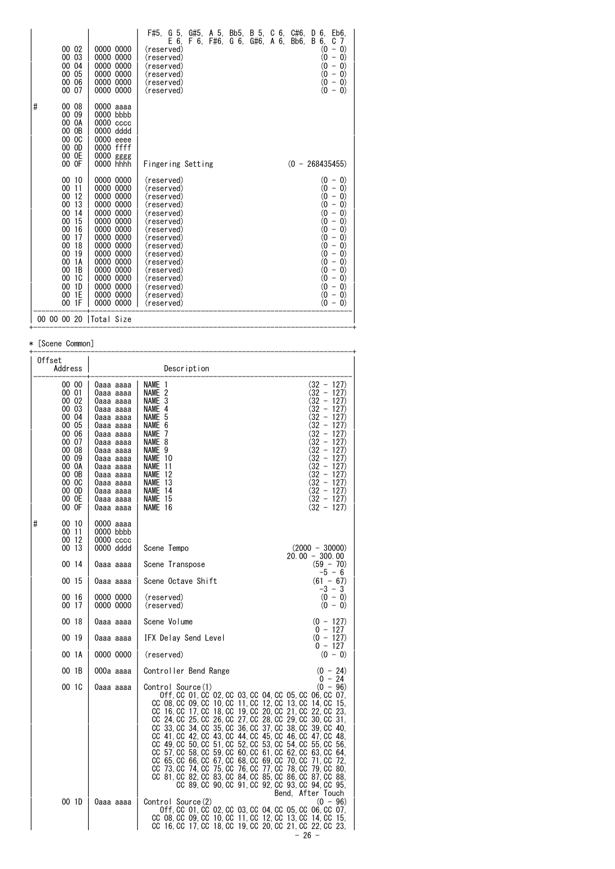| 00 02<br>0000 0000<br>00 03<br>0000 0000<br>00<br>04<br>0000 0000<br>05<br>00<br>0000 0000<br>00 06<br>0000 0000<br>00 07<br>0000 0000                                                                                                                                                                                                                                                                              | G 5,<br>G#5,<br>A 5, Bb5,<br>B 5,<br>6.<br>F#5.<br>C<br>6.<br>C#6.<br>D<br>Eb6.<br>E 6.<br>F#6.<br>G#6,<br>B<br>6.<br>C<br>F 6.<br>G 6.<br>A 6.<br>Bb6.<br>7<br>$- 0)$<br>(reserved)<br>(0<br>(0<br>$\left( 0\right)$<br>$\overline{\phantom{a}}$<br>(reserved)<br>(0<br>$\left( 0\right)$<br>(reserved)<br>$\qquad \qquad -$<br>(0<br>$\left( 0\right)$<br>(reserved)<br>$\overline{\phantom{a}}$<br>(0<br>$\left( 0\right)$<br>(reserved)<br>$\overline{\phantom{a}}$<br>(0<br>$\left( 0\right)$<br>(reserved)<br>$\overline{\phantom{a}}$                                                                                                                                                                                                                                                                                                                                                                                                                                                                                                                     |
|---------------------------------------------------------------------------------------------------------------------------------------------------------------------------------------------------------------------------------------------------------------------------------------------------------------------------------------------------------------------------------------------------------------------|------------------------------------------------------------------------------------------------------------------------------------------------------------------------------------------------------------------------------------------------------------------------------------------------------------------------------------------------------------------------------------------------------------------------------------------------------------------------------------------------------------------------------------------------------------------------------------------------------------------------------------------------------------------------------------------------------------------------------------------------------------------------------------------------------------------------------------------------------------------------------------------------------------------------------------------------------------------------------------------------------------------------------------------------------------------|
| #<br>00 08<br>0000 aaaa<br>00<br>09<br>0000 bbbb<br>0000 cccc<br>00 OA<br>00 OB<br>0000 dddd<br>00 OC<br>0000 eeee<br>$00\,$<br>0D<br>0000 ffff<br>0E<br>$00\,$<br>0000<br>gggg<br>00 OF<br>0000 hhhh                                                                                                                                                                                                               | $(0 - 268435455)$<br>Fingering Setting                                                                                                                                                                                                                                                                                                                                                                                                                                                                                                                                                                                                                                                                                                                                                                                                                                                                                                                                                                                                                           |
| 0000 0000<br>00 10<br>00<br>0000 0000<br>11<br>00<br>12<br>0000 0000<br>00<br>13<br>0000 0000<br>00<br>0000 0000<br>14<br>00<br>0000 0000<br>15<br>$00\,$<br>0000 0000<br>16<br>00<br>17<br>0000 0000<br>00<br>18<br>0000 0000<br>00<br>19<br>0000 0000<br>00<br>1A<br>0000<br>0000<br>00<br>1B<br>0000 0000<br>00<br>10<br>0000 0000<br>00<br>1D<br>0000<br>0000<br>00<br>1E<br>0000 0000<br>00<br>1F<br>0000 0000 | $(0 - 0)$<br>(reserved)<br>(0<br>(reserved)<br>$\left( 0\right)$<br>$\overline{\phantom{m}}$<br>(0<br>$\left( 0\right)$<br>(reserved)<br>$\overline{\phantom{a}}$<br>(0<br>$\left( 0\right)$<br>(reserved)<br>$\qquad \qquad -$<br>(0<br>$\left( 0\right)$<br>(reserved)<br>$\overline{\phantom{a}}$<br>(0<br>$\vert 0\rangle$<br>(reserved)<br>$\overline{\phantom{a}}$<br>$\boldsymbol{0}$<br>$\vert 0\rangle$<br>(reserved)<br>$\overline{\phantom{a}}$<br>(0<br>$\left( 0\right)$<br>(reserved)<br>$\overline{\phantom{a}}$<br>(0<br>$\left( 0\right)$<br>(reserved)<br>$\overline{\phantom{a}}$<br>(0<br>$\left( 0\right)$<br>(reserved)<br>$\qquad \qquad -$<br>(0<br>$\left( 0\right)$<br>(reserved)<br>$\qquad \qquad -$<br>(0<br>$\left( 0\right)$<br>(reserved)<br>-<br>(0<br>$\left( 0\right)$<br>(reserved)<br>$\qquad \qquad -$<br>(0<br>$\left( 0\right)$<br>(reserved)<br>$\overline{\phantom{a}}$<br>(0<br>$\vert 0\rangle$<br>(reserved)<br>$\overline{\phantom{a}}$<br>(reserved)<br>$\omega$<br>$\left( 0\right)$<br>$\overline{\phantom{a}}$ |
| 00 00 00 20<br> Total Size                                                                                                                                                                                                                                                                                                                                                                                          |                                                                                                                                                                                                                                                                                                                                                                                                                                                                                                                                                                                                                                                                                                                                                                                                                                                                                                                                                                                                                                                                  |

+------------------------------------------------------------------------------+

#### \* [Scene Common]

| Offset<br>Address                                                                                                                            |                                                                                                                                                                                                              | Description                                                                                                                                                                                                                                                                                                                                                                                                                                                                                                                                                                                                                                                                                                                                                                                                                                                        |
|----------------------------------------------------------------------------------------------------------------------------------------------|--------------------------------------------------------------------------------------------------------------------------------------------------------------------------------------------------------------|--------------------------------------------------------------------------------------------------------------------------------------------------------------------------------------------------------------------------------------------------------------------------------------------------------------------------------------------------------------------------------------------------------------------------------------------------------------------------------------------------------------------------------------------------------------------------------------------------------------------------------------------------------------------------------------------------------------------------------------------------------------------------------------------------------------------------------------------------------------------|
| 00 00<br>00 01<br>00 02<br>00 03<br>00 04<br>00 05<br>00 06<br>00 07<br>00 08<br>00 09<br>00 OA<br>00 OB<br>00 OC<br>00 OD<br>00 OE<br>00 OF | 0aaa aaaa<br>0aaa aaaa<br>0aaa aaaa<br>0aaa aaaa<br>0aaa aaaa<br>0aaa aaaa<br>0aaa aaaa<br>0aaa aaaa<br>0aaa aaaa<br>0aaa aaaa<br>0aaa aaaa<br>0aaa aaaa<br>0aaa aaaa<br>0aaa aaaa<br>0aaa aaaa<br>0aaa aaaa | $(32 - 127)$<br><b>NAME</b><br>-1<br>$(32 - 127)$<br>NAME 2<br>3<br>(32 - 127)<br><b>NAME</b><br>NAME 4<br>(32 - 127)<br>(32 – 127)<br>5<br><b>NAME</b><br>(32 - 127)<br>NAME<br>6<br>$(32 - 127)$<br><b>NAME</b><br>7<br>(32 - 127)<br>NAME 8<br>$(32 - 127)$<br>9<br><b>NAME</b><br>(32 - 127)<br>NAME 10<br>(32 - 127)<br><b>NAME</b><br>-11<br>(32 - 127)<br><b>NAME</b><br>-12<br>$(32 - 127)$<br>-13<br><b>NAME</b><br>$(32 - 127)$<br>NAME 14<br>$(32 - 127)$<br>NAME 15<br>$(32 - 127)$<br>NAME 16                                                                                                                                                                                                                                                                                                                                                         |
| #<br>00 10<br>00 11<br>00 12<br>00 13                                                                                                        | 0000 aaaa<br>0000 bbbb<br>$0000\,\csc$<br>0000 dddd                                                                                                                                                          | $(2000 - 30000)$<br>Scene Tempo                                                                                                                                                                                                                                                                                                                                                                                                                                                                                                                                                                                                                                                                                                                                                                                                                                    |
| 00 14                                                                                                                                        | 0aaa aaaa                                                                                                                                                                                                    | $20.00 - 300.00$<br>$(59 - 70)$<br>Scene Transpose                                                                                                                                                                                                                                                                                                                                                                                                                                                                                                                                                                                                                                                                                                                                                                                                                 |
| 00 15                                                                                                                                        | 0aaa aaaa                                                                                                                                                                                                    | $-5 - 6$<br>$(61 - 67)$<br>Scene Octave Shift                                                                                                                                                                                                                                                                                                                                                                                                                                                                                                                                                                                                                                                                                                                                                                                                                      |
| 00 16<br>00 17                                                                                                                               | 0000 0000<br>0000 0000                                                                                                                                                                                       | -3 - 3<br>$(0 - 0)$<br>(reserved)<br>$(0 - 0)$<br>(reserved)                                                                                                                                                                                                                                                                                                                                                                                                                                                                                                                                                                                                                                                                                                                                                                                                       |
| 00 18                                                                                                                                        | 0aaa aaaa                                                                                                                                                                                                    | Scene Volume<br>$(0 - 127)$<br>$0 - 127$                                                                                                                                                                                                                                                                                                                                                                                                                                                                                                                                                                                                                                                                                                                                                                                                                           |
| 00 19                                                                                                                                        | 0aaa aaaa                                                                                                                                                                                                    | IFX Delay Send Level<br>$(0 - 127)$<br>$0 - 127$                                                                                                                                                                                                                                                                                                                                                                                                                                                                                                                                                                                                                                                                                                                                                                                                                   |
| 00 1A                                                                                                                                        | 0000 0000                                                                                                                                                                                                    | (reserved)<br>$(0 - 0)$                                                                                                                                                                                                                                                                                                                                                                                                                                                                                                                                                                                                                                                                                                                                                                                                                                            |
| 00 1B                                                                                                                                        | 000a aaaa                                                                                                                                                                                                    | $(0 - 24)$<br>Controller Bend Range<br>$0 - 24$                                                                                                                                                                                                                                                                                                                                                                                                                                                                                                                                                                                                                                                                                                                                                                                                                    |
| 00 1C                                                                                                                                        | 0aaa aaaa                                                                                                                                                                                                    | $(0 - 96)$<br>Control Source(1)<br>0ff, CC 01, CC 02, CC 03, CC 04, CC 05, CC 06, CC 07,<br>CC 08. CC 09. CC 10. CC 11. CC 12. CC 13. CC 14. CC<br>-15.<br>CC 16, CC 17, CC 18, CC 19, CC 20, CC<br>21. CC<br>22. CC<br>23,<br>CC 24, CC 25, CC 26, CC 27, CC 28, CC<br>29, CC<br>30, CC 31,<br>35, CC 36, CC 37, CC<br>CC 33, CC 34, CC<br>39, CC<br>38, CC<br>-40.<br>CC 41. CC 42. CC 43. CC 44. CC 45. CC<br>46. CC 47. CC 48.<br>50. CC<br>51, CC 52, CC 53, CC<br>55. CC<br>$CC$ 49. $CC$<br>54. CC<br>56.<br>CC 57. CC 58. CC<br>59. CC 60. CC 61. CC<br>62. CC<br>63. CC<br>64.<br>CC 65, CC 66, CC 67, CC 68, CC 69, CC<br>70, CC<br>71, CC<br>72.<br>75, CC 76, CC 77, CC<br>CC 73. CC 74. CC<br>78. CC<br>79.CC 80.<br>CC 81, CC 82, CC 83, CC 84, CC 85, CC 86, CC 87, CC 88,<br>CC 89, CC 90, CC 91, CC 92, CC 93, CC 94, CC 95,<br>Bend. After Touch |
| 00 1D                                                                                                                                        | 0aaa aaaa                                                                                                                                                                                                    | Control Source(2)<br>$(0 - 96)$<br>0ff, CC 01, CC 02, CC 03, CC 04, CC 05, CC 06, CC 07,<br>CC 08, CC 09, CC 10, CC 11, CC 12, CC 13, CC 14, CC 15,<br>CC 16, CC 17, CC 18, CC 19, CC 20, CC 21, CC 22, CC 23,<br>- 26 -                                                                                                                                                                                                                                                                                                                                                                                                                                                                                                                                                                                                                                           |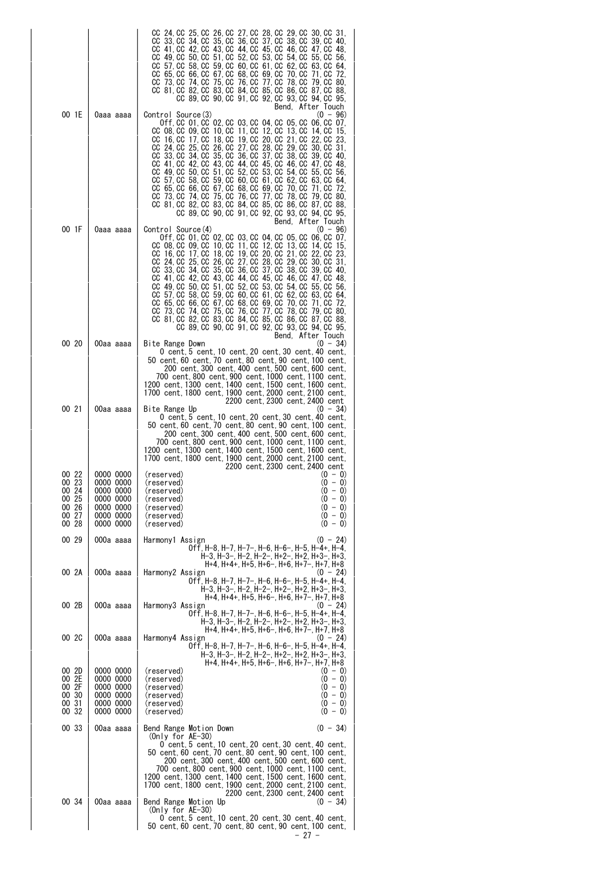|                                                             |                                                                                         | CC 24, CC 25, CC 26, CC 27, CC 28, CC 29, CC 30, CC<br>31.<br>CC 33. CC 34. CC 35. CC 36. CC 37. CC 38. CC<br>39. CC<br>40.<br>CC 41, CC 42, CC 43, CC 44, CC 45, CC 46, CC 47, CC 48,<br>CC 49, CC 50, CC 51, CC 52, CC 53, CC 54, CC 55, CC 56,<br>CC 57, CC 58, CC<br>59.CC 60.CC 61.CC<br>62, CC 63, CC<br>64.<br>CC 65, CC 66, CC 67, CC 68, CC 69, CC<br>70. CC 71. CC<br>-72.<br>CC 73 CC 74 CC 75 CC 76 CC 77 CC 78 CC 79 CC 80<br>CC 81, CC 82, CC 83, CC 84, CC 85, CC 86, CC 87, CC<br>-88.<br>CC 89, CC 90, CC 91, CC 92, CC 93, CC 94, CC 95,<br>Bend, After Touch                                                                                                                                                                                                                                                 |
|-------------------------------------------------------------|-----------------------------------------------------------------------------------------|---------------------------------------------------------------------------------------------------------------------------------------------------------------------------------------------------------------------------------------------------------------------------------------------------------------------------------------------------------------------------------------------------------------------------------------------------------------------------------------------------------------------------------------------------------------------------------------------------------------------------------------------------------------------------------------------------------------------------------------------------------------------------------------------------------------------------------|
| 00 1E                                                       | 0aaa aaaa                                                                               | Control Source(3)<br>$(0 - 96)$<br>0ff, CC 01, CC 02, CC 03, CC 04, CC 05, CC 06, CC 07,<br>CC 08, CC 09, CC 10, CC 11, CC 12, CC 13, CC 14, CC<br>-15.<br>CC 16, CC 17, CC 18, CC 19, CC 20, CC 21, CC 22, CC<br>-23.<br>CC 24, CC 25, CC 26, CC 27, CC 28, CC 29, CC 30, CC<br>-31.<br>CC 33, CC 34, CC 35, CC 36, CC 37, CC<br>38. CC<br>39.CC 40.<br>CC 41, CC 42, CC 43, CC 44, CC 45, CC<br>46. CC<br>47. CC<br>48.<br>CC 49, CC 50, CC 51, CC 52, CC 53, CC 54, CC 55, CC<br>-56.<br>CC 57, CC 58, CC<br>59. CC 60. CC 61. CC 62. CC 63. CC<br>64.<br>CC 65, CC 66, CC 67, CC 68, CC 69, CC<br>70. CC<br>71. CC<br>-72.<br>CC 73, CC 74, CC 75, CC 76, CC 77, CC 78, CC<br>79.CC 80.<br>CC 81, CC 82, CC 83, CC 84, CC 85, CC 86, CC 87, CC 88,<br>CC 89, CC 90, CC 91, CC 92, CC 93, CC 94, CC 95,<br>Bend, After Touch |
| 00 1F                                                       | 0aaa aaaa                                                                               | Control Source(4)<br>$(0 - 96)$<br>Off. CC 01. CC 02. CC 03. CC 04. CC 05. CC 06. CC 07.<br>CC 08, CC 09, CC 10, CC 11, CC 12, CC 13, CC 14, CC<br>-15.<br>CC 16, CC 17, CC 18, CC 19, CC 20, CC 21, CC 22, CC 23,<br>CC 24, CC 25, CC 26, CC 27, CC 28, CC 29, CC 30, CC 31,<br>CC 33, CC 34, CC 35, CC 36, CC 37, CC 38, CC<br>39. CC<br>40.<br>CC 41, CC 42, CC 43, CC 44, CC 45, CC 46, CC 47, CC<br>-48.<br>CC 49. CC 50. CC 51. CC 52. CC 53. CC 54. CC 55. CC 56.<br>CC 57, CC 58, CC<br>59.CC 60.CC 61.CC<br>62. CC<br>63. CC<br>64.<br>CC 65, CC 66, CC 67, CC 68, CC 69, CC<br>70. CC<br>71. CC<br>-72.<br>CC 73, CC 74, CC 75, CC 76, CC 77, CC 78, CC 79, CC 80,<br>CC 81, CC 82, CC 83, CC 84, CC 85, CC 86, CC 87, CC 88,<br>CC 89, CC 90, CC 91, CC 92, CC 93, CC 94, CC 95,<br>Bend, After Touch                |
| 00 20                                                       | 00aa aaaa                                                                               | Bite Range Down<br>$(0 - 34)$<br>0 cent, 5 cent, 10 cent, 20 cent, 30 cent, 40 cent,<br>200 cent, 300 cent, 400 cent, 500 cent, 600 cent,<br>700 cent,800 cent,900 cent,1000 cent,1100 cent,<br>1200 cent,1300 cent,1400 cent,1500 cent,1600 cent,<br>1700 cent,1800 cent,1900 cent,2000 cent,2100 cent,<br>2200 cent, 2300 cent, 2400 cent                                                                                                                                                                                                                                                                                                                                                                                                                                                                                     |
| 00 21                                                       | 00aa aaaa                                                                               | Bite Range Up<br>$(0 - 34)$<br>0 cent, 5 cent, 10 cent, 20 cent, 30 cent, 40 cent,<br>50 cent, 60 cent, 70 cent, 80 cent, 90 cent, 100 cent,<br>200 cent, 300 cent, 400 cent, 500 cent, 600 cent,<br>700 cent, 800 cent, 900 cent, 1000 cent, 1100 cent,<br>1200 cent, 1300 cent, 1400 cent, 1500 cent, 1600 cent,<br>1700 cent, 1800 cent, 1900 cent, 2000 cent, 2100 cent,<br>2200 cent. 2300 cent. 2400 cent                                                                                                                                                                                                                                                                                                                                                                                                                 |
| 00 22<br>00 23<br>00 24<br>00 25<br>00 26<br>00 27<br>00 28 | 0000 0000<br>0000 0000<br>0000 0000<br>0000 0000<br>0000 0000<br>0000 0000<br>0000 0000 | (0 - 0)<br>(reserved)<br>$(0 - 0)$<br>(reserved)<br>(reserved)<br>$(0 - 0)$<br>$(0 - 0)$<br>(reserved)<br>$(0 - 0)$<br>(reserved)<br>$(0 - 0)$<br>(reserved)<br>$(0 - 0)$<br>(reserved)                                                                                                                                                                                                                                                                                                                                                                                                                                                                                                                                                                                                                                         |
| 00 29                                                       | 000a aaaa                                                                               | $(0 - 24)$<br>Harmony1 Assign<br>Off, H-8, H-7, H-7-, H-6, H-6-, H-5, H-4+, H-4,<br>H-3, H-3-, H-2, H-2-, H+2-, H+2, H+3-, H+3,                                                                                                                                                                                                                                                                                                                                                                                                                                                                                                                                                                                                                                                                                                 |
| 00 2A                                                       | 000a aaaa                                                                               | H+4, H+4+, H+5, H+6-, H+6, H+7-, H+7, H+8<br>Harmony2 Assign<br>$(0 - 24)$<br>Off. H-8. H-7. H-7-. H-6. H-6-. H-5. H-4+. H-4.<br>H-3, H-3-, H-2, H-2-, H+2-, H+2, H+3-, H+3,                                                                                                                                                                                                                                                                                                                                                                                                                                                                                                                                                                                                                                                    |
| 00 2B                                                       | 000a aaaa                                                                               | H+4, H+4+, H+5, H+6-, H+6, H+7-, H+7, H+8<br>Harmony3 Assign<br>$(0 - 24)$<br>Off, H-8, H-7, H-7-, H-6, H-6-, H-5, H-4+, H-4,<br>H-3, H-3-, H-2, H-2-, H+2-, H+2, H+3-, H+3,                                                                                                                                                                                                                                                                                                                                                                                                                                                                                                                                                                                                                                                    |
| 00 2C                                                       | 000a aaaa                                                                               | H+4, H+4+, H+5, H+6-, H+6, H+7-, H+7, H+8<br>Harmony4 Assign<br>$(0 - 24)$<br>Off, H-8, H-7, H-7-, H-6, H-6-, H-5, H-4+, H-4,<br>H-3, H-3-, H-2, H-2-, H+2-, H+2, H+3-, H+3,                                                                                                                                                                                                                                                                                                                                                                                                                                                                                                                                                                                                                                                    |
| 00 2D<br>00 2E<br>00 2F<br>00 30<br>00 31<br>00 32          | 0000 0000<br>0000 0000<br>0000 0000<br>0000 0000<br>0000 0000<br>0000 0000              | H+4, H+4+, H+5, H+6-, H+6, H+7-, H+7, H+8<br>(reserved)<br>$(0 - 0)$<br>$(0 - 0)$<br>(reserved)<br>$(0 - 0)$<br>(reserved)<br>$(0 - 0)$<br>(reserved)<br>$(0 - 0)$<br>(reserved)<br>$(0 - 0)$<br>(reserved)                                                                                                                                                                                                                                                                                                                                                                                                                                                                                                                                                                                                                     |
| 00 33                                                       | 00aa aaaa                                                                               | Bend Range Motion Down<br>$(0 - 34)$<br>(Only for $AE-30$ )<br>0 cent, 5 cent, 10 cent, 20 cent, 30 cent, 40 cent,<br>50 cent, 60 cent, 70 cent, 80 cent, 90 cent, 100 cent,<br>200 cent, 300 cent, 400 cent, 500 cent, 600 cent,<br>700 cent,800 cent,900 cent,1000 cent,1100 cent,<br>1200 cent, 1300 cent, 1400 cent, 1500 cent, 1600 cent,<br>1700 cent,1800 cent,1900 cent,2000 cent,2100 cent,<br>2200 cent, 2300 cent, 2400 cent                                                                                                                                                                                                                                                                                                                                                                                         |
| 00 34                                                       | 00aa aaaa                                                                               | Bend Range Motion Up<br>$(0 - 34)$<br>(Only for $AE-30$ )<br>0 cent, 5 cent, 10 cent, 20 cent, 30 cent, 40 cent,<br>50 cent, 60 cent, 70 cent, 80 cent, 90 cent, 100 cent,<br>- 27 -                                                                                                                                                                                                                                                                                                                                                                                                                                                                                                                                                                                                                                            |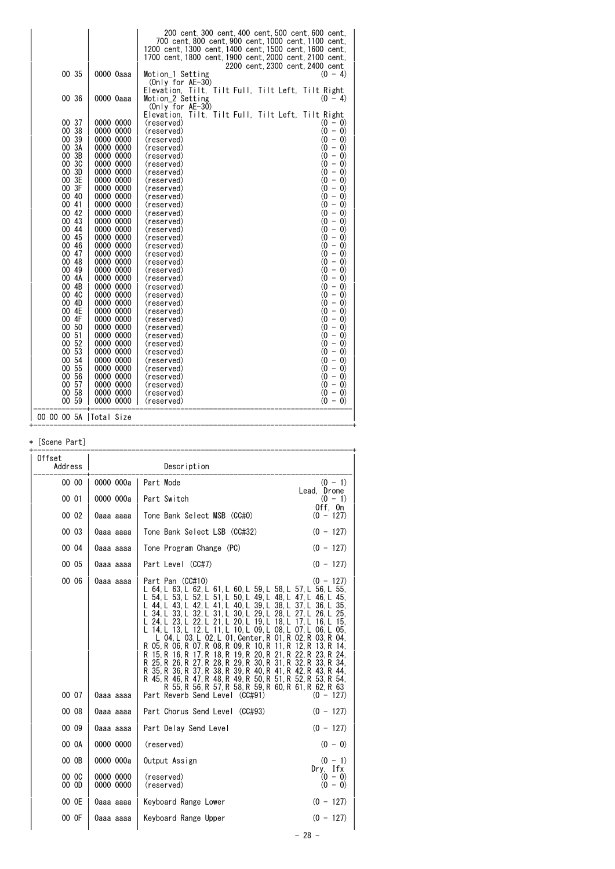|                          |                        | 200 cent, 300 cent, 400 cent, 500 cent, 600 cent,<br>700 cent.800 cent.900 cent.1000 cent.1100 cent.<br>1200 cent, 1300 cent, 1400 cent, 1500 cent, 1600 cent,<br>1700 cent, 1800 cent, 1900 cent, 2000 cent, 2100 cent,<br>2200 cent, 2300 cent, 2400 cent |
|--------------------------|------------------------|-------------------------------------------------------------------------------------------------------------------------------------------------------------------------------------------------------------------------------------------------------------|
| 00 35                    | 0000 0aaa              | Motion 1 Setting<br>$(0 - 4)$<br>$(Only for AE-30)$<br>Elevation, Tilt, Tilt Full, Tilt Left, Tilt Right                                                                                                                                                    |
| 00 36                    | 0000 0aaa              | Motion 2 Setting<br>$(0 - 4)$<br>$(Onlv for AE-30)$<br>Tilt, Tilt Full, Tilt Left,<br>Tilt Right<br>Elevation,                                                                                                                                              |
| 00 37                    | 0000 0000              | (reserved)<br>$(0 - 0)$                                                                                                                                                                                                                                     |
| 00 38                    | 0000 0000              | $(0 - 0)$<br>(reserved)                                                                                                                                                                                                                                     |
| 00 39                    | 0000 0000              | $(0 - 0)$<br>(reserved)                                                                                                                                                                                                                                     |
| 00 3A                    | 0000 0000              | $(0 - 0)$<br>(reserved)                                                                                                                                                                                                                                     |
| 00 3B                    | 0000 0000              | (0<br>$-0)$<br>(reserved)                                                                                                                                                                                                                                   |
| 00 3C                    | 0000 0000              | $(0 - 0)$<br>(reserved)                                                                                                                                                                                                                                     |
| 00 3D                    | 0000 0000              | $(0 - 0)$<br>(reserved)                                                                                                                                                                                                                                     |
| 00 3E<br>00 3F           | 0000 0000              | $(0 - 0)$<br>(reserved)                                                                                                                                                                                                                                     |
| 00 40                    | 0000 0000<br>0000 0000 | $(0 - 0)$<br>(reserved)<br>$(0 - 0)$<br>(reserved)                                                                                                                                                                                                          |
| 00 41                    | 0000 0000              | $(0 - 0)$<br>(reserved)                                                                                                                                                                                                                                     |
| 00 42                    | 0000 0000              | $(0 - 0)$<br>(reserved)                                                                                                                                                                                                                                     |
| 00 43                    | 0000 0000              | $(0 - 0)$<br>(reserved)                                                                                                                                                                                                                                     |
| 00 44                    | 0000 0000              | $(0 - 0)$<br>(reserved)                                                                                                                                                                                                                                     |
| 00 45                    | 0000 0000              | $(0 - 0)$<br>(reserved)                                                                                                                                                                                                                                     |
| 00 46                    | 0000 0000              | $(0 - 0)$<br>(reserved)                                                                                                                                                                                                                                     |
| 00 47                    | 0000 0000              | $(0 - 0)$<br>(reserved)                                                                                                                                                                                                                                     |
| 00 48                    | 0000 0000              | (0<br>$- 0)$<br>(reserved)                                                                                                                                                                                                                                  |
| 00<br>49                 | 0000 0000              | $(0 - 0)$<br>(reserved)                                                                                                                                                                                                                                     |
| 00 4A                    | 0000 0000              | $(0 - 0)$<br>(reserved)                                                                                                                                                                                                                                     |
| 00 4B<br>00 4C           | 0000 0000<br>0000 0000 | $(0 - 0)$<br>(reserved)<br>$(0 - 0)$<br>(reserved)                                                                                                                                                                                                          |
| 00 4D                    | 0000 0000              | $(0 - 0)$<br>(reserved)                                                                                                                                                                                                                                     |
| 00 4E                    | 0000 0000              | $(0 - 0)$<br>(reserved)                                                                                                                                                                                                                                     |
| 00 4F                    | 0000 0000              | $(0 - 0)$<br>(reserved)                                                                                                                                                                                                                                     |
| 00 50                    | 0000 0000              | $(0 - 0)$<br>(reserved)                                                                                                                                                                                                                                     |
| 00 51                    | 0000 0000              | $(0 - 0)$<br>(reserved)                                                                                                                                                                                                                                     |
| 00 52                    | 0000 0000              | $(0 - 0)$<br>(reserved)                                                                                                                                                                                                                                     |
| 00 53                    | 0000 0000              | (0<br>$-0)$<br>(reserved)                                                                                                                                                                                                                                   |
| 00 54                    | 0000 0000              | $(0 - 0)$<br>(reserved)                                                                                                                                                                                                                                     |
| 00 55<br>00 56           | 0000 0000<br>0000 0000 | $(0 - 0)$<br>(reserved)<br>$(0 - 0)$                                                                                                                                                                                                                        |
| 00 57                    | 0000 0000              | (reserved)<br>$(0 - 0)$<br>(reserved)                                                                                                                                                                                                                       |
| 00 58                    | 0000 0000              | $(0 - 0)$<br>(reserved)                                                                                                                                                                                                                                     |
| 00 59                    | 0000 0000              | (reserved)<br>$(0 - 0)$                                                                                                                                                                                                                                     |
| 00 00 00 5A   Total Size |                        |                                                                                                                                                                                                                                                             |

+------------------------------------------------------------------------------+

#### \* [Scene Part]

| Offset<br>Address |                        | Description                                                                                                                                                                                                                                                                                                                                                                                                                                                                                                                                                                                                                                                                                                                                                                                                            |                            |
|-------------------|------------------------|------------------------------------------------------------------------------------------------------------------------------------------------------------------------------------------------------------------------------------------------------------------------------------------------------------------------------------------------------------------------------------------------------------------------------------------------------------------------------------------------------------------------------------------------------------------------------------------------------------------------------------------------------------------------------------------------------------------------------------------------------------------------------------------------------------------------|----------------------------|
| 00 00             | 0000 000a              | Part Mode                                                                                                                                                                                                                                                                                                                                                                                                                                                                                                                                                                                                                                                                                                                                                                                                              | $(0 - 1)$<br>Lead. Drone   |
| 00 01             | 0000 000a              | Part Switch                                                                                                                                                                                                                                                                                                                                                                                                                                                                                                                                                                                                                                                                                                                                                                                                            | $(0 - 1)$<br>Off, On       |
| 00 02             | Oaaa aaaa              | Tone Bank Select MSB (CC#0)                                                                                                                                                                                                                                                                                                                                                                                                                                                                                                                                                                                                                                                                                                                                                                                            | $(0 - 127)$                |
| 00 03             | 0aaa aaaa              | Tone Bank Select LSB (CC#32)                                                                                                                                                                                                                                                                                                                                                                                                                                                                                                                                                                                                                                                                                                                                                                                           | $(0 - 127)$                |
| 00 04             | Oaaa aaaa              | Tone Program Change (PC)                                                                                                                                                                                                                                                                                                                                                                                                                                                                                                                                                                                                                                                                                                                                                                                               | $(0 - 127)$                |
| 00 05             | Oaaa aaaa              | Part Level (CC#7)                                                                                                                                                                                                                                                                                                                                                                                                                                                                                                                                                                                                                                                                                                                                                                                                      | $(0 - 127)$                |
| 00 06<br>00 07    | 0aaa aaaa<br>0aaa aaaa | Part Pan (CC#10)<br>L 64 L 63 L 62 L 61 L 60 L 59 L 58 L 57 L 56 L 55<br>L 54 L 53 L 52 L 51 L 50 L 49 L 48 L 47 L 46 L 45<br>L 44 L 43 L 42 L 41 L 40 L 39 L 38 L 37 L 36 L 35<br>L 34 L 33 L 32 L 31 L 30 L 29 L 28 L 27 L 26 L 25<br>L 24 L 23 L 22 L 21 L 20 L 19 L 18 L 17 L 16 L 15<br>L 14 L 13 L 12 L 11 L 10 L 09 L 08 L 07 L 06 L 05<br>L 04. L 03. L 02. L 01. Center. R 01. R 02. R 03. R 04.<br>R 05. R 06. R 07. R 08. R 09. R 10. R 11. R 12. R 13. R 14.<br>R 15, R 16, R 17, R 18, R 19, R 20, R 21, R 22, R 23, R 24,<br>R 25, R 26, R 27, R 28, R 29, R 30, R 31, R 32, R 33, R 34,<br>R 35, R 36, R 37, R 38, R 39, R 40, R 41, R 42, R 43, R 44,<br>R 45, R 46, R 47, R 48, R 49, R 50, R 51, R 52, R 53, R 54,<br>R 55 R 56 R 57 R 58 R 59 R 60 R 61 R 62 R 63<br>Part Reverb Send Level (CC#91) | $(0 - 127)$<br>$(0 - 127)$ |
| 00 08             | Oaaa aaaa              | Part Chorus Send Level (CC#93)                                                                                                                                                                                                                                                                                                                                                                                                                                                                                                                                                                                                                                                                                                                                                                                         | $(0 - 127)$                |
| 00 09             | Oaaa aaaa              | Part Delay Send Level                                                                                                                                                                                                                                                                                                                                                                                                                                                                                                                                                                                                                                                                                                                                                                                                  | $(0 - 127)$                |
| 00 0A             | 0000 0000              | (reserved)                                                                                                                                                                                                                                                                                                                                                                                                                                                                                                                                                                                                                                                                                                                                                                                                             | $(0 - 0)$                  |
| 00 OB             | 0000 000a              | Output Assign                                                                                                                                                                                                                                                                                                                                                                                                                                                                                                                                                                                                                                                                                                                                                                                                          | $(0 - 1)$<br>Dry. Ifx      |
| 00 OC<br>00 OD    | 0000 0000<br>0000 0000 | (reserved)<br>(reserved)                                                                                                                                                                                                                                                                                                                                                                                                                                                                                                                                                                                                                                                                                                                                                                                               | $(0 - 0)$<br>$(0 - 0)$     |
| 00 OE             | 0aaa aaaa              | Keyboard Range Lower                                                                                                                                                                                                                                                                                                                                                                                                                                                                                                                                                                                                                                                                                                                                                                                                   | $(0 - 127)$                |
| 00 OF             | 0aaa aaaa              | Keyboard Range Upper                                                                                                                                                                                                                                                                                                                                                                                                                                                                                                                                                                                                                                                                                                                                                                                                   | $(0 - 127)$                |
|                   |                        |                                                                                                                                                                                                                                                                                                                                                                                                                                                                                                                                                                                                                                                                                                                                                                                                                        | $-28 -$                    |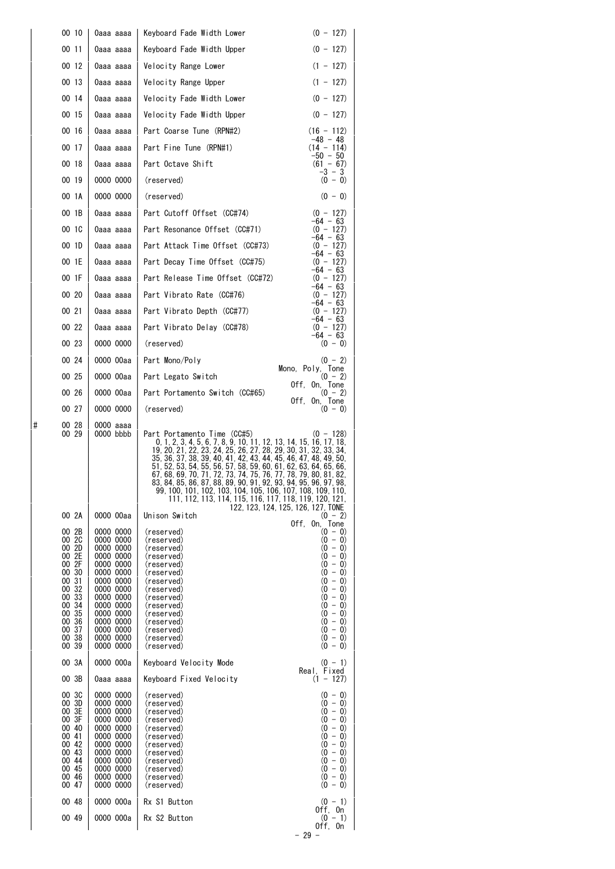|   | 00 10                                                                                                                                        | 0aaa aaaa                                                                                                                                                                                                    | $(0 - 127)$<br>Keyboard Fade Width Lower                                                                                                                                                                                                                                                                                                                                                                                                                                                                                                                                               |  |
|---|----------------------------------------------------------------------------------------------------------------------------------------------|--------------------------------------------------------------------------------------------------------------------------------------------------------------------------------------------------------------|----------------------------------------------------------------------------------------------------------------------------------------------------------------------------------------------------------------------------------------------------------------------------------------------------------------------------------------------------------------------------------------------------------------------------------------------------------------------------------------------------------------------------------------------------------------------------------------|--|
|   | 00 11                                                                                                                                        | 0aaa aaaa                                                                                                                                                                                                    | $(0 - 127)$<br>Keyboard Fade Width Upper                                                                                                                                                                                                                                                                                                                                                                                                                                                                                                                                               |  |
|   | 00 12                                                                                                                                        | 0aaa aaaa                                                                                                                                                                                                    | $(1 - 127)$<br>Velocity Range Lower                                                                                                                                                                                                                                                                                                                                                                                                                                                                                                                                                    |  |
|   | 00 13                                                                                                                                        | 0aaa aaaa                                                                                                                                                                                                    | $(1 - 127)$<br>Velocity Range Upper                                                                                                                                                                                                                                                                                                                                                                                                                                                                                                                                                    |  |
|   | 00 14                                                                                                                                        | 0aaa aaaa                                                                                                                                                                                                    | Velocity Fade Width Lower<br>$(0 - 127)$                                                                                                                                                                                                                                                                                                                                                                                                                                                                                                                                               |  |
|   | 00 15                                                                                                                                        | 0aaa aaaa                                                                                                                                                                                                    | $(0 - 127)$<br>Velocity Fade Width Upper                                                                                                                                                                                                                                                                                                                                                                                                                                                                                                                                               |  |
|   | 00 16                                                                                                                                        | 0aaa aaaa                                                                                                                                                                                                    | Part Coarse Tune (RPN#2)<br>$(16 - 112)$<br>$-48 - 48$                                                                                                                                                                                                                                                                                                                                                                                                                                                                                                                                 |  |
|   | 00 17                                                                                                                                        | 0aaa aaaa                                                                                                                                                                                                    | Part Fine Tune (RPN#1)<br>$(14 - 114)$                                                                                                                                                                                                                                                                                                                                                                                                                                                                                                                                                 |  |
|   | 00 18                                                                                                                                        | 0aaa aaaa                                                                                                                                                                                                    | -50 - 50<br>Part Octave Shift<br>$(61 - 67)$<br>$-3 - 3$                                                                                                                                                                                                                                                                                                                                                                                                                                                                                                                               |  |
|   | 00 19                                                                                                                                        | 0000 0000                                                                                                                                                                                                    | $(0 - 0)$<br>(reserved)                                                                                                                                                                                                                                                                                                                                                                                                                                                                                                                                                                |  |
|   | 00 1A                                                                                                                                        | 0000 0000                                                                                                                                                                                                    | $(0 - 0)$<br>(reserved)                                                                                                                                                                                                                                                                                                                                                                                                                                                                                                                                                                |  |
|   | 00 1B                                                                                                                                        | 0aaa aaaa                                                                                                                                                                                                    | Part Cutoff Offset (CC#74)<br>$(0 - 127)$                                                                                                                                                                                                                                                                                                                                                                                                                                                                                                                                              |  |
|   | 00 1C                                                                                                                                        | 0aaa aaaa                                                                                                                                                                                                    | $-64 - 63$<br>Part Resonance Offset (CC#71)<br>$(0 - 127)$<br>$-64 - 63$                                                                                                                                                                                                                                                                                                                                                                                                                                                                                                               |  |
|   | 00 1D                                                                                                                                        | 0aaa aaaa                                                                                                                                                                                                    | Part Attack Time Offset (CC#73)<br>$(0 - 127)$<br>$-64 - 63$                                                                                                                                                                                                                                                                                                                                                                                                                                                                                                                           |  |
|   | 00 1E                                                                                                                                        | 0aaa aaaa                                                                                                                                                                                                    | Part Decay Time Offset (CC#75)<br>$(0 - 127)$                                                                                                                                                                                                                                                                                                                                                                                                                                                                                                                                          |  |
|   | 00 1F                                                                                                                                        | 0aaa aaaa                                                                                                                                                                                                    | $-64 - 63$<br>Part Release Time Offset (CC#72)<br>$(0 - 127)$                                                                                                                                                                                                                                                                                                                                                                                                                                                                                                                          |  |
|   | 00 20                                                                                                                                        | 0aaa aaaa                                                                                                                                                                                                    | $-64 - 63$<br>Part Vibrato Rate (CC#76)<br>$(0 - 127)$<br>$-64 - 63$                                                                                                                                                                                                                                                                                                                                                                                                                                                                                                                   |  |
|   | 00 21                                                                                                                                        | 0aaa aaaa                                                                                                                                                                                                    | Part Vibrato Depth (CC#77)<br>$(0 - 127)$                                                                                                                                                                                                                                                                                                                                                                                                                                                                                                                                              |  |
|   | 00 22                                                                                                                                        | 0aaa aaaa                                                                                                                                                                                                    | $-64 - 63$<br>Part Vibrato Delay (CC#78)<br>$(0 - 127)$                                                                                                                                                                                                                                                                                                                                                                                                                                                                                                                                |  |
|   | 00 23                                                                                                                                        | 0000 0000                                                                                                                                                                                                    | $-64 - 63$<br>(reserved)<br>$(0 - 0)$                                                                                                                                                                                                                                                                                                                                                                                                                                                                                                                                                  |  |
|   | 00 24                                                                                                                                        | 0000 00aa                                                                                                                                                                                                    | Part Mono/Poly<br>$(0 - 2)$                                                                                                                                                                                                                                                                                                                                                                                                                                                                                                                                                            |  |
|   | 00 25                                                                                                                                        | 0000 00aa                                                                                                                                                                                                    | Mono, $Poly,$ Tone $(0 - 2)$<br>Part Legato Switch                                                                                                                                                                                                                                                                                                                                                                                                                                                                                                                                     |  |
|   | 00 26                                                                                                                                        | 0000 00aa                                                                                                                                                                                                    | Off, On, Tone<br>Part Portamento Switch (CC#65)<br>$(0 - 2)$                                                                                                                                                                                                                                                                                                                                                                                                                                                                                                                           |  |
|   | 00 27                                                                                                                                        | 0000 0000                                                                                                                                                                                                    | Off, On, Tone<br>(reserved)<br>$(0 - 0)$                                                                                                                                                                                                                                                                                                                                                                                                                                                                                                                                               |  |
| # | 00 28<br>00 29                                                                                                                               | 0000 aaaa<br>0000 bbbb                                                                                                                                                                                       | Part Portamento Time (CC#5)<br>$(0 - 128)$<br>0, 1, 2, 3, 4, 5, 6, 7, 8, 9, 10, 11, 12, 13, 14, 15, 16, 17, 18,<br>19, 20, 21, 22, 23, 24, 25, 26, 27, 28, 29, 30, 31, 32, 33, 34,<br>35, 36, 37, 38, 39, 40, 41, 42, 43, 44, 45, 46, 47, 48, 49, 50,<br>51, 52, 53, 54, 55, 56, 57, 58, 59, 60, 61, 62, 63, 64, 65, 66,<br>67, 68, 69, 70, 71, 72, 73, 74, 75, 76, 77, 78, 79, 80, 81, 82,<br>83, 84, 85, 86, 87, 88, 89, 90, 91, 92, 93, 94, 95, 96, 97, 98,<br>99, 100, 101, 102, 103, 104, 105, 106, 107, 108, 109, 110,<br>111, 112, 113, 114, 115, 116, 117, 118, 119, 120, 121, |  |
|   | 00 2A                                                                                                                                        | 0000 00aa                                                                                                                                                                                                    | 122, 123, 124, 125, 126, 127, TONE<br>Unison Switch<br>$(0 - 2)$                                                                                                                                                                                                                                                                                                                                                                                                                                                                                                                       |  |
|   | 00 2B<br>00 2C<br>00 2D<br>00 2E<br>00 2F<br>00 30<br>00 31<br>00 32<br>00 33<br>00 34<br>00 35<br>00 36<br>00 37<br>00 38<br>00 39<br>00 3A | 0000 0000<br>0000 0000<br>0000 0000<br>0000 0000<br>0000 0000<br>0000 0000<br>0000 0000<br>0000 0000<br>0000 0000<br>0000 0000<br>0000 0000<br>0000 0000<br>0000 0000<br>0000 0000<br>0000 0000<br>0000 000a | Off, On, Tone<br>(reserved)<br>$(0 - 0)$<br>$(0 - 0)$<br>(reserved)<br>$(0 - 0)$<br>(reserved)<br>$(0 - 0)$<br>(reserved)<br>$(0 - 0)$<br>(reserved)<br>$(0 - 0)$<br>(reserved)<br>$(0 - 0)$<br>(reserved)<br>$(0 - 0)$<br>(reserved)<br>$(0 - 0)$<br>(reserved)<br>$(0 - 0)$<br>(reserved)<br>$(0 - 0)$<br>(reserved)<br>$(0 - 0)$<br>(reserved)<br>$(0 - 0)$<br>(reserved)<br>$(0 - 0)$<br>(reserved)<br>$(0 - 0)$<br>(reserved)<br>Keyboard Velocity Mode<br>$(0 - 1)$                                                                                                              |  |
|   | 00 3B                                                                                                                                        | 0aaa aaaa                                                                                                                                                                                                    | Real, Fixed<br>Keyboard Fixed Velocity<br>$(1 - 127)$                                                                                                                                                                                                                                                                                                                                                                                                                                                                                                                                  |  |
|   | 00 3C<br>00 3D<br>00 3E<br>00 3F<br>00 40<br>00 41<br>00 42<br>00 43<br>00 44<br>00 45<br>00 46<br>00 47                                     | 0000 0000<br>0000 0000<br>0000 0000<br>0000 0000<br>0000 0000<br>0000 0000<br>0000 0000<br>0000 0000<br>0000 0000<br>0000 0000<br>0000 0000<br>0000 0000                                                     | $(0 - 0)$<br>(reserved)<br>$(0 - 0)$<br>(reserved)<br>$(0 - 0)$<br>(reserved)<br>$(0 - 0)$<br>(reserved)<br>$(0 - 0)$<br>(reserved)<br>$(0 - 0)$<br>(reserved)<br>$(0 - 0)$<br>(reserved)<br>$(0 - 0)$<br>(reserved)<br>$(0 - 0)$<br>(reserved)<br>$(0 - 0)$<br>(reserved)<br>$(0 - 0)$<br>(reserved)<br>(reserved)<br>$(0 - 0)$                                                                                                                                                                                                                                                       |  |
|   | 00 48                                                                                                                                        | 0000 000a                                                                                                                                                                                                    | Rx S1 Button<br>$(0 - 1)$<br>Off, On                                                                                                                                                                                                                                                                                                                                                                                                                                                                                                                                                   |  |
|   | 00 49                                                                                                                                        | 0000 000a                                                                                                                                                                                                    | Rx S2 Button<br>$(0 - 1)$<br>Off, On<br>$-29 -$                                                                                                                                                                                                                                                                                                                                                                                                                                                                                                                                        |  |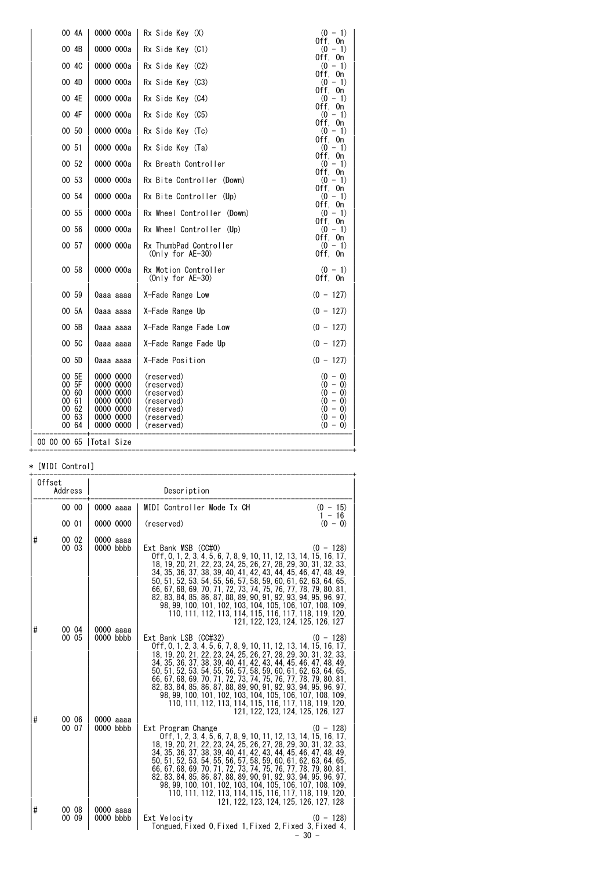| 00 4A                                                       | 0000 000a                                                                               | Rx Side Key (X)                                                                                | $(0 - 1)$                                                                               |
|-------------------------------------------------------------|-----------------------------------------------------------------------------------------|------------------------------------------------------------------------------------------------|-----------------------------------------------------------------------------------------|
| 00 4B                                                       | 0000 000a                                                                               | Rx Side Key (C1)                                                                               | Off, On<br>$(0 - 1)$                                                                    |
| 00 4C                                                       | 0000 000a                                                                               | Rx Side Key (C2)                                                                               | Off, On<br>$(0 - 1)$                                                                    |
| 00 4D                                                       | 0000 000a                                                                               | Rx Side Key (C3)                                                                               | Off, On<br>$(0 - 1)$                                                                    |
| 00 4E                                                       | 0000 000a                                                                               | Rx Side Key (C4)                                                                               | Off. On<br>$(0 - 1)$                                                                    |
|                                                             |                                                                                         |                                                                                                | Off, On                                                                                 |
| 00 4F                                                       | 0000 000a                                                                               | Rx Side Key (C5)                                                                               | $(0 - 1)$<br>Off, On                                                                    |
| 00 50                                                       | 0000 000a                                                                               | Rx Side Key (Tc)                                                                               | $(0 - 1)$<br>Off, On                                                                    |
| 00 51                                                       | 0000 000a                                                                               | Rx Side Key (Ta)                                                                               | $(0 - 1)$                                                                               |
| 00 52                                                       | 0000 000a                                                                               | Rx Breath Controller                                                                           | Off, On<br>$(0 - 1)$                                                                    |
| 00 53                                                       | 0000 000a                                                                               | Rx Bite Controller (Down)                                                                      | Off, On<br>$(0 - 1)$                                                                    |
| 00 54                                                       | 0000 000a                                                                               | Rx Bite Controller (Up)                                                                        | Off, On<br>$(0 - 1)$                                                                    |
|                                                             |                                                                                         |                                                                                                | Off. On                                                                                 |
| 00 55                                                       | 0000 000a                                                                               | Rx Wheel Controller (Down)                                                                     | $(0 - 1)$<br>Off. On                                                                    |
| 00 56                                                       | 0000 000a                                                                               | Rx Wheel Controller (Up)                                                                       | $(0 - 1)$<br>Off, On                                                                    |
| 00 57                                                       | 0000 000a                                                                               | Rx ThumbPad Controller<br>$(Only for AE-30)$                                                   | $(0 - 1)$<br>Off. On                                                                    |
| 00 58                                                       | 0000 000a                                                                               | Rx Motion Controller<br>(Only for $AE-30$ )                                                    | $(0 - 1)$<br>Off, On                                                                    |
| 00 59                                                       | 0aaa aaaa                                                                               | X-Fade Range Low                                                                               | $(0 - 127)$                                                                             |
| 00 5A                                                       | 0aaa aaaa                                                                               | X-Fade Range Up                                                                                | $(0 - 127)$                                                                             |
| 00 5B                                                       | 0aaa aaaa                                                                               | X-Fade Range Fade Low                                                                          | $(0 - 127)$                                                                             |
| 00 5C                                                       | 0aaa aaaa                                                                               | X-Fade Range Fade Up                                                                           | $(0 - 127)$                                                                             |
| 00 5D                                                       | 0aaa aaaa                                                                               | X-Fade Position                                                                                | $(0 - 127)$                                                                             |
| 00 5E<br>00 5F<br>00 60<br>00 61<br>00 62<br>00 63<br>00 64 | 0000 0000<br>0000 0000<br>0000 0000<br>0000 0000<br>0000 0000<br>0000 0000<br>0000 0000 | (reserved)<br>(reserved)<br>(reserved)<br>(reserved)<br>(reserved)<br>(reserved)<br>(reserved) | $(0 - 0)$<br>$(0 - 0)$<br>$(0 - 0)$<br>$(0 - 0)$<br>$(0 - 0)$<br>$(0 - 0)$<br>$(0 - 0)$ |
| 00 00 00 65   Total Size                                    |                                                                                         |                                                                                                |                                                                                         |

#### \* [MIDI Control]

| Offset<br>Address |                |                            | Description                                                                                                                                                                                                                                                                                                                                                                                                                                                                                                                                                                                                          |
|-------------------|----------------|----------------------------|----------------------------------------------------------------------------------------------------------------------------------------------------------------------------------------------------------------------------------------------------------------------------------------------------------------------------------------------------------------------------------------------------------------------------------------------------------------------------------------------------------------------------------------------------------------------------------------------------------------------|
|                   | 00 00          | 0000 aaaa                  | MIDI Controller Mode Tx CH<br>$(0 - 15)$<br>$1 - 16$                                                                                                                                                                                                                                                                                                                                                                                                                                                                                                                                                                 |
|                   | 00 01          | 0000 0000                  | $(0 - 0)$<br>(reserved)                                                                                                                                                                                                                                                                                                                                                                                                                                                                                                                                                                                              |
| #                 | 00 02<br>00 03 | $0000$ aaaa<br>$0000$ bbbb | Ext Bank MSB (CC#0)<br>$(0 - 128)$<br>0ff, 0, 1, 2, 3, 4, 5, 6, 7, 8, 9, 10, 11, 12, 13, 14, 15, 16, 17,<br>18, 19, 20, 21, 22, 23, 24, 25, 26, 27, 28, 29, 30, 31, 32, 33,<br>34, 35, 36, 37, 38, 39, 40, 41, 42, 43, 44, 45, 46, 47, 48, 49,<br>50, 51, 52, 53, 54, 55, 56, 57, 58, 59, 60, 61, 62, 63, 64, 65,<br>66, 67, 68, 69, 70, 71, 72, 73, 74, 75, 76, 77, 78, 79, 80, 81,<br>82, 83, 84, 85, 86, 87, 88, 89, 90, 91, 92, 93, 94, 95, 96, 97,<br>98, 99, 100, 101, 102, 103, 104, 105, 106, 107, 108, 109,<br>110, 111, 112, 113, 114, 115, 116, 117, 118, 119, 120,<br>121, 122, 123, 124, 125, 126, 127  |
| #                 | 00 04<br>00 05 | $0000$ aaaa<br>$0000$ bbbb | Ext Bank LSB (CC#32)<br>$(0 - 128)$<br>Off, 0, 1, 2, 3, 4, 5, 6, 7, 8, 9, 10, 11, 12, 13, 14, 15, 16, 17,<br>18, 19, 20, 21, 22, 23, 24, 25, 26, 27, 28, 29, 30, 31, 32, 33,<br>34, 35, 36, 37, 38, 39, 40, 41, 42, 43, 44, 45, 46, 47, 48, 49,<br>50, 51, 52, 53, 54, 55, 56, 57, 58, 59, 60, 61, 62, 63, 64, 65,<br>66, 67, 68, 69, 70, 71, 72, 73, 74, 75, 76, 77, 78, 79, 80, 81,<br>82, 83, 84, 85, 86, 87, 88, 89, 90, 91, 92, 93, 94, 95, 96, 97,<br>98, 99, 100, 101, 102, 103, 104, 105, 106, 107, 108, 109,<br>110, 111, 112, 113, 114, 115, 116, 117, 118, 119, 120,<br>121, 122, 123, 124, 125, 126, 127 |
| #                 | 00 06<br>00 07 | 0000 aaaa<br>0000 bbbb     | $(0 - 128)$<br>Ext Program Change<br>0ff. 1, 2, 3, 4, 5, 6, 7, 8, 9, 10, 11, 12, 13, 14, 15, 16, 17,<br>18, 19, 20, 21, 22, 23, 24, 25, 26, 27, 28, 29, 30, 31, 32, 33,<br>34, 35, 36, 37, 38, 39, 40, 41, 42, 43, 44, 45, 46, 47, 48, 49,<br>50, 51, 52, 53, 54, 55, 56, 57, 58, 59, 60, 61, 62, 63, 64, 65,<br>66, 67, 68, 69, 70, 71, 72, 73, 74, 75, 76, 77, 78, 79, 80, 81,<br>82, 83, 84, 85, 86, 87, 88, 89, 90, 91, 92, 93, 94, 95, 96, 97,<br>98, 99, 100, 101, 102, 103, 104, 105, 106, 107, 108, 109,<br>110, 111, 112, 113, 114, 115, 116, 117, 118, 119, 120,<br>121, 122, 123, 124, 125, 126, 127, 128 |
| #                 | 00 08<br>00 09 | 0000 aaaa<br>$0000$ bbbb   | Ext Velocity<br>$(0 - 128)$<br>Tongued Fixed 0 Fixed 1 Fixed 2 Fixed 3 Fixed 4.<br>- 30 -                                                                                                                                                                                                                                                                                                                                                                                                                                                                                                                            |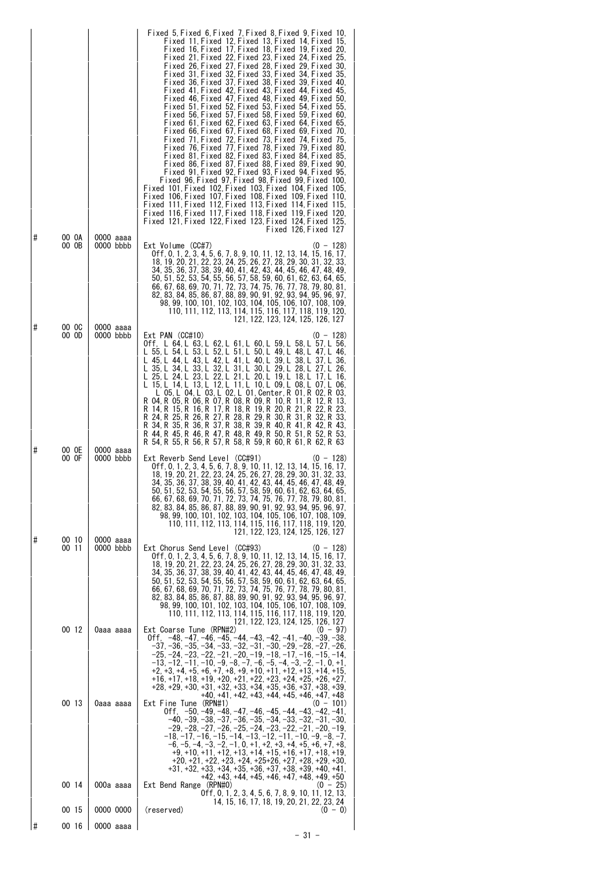| Fixed 61 Fixed 62 Fixed 63 Fixed 64 Fixed 65.<br>Fixed 66 Fixed 67 Fixed 68 Fixed 69 Fixed 70.<br>Fixed 71, Fixed 72, Fixed 73, Fixed 74, Fixed 75,<br>Fixed 76 Fixed 77 Fixed 78 Fixed 79 Fixed 80.<br>Fixed 81 Fixed 82 Fixed 83 Fixed 84 Fixed 85.<br>Fixed 86 Fixed 87 Fixed 88 Fixed 89 Fixed 90.<br>Fixed 91 Fixed 92 Fixed 93 Fixed 94 Fixed 95.<br>Fixed 96 Fixed 97 Fixed 98 Fixed 99 Fixed 100.<br>Fixed 101 Fixed 102 Fixed 103 Fixed 104 Fixed 105.<br>Fixed 106,Fixed 107,Fixed 108,Fixed 109,Fixed 110,<br>Fixed 111,Fixed 112,Fixed 113,Fixed 114,Fixed 115,<br>Fixed 116 Fixed 117 Fixed 118 Fixed 119 Fixed 120.<br>Fixed 121,Fixed 122,Fixed 123,Fixed 124,Fixed 125,<br>Fixed 126 Fixed 127                                                                                                                                                  |  |
|-----------------------------------------------------------------------------------------------------------------------------------------------------------------------------------------------------------------------------------------------------------------------------------------------------------------------------------------------------------------------------------------------------------------------------------------------------------------------------------------------------------------------------------------------------------------------------------------------------------------------------------------------------------------------------------------------------------------------------------------------------------------------------------------------------------------------------------------------------------------|--|
| #<br>00 OA<br>0000 aaaa<br>00 OB<br>0000 bbbb<br>Ext Volume (CC#7)<br>$(0 - 128)$<br>0ff, 0, 1, 2, 3, 4, 5, 6, 7, 8, 9, 10, 11, 12, 13, 14, 15, 16, 17,<br>18, 19, 20, 21, 22, 23, 24, 25, 26, 27, 28, 29, 30, 31, 32, 33,<br>34, 35, 36, 37, 38, 39, 40, 41, 42, 43, 44, 45, 46, 47, 48, 49,<br>50, 51, 52, 53, 54, 55, 56, 57, 58, 59, 60, 61, 62, 63, 64, 65,<br>66, 67, 68, 69, 70, 71, 72, 73, 74, 75, 76, 77, 78, 79, 80, 81,<br>82, 83, 84, 85, 86, 87, 88, 89, 90, 91, 92, 93, 94, 95, 96, 97,<br>98.99.100.101.102.103.104.105.106.107.108.109.<br>110, 111, 112, 113, 114, 115, 116, 117, 118, 119, 120,<br>121, 122, 123, 124, 125, 126, 127<br>#<br>00 OC<br>0000 aaaa                                                                                                                                                                              |  |
| $Ext$ PAN $(CC#10)$<br>00 OD<br>0000 bbbb<br>(0 - 128)<br>Off, L 64, L 63, L 62, L 61, L 60, L 59, L 58, L 57, L 56,<br>L 55 L 54 L 53 L 52 L 51 L 50 L 49 L 48 L 47 L 46.<br>L 45, L 44, L 43, L 42, L 41, L 40, L 39, L 38, L 37, L 36,<br>L 35, L 34, L 33, L 32, L 31, L 30, L 29, L 28, L 27, L 26,<br>L 25, L 24, L 23, L 22, L 21, L 20, L 19, L 18, L 17, L 16,<br>L 15, L 14, L 13, L 12, L 11, L 10, L 09, L 08, L 07, L 06,<br>L 05, L 04, L 03, L 02, L 01, Center, R 01, R 02, R 03,<br>R 04. R 05. R 06. R 07. R 08. R 09. R 10. R 11. R 12. R 13.<br>R 14 R 15 R 16 R 17 R 18 R 19 R 20 R 21 R 22 R 23.<br>R 24, R 25, R 26, R 27, R 28, R 29, R 30, R 31, R 32, R 33,<br>R 34, R 35, R 36, R 37, R 38, R 39, R 40, R 41, R 42, R 43,<br>R 44 R 45 R 46 R 47 R 48 R 49 R 50 R 51 R 52 R 53.<br>R 54 R 55 R 56 R 57 R 58 R 59 R 60 R 61 R 62 R 63 |  |
| 00 OE<br>0000 aaaa<br>#<br>00 OF<br>0000 bbbb<br>Ext Reverb Send Level (CC#91)<br>$(0 - 128)$<br>0 f f, 0, 1, 2, 3, 4, 5, 6, 7, 8, 9, 10, 11, 12, 13, 14, 15, 16, 17,<br>18, 19, 20, 21, 22, 23, 24, 25, 26, 27, 28, 29, 30, 31, 32, 33,<br>34, 35, 36, 37, 38, 39, 40, 41, 42, 43, 44, 45, 46, 47, 48, 49,<br>50, 51, 52, 53, 54, 55, 56, 57, 58, 59, 60, 61, 62, 63, 64, 65,<br>66, 67, 68, 69, 70, 71, 72, 73, 74, 75, 76, 77, 78, 79, 80, 81,<br>82, 83, 84, 85, 86, 87, 88, 89, 90, 91, 92, 93, 94, 95, 96, 97,<br>98, 99, 100, 101, 102, 103, 104, 105, 106, 107, 108, 109,<br>110, 111, 112, 113, 114, 115, 116, 117, 118, 119, 120,<br>121, 122, 123, 124, 125, 126, 127                                                                                                                                                                                |  |
| #<br>00 10<br>0000 aaaa<br>Ext Chorus Send Level<br>(CC#93)<br>00 11<br>$0000$ bbbb<br>$(0 - 128)$<br>0ff, 0, 1, 2, 3, 4, 5, 6, 7, 8, 9, 10, 11, 12, 13, 14, 15, 16, 17,<br>18, 19, 20, 21, 22, 23, 24, 25, 26, 27, 28, 29, 30, 31, 32, 33,<br>34, 35, 36, 37, 38, 39, 40, 41, 42, 43, 44, 45, 46, 47, 48, 49,<br>50, 51, 52, 53, 54, 55, 56, 57, 58, 59, 60, 61, 62, 63, 64, 65,<br>66, 67, 68, 69, 70, 71, 72, 73, 74, 75, 76, 77, 78, 79, 80, 81,<br>82, 83, 84, 85, 86, 87, 88, 89, 90, 91, 92, 93, 94, 95, 96, 97,<br>98, 99, 100, 101, 102, 103, 104, 105, 106, 107, 108, 109,<br>110, 111, 112, 113, 114, 115, 116, 117, 118, 119, 120,<br>121, 122, 123, 124, 125, 126, 127                                                                                                                                                                             |  |
| 00 12<br>Ext Coarse Tune (RPN#2)<br>$(0 - 97)$<br>0aaa aaaa<br>0ff, −48, −47, −46, −45, −44, −43, −42, −41, −40, −39, −38,<br>–37, –36, –35, –34, –33, –32, –31, –30, –29, –28, –27, –26,<br>$-25, -24, -23, -22, -21, -20, -19, -18, -17, -16, -15, -14,$<br>-13, -12, -11, -10, -9, -8, -7, -6, -5, -4, -3, -2, -1, 0, +1,<br>$+2, +3, +4, +5, +6, +7, +8, +9, +10, +11, +12, +13, +14, +15,$<br>+16, +17, +18, +19, +20, +21, +22, +23, +24, +25, +26, +27,<br>$+28, +29, +30, +31, +32, +33, +34, +35, +36, +37, +38, +39,$<br>+40, +41, +42, +43, +44, +45, +46, +47, +48                                                                                                                                                                                                                                                                                  |  |
| 00 13<br>Ext Fine Tune (RPN#1)<br>0aaa aaaa<br>$(0 - 101)$<br>0ff. -50.-49.-48.-47.-46.-45.-44.-43.-42.-41.<br>$-40, -39, -38, -37, -36, -35, -34, -33, -32, -31, -30,$<br>–29, –28, –27, –26, –25, –24, –23, –22, –21, –20, –19,<br>$-18. -17. -16. -15. -14. -13. -12. -11. -10. -9. -8. -7.$<br>$-6, -5, -4, -3, -2, -1, 0, +1, +2, +3, +4, +5, +6, +7, +8,$<br>+9, +10, +11, +12, +13, +14, +15, +16, +17, +18, +19,<br>+20, +21, +22, +23, +24, +25+26, +27, +28, +29, +30,<br>$+31, +32, +33, +34, +35, +36, +37, +38, +39, +40, +41,$<br>+42. +43. +44. +45. +46. +47. +48. +49. +50<br>$(0 - 25)$<br>00 14<br>Ext Bend Range (RPN#0)<br>000a aaaa                                                                                                                                                                                                       |  |
| 0ff, 0, 1, 2, 3, 4, 5, 6, 7, 8, 9, 10, 11, 12, 13,<br>14, 15, 16, 17, 18, 19, 20, 21, 22, 23, 24<br>0000 0000<br>(reserved)<br>00 15<br>$(0 - 0)$                                                                                                                                                                                                                                                                                                                                                                                                                                                                                                                                                                                                                                                                                                               |  |
| 1#<br>00 16<br>0000 aaaa<br>- 31 -                                                                                                                                                                                                                                                                                                                                                                                                                                                                                                                                                                                                                                                                                                                                                                                                                              |  |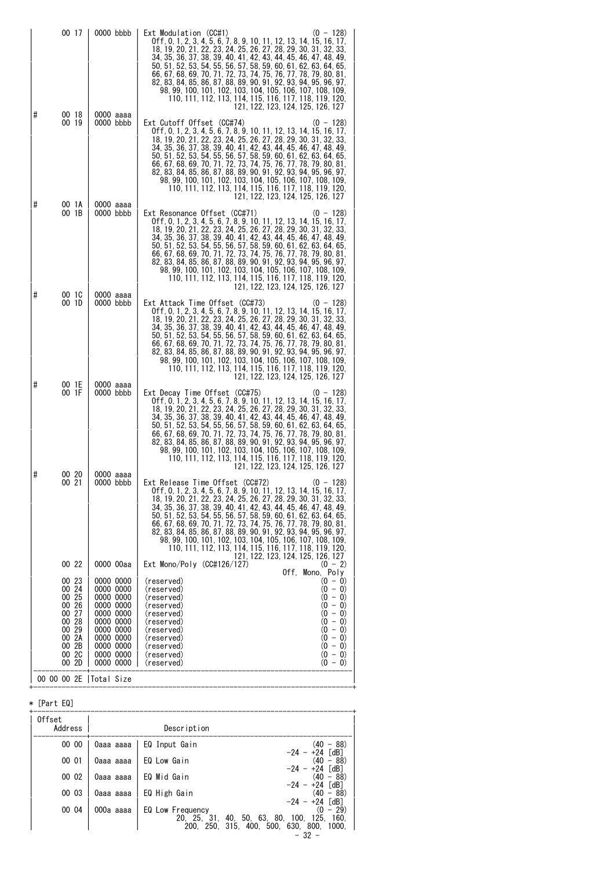|   | 00 17                                                                                  | $0000$ bbbb                                                                                                                    | Ext Modulation (CC#1)<br>$(0 - 128)$<br>0ff, 0, 1, 2, 3, 4, 5, 6, 7, 8, 9, 10, 11, 12, 13, 14, 15, 16, 17,<br>18, 19, 20, 21, 22, 23, 24, 25, 26, 27, 28, 29, 30, 31, 32, 33,<br>34, 35, 36, 37, 38, 39, 40, 41, 42, 43, 44, 45, 46, 47, 48, 49,<br>50, 51, 52, 53, 54, 55, 56, 57, 58, 59, 60, 61, 62, 63, 64, 65,<br>66, 67, 68, 69, 70, 71, 72, 73, 74, 75, 76, 77, 78, 79, 80, 81,<br>82, 83, 84, 85, 86, 87, 88, 89, 90, 91, 92, 93, 94, 95, 96, 97.<br>98, 99, 100, 101, 102, 103, 104, 105, 106, 107, 108, 109,<br>110, 111, 112, 113, 114, 115, 116, 117, 118, 119, 120,<br>121, 122, 123, 124, 125, 126, 127           |
|---|----------------------------------------------------------------------------------------|--------------------------------------------------------------------------------------------------------------------------------|---------------------------------------------------------------------------------------------------------------------------------------------------------------------------------------------------------------------------------------------------------------------------------------------------------------------------------------------------------------------------------------------------------------------------------------------------------------------------------------------------------------------------------------------------------------------------------------------------------------------------------|
| # | 00 18<br>00 19                                                                         | 0000 aaaa<br>0000 bbbb                                                                                                         | Ext Cutoff Offset (CC#74)<br>$(0 - 128)$<br>Off. 0. 1. 2. 3. 4. 5. 6. 7. 8. 9. 10. 11. 12. 13. 14. 15. 16. 17.<br>18, 19, 20, 21, 22, 23, 24, 25, 26, 27, 28, 29, 30, 31, 32, 33,<br>34, 35, 36, 37, 38, 39, 40, 41, 42, 43, 44, 45, 46, 47, 48, 49,<br>50, 51, 52, 53, 54, 55, 56, 57, 58, 59, 60, 61, 62, 63, 64, 65,<br>66, 67, 68, 69, 70, 71, 72, 73, 74, 75, 76, 77, 78, 79, 80, 81,<br>82, 83, 84, 85, 86, 87, 88, 89, 90, 91, 92, 93, 94, 95, 96, 97,<br>98, 99, 100, 101, 102, 103, 104, 105, 106, 107, 108, 109,<br>110, 111, 112, 113, 114, 115, 116, 117, 118, 119, 120,<br>121, 122, 123, 124, 125, 126, 127       |
| # | 00 1A<br>00 1B                                                                         | 0000 aaaa<br>0000 bbbb                                                                                                         | Ext Resonance Offset (CC#71)<br>(0 - 128)<br>0 f f, 0, 1, 2, 3, 4, 5, 6, 7, 8, 9, 10, 11, 12, 13, 14, 15, 16, 17,<br>18, 19, 20, 21, 22, 23, 24, 25, 26, 27, 28, 29, 30, 31, 32, 33,<br>34, 35, 36, 37, 38, 39, 40, 41, 42, 43, 44, 45, 46, 47, 48, 49,<br>50, 51, 52, 53, 54, 55, 56, 57, 58, 59, 60, 61, 62, 63, 64, 65,<br>66, 67, 68, 69, 70, 71, 72, 73, 74, 75, 76, 77, 78, 79, 80, 81,<br>82, 83, 84, 85, 86, 87, 88, 89, 90, 91, 92, 93, 94, 95, 96, 97,<br>98, 99, 100, 101, 102, 103, 104, 105, 106, 107, 108, 109,<br>110, 111, 112, 113, 114, 115, 116, 117, 118, 119, 120,<br>121, 122, 123, 124, 125, 126, 127    |
| # | 00 1C<br>00 1D                                                                         | 0000 aaaa<br>0000 bbbb                                                                                                         | Ext Attack Time Offset (CC#73)<br>$(0 - 128)$<br>0ff. 0. 1. 2. 3. 4. 5. 6. 7. 8. 9. 10. 11. 12. 13. 14. 15. 16. 17.<br>18, 19, 20, 21, 22, 23, 24, 25, 26, 27, 28, 29, 30, 31, 32, 33,<br>34, 35, 36, 37, 38, 39, 40, 41, 42, 43, 44, 45, 46, 47, 48, 49,<br>50, 51, 52, 53, 54, 55, 56, 57, 58, 59, 60, 61, 62, 63, 64, 65,<br>66, 67, 68, 69, 70, 71, 72, 73, 74, 75, 76, 77, 78, 79, 80, 81,<br>82, 83, 84, 85, 86, 87, 88, 89, 90, 91, 92, 93, 94, 95, 96, 97,<br>98, 99, 100, 101, 102, 103, 104, 105, 106, 107, 108, 109,<br>110, 111, 112, 113, 114, 115, 116, 117, 118, 119, 120,<br>121, 122, 123, 124, 125, 126, 127  |
| # | 00 1E<br>00 1F                                                                         | 0000 aaaa<br>0000 bbbb                                                                                                         | Ext Decay Time Offset (CC#75)<br>$(0 - 128)$<br>0ff, 0, 1, 2, 3, 4, 5, 6, 7, 8, 9, 10, 11, 12, 13, 14, 15, 16, 17,<br>18, 19, 20, 21, 22, 23, 24, 25, 26, 27, 28, 29, 30, 31, 32, 33,<br>34, 35, 36, 37, 38, 39, 40, 41, 42, 43, 44, 45, 46, 47, 48, 49,<br>50, 51, 52, 53, 54, 55, 56, 57, 58, 59, 60, 61, 62, 63, 64, 65,<br>66, 67, 68, 69, 70, 71, 72, 73, 74, 75, 76, 77, 78, 79, 80, 81,<br>82, 83, 84, 85, 86, 87, 88, 89, 90, 91, 92, 93, 94, 95, 96, 97,<br>98, 99, 100, 101, 102, 103, 104, 105, 106, 107, 108, 109,<br>110, 111, 112, 113, 114, 115, 116, 117, 118, 119, 120,<br>121, 122, 123, 124, 125, 126, 127   |
| # | 00 20<br>00 21                                                                         | 0000 aaaa<br>0000 bbbb                                                                                                         | Ext Release Time Offset (CC#72)<br>$(0 - 128)$<br>0ff, 0, 1, 2, 3, 4, 5, 6, 7, 8, 9, 10, 11, 12, 13, 14, 15, 16, 17,<br>18, 19, 20, 21, 22, 23, 24, 25, 26, 27, 28, 29, 30, 31, 32, 33,<br>34, 35, 36, 37, 38, 39, 40, 41, 42, 43, 44, 45, 46, 47, 48, 49,<br>50, 51, 52, 53, 54, 55, 56, 57, 58, 59, 60, 61, 62, 63, 64, 65,<br>66, 67, 68, 69, 70, 71, 72, 73, 74, 75, 76, 77, 78, 79, 80, 81,<br>82, 83, 84, 85, 86, 87, 88, 89, 90, 91, 92, 93, 94, 95, 96, 97,<br>98, 99, 100, 101, 102, 103, 104, 105, 106, 107, 108, 109,<br>110, 111, 112, 113, 114, 115, 116, 117, 118, 119, 120,<br>121, 122, 123, 124, 125, 126, 127 |
|   | 00 22<br>00 23                                                                         | 0000 00aa<br>0000 0000                                                                                                         | Ext Mono/Poly (CC#126/127)<br>$(0 - 2)$<br>Off, Mono, Poly<br>(reserved)<br>$(0 - 0)$                                                                                                                                                                                                                                                                                                                                                                                                                                                                                                                                           |
|   | 00 24<br>00 25<br>00 26<br>00 27<br>00 28<br>00 29<br>00 2A<br>00 2B<br>00 2C<br>00 2D | 0000 0000<br>0000 0000<br>0000 0000<br>0000 0000<br>0000 0000<br>0000 0000<br>0000 0000<br>0000 0000<br>0000 0000<br>0000 0000 | $(0 - 0)$<br>(reserved)<br>$(0 - 0)$<br>(reserved)<br>$(0 - 0)$<br>(reserved)<br>$(0 - 0)$<br>(reserved)<br>$(0 - 0)$<br>(reserved)<br>$(0 - 0)$<br>(reserved)<br>$(0 - 0)$<br>(reserved)<br>$(0 - 0)$<br>(reserved)<br>$(0 - 0)$<br>(reserved)<br>$(0 - 0)$<br>(reserved)                                                                                                                                                                                                                                                                                                                                                      |
|   |                                                                                        | 00 00 00 2E   Total Size                                                                                                       |                                                                                                                                                                                                                                                                                                                                                                                                                                                                                                                                                                                                                                 |

# \* [Part EQ]

| Offset<br>Address |           | Description                                                                                             |
|-------------------|-----------|---------------------------------------------------------------------------------------------------------|
| 00 00             | 0aaa aaaa | $(40 - 88)$<br>EQ Input Gain                                                                            |
| 00 01             | 0aaa aaaa | $-24 - +24$ [dB]<br>$(40 - 88)$<br>EQ Low Gain                                                          |
| 00 02             | 0aaa aaaa | $-24 - +24$ [dB]<br>$(40 - 88)$<br>EQ Mid Gain                                                          |
| 00 03             | 0aaa aaaa | $-24 - +24$ [dB]<br>$(40 - 88)$<br>EQ High Gain                                                         |
| 00 04             | 000a aaaa | $-24 - +24$ [dB]<br>$(0 - 29)$<br>EQ Low Frequency<br>40, 50, 63, 80, 100, 125,<br>20. 25. 31.<br>-160. |
|                   |           | 200, 250, 315, 400, 500, 630, 800, 1000,                                                                |

+------------------------------------------------------------------------------+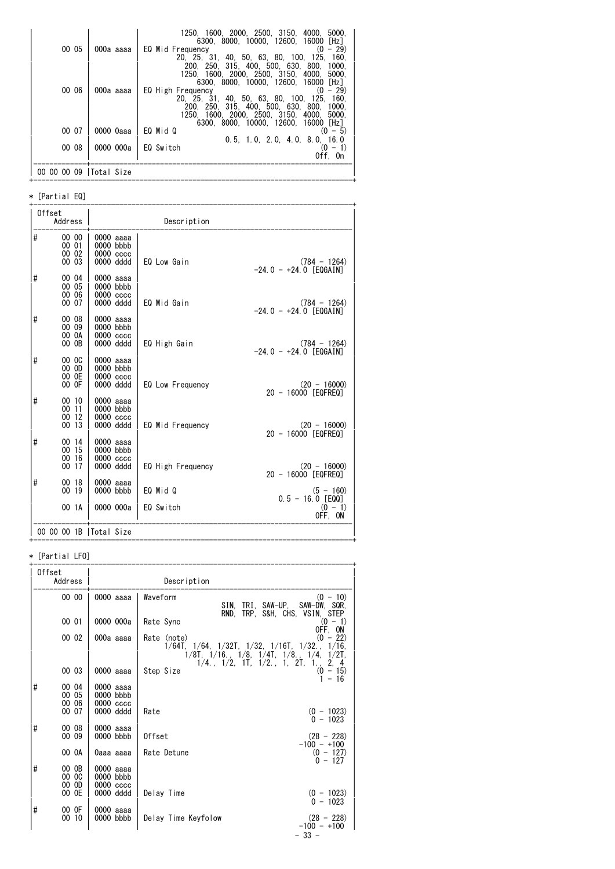| 00 05                    | 000a aaaa | 1250, 1600, 2000, 2500, 3150, 4000, 5000.<br>6300, 8000, 10000, 12600, 16000 [Hz]<br>EQ Mid Frequency<br>$(0 - 29)$                                                                                     |
|--------------------------|-----------|---------------------------------------------------------------------------------------------------------------------------------------------------------------------------------------------------------|
|                          |           | 20. 25. 31. 40. 50. 63. 80. 100. 125. 160.<br>200, 250, 315, 400, 500, 630, 800, 1000,                                                                                                                  |
|                          |           | 1250 1600 2000 2500 3150 4000<br>5000.<br>6300, 8000, 10000, 12600, 16000 [Hz]                                                                                                                          |
| 00 06                    | 000a aaaa | EQ High Frequency<br>$(0 - 29)$<br>20, 25, 31, 40, 50, 63, 80, 100, 125, 160,<br>200, 250, 315, 400, 500, 630, 800, 1000,<br>1250 1600 2000 2500 3150 4000 5000<br>6300, 8000, 10000, 12600, 16000 [Hz] |
| 00 07                    | 0000 0aaa | EQ Mid Q<br>$(0 - 5)$<br>$0.5$ , 1.0, 2.0, 4.0, 8.0, 16.0                                                                                                                                               |
| 00 08                    | 0000 000a | EQ Switch<br>$(0 - 1)$<br>Off, On                                                                                                                                                                       |
| 00 00 00 09   Total Size |           |                                                                                                                                                                                                         |

#### \* [Partial EQ]

| Offset | Address                          |                                                      | Description       |                                            |
|--------|----------------------------------|------------------------------------------------------|-------------------|--------------------------------------------|
| #      | 00 00<br>00 01<br>00 02<br>00 03 | 0000 aaaa<br>0000 bbbb<br>0000 cccc<br>0000 dddd     | EQ Low Gain       | $(784 - 1264)$<br>$-24.0 - +24.0$ [EQGAIN] |
| #      | 00 04<br>00 05<br>00 06<br>00 07 | 0000 aaaa<br>0000 bbbb<br>$0000$ $cccc$<br>0000 dddd | EQ Mid Gain       | $(784 - 1264)$<br>$-24.0 - +24.0$ [EQGAIN] |
| #      | 00 08<br>00 09<br>00 0A<br>00 OB | 0000 aaaa<br>0000 bbbb<br>$0000$ $cccc$<br>0000 dddd | EQ High Gain      | $(784 - 1264)$<br>$-24.0 - +24.0$ [EQGAIN] |
| #      | 00 OC<br>00 OD<br>00 OE<br>00 OF | 0000 aaaa<br>0000 bbbb<br>0000 cccc<br>0000 dddd     | EQ Low Frequency  | $(20 - 16000)$<br>20 - 16000 [EQFREQ]      |
| #      | 00 10<br>0011<br>00 12<br>00 13  | 0000 aaaa<br>0000 bbbb<br>0000 cccc<br>0000 dddd     | EQ Mid Frequency  | $(20 - 16000)$<br>20 - 16000 [EQFREQ]      |
| #      | 00 14<br>00 15<br>00 16<br>00 17 | 0000 aaaa<br>0000 bbbb<br>0000 cccc<br>0000 dddd     | EQ High Frequency | $(20 - 16000)$<br>20 - 16000 [EQFREQ]      |
| #      | 00 18<br>00 19                   | 0000 aaaa<br>0000 bbbb                               | EQ Mid Q          | $(5 - 160)$<br>$0.5 - 16.0$ [EQQ]          |
|        | 00 1A                            | 0000 000a                                            | EQ Switch         | $(0 - 1)$<br>OFF, ON                       |
|        |                                  | 00 00 00 1B   Total Size                             |                   |                                            |

# \* [Partial LFO]

| Offset | Address                 |                                         | Description                                                                                                                                                                 |
|--------|-------------------------|-----------------------------------------|-----------------------------------------------------------------------------------------------------------------------------------------------------------------------------|
|        | 00 00                   | 0000 aaaa                               | $(0 - 10)$<br>Waveform<br>SIN.<br>TRI. SAW-UP.<br>SAW-DW, SQR,                                                                                                              |
|        | 00 01                   | 0000 000a                               | RND, TRP, S&H, CHS, VSIN, STEP<br>Rate Sync<br>$(0 - 1)$                                                                                                                    |
|        | 00 02                   | 000a aaaa                               | OFF, ON<br>Rate (note)<br>$(0 - 22)$<br>$1/64T$ , $1/64$ , $1/32T$ , $1/32$ , $1/16T$ , $1/32$ ., $1/16$ ,<br>$1/8$ T, $1/16$ ., $1/8$ , $1/4$ T, $1/8$ ., $1/4$ , $1/2$ T, |
|        | 00 03                   | 0000 aaaa                               | $1/4$ , $1/2$ , $1\overline{1}$ , $1/2$ , $1$ , $2\overline{1}$ , $1$ ,<br>2, 4<br>$(0 - 15)$<br>Step Size<br>$1 - 16$                                                      |
| #      | 00 04<br>00 05<br>00 06 | 0000 aaaa<br>0000 bbbb<br>$0000$ $cccc$ |                                                                                                                                                                             |
|        | 00 07                   | 0000 dddd                               | Rate<br>$(0 - 1023)$<br>$0 - 1023$                                                                                                                                          |
| #      | 00 08<br>00 09          | 0000 aaaa<br>0000 bbbb                  | Offset<br>$(28 - 228)$                                                                                                                                                      |
|        | 00 OA                   | 0aaa aaaa                               | $-100 - +100$<br>Rate Detune<br>$(0 - 127)$<br>$0 - 127$                                                                                                                    |
| #      | 00 OB<br>00 OC<br>00 OD | 0000 aaaa<br>0000 bbbb<br>0000 cccc     |                                                                                                                                                                             |
|        | 00 OE                   | 0000 dddd                               | Delay Time<br>$(0 - 1023)$<br>$0 - 1023$                                                                                                                                    |
| #      | 00 OF<br>00 10          | 0000 aaaa<br>0000 bbbb                  | $(28 - 228)$<br>Delay Time Keyfolow<br>$-100 - +100$                                                                                                                        |
|        |                         |                                         | $-33 -$                                                                                                                                                                     |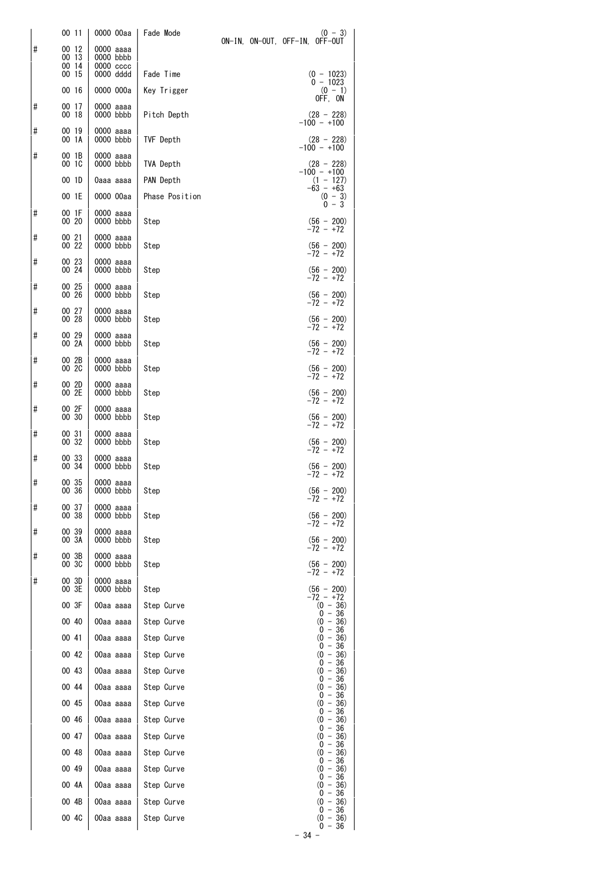|          | 00 11                            | 0000 00aa                                        | Fade Mode                |  | $(0 - 3)$<br>ON-IN, ON-OUT, OFF-IN, OFF-OUT |
|----------|----------------------------------|--------------------------------------------------|--------------------------|--|---------------------------------------------|
| $\sharp$ | 00 12<br>00 13<br>00 14<br>00 15 | 0000 aaaa<br>0000 bbbb<br>0000 cccc<br>0000 dddd | Fade Time                |  | $(0 - 1023)$                                |
|          | 00 16                            | 0000 000a                                        | Key Trigger              |  | $0 - 1023$<br>$(0 - 1)$<br>OFF, ON          |
| $\sharp$ | 00 17<br>00 18                   | 0000 aaaa<br>0000 bbbb                           | Pitch Depth              |  | $(28 - 228)$<br>$-100 - +100$               |
| $\sharp$ | 00 19<br>00 1A                   | 0000 aaaa<br>0000 bbbb                           | TVF Depth                |  | $(28 - 228)$                                |
| #        | 00 1B<br>00 1C                   | 0000 aaaa<br>0000 bbbb                           | <b>TVA Depth</b>         |  | $-100 - +100$<br>$(28 - 228)$               |
|          | 00 1D                            | 0aaa aaaa                                        | PAN Depth                |  | $-100 - +100$<br>$(1 - 127)$                |
|          | 00 1E                            | 0000 00aa                                        | Phase Position           |  | $-63 - +63$<br>$(0 - 3)$<br>0 - 3           |
| #        | 00 1F<br>00 20                   | 0000 aaaa<br>0000 bbbb                           | Step                     |  | $(56 - 200)$                                |
| #        | 00 21<br>00 22                   | 0000 aaaa<br>0000 bbbb                           | Step                     |  | -72 - +72<br>$(56 - 200)$<br>$-72 - +72$    |
| #        | 00 23<br>00 24                   | 0000 aaaa<br>0000 bbbb                           | Step                     |  | $(56 - 200)$                                |
| #        | 00 25<br>00 26                   | 0000 aaaa<br>0000 bbbb                           | Step                     |  | $-72 - +72$<br>$(56 - 200)$<br>-72 - +72    |
| #        | 00 27<br>00 28                   | 0000 aaaa<br>0000 bbbb                           | Step                     |  | $(56 - 200)$<br>$-72 - +72$                 |
| #        | 00 29<br>00 2A                   | 0000 aaaa<br>0000 bbbb                           | Step                     |  | $(56 - 200)$<br>$-72 - +72$                 |
| #        | 00 2B<br>00 2C                   | 0000 aaaa<br>0000 bbbb                           | Step                     |  | $(56 - 200)$<br>$-72 - +72$                 |
| #        | 00 2D<br>00 2E                   | 0000 aaaa<br>0000 bbbb                           | Step                     |  | $(56 - 200)$<br>$-72 - +72$                 |
| #        | 00 2F<br>00 30                   | 0000 aaaa<br>0000 bbbb                           | Step                     |  | $(56 - 200)$<br>-72 - +72                   |
| #        | 00 31<br>00 32                   | 0000 aaaa<br>0000 bbbb                           | Step                     |  | $(56 - 200)$<br>$-72 - +72$                 |
| #        | 00 33<br>00 34                   | 0000 aaaa<br>0000 bbbb                           | Step                     |  | $(56 - 200)$<br>-72 - +72                   |
| #        | 00 35<br>00 36                   | 0000 aaaa<br>0000 bbbb                           | Step                     |  | $(56 - 200)$<br>-72 - +72                   |
| #        | 00 37<br>00 38                   | 0000 aaaa<br>0000 bbbb                           | Step                     |  | $(56 - 200)$<br>-72 - +72                   |
| #        | 00 39<br>00 3A                   | 0000 aaaa<br>0000 bbbb                           | Step                     |  | $(56 - 200)$<br>-72 - +72                   |
| #        | 00 3B<br>00 3C                   | 0000 aaaa<br>0000 bbbb                           | Step                     |  | $(56 - 200)$<br>-72 - +72                   |
| #        | 00 3D<br>00 3E                   | 0000 aaaa<br>0000 bbbb                           | Step                     |  | $(56 - 200)$<br>-72 - +72                   |
|          | 00 3F                            | 00aa aaaa                                        | Step Curve               |  | $(0 - 36)$<br>$0 - 36$                      |
|          | 00 40                            | 00aa aaaa                                        | Step Curve               |  | $(0 - 36)$<br>$0 - 36$                      |
|          | 00 41                            | 00aa aaaa                                        | Step Curve               |  | $(0 - 36)$<br>$0 - 36$                      |
|          | 00 42<br>00 43                   | 00aa aaaa<br>00aa aaaa                           | Step Curve<br>Step Curve |  | $(0 - 36)$<br>$0 - 36$<br>$(0 - 36)$        |
|          | 00 44                            | 00aa aaaa                                        | Step Curve               |  | $0 - 36$<br>$(0 - 36)$                      |
|          | 00 45                            | 00aa aaaa                                        | Step Curve               |  | $0 - 36$<br>$(0 - 36)$                      |
|          | 00 46                            | 00aa aaaa                                        | Step Curve               |  | $0 - 36$<br>$(0 - 36)$                      |
|          | 00 47                            | 00aa aaaa                                        | Step Curve               |  | $0 - 36$<br>$(0 - 36)$<br>$0 - 36$          |
|          | 00 48                            | 00aa aaaa                                        | Step Curve               |  | $(0 - 36)$<br>$0 - 36$                      |
|          | 00 49                            | 00aa aaaa                                        | Step Curve               |  | $(0 - 36)$<br>$0 - 36$                      |
|          | 00 4A<br>00 4B                   | 00aa aaaa                                        | Step Curve               |  | $(0 - 36)$<br>$0 - 36$                      |
|          | 00 4C                            | 00aa aaaa<br>00aa aaaa                           | Step Curve<br>Step Curve |  | $(0 - 36)$<br>$0 - 36$<br>$(0 - 36)$        |
|          |                                  |                                                  |                          |  | $0 - 36$                                    |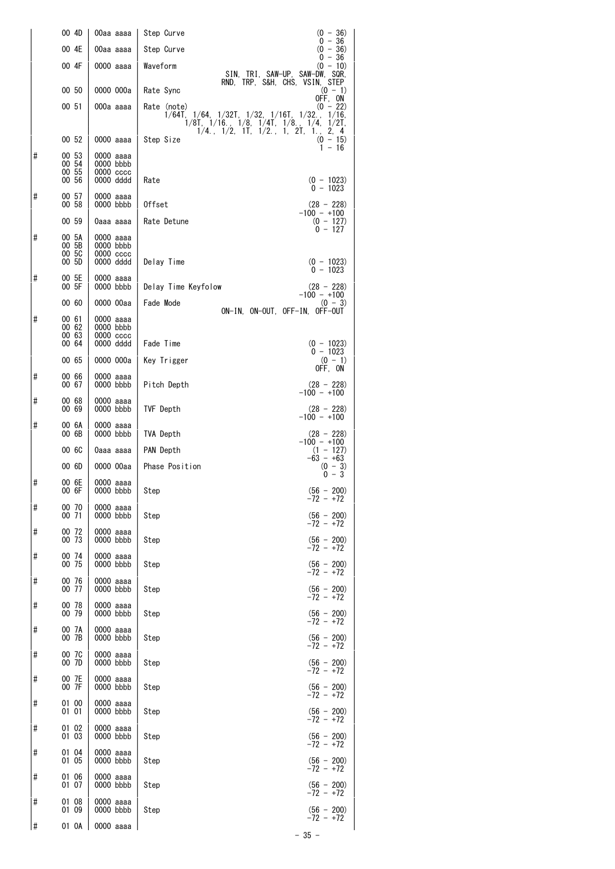|          | 00 4D                            | 00aa aaaa                                           | $(0 - 36)$<br>Step Curve<br>$0 - 36$                                                                                                                                                                                                                   |
|----------|----------------------------------|-----------------------------------------------------|--------------------------------------------------------------------------------------------------------------------------------------------------------------------------------------------------------------------------------------------------------|
|          | 00 4E                            | 00aa aaaa                                           | Step Curve<br>$(0 - 36)$<br>$0 - 36$                                                                                                                                                                                                                   |
|          | 00 4F                            | 0000 aaaa                                           | Waveform<br>$(0 - 10)$<br>SIN, TRI, SAW-UP, SAW-DW, SQR,<br>RND, TRP, S&H, CHS, VSIN, STEP                                                                                                                                                             |
|          | 00 50                            | 0000 000a                                           | Rate Sync<br>$(0 - 1)$<br>OFF, ON                                                                                                                                                                                                                      |
|          | 00 51                            | 000a aaaa                                           | $(0 - 22)$<br>Rate (note)<br>$1/64$ T, $1/64$ , $1/32$ T, $1/32$ , $1/16$ T, $1/32$ ., $1/16$ ,<br>$1/8$ T, $1/16$ , $1/8$ , $1/4$ T, $1/8$ ,<br>1/4.<br>$1/2$ T,<br>$1/4$ , $1/2$ , $1\overline{1}$ , $1/2$ , $1$ , $2\overline{1}$ , $1$ , $2$ , $4$ |
|          | 00 52                            | 0000 aaaa                                           | Step Size<br>$(0 - 15)$<br>$1 - 16$                                                                                                                                                                                                                    |
| #        | 00 53<br>00 54<br>00 55<br>00 56 | 0000 aaaa<br>0000 bbbb<br>$0000\,\csc$<br>0000 dddd | $(0 - 1023)$<br>Rate                                                                                                                                                                                                                                   |
| #        | 00 57<br>00 58                   | 0000 aaaa<br>0000 bbbb                              | $0 - 1023$<br>Offset<br>$(28 - 228)$                                                                                                                                                                                                                   |
|          | 00 59                            | 0aaa aaaa                                           | $-100 - +100$<br>$(0 - 127)$<br>Rate Detune<br>$0 - 127$                                                                                                                                                                                               |
| #        | 00 5A<br>00 5B<br>00 5C<br>00 5D | 0000 aaaa<br>0000 bbbb<br>$0000\,\csc$<br>0000 dddd | Delay Time<br>$(0 - 1023)$<br>$0 - 1023$                                                                                                                                                                                                               |
| #        | 00 5E<br>00 5F                   | 0000 aaaa<br>0000 bbbb                              | Delay Time Keyfolow<br>$(28 - 228)$                                                                                                                                                                                                                    |
|          | 00 60                            | 0000 00aa                                           | $-100 - +100$<br>Fade Mode<br>$(0 - 3)$                                                                                                                                                                                                                |
| #        | 00 61<br>00 62<br>00 63<br>00 64 | 0000 aaaa<br>0000 bbbb<br>$0000\,\csc$<br>0000 dddd | ON-IN. ON-OUT. OFF-IN. OFF-OUT<br>Fade Time<br>$(0 - 1023)$                                                                                                                                                                                            |
|          | 00 65                            | 0000 000a                                           | $0 - 1023$<br>Key Trigger<br>$(0 - 1)$                                                                                                                                                                                                                 |
| #        | 00 66<br>00 67                   | 0000 aaaa<br>0000 bbbb                              | OFF, ON<br>Pitch Depth<br>$(28 - 228)$                                                                                                                                                                                                                 |
| #        | 00 68<br>00 69                   | 0000 aaaa<br>0000 bbbb                              | $-100 - +100$<br>TVF Depth<br>$(28 - 228)$                                                                                                                                                                                                             |
| #        | 00 6A<br>00 6B                   | 0000 aaaa<br>0000 bbbb                              | $-100 - +100$<br><b>TVA Depth</b><br>$(28 - 228)$                                                                                                                                                                                                      |
|          | 00 6C                            | 0aaa aaaa                                           | $-100 - +100$<br>PAN Depth<br>$(1 - 127)$                                                                                                                                                                                                              |
|          | 00 6D                            | 0000 00aa                                           | $-63 - +63$<br>Phase Position<br>$(0 - 3)$<br>$0 - 3$                                                                                                                                                                                                  |
| #        | 00 6E<br>00 6F                   | 0000 aaaa<br>0000 bbbb                              | Step<br>$(56 - 200)$<br>-72 - +72                                                                                                                                                                                                                      |
| #        | 00 70<br>00 71                   | 0000 aaaa<br>0000 bbbb                              | $(56 - 200)$<br>Step<br>$-72 - +72$                                                                                                                                                                                                                    |
| #        | 00 72<br>00 73                   | 0000 aaaa<br>0000 bbbb                              | $(56 - 200)$<br>Step<br>$-72 - +72$                                                                                                                                                                                                                    |
| #        | 00 74<br>00 75                   | 0000 aaaa<br>0000 bbbb                              | $(56 - 200)$<br>Step<br>-72 - +72                                                                                                                                                                                                                      |
| #        | 00 76<br>00 77                   | 0000 aaaa<br>0000 bbbb                              | $(56 - 200)$<br>Step<br>-72 - +72                                                                                                                                                                                                                      |
| #        | 00 78<br>00 79                   | 0000 aaaa<br>0000 bbbb                              | $(56 - 200)$<br>Step<br>-72 - +72                                                                                                                                                                                                                      |
| $\sharp$ | 00 7A<br>00 7B                   | 0000 aaaa<br>0000 bbbb                              | Step<br>$(56 - 200)$<br>$-72 - +72$                                                                                                                                                                                                                    |
| #        | 00 7C<br>00 7D                   | 0000 aaaa<br>0000 bbbb                              | Step<br>$(56 - 200)$<br>$-72 - +72$                                                                                                                                                                                                                    |
| #        | 00 7E<br>00 7F                   | 0000 aaaa<br>0000 bbbb                              | $(56 - 200)$<br>Step<br>$-72 - +72$                                                                                                                                                                                                                    |
| #        | 01 00<br>01 01                   | 0000 aaaa<br>0000 bbbb                              | $(56 - 200)$<br>Step<br>$-72 - +72$                                                                                                                                                                                                                    |
| #        | 01 02<br>01 03                   | 0000 aaaa<br>0000 bbbb                              | $(56 - 200)$<br>Step<br>$-72 - +72$                                                                                                                                                                                                                    |
| #        | 01 04<br>01 05                   | 0000 aaaa<br>0000 bbbb                              | $(56 - 200)$<br>Step<br>$-72 - +72$                                                                                                                                                                                                                    |
| #        | 01 06<br>01 07                   | 0000 aaaa<br>0000 bbbb                              | $(56 - 200)$<br>Step<br>$-72 - +72$                                                                                                                                                                                                                    |
| #        | 01 08<br>01 09                   | 0000 aaaa<br>0000 bbbb                              | $(56 - 200)$<br>Step<br>$-72 - +72$                                                                                                                                                                                                                    |
| #        | 01 OA                            | 0000 aaaa                                           |                                                                                                                                                                                                                                                        |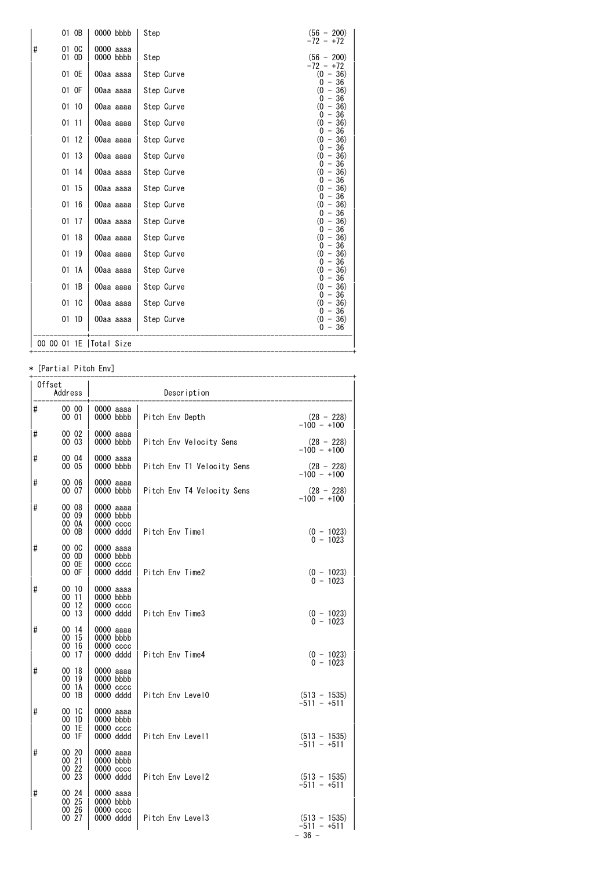|   | 01 OB          | 0000 bbbb                | Step       | $(56 - 200)$<br>$-72 - +72$        |
|---|----------------|--------------------------|------------|------------------------------------|
| # | 01 OC<br>01 OD | 0000 aaaa<br>0000 bbbb   | Step       | $(56 - 200)$<br>$-72 - +72$        |
|   | 01 OE          | 00aa aaaa                | Step Curve | $(0 - 36)$                         |
|   | 01 OF          | 00aa aaaa                | Step Curve | $0 - 36$<br>$(0 - 36)$             |
|   | 01 10          | 00aa aaaa                | Step Curve | $0 - 36$<br>$(0 - 36)$             |
|   | 0111           | 00aa aaaa                | Step Curve | $0 - 36$<br>$(0 - 36)$             |
|   | 01 12          | 00aa aaaa                | Step Curve | $0 - 36$<br>$(0 - 36)$             |
|   | 01 13          | 00aa aaaa                | Step Curve | $-36$<br>0<br>$(0 - 36)$           |
|   | 01 14          | 00aa aaaa                | Step Curve | $0 - 36$<br>$(0 - 36)$             |
|   | 01 15          | 00aa aaaa                | Step Curve | $0 -$<br>-36<br>(0)<br>$-36)$      |
|   | 01 16          | 00aa aaaa                | Step Curve | $0 -$<br>-36<br>(0)<br>$-36)$      |
|   | 01 17          | 00aa aaaa                | Step Curve | - 36<br>0<br>$\omega$<br>$-36)$    |
|   | 01 18          | 00aa aaaa                | Step Curve | $0 - 36$<br>$(0 - 36)$             |
|   | 01 19          | 00aa aaaa                | Step Curve | $0 - 36$<br>$(0 - 36)$             |
|   | 01 1A          | 00aa aaaa                | Step Curve | -36<br>$0 -$<br>$(0 - 36)$         |
|   | 01 1B          | 00aa aaaa                | Step Curve | $0 - 36$<br>$(0 - 36)$             |
|   | 01 1C          | 00aa aaaa                | Step Curve | $0 - 36$<br>$(0 - 36)$             |
|   | 011D           | 00aa aaaa                | Step Curve | $0 - 36$<br>$(0 - 36)$<br>$0 - 36$ |
|   |                | 00 00 01 1E   Total Size |            |                                    |

# \* [Partial Pitch Env]

|          | Offset<br>Address                |                                                        | Description                |                                                           |
|----------|----------------------------------|--------------------------------------------------------|----------------------------|-----------------------------------------------------------|
| #        | 00 00<br>00 01                   | 0000 аааа<br>0000 bbbb                                 | Pitch Env Depth            | $(28 - 228)$<br>$-100 - +100$                             |
| #        | 00 02<br>00 03                   | 0000 aaaa<br>$0000$ bbbb                               | Pitch Env Velocity Sens    | $(28 - 228)$<br>$-100 - +100$                             |
| #        | 00 04<br>00 05                   | 0000 aaaa<br>$0000$ bbbb                               | Pitch Env T1 Velocity Sens | $(28 - 228)$<br>$-100 - +100$                             |
| #        | 00 06<br>00 07                   | 0000 aaaa<br>$0000$ bbbb                               | Pitch Env T4 Velocity Sens | $(28 - 228)$<br>$-100 - +100$                             |
| #        | 00 08<br>00 09<br>00 OA<br>00 OB | 0000 aaaa<br>$0000$ bbbb<br>$0000 \csc$<br>0000 dddd   | Pitch Env Time1            | $(0 - 1023)$<br>0 - 1023                                  |
| #        | 00 OC<br>00 OD<br>00 OE<br>00 OF | 0000 aaaa<br>$0000$ bbbb<br>$0000 \csc$<br>0000 dddd   | Pitch Env Time2            | $(0 - 1023)$                                              |
| #        | 00 10<br>00 11<br>00 12<br>00 13 | 0000 aaaa<br>$0000$ bbbb<br>$0000 \csc$<br>0000 dddd   | Pitch Env Time3            | $0 - 1023$<br>$(0 - 1023)$                                |
| #        | 00 14<br>00 15<br>00 16<br>00 17 | 0000 aaaa<br>$0000$ bbbb<br>$0000 \csc$<br>0000 dddd   | Pitch Env Time4            | $0 - 1023$<br>$(0 - 1023)$                                |
| #        | 00 18<br>00 19<br>00 1A<br>00 1B | 0000 aaaa<br>$0000$ bbbb<br>$0000 \csc$<br>0000 dddd   | Pitch Env Level0           | $0 - 1023$<br>$(513 - 1535)$                              |
| $\sharp$ | 00 1C<br>00 1D<br>00 1E<br>00 1F | 0000 aaaa<br>$0000$ bbbb<br>$0000 \csc$<br>0000 dddd   | Pitch Env Level1           | $-511 - +511$<br>$(513 - 1535)$                           |
| #        | 00 20<br>00 21<br>00 22<br>00 23 | 0000 aaaa<br>$0000$ bbbb<br>$0000 \csc$<br>0000 dddd   | Pitch Env Level2           | $-511 - +511$<br>$(513 - 1535)$                           |
| #        | 00 24<br>00 25<br>00 26<br>00 27 | 0000 aaaa<br>$0000$ bbbb<br>$0000$ $cccc$<br>0000 dddd | Pitch Env Level3           | -511 - +511<br>$(513 - 1535)$<br>$-511 - +511$<br>$-36 -$ |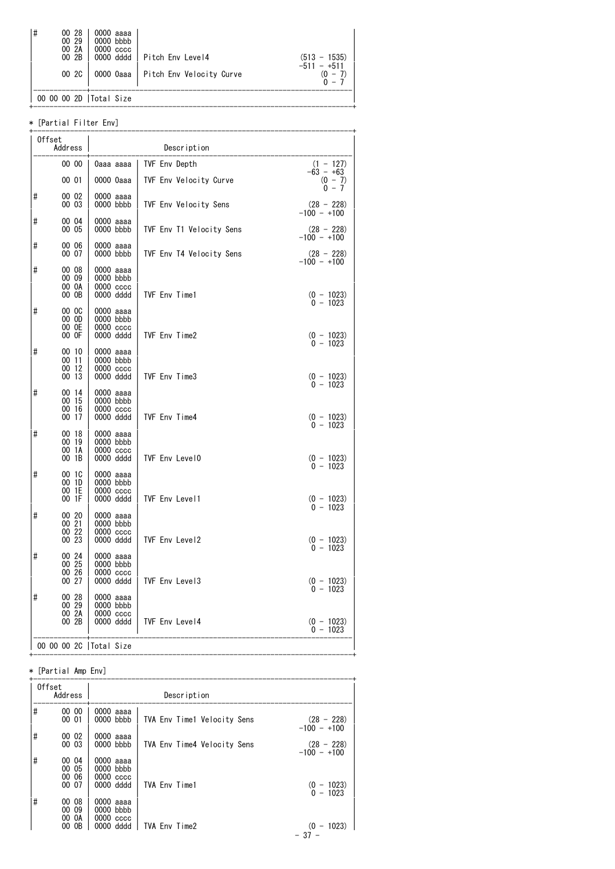| #<br>00 28<br>00 29<br>00 2A<br>00 2B<br>00 2C | 0000 aaaa<br>$0000$ bbbb<br>$0000\,\,$ $cccc$<br>0000 dddd | Pitch Env Level4<br>0000 Oaaa   Pitch Env Velocity Curve | $(513 - 1535)$<br>$-511 - +511$<br>$(0 -$ |
|------------------------------------------------|------------------------------------------------------------|----------------------------------------------------------|-------------------------------------------|
|                                                | 00 00 2D  Total Size                                       |                                                          |                                           |

+------------------------------------------------------------------------------+

#### \* [Partial Filter Env]

|   | Offset<br>Address                    |                                                      | Description              |                                                      |
|---|--------------------------------------|------------------------------------------------------|--------------------------|------------------------------------------------------|
|   | 00 00                                | 0aaa aaaa                                            | TVF Env Depth            | $(1 - 127)$<br>$-63 - +63$                           |
|   | 00 01                                | 0000 0aaa                                            | TVF Env Velocity Curve   | $(0 - 7)$<br>$0 - 7$                                 |
| # | 00 02<br>00 03                       | 0000 aaaa<br>$0000$ bbbb                             | TVF Env Velocity Sens    | $(28 - 228)$<br>$-100 - +100$                        |
| # | 00 04<br>00 05                       | 0000 aaaa<br>0000 bbbb                               | TVF Env T1 Velocity Sens | $(28 - 228)$<br>$-100 - +100$                        |
| # | 00 06<br>00 07                       | 0000 aaaa<br>0000 bbbb                               | TVF Env T4 Velocity Sens | $(28 - 228)$<br>-100 - +100                          |
| # | 00 08<br>00 09<br>00 0A<br>00 OB     | 0000 aaaa<br>0000 bbbb<br>0000 cccc<br>0000 dddd     | TVF Env Time1            | $(0 - 1023)$                                         |
| # | 00 OC<br>00 OD<br>00 OE<br>00 OF     | 0000 aaaa<br>0000 bbbb<br>$0000$ $cccc$<br>0000 dddd | TVF Env Time2            | $0 - 1023$                                           |
| # | 00 10<br>00 11<br>00 12<br>00 13     | 0000 aaaa<br>0000 bbbb<br>0000 cccc<br>0000 dddd     | TVF Env Time3            | $(0 - 1023)$<br>0 - 1023<br>$(0 - 1023)$<br>0 - 1023 |
| # | 00 14<br>00 15<br>00 16<br>00 17     | 0000 aaaa<br>0000 bbbb<br>$0000$ $cccc$<br>0000 dddd | TVF Env Time4            | $(0 - 1023)$<br>0 - 1023                             |
| # | 00 18<br>00 19<br>00 1A<br>00 1B     | 0000 aaaa<br>0000 bbbb<br>0000 cccc<br>0000 dddd     | TVF Env Level0           | $(0 - 1023)$<br>$0 - 1023$                           |
| # | 00 1C<br>00 1D<br>00 1E<br>00 1F     | 0000 aaaa<br>$0000$ bbbb<br>0000 cccc<br>0000 dddd   | TVF Env Level1           | $(0 - 1023)$<br>0 - 1023                             |
| # | 00 20<br>00 21<br>00 22<br>00 23     | 0000 aaaa<br>0000 bbbb<br>0000 cccc<br>0000 dddd     | TVF Env Level2           | $(0 - 1023)$<br>$0 - 1023$                           |
| # | 00 24<br>00 25<br>00 26<br>00 27     | 0000 aaaa<br>0000 bbbb<br>0000 cccc<br>0000 dddd     | TVF Env Level3           | $(0 - 1023)$                                         |
| # | 00 28<br>$00\, 29$<br>00 2A<br>00 2B | 0000 aaaa<br>0000 bbbb<br>0000 cccc<br>0000 dddd     | TVF Env Level4           | $0 - 1023$<br>$(0 - 1023)$<br>$0 - 1023$             |
|   |                                      | 00 00 00 20   Total Size                             |                          |                                                      |

#### \* [Partial Amp Env]

|    | Offset<br>Address             |                                          | Description                 |                               |
|----|-------------------------------|------------------------------------------|-----------------------------|-------------------------------|
| #  | 00 00<br>00 01                | 0000 aaaa<br>$0000$ bbbb                 | TVA Env Time1 Velocity Sens | $(28 - 228)$<br>$-100 - +100$ |
| #  | 00 02<br>00 03                | 0000 aaaa<br>$0000$ bbbb                 | TVA Env Time4 Velocity Sens | $(28 - 228)$<br>$-100 - +100$ |
| #  | 00 04<br>00 05<br>00 06       | 0000<br>aaaa<br>$0000$ bbbb<br>0000 cccc |                             |                               |
| ∥# | 00 07<br>00 08                | 0000 dddd<br>0000 aaaa                   | TVA Env Time1               | $(0 - 1023)$<br>$0 - 1023$    |
|    | 00 09<br>0A<br>00<br>0B<br>00 | $0000$ bbbb<br>0000<br>CCCC<br>0000 dddd | TVA Env Time2               | (0)<br>$-1023$<br>$-37$       |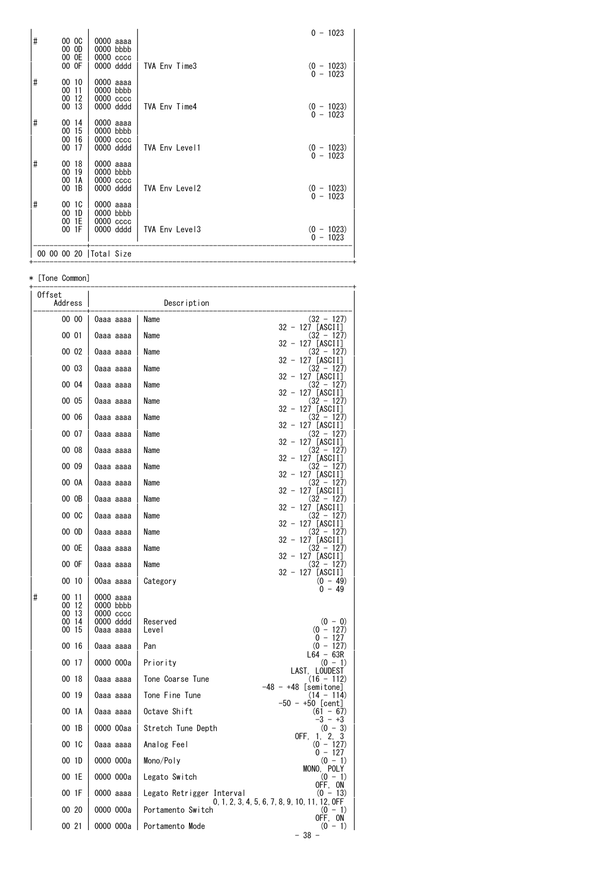| # | 00 OC<br>00 OD             | 0000 aaaa<br>$0000$ bbbb                  |                | $0 - 1023$                 |
|---|----------------------------|-------------------------------------------|----------------|----------------------------|
|   | 00 OE<br>00 OF             | 0000 cccc<br>0000 dddd                    | TVA Env Time3  | $(0 - 1023)$<br>$0 - 1023$ |
| # | 00 10<br>0011<br>-12<br>00 | 0000 aaaa<br>$0000$ bbbb<br>$0000$ $cccc$ |                |                            |
|   | 13<br>00                   | 0000 dddd                                 | TVA Env Time4  | $(0 - 1023)$<br>$0 - 1023$ |
| # | 00 14<br>00 15<br>00 16    | 0000 aaaa<br>$0000$ bbbb<br>0000 cccc     |                |                            |
|   | 00 17                      | 0000 dddd                                 | TVA Env Level1 | $(0 - 1023)$<br>$0 - 1023$ |
| # | 00 18<br>00 19<br>1A<br>00 | 0000 aaaa<br>$0000$ bbbb<br>$0000$ $cccc$ |                |                            |
|   | $00$ 1B                    | 0000 dddd                                 | TVA Env Level2 | $(0 - 1023)$<br>$0 - 1023$ |
| # | 00 1C<br>1D<br>00<br>00 1E | 0000 aaaa<br>0000 bbbb<br>0000 cccc       |                |                            |
|   | 00 1F                      | 0000 dddd                                 | TVA Env Level3 | $(0 - 1023)$<br>$0 - 1023$ |
|   |                            | 00 00 00 20   Total Size                  |                |                            |

\* [Tone Common]

| Offset<br>Address                              |                                                               | Description               |                                                              |
|------------------------------------------------|---------------------------------------------------------------|---------------------------|--------------------------------------------------------------|
| 00 00                                          | 0aaa aaaa                                                     | Name                      | $(32 - 127)$                                                 |
| 00 01                                          | 0aaa aaaa                                                     | Name                      | $32 - 127$ [ASCII]<br>$(32 - 127)$                           |
| 00 02                                          | 0aaa aaaa                                                     | Name                      | 32 - 127 [ASCII]<br>(32 - 127)                               |
| 00 03                                          | 0aaa aaaa                                                     | Name                      | 32 - 127 [ASCII]<br>$(32 - 127)$                             |
| 00 04                                          | 0aaa aaaa                                                     | Name                      | 32 - 127 [ASCII]<br>(32 - 127)                               |
| 00 05                                          | 0aaa aaaa                                                     | Name                      | 32 - 127 [ASCII]<br>(32 - 127)                               |
| 00 06                                          | 0aaa aaaa                                                     | Name                      | 32 - 127 [ASCII]<br>$(32 - 127)$                             |
| 00 07                                          | 0aaa aaaa                                                     | Name                      | $32 - 127$ [ASCII]<br>(32 - 127)                             |
| 00 08                                          | 0aaa aaaa                                                     | Name                      | 32 - 127 [ASCII]<br>(32 - 127)                               |
| 00 09                                          | 0aaa aaaa                                                     | Name                      | 32 - 127 [ASCII]<br>$(32 - 127)$                             |
| 00 OA                                          | 0aaa aaaa                                                     | Name                      | 32 - 127 [ASCII]<br>(32 - 127)                               |
| 00 OB                                          | 0aaa aaaa                                                     | Name                      | 32 - 127 [ASCII]<br>(32 - 127)                               |
| 00 OC                                          | 0aaa aaaa                                                     | Name                      | 32 - 127 [ASCII]<br>$(32 - 127)$                             |
| 00 OD                                          | 0aaa aaaa                                                     | Name                      | 32 - 127 [ASCII]<br>(32 - 127)                               |
| 00 OE                                          | 0aaa aaaa                                                     | Name                      | 32 - 127 [ASCII]<br>(32 - 127)<br>32 - 127 [ASCII]           |
| 00 OF                                          | 0aaa aaaa                                                     | Name                      | $(32 - 127)$<br>32 - 127 [ASCII]                             |
| 00 10                                          | 00aa aaaa                                                     | Category                  | $(0 - 49)$<br>$0 - 49$                                       |
| #<br>00 11<br>00 12<br>00 13<br>00 14<br>00 15 | 0000 aaaa<br>0000 bbbb<br>0000 cccc<br>0000 dddd<br>0aaa aaaa | Reserved<br>Level         | $(0 - 0)$<br>$(0 - 127)$                                     |
| 00 16                                          | 0aaa aaaa                                                     | Pan                       | $0 - 127$<br>$(0 - 127)$                                     |
| 00 17                                          | 0000 000a                                                     | Priority                  | $L64 - 63R$<br>$(0 - 1)$                                     |
| 00 18                                          | 0aaa aaaa                                                     | Tone Coarse Tune          | LAST, LOUDEST<br>$(16 - 112)$                                |
| 00 19                                          | 0aaa aaaa                                                     | Tone Fine Tune            | $-48 - +48$ [semitone]<br>$(14 - 114)$<br>$-50 - +50$ [cent] |
| 00 1A                                          | 0aaa aaaa                                                     | Octave Shift              | $(61 - 67)$<br>$-3 - +3$                                     |
| 00 1B                                          | 0000 00aa                                                     | Stretch Tune Depth        | $(0 - 3)$<br>OFF, 1, 2,<br>3                                 |
| 00 1C                                          | 0aaa aaaa                                                     | Analog Feel               | $(0 - 127)$<br>$0 - 127$                                     |
| 00 1D                                          | 0000 000a                                                     | Mono/Poly                 | $(0 - 1)$<br>MONO, POLY                                      |
| 00 1E                                          | 0000 000a                                                     | Legato Switch             | $(0 - 1)$<br>OFF, ON                                         |
| 00 1F                                          | 0000 aaaa                                                     | Legato Retrigger Interval | $(0 - 13)$<br>0, 1, 2, 3, 4, 5, 6, 7, 8, 9, 10, 11, 12, OFF  |
| 00 20                                          | 0000 000a                                                     | Portamento Switch         | $(0 - 1)$<br>OFF, ON                                         |
| 00 21                                          | 0000 000a                                                     | Portamento Mode           | $(0 - 1)$<br>- 38 -                                          |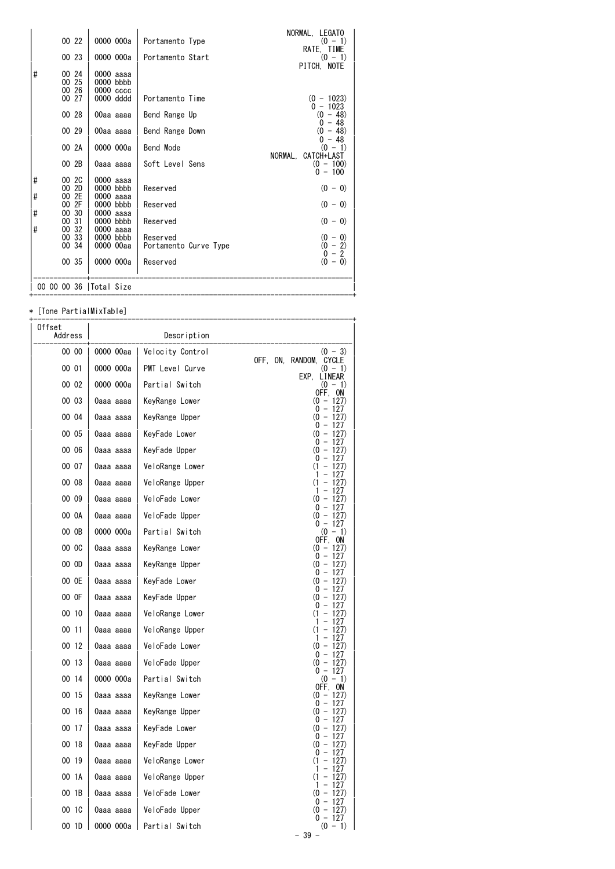| 00 22                                                                                                                         | 0000 000a                                                                                                                      | Portamento Type                                                                   | NORMAL, LEGATO<br>$(0 - 1)$<br>RATE, TIME                                                             |
|-------------------------------------------------------------------------------------------------------------------------------|--------------------------------------------------------------------------------------------------------------------------------|-----------------------------------------------------------------------------------|-------------------------------------------------------------------------------------------------------|
| 00 23                                                                                                                         | 0000 000a                                                                                                                      | Portamento Start                                                                  | $(0 - 1)$<br>PITCH, NOTE                                                                              |
| #<br>00 24<br>00 25<br>00 26<br>00 27                                                                                         | 0000 aaaa<br>0000 bbbb<br>0000 cccc<br>0000 dddd                                                                               | Portamento Time                                                                   | $(0 - 1023)$<br>$0 - 1023$                                                                            |
| 00 28                                                                                                                         | 00aa aaaa                                                                                                                      | Bend Range Up                                                                     | $(0 - 48)$<br>$-48$<br>0                                                                              |
| 00 29                                                                                                                         | 00aa aaaa                                                                                                                      | Bend Range Down                                                                   | (0)<br>$-48)$<br>$0 - 48$                                                                             |
| 00 2A                                                                                                                         | 0000 000a                                                                                                                      | Bend Mode                                                                         | $(0 - 1)$<br>NORMAL.<br>CATCH+LAST                                                                    |
| 00 2B                                                                                                                         | 0aaa aaaa                                                                                                                      | Soft Level Sens                                                                   | $(0 - 100)$<br>$0 - 100$                                                                              |
| $\sharp$<br>00 2C<br>00 2D<br>#<br>2E<br>00<br>2F<br>00<br>#<br>00 30<br>00 31<br>#<br>32<br>00<br>33<br>00<br>00 34<br>00 35 | 0000 aaaa<br>0000 bbbb<br>0000 aaaa<br>0000 bbbb<br>0000 aaaa<br>0000 bbbb<br>0000 aaaa<br>0000 bbbb<br>0000 00aa<br>0000 000a | Reserved<br>Reserved<br>Reserved<br>Reserved<br>Portamento Curve Type<br>Reserved | $(0 - 0)$<br>$(0 - 0)$<br>$(0 - 0)$<br>$(0 - 0)$<br>$(0 - 2)$<br>$\overline{2}$<br>$0 -$<br>$(0 - 0)$ |
| 00 00 00 36   Total Size                                                                                                      |                                                                                                                                |                                                                                   |                                                                                                       |

\* [Tone PartialMixTable]

| Offset<br>Address |           | Description      |                                                                      |
|-------------------|-----------|------------------|----------------------------------------------------------------------|
| 00 00             | 0000 00aa | Velocity Control | $(0 - 3)$                                                            |
| 00 01             | 0000 000a | PMT Level Curve  | OFF, ON, RANDOM,<br>CYCLE<br>$(0 - 1)$                               |
| 00 02             | 0000 000a | Partial Switch   | EXP.<br>LINEAR<br>$(0 - 1)$                                          |
| 00 03             | 0aaa aaaa | KeyRange Lower   | OFF, ON<br>$(0 - 127)$<br>0 - 127                                    |
| 00 04             | 0aaa aaaa | KeyRange Upper   | $(0 - 127)$<br>0                                                     |
| 00 05             | 0aaa aaaa | KeyFade Lower    | $-127$<br>$\left( 0 \right)$<br>$-127$<br>0                          |
| 00 06             | 0aaa aaaa | KeyFade Upper    | $-127$<br>$\overline{\phantom{0}}$<br>(0<br>127)<br>0                |
| 00 07             | 0aaa aaaa | VeloRange Lower  | - 127<br>(1)<br>$-127$                                               |
| 00 08             | 0aaa aaaa | VeloRange Upper  | 127<br>-<br>(1)<br>127)                                              |
| 00 09             | 0aaa aaaa | VeloFade Lower   | 127<br>1<br>$\qquad \qquad -$<br>127)<br>$^{(0)}$                    |
| 00 0A             | 0aaa aaaa | VeloFade Upper   | 0<br>$-127$<br>$(0 - 127)$<br>0 - 127                                |
| 00 OB             | 0000 000a | Partial Switch   | $(0 - 1)$                                                            |
| 00 OC             | 0aaa aaaa | KeyRange Lower   | OFF,<br>0N<br>$(0 - 127)$                                            |
| 00 OD             | 0aaa aaaa | KeyRange Upper   | $0 - 127$<br>$-127$<br>$\omega$                                      |
| 00 OE             | 0aaa aaaa | KeyFade Lower    | $-127$<br>0<br>$(0 -$<br>127)                                        |
| 00 OF             | 0aaa aaaa | KeyFade Upper    | 0<br>$-127$<br>$(0 - 127)$                                           |
| 00 10             | 0aaa aaaa | VeloRange Lower  | 0<br>$\overline{\phantom{0}}$<br>127<br>(1)<br>$-127$                |
| 00 11             | 0aaa aaaa | VeloRange Upper  | 1<br>127<br>(1)<br>127)                                              |
| 00 12             | 0aaa aaaa | VeloFade Lower   | 127<br>1<br>$\omega$<br>$-127$                                       |
| 00 13             | 0aaa aaaa | VeloFade Upper   | 0<br>$-127$<br>$(0 - 127)$                                           |
| 00 14             | 0000 000a | Partial Switch   | 0 - 127<br>$(0 - 1)$                                                 |
| 00 15             | 0aaa aaaa | KeyRange Lower   | OFF,<br>ON.<br>$(0 - 127)$                                           |
| 00 16             | 0aaa aaaa | KeyRange Upper   | $0 - 127$<br>$(0 - 127)$                                             |
| 00 17             | 0aaa aaaa | KeyFade Lower    | $\overline{\phantom{0}}$<br>127<br>0<br>(0<br>$\overline{a}$<br>127) |
| 00 18             | 0aaa aaaa | KeyFade Upper    | 0<br>$-127$<br>(0<br>$-127$                                          |
| 00 19             | 0aaa aaaa | VeloRange Lower  | 0<br>$\qquad \qquad -$<br>-127<br>(1)<br>127)                        |
| 00 1A             | 0aaa aaaa | VeloRange Upper  | 127<br>1<br>(1)<br>- 127)                                            |
| 00 1B             | 0aaa aaaa | VeloFade Lower   | 127<br>$-127$<br>$^{(0)}$                                            |
| 00 1C             | 0aaa aaaa | VeloFade Upper   | 0<br>$-127$<br>$\overline{\phantom{0}}$<br>127)<br>(0                |
| 00 1D             | 0000 000a | Partial Switch   | $-127$<br>0<br>(0 –<br>-1)                                           |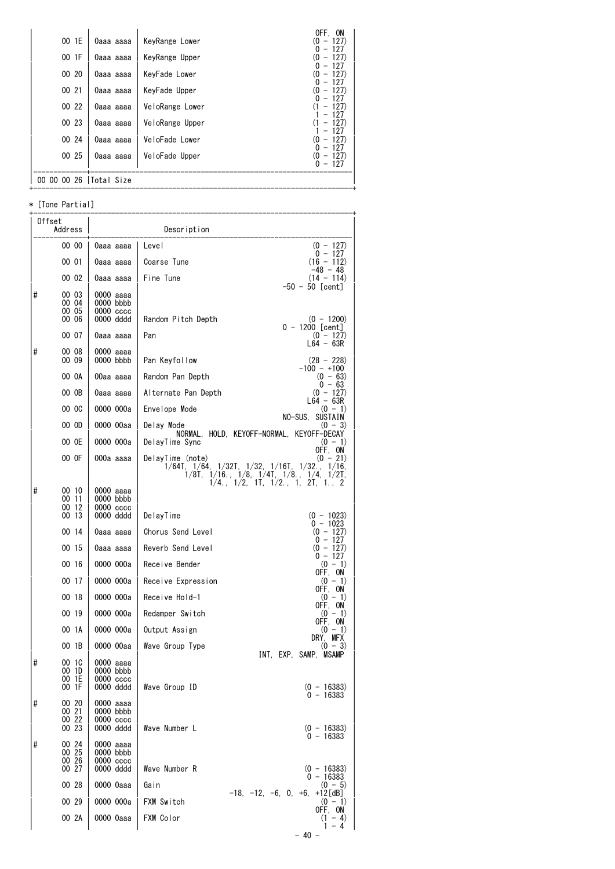| 00 1E                    | 0aaa aaaa | KeyRange Lower  | OFF. ON<br>$-127$<br>(0<br>$-127$ |
|--------------------------|-----------|-----------------|-----------------------------------|
| 00 1F                    | 0aaa aaaa | KeyRange Upper  | $-127$<br>0)<br>$-127$            |
| 00 20                    | 0aaa aaaa | KeyFade Lower   | $-127$<br>0)                      |
| 00 21                    | 0aaa aaaa | KeyFade Upper   | $-127$<br>0)<br>$-127$<br>U       |
| 00 22                    | 0aaa aaaa | VeloRange Lower | $-127$<br>$-127$                  |
| 00 23                    | 0aaa aaaa | VeloRange Upper | $-127$<br>$-127$                  |
| 00 24                    | 0aaa aaaa | VeloFade Lower  | $-127$<br>$-127$<br>0)            |
| 00 25                    | 0aaa aaaa | VeloFade Upper  | $-127$<br>$-127$<br>(0            |
|                          |           |                 | $0 - 127$                         |
| 00 00 00 26   Total Size |           |                 |                                   |

| ∗      | [Tone Partial] |                            |                                                                                                               |
|--------|----------------|----------------------------|---------------------------------------------------------------------------------------------------------------|
| Offset | Address        |                            | Description                                                                                                   |
|        | 00 00          | Oaaa aaaa                  | Level<br>$(0 - 127)$                                                                                          |
|        | 00 01          | 0aaa aaaa                  | $0 - 127$<br>Coarse Tune<br>(16 - 112)                                                                        |
|        | 00 02          | 0aaa aaaa                  | $-48 - 48$<br>Fine Tune<br>$(14 - 114)$                                                                       |
| #      | 00 03          | 0000 aaaa                  | $-50 - 50$ [cent]                                                                                             |
|        | 00 04<br>00 05 | $0000$ bbbb<br>$0000 \csc$ |                                                                                                               |
|        | 00 06          | 0000 dddd                  | Random Pitch Depth<br>$(0 - 1200)$<br>$0 - 1200$ [cent]                                                       |
|        | 00 07          | 0aaa aaaa                  | Pan<br>$(0 - 127)$<br>L64 - 63R                                                                               |
| #      | 00 08<br>00 09 | 0000 aaaa<br>0000 bbbb     | Pan Keyfollow<br>$(28 - 228)$                                                                                 |
|        |                |                            | $-100 - +100$                                                                                                 |
|        | 00 OA          | 00aa aaaa                  | Random Pan Depth<br>$(0 - 63)$<br>0 - 63                                                                      |
|        | 00 OB          | 0aaa aaaa                  | Alternate Pan Depth<br>$(0 - 127)$<br>$L64 - 63R$                                                             |
|        | 00 OC          | 0000 000a                  | Envelope Mode<br>$(0 - 1)$<br>NO-SUS, SUSTAIN                                                                 |
|        | 00 OD          | 0000 00aa                  | Delay Mode<br>(0 - 3)<br>NORMAL, HOLD, KEYOFF-NORMAL, KEYOFF-DECAY                                            |
|        | 00 OE          | 0000 000a                  | DelayTime Sync<br>$(0 - 1)$<br>OFF, ON                                                                        |
|        | 00 OF          | 000a aaaa                  | DelayTime (note)<br>$(0 - 21)$<br>$1/64$ T, $1/64$ , $1/32$ T, $1/32$ , $1/16$ T, $1/32$ ., $1/16$ ,<br>1/8T. |
| #      | 00 10          | 0000 aaaa                  | $1/16$ , $1/8$ , $1/4$ T, $1/8$ , $1/4$ , $1/2$ T, $1/4$ , $1/2$ , $1$ T, $1/2$ , $1$ , $2$ T, $1$ , $2$      |
|        | 0011           | 0000 bbbb                  |                                                                                                               |
|        | 00 12<br>00 13 | $0000 \csc$<br>0000 dddd   | DelayTime<br>$(0 - 1023)$                                                                                     |
|        | 00 14          | 0aaa aaaa                  | $0 - 1023$<br>Chorus Send Level<br>$(0 - 127)$                                                                |
|        | 00 15          | 0aaa aaaa                  | $0 - 127$<br>Reverb Send Level<br>$(0 - 127)$                                                                 |
|        | 00 16          | 0000 000a                  | 0 - 127<br>Receive Bender<br>$(0 - 1)$                                                                        |
|        | 00 17          | 0000 000a                  | OFF, ON<br>Receive Expression<br>$(0 - 1)$                                                                    |
|        | 00 18          | 0000 000a                  | OFF, ON<br>Receive Hold-1<br>$(0 - 1)$                                                                        |
|        | 00 19          | 0000 000a                  | OFF. ON<br>Redamper Switch<br>$(0 - 1)$                                                                       |
|        | 00 1A          | 0000 000a                  | OFF. ON<br>Output Assign<br>$(0 - 1)$                                                                         |
|        | 00 1B          | 0000 00aa                  | DRY. MFX<br>Wave Group Type<br>$(0 - 3)$                                                                      |
| #      | 00 1C          | 0000 аааа                  | INT, EXP, SAMP, MSAMP                                                                                         |
|        | 00 1D<br>00 1E | 0000 bbbb<br>0000 cccc     |                                                                                                               |
|        | 00 1F          | 0000 dddd                  | Wave Group ID<br>$(0 - 16383)$<br>$0 - 16383$                                                                 |
| #      | 00 20<br>00 21 | 0000 aaaa<br>0000 bbbb     |                                                                                                               |
|        | 00 22          | $0000$ $cccc$              |                                                                                                               |
|        | 00 23          | 0000 dddd                  | Wave Number L<br>$(0 - 16383)$<br>$0 - 16383$                                                                 |
| #      | 00 24<br>00 25 | 0000 aaaa<br>0000 bbbb     |                                                                                                               |
|        | 00 26<br>00 27 | $0000$ $cccc$<br>0000 dddd | Wave Number R<br>$(0 - 16383)$                                                                                |
|        | 00 28          | 0000 0aaa                  | $0 - 16383$<br>Gain<br>$(0 - 5)$                                                                              |
|        | 00 29          | 0000 000a                  | $-18$ , $-12$ , $-6$ , 0, $+6$ , $+12$ [dB]<br>FXM Switch<br>$(0 - 1)$                                        |
|        | 00 2A          | 0000 0aaa                  | OFF, ON<br>FXM Color<br>$(1 - 4)$                                                                             |
|        |                |                            | $1 - 4$                                                                                                       |
|        |                |                            | - 40 -                                                                                                        |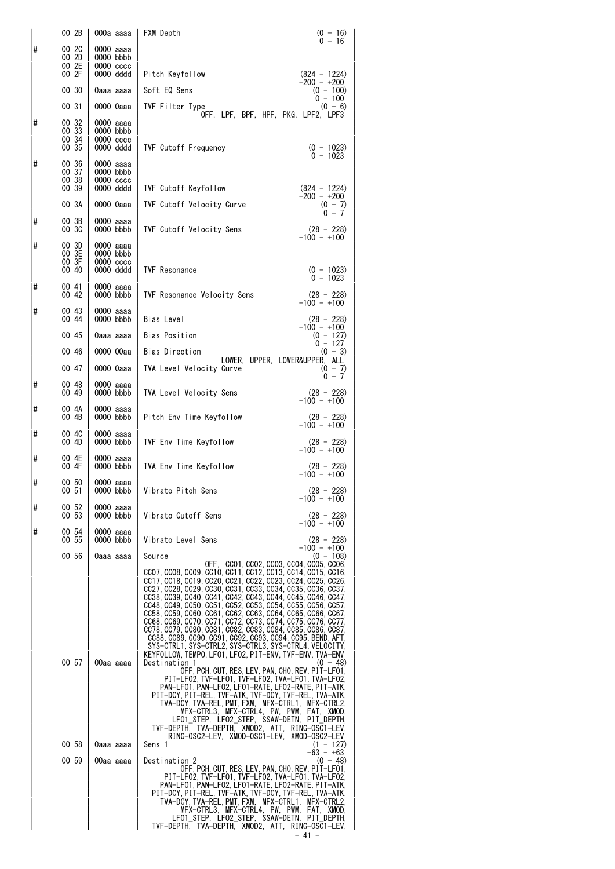|   | 00 2B                            | 000a aaaa                                           | FXM Depth                                                                                                                                                                                                                                                                                                                                                                                                                                                                                                                                                                                                                                                                                                                                          | $(0 - 16)$<br>$0 - 16$                         |
|---|----------------------------------|-----------------------------------------------------|----------------------------------------------------------------------------------------------------------------------------------------------------------------------------------------------------------------------------------------------------------------------------------------------------------------------------------------------------------------------------------------------------------------------------------------------------------------------------------------------------------------------------------------------------------------------------------------------------------------------------------------------------------------------------------------------------------------------------------------------------|------------------------------------------------|
| # | 00 2C<br>00 2D<br>00 2E<br>00 2F | 0000 aaaa<br>0000 bbbb<br>$0000 \csc$<br>0000 dddd  | Pitch Keyfollow                                                                                                                                                                                                                                                                                                                                                                                                                                                                                                                                                                                                                                                                                                                                    | $(824 - 1224)$                                 |
|   | 00 30                            | 0aaa aaaa                                           | Soft EQ Sens                                                                                                                                                                                                                                                                                                                                                                                                                                                                                                                                                                                                                                                                                                                                       | $-200 - +200$<br>$(0 - 100)$                   |
|   | 00 31                            | 0000 0aaa                                           | TVF Filter Type                                                                                                                                                                                                                                                                                                                                                                                                                                                                                                                                                                                                                                                                                                                                    | $0 - 100$<br>$(0 - 6)$                         |
| # | 00 32<br>00 33<br>00 34<br>00 35 | 0000 aaaa<br>0000 bbbb<br>$0000\,\csc$<br>0000 dddd | OFF, LPF, BPF, HPF, PKG, LPF2, LPF3<br><b>TVF Cutoff Frequency</b>                                                                                                                                                                                                                                                                                                                                                                                                                                                                                                                                                                                                                                                                                 | $(0 - 1023)$                                   |
| # | 00 36<br>00 37<br>00 38<br>00 39 | 0000 aaaa<br>0000 bbbb<br>$0000\,\csc$<br>0000 dddd | TVF Cutoff Keyfollow                                                                                                                                                                                                                                                                                                                                                                                                                                                                                                                                                                                                                                                                                                                               | $0 - 1023$<br>$(824 - 1224)$                   |
|   | 00 3A                            | 0000 0aaa                                           | TVF Cutoff Velocity Curve                                                                                                                                                                                                                                                                                                                                                                                                                                                                                                                                                                                                                                                                                                                          | $-200 - +200$<br>$(0 - 7)$                     |
| # | 00 3B<br>00 3C                   | 0000 aaaa<br>0000 bbbb                              | TVF Cutoff Velocity Sens                                                                                                                                                                                                                                                                                                                                                                                                                                                                                                                                                                                                                                                                                                                           | $0 - 7$<br>$(28 - 228)$<br>$-100 - +100$       |
| # | 00 3D<br>00 3E<br>00 3F<br>00 40 | 0000 aaaa<br>0000 bbbb<br>$0000 \csc$<br>0000 dddd  | <b>TVF Resonance</b>                                                                                                                                                                                                                                                                                                                                                                                                                                                                                                                                                                                                                                                                                                                               | $(0 - 1023)$                                   |
| # | 00 41                            | 0000 aaaa                                           |                                                                                                                                                                                                                                                                                                                                                                                                                                                                                                                                                                                                                                                                                                                                                    | $0 - 1023$                                     |
| # | 00 42<br>00 43                   | 0000 bbbb<br>0000 aaaa                              | TVF Resonance Velocity Sens                                                                                                                                                                                                                                                                                                                                                                                                                                                                                                                                                                                                                                                                                                                        | $(28 - 228)$<br>$-100 - +100$                  |
|   | 00 44                            | 0000 bbbb                                           | Bias Level                                                                                                                                                                                                                                                                                                                                                                                                                                                                                                                                                                                                                                                                                                                                         | $(28 - 228)$<br>$-100 - +100$                  |
|   | 00 45                            | 0aaa aaaa                                           | Bias Position                                                                                                                                                                                                                                                                                                                                                                                                                                                                                                                                                                                                                                                                                                                                      | $(0 - 127)$<br>$0 - 127$                       |
|   | 00 46<br>00 47                   | 0000 00aa<br>0000 0aaa                              | Bias Direction<br>LOWER, UPPER, LOWER&UPPER, ALL<br>TVA Level Velocity Curve                                                                                                                                                                                                                                                                                                                                                                                                                                                                                                                                                                                                                                                                       | $(0 - 3)$                                      |
| # | 00 48<br>00 49                   | 0000 aaaa<br>0000 bbbb                              | TVA Level Velocity Sens                                                                                                                                                                                                                                                                                                                                                                                                                                                                                                                                                                                                                                                                                                                            | $(0 - 7)$<br>0 - 7<br>$(28 - 228)$             |
| # | 00 4A<br>00 4B                   | 0000 aaaa<br>0000 bbbb                              | Pitch Env Time Keyfollow                                                                                                                                                                                                                                                                                                                                                                                                                                                                                                                                                                                                                                                                                                                           | $-100 - +100$<br>$(28 - 228)$<br>$-100 - +100$ |
| # | 00 4C<br>$00 \t 4D$              | 0000 aaaa<br>0000 bbbb                              | TVF Env Time Keyfollow                                                                                                                                                                                                                                                                                                                                                                                                                                                                                                                                                                                                                                                                                                                             | $(28 - 228)$                                   |
| # | 00 4E<br>00 4F                   | 0000 aaaa<br>0000 bbbb                              | TVA Env Time Keyfollow                                                                                                                                                                                                                                                                                                                                                                                                                                                                                                                                                                                                                                                                                                                             | $-100 - +100$<br>$(28 - 228)$<br>$-100 - +100$ |
| # | 00 50<br>00 51                   | 0000 aaaa<br>0000 bbbb                              | Vibrato Pitch Sens                                                                                                                                                                                                                                                                                                                                                                                                                                                                                                                                                                                                                                                                                                                                 | $(28 - 228)$                                   |
| # | 00 52<br>00 53                   | 0000 aaaa<br>0000 bbbb                              | Vibrato Cutoff Sens                                                                                                                                                                                                                                                                                                                                                                                                                                                                                                                                                                                                                                                                                                                                | $-100 - +100$<br>$(28 - 228)$<br>$-100 - 100$  |
| # | 00 54<br>00 55                   | 0000 aaaa<br>0000 bbbb                              | Vibrato Level Sens                                                                                                                                                                                                                                                                                                                                                                                                                                                                                                                                                                                                                                                                                                                                 | $(28 - 228)$                                   |
|   | 00 56                            | 0aaa aaaa                                           | Source                                                                                                                                                                                                                                                                                                                                                                                                                                                                                                                                                                                                                                                                                                                                             | $-100 - +100$<br>$(0 - 108)$                   |
|   |                                  |                                                     | OFF. CCO1. CCO2. CCO3. CCO4. CCO5. CCO6.<br>CCO7, CCO8, CCO9, CC10, CC11, CC12, CC13, CC14, CC15, CC16,<br>CC17, CC18, CC19, CC20, CC21, CC22, CC23, CC24, CC25, CC26,<br>CC27, CC28, CC29, CC30, CC31, CC33, CC34, CC35, CC36, CC37,<br>CC38, CC39, CC40, CC41, CC42, CC43, CC44, CC45, CC46, CC47,<br>CC48, CC49, CC50, CC51, CC52, CC53, CC54, CC55, CC56, CC57,<br>CC58, CC59, CC60, CC61, CC62, CC63, CC64, CC65, CC66, CC67,<br>CC68, CC69, CC70, CC71, CC72, CC73, CC74, CC75, CC76, CC77,<br>CC78, CC79, CC80, CC81, CC82, CC83, CC84, CC85, CC86, CC87,<br>CC88, CC89, CC90, CC91, CC92, CC93, CC94, CC95, BEND, AFT,<br>SYS-CTRL1, SYS-CTRL2, SYS-CTRL3, SYS-CTRL4, VELOCITY,<br>KEYFOLLOW, TEMPO, LFO1, LFO2, PIT-ENV, TVF-ENV, TVA-ENV |                                                |
|   | 00 57                            | 00aa aaaa                                           | Destination 1<br>OFF, PCH, CUT, RES, LEV, PAN, CHO, REV, PIT-LF01,<br>PIT-LF02, TVF-LF01, TVF-LF02, TVA-LF01, TVA-LF02,<br>PAN-LF01, PAN-LF02, LF01-RATE, LF02-RATE, PIT-ATK,<br>PIT-DCY, PIT-REL, TVF-ATK, TVF-DCY, TVF-REL, TVA-ATK,<br>TVA-DCY,TVA-REL,PMT,FXM, MFX-CTRL1, MFX-CTRL2,<br>MFX-CTRL3, MFX-CTRL4, PW, PWM, FAT, XMOD,<br>LF01_STEP, LF02_STEP, SSAW-DETN, PIT_DEPTH,<br>TVF-DEPTH, TVA-DEPTH, XMOD2, ATT, RING-OSC1-LEV,                                                                                                                                                                                                                                                                                                           | $(0 - 48)$                                     |
|   | 00 58                            | 0aaa aaaa                                           | RING-OSC2-LEV. XMOD-OSC1-LEV. XMOD-OSC2-LEV<br>Sens 1                                                                                                                                                                                                                                                                                                                                                                                                                                                                                                                                                                                                                                                                                              | $(1 - 127)$<br>$-63 - +63$                     |
|   | 00 59                            | 00aa aaaa                                           | Destination 2<br>OFF, PCH, CUT, RES, LEV, PAN, CHO, REV, PIT-LF01,<br>PIT-LF02, TVF-LF01, TVF-LF02, TVA-LF01, TVA-LF02,<br>PAN-LF01, PAN-LF02, LF01-RATE, LF02-RATE, PIT-ATK,<br>PIT-DCY, PIT-REL, TVF-ATK, TVF-DCY, TVF-REL, TVA-ATK,<br>TVA-DCY, TVA-REL, PMT, FXM, MFX-CTRL1, MFX-CTRL2,<br>MFX-CTRL3, MFX-CTRL4, PW, PWM, FAT, XMOD,<br>LF01_STEP, LF02_STEP, SSAW-DETN, PIT_DEPTH,<br>TVF-DEPTH, TVA-DEPTH, XMOD2, ATT, RING-OSC1-LEV,                                                                                                                                                                                                                                                                                                        | $(0 - 48)$<br>$-41 -$                          |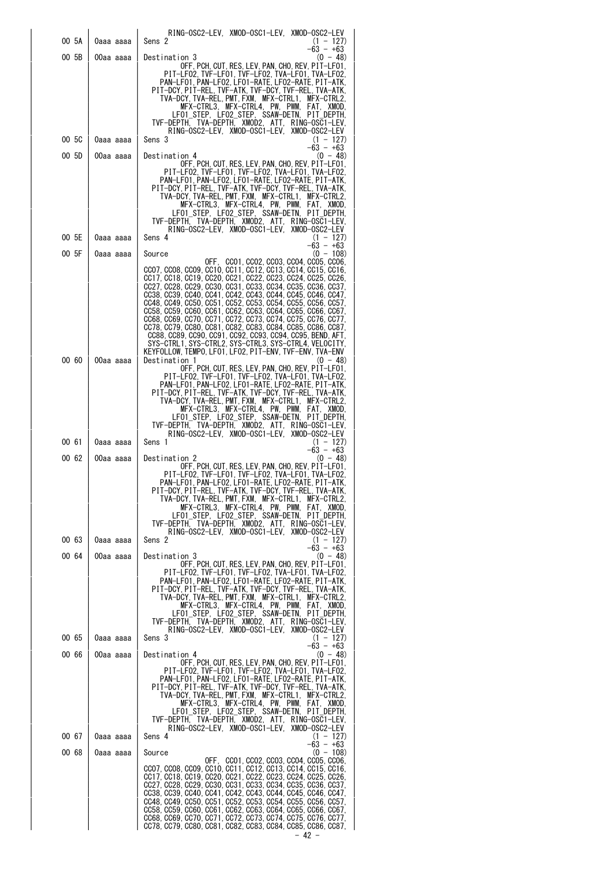|                |                        | RING-OSC2-LEV, XMOD-OSC1-LEV, XMOD-OSC2-LEV                                                                                                                                                                                                                                                                                                                                                                                                                                                                                                                                                                                                                                                                                                                                                                                                                                                                                                                                                                                                                                                 |
|----------------|------------------------|---------------------------------------------------------------------------------------------------------------------------------------------------------------------------------------------------------------------------------------------------------------------------------------------------------------------------------------------------------------------------------------------------------------------------------------------------------------------------------------------------------------------------------------------------------------------------------------------------------------------------------------------------------------------------------------------------------------------------------------------------------------------------------------------------------------------------------------------------------------------------------------------------------------------------------------------------------------------------------------------------------------------------------------------------------------------------------------------|
| 00 5A          | 0aaa aaaa              | Sens 2<br>$(1 - 127)$<br>$-63 - +63$                                                                                                                                                                                                                                                                                                                                                                                                                                                                                                                                                                                                                                                                                                                                                                                                                                                                                                                                                                                                                                                        |
| 00 5B          | 00aa aaaa              | Destination 3<br>$(0 - 48)$<br>OFF. PCH. CUT. RES. LEV. PAN. CHO. REV. PIT-LFO1.<br>PIT-LF02, TVF-LF01, TVF-LF02, TVA-LF01, TVA-LF02,<br>PAN-LFO1, PAN-LFO2, LFO1-RATE, LFO2-RATE, PIT-ATK,<br>PIT-DCY PIT-REL TVF-ATK TVF-DCY TVF-REL TVA-ATK.<br>TVA-DCY, TVA-REL, PMT, FXM, MFX-CTRL1, MFX-CTRL2,<br>MFX-CTRL3, MFX-CTRL4, PW, PWM, FAT, XMOD,                                                                                                                                                                                                                                                                                                                                                                                                                                                                                                                                                                                                                                                                                                                                           |
|                |                        | LF01 STEP, LF02 STEP, SSAW-DETN, PIT DEPTH,<br>TVF-DEPTH, TVA-DEPTH, XMOD2, ATT, RING-OSC1-LEV,<br>RING-OSC2-LEV, XMOD-OSC1-LEV, XMOD-OSC2-LEV                                                                                                                                                                                                                                                                                                                                                                                                                                                                                                                                                                                                                                                                                                                                                                                                                                                                                                                                              |
| 00 5C          | 0aaa aaaa              | Sens 3<br>$(1 - 127)$<br>$-63 - +63$                                                                                                                                                                                                                                                                                                                                                                                                                                                                                                                                                                                                                                                                                                                                                                                                                                                                                                                                                                                                                                                        |
| 00 5D          | 00aa aaaa              | $(0 - 48)$<br>Destination 4<br>OFF, PCH, CUT, RES, LEV, PAN, CHO, REV, PIT-LF01,<br>PIT-LF02, TVF-LF01, TVF-LF02, TVA-LF01, TVA-LF02,<br>PAN-LF01, PAN-LF02, LF01-RATE, LF02-RATE, PIT-ATK,<br>PIT-DCY, PIT-REL, TVF-ATK, TVF-DCY, TVF-REL, TVA-ATK,<br>TVA-DCY, TVA-REL, PMT, FXM, MFX-CTRL1,<br>MFX-CTRL2.<br>MFX-CTRL3, MFX-CTRL4, PW, PWM, FAT, XMOD,<br>LFO1_STEP, LFO2_STEP, SSAW-DETN, PIT_DEPTH,                                                                                                                                                                                                                                                                                                                                                                                                                                                                                                                                                                                                                                                                                    |
|                |                        | TVF-DEPTH, TVA-DEPTH, XMOD2, ATT, RING-OSC1-LEV,<br>RING-OSC2-LEV. XMOD-OSC1-LEV. XMOD-OSC2-LEV                                                                                                                                                                                                                                                                                                                                                                                                                                                                                                                                                                                                                                                                                                                                                                                                                                                                                                                                                                                             |
| 00 5E          | Оааа аааа              | Sens 4<br>$(1 - 127)$<br>$-63 - +63$                                                                                                                                                                                                                                                                                                                                                                                                                                                                                                                                                                                                                                                                                                                                                                                                                                                                                                                                                                                                                                                        |
| 00 5F<br>00 60 | 0aaa aaaa<br>00aa aaaa | $(0 - 108)$<br>Source<br>OFF, CCO1, CCO2, CCO3, CCO4, CCO5, CCO6,<br>CCO7, CCO8, CCO9, CC10, CC11, CC12, CC13, CC14, CC15, CC16,<br>CC17, CC18, CC19, CC20, CC21, CC22, CC23, CC24, CC25, CC26,<br>CC27, CC28, CC29, CC30, CC31, CC33, CC34, CC35, CC36, CC37,<br>CC38, CC39, CC40, CC41, CC42, CC43, CC44, CC45, CC46, CC47,<br>CC48, CC49, CC50, CC51, CC52, CC53, CC54, CC55, CC56, CC57,<br>CC58, CC59, CC60, CC61, CC62, CC63, CC64, CC65, CC66, CC67,<br>CC68, CC69, CC70, CC71, CC72, CC73, CC74, CC75, CC76, CC77,<br>CC78, CC79, CC80, CC81, CC82, CC83, CC84, CC85, CC86, CC87,<br>CC88, CC89, CC90, CC91, CC92, CC93, CC94, CC95, BEND, AFT,<br>SYS-CTRL1, SYS-CTRL2, SYS-CTRL3, SYS-CTRL4, VELOCITY,<br>KEYFOLLOW, TEMPO, LFO1, LFO2, PIT-ENV, TVF-ENV, TVA-ENV<br>Destination 1<br>$(0 - 48)$<br>OFF, PCH, CUT, RES, LEV, PAN, CHO, REV, PIT-LF01,<br>PIT-LF02, TVF-LF01, TVF-LF02, TVA-LF01, TVA-LF02,<br>PAN-LF01. PAN-LF02. LF01-RATE. LF02-RATE. PIT-ATK.<br>PIT-DCY, PIT-REL, TVF-ATK, TVF-DCY, TVF-REL, TVA-ATK,<br>TVA-DCY, TVA-REL, PMT, FXM, MFX-CTRL1,<br>MFX-CTRL2. |
| 00 61<br>00 62 | 0aaa aaaa<br>00aa aaaa | MFX-CTRL3, MFX-CTRL4, PW, PWM, FAT, XMOD,<br>LF01_STEP, LF02_STEP, SSAW-DETN, PIT_DEPTH,<br>TVF-DEPTH. TVA-DEPTH. XMOD2. ATT. RING-OSC1-LEV.<br>RING-OSC2-LEV. XMOD-OSC1-LEV. XMOD-OSC2-LEV<br>Sens 1<br>$(1 - 127)$<br>$-63 - +63$<br>$(0 - 48)$<br>Destination 2<br>OFF, PCH, CUT, RES, LEV, PAN, CHO, REV, PIT-LF01,<br>PIT-LF02. TVF-LF01. TVF-LF02. TVA-LF01. TVA-LF02.<br>PAN-LF01, PAN-LF02, LF01-RATE, LF02-RATE, PIT-ATK,<br>PIT-DCY, PIT-REL, TVF-ATK, TVF-DCY, TVF-REL, TVA-ATK,<br>TVA-DCY, TVA-REL, PMT, FXM, MFX-CTRL1, MFX-CTRL2,<br>MFX-CTRL3, MFX-CTRL4, PW, PWM, FAT, XMOD,                                                                                                                                                                                                                                                                                                                                                                                                                                                                                               |
|                |                        | LFO1_STEP, LFO2_STEP, SSAW-DETN, PIT_DEPTH,<br>TVF-DEPTH, TVA-DEPTH, XMOD2, ATT, RING-OSC1-LEV,                                                                                                                                                                                                                                                                                                                                                                                                                                                                                                                                                                                                                                                                                                                                                                                                                                                                                                                                                                                             |
| 00 63          | 0aaa aaaa              | RING-OSC2-LEV, XMOD-OSC1-LEV, XMOD-OSC2-LEV<br>Sens 2<br>$(1 - 127)$                                                                                                                                                                                                                                                                                                                                                                                                                                                                                                                                                                                                                                                                                                                                                                                                                                                                                                                                                                                                                        |
| 00 64          | 00aa aaaa              | $-63 - +63$<br>Destination 3<br>$(0 - 48)$<br>OFF, PCH, CUT, RES, LEV, PAN, CHO, REV, PIT-LF01,<br>PIT-LF02, TVF-LF01, TVF-LF02, TVA-LF01, TVA-LF02,<br>PAN-LFO1, PAN-LFO2, LFO1-RATE, LFO2-RATE, PIT-ATK,<br>PIT-DCY, PIT-REL, TVF-ATK, TVF-DCY, TVF-REL, TVA-ATK,<br>TVA-DCY TVA-REL PMT FXM MFX-CTRL1 MFX-CTRL2.<br>MFX-CTRL3. MFX-CTRL4. PW. PWM. FAT. XMOD.<br>LF01 STEP, LF02 STEP, SSAW-DETN, PIT DEPTH,<br>TVF-DEPTH, TVA-DEPTH, XMOD2, ATT, RING-OSC1-LEV,<br>RING-OSC2-LEV, XMOD-OSC1-LEV, XMOD-OSC2-LEV                                                                                                                                                                                                                                                                                                                                                                                                                                                                                                                                                                          |
| 00 65          | 0aaa aaaa              | Sens 3<br>$(1 - 127)$<br>$-63 - +63$                                                                                                                                                                                                                                                                                                                                                                                                                                                                                                                                                                                                                                                                                                                                                                                                                                                                                                                                                                                                                                                        |
| 00 66<br>00 67 | 00aa aaaa              | Destination 4<br>(0 - 48)<br>OFF, PCH, CUT, RES, LEV, PAN, CHO, REV, PIT-LFO1,<br>PIT-LF02, TVF-LF01, TVF-LF02, TVA-LF01, TVA-LF02,<br>PAN-LF01. PAN-LF02. LF01-RATE. LF02-RATE. PIT-ATK.<br>PIT-DCY, PIT-REL, TVF-ATK, TVF-DCY, TVF-REL, TVA-ATK,<br>TVA-DCY,TVA-REL,PMT,FXM, MFX-CTRL1, MFX-CTRL2,<br>MFX-CTRL3, MFX-CTRL4, PW, PWM, FAT, XMOD,<br>LF01_STEP, LF02_STEP, SSAW-DETN, PIT_DEPTH,<br>TVF-DEPTH, TVA-DEPTH, XMOD2, ATT, RING-OSC1-LEV,<br>RING-OSC2-LEV, XMOD-OSC1-LEV, XMOD-OSC2-LEV<br>Sens 4<br>$(1 - 127)$                                                                                                                                                                                                                                                                                                                                                                                                                                                                                                                                                                |
|                | 0aaa aaaa              | $-63 - +63$                                                                                                                                                                                                                                                                                                                                                                                                                                                                                                                                                                                                                                                                                                                                                                                                                                                                                                                                                                                                                                                                                 |
| 00 68          | 0aaa aaaa              | $(0 - 108)$<br>Source<br>OFF, CCO1, CCO2, CCO3, CCO4, CCO5, CCO6,<br>CC07, CC08, CC09, CC10, CC11, CC12, CC13, CC14, CC15, CC16,<br>CC17, CC18, CC19, CC20, CC21, CC22, CC23, CC24, CC25, CC26,<br>CC27, CC28, CC29, CC30, CC31, CC33, CC34, CC35, CC36, CC37,<br>CC38, CC39, CC40, CC41, CC42, CC43, CC44, CC45, CC46, CC47,<br>CC48, CC49, CC50, CC51, CC52, CC53, CC54, CC55, CC56, CC57,<br>CC58, CC59, CC60, CC61, CC62, CC63, CC64, CC65, CC66, CC67,<br>CC68, CC69, CC70, CC71, CC72, CC73, CC74, CC75, CC76, CC77,<br>CC78, CC79, CC80, CC81, CC82, CC83, CC84, CC85, CC86, CC87,                                                                                                                                                                                                                                                                                                                                                                                                                                                                                                   |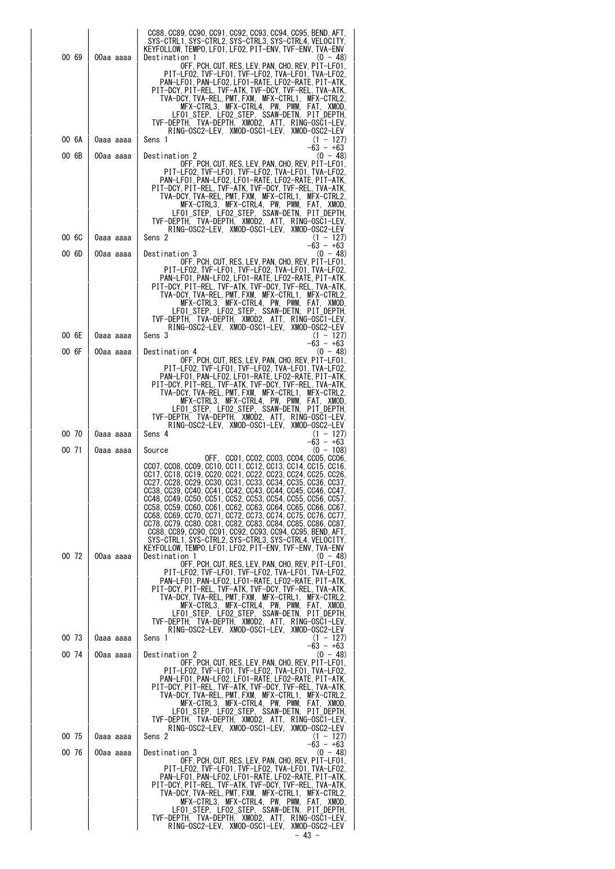| 00 69           | 00aa aaaa | CC88, CC89, CC90, CC91, CC92, CC93, CC94, CC95, BEND, AFT,<br>SYS-CTRL1, SYS-CTRL2, SYS-CTRL3, SYS-CTRL4, VELOCITY,<br>KEYFOLLOW, TEMPO, LFO1, LFO2, PIT-ENV, TVF-ENV, TVA-ENV<br>Destination 1<br>$(0 - 48)$<br>OFF, PCH, CUT, RES, LEV, PAN, CHO, REV, PIT-LF01<br>PIT-LF02, TVF-LF01, TVF-LF02, TVA-LF01, TVA-LF02,<br>PAN-LF01, PAN-LF02, LF01-RATE, LF02-RATE, PIT-ATK,<br>PIT-DCY PIT-REL. TVF-ATK. TVF-DCY. TVF-REL. TVA-ATK.<br>TVA-DCY.TVA-REL.PMT.FXM.MFX-CTRL1.<br>MFX-CTRL2.<br>MFX-CTRL3, MFX-CTRL4, PW, PWM,<br>FAT.<br>XMOD.<br>LFO1_STEP, LFO2_STEP, SSAW-DETN, PIT_DEPTH.<br>TVF-DEPTH, TVA-DEPTH, XMOD2, ATT,<br>RING-OSC1-LEV.                                                                                                                                                                                                                                                                                                                                                                                                                                                                                                                                                               |
|-----------------|-----------|-----------------------------------------------------------------------------------------------------------------------------------------------------------------------------------------------------------------------------------------------------------------------------------------------------------------------------------------------------------------------------------------------------------------------------------------------------------------------------------------------------------------------------------------------------------------------------------------------------------------------------------------------------------------------------------------------------------------------------------------------------------------------------------------------------------------------------------------------------------------------------------------------------------------------------------------------------------------------------------------------------------------------------------------------------------------------------------------------------------------------------------------------------------------------------------------------------------------|
| 00 6A           | Oaaa aaaa | RING-OSC2-LEV, XMOD-OSC1-LEV,<br>XMOD-OSC2-LEV<br>Sens 1<br>$(1 - 127)$                                                                                                                                                                                                                                                                                                                                                                                                                                                                                                                                                                                                                                                                                                                                                                                                                                                                                                                                                                                                                                                                                                                                         |
| 00 6B           | 00aa aaaa | $-63 - +63$<br>$(0 - 48)$<br>Destination 2                                                                                                                                                                                                                                                                                                                                                                                                                                                                                                                                                                                                                                                                                                                                                                                                                                                                                                                                                                                                                                                                                                                                                                      |
|                 |           | OFF, PCH, CUT, RES, LEV, PAN, CHO, REV, PIT-LF01,<br>PIT-LF02. TVF-LF01. TVF-LF02. TVA-LF01. TVA-LF02.<br>PAN-LF01, PAN-LF02, LF01-RATE, LF02-RATE, PIT-ATK,<br>PIT-DCY, PIT-REL, TVF-ATK, TVF-DCY, TVF-REL, TVA-ATK,<br>TVA-DCY, TVA-REL, PMT, FXM, MFX-CTRL1,<br>MFX-CTRL2.<br>MFX-CTRL3, MFX-CTRL4, PW, PWM,<br>FAT. XMOD.<br>LFO1 STEP, LFO2 STEP, SSAW-DETN, PIT DEPTH,<br>TVF-DEPTH. TVA-DEPTH, XMOD2, ATT, RING-OSC1-LEV,<br>RING-OSC2-LEV, XMOD-OSC1-LEV,<br>XMOD-OSC2-LEV                                                                                                                                                                                                                                                                                                                                                                                                                                                                                                                                                                                                                                                                                                                              |
| 00 <sub>6</sub> | 0aaa aaaa | Sens 2<br>$(1 - 127)$<br>$-63 - +63$                                                                                                                                                                                                                                                                                                                                                                                                                                                                                                                                                                                                                                                                                                                                                                                                                                                                                                                                                                                                                                                                                                                                                                            |
| 006             | 00aa aaaa | $(0 - 48)$<br>Destination 3                                                                                                                                                                                                                                                                                                                                                                                                                                                                                                                                                                                                                                                                                                                                                                                                                                                                                                                                                                                                                                                                                                                                                                                     |
|                 |           | OFF, PCH, CUT, RES, LEV, PAN, CHO, REV, PIT-LF01,<br>PIT-LF02, TVF-LF01, TVF-LF02, TVA-LF01, TVA-LF02,<br>PAN-LF01. PAN-LF02. LF01-RATE. LF02-RATE. PIT-ATK.<br>PIT-DCY PIT-REL TVF-ATK TVF-DCY TVF-REL TVA-ATK.<br>TVA-DCY, TVA-REL, PMT, FXM, MFX-CTRL1,<br>MFX-CTRL2.<br>MFX-CTRL3, MFX-CTRL4, PW, PWM,<br>FAT.<br>XMOD.<br>LFO1 STEP. LFO2 STEP. SSAW-DETN.<br>PIT DEPTH.<br>TVF-DEPTH, TVA-DEPTH, XMOD2, ATT, RING-OSC1-LEV,<br>RING-OSC2-LEV, XMOD-OSC1-LEV, XMOD-OSC2-LEV                                                                                                                                                                                                                                                                                                                                                                                                                                                                                                                                                                                                                                                                                                                                |
| 00 6E           | 0aaa aaaa | $(1 - 127)$<br>Sens 3<br>$-63 - +63$                                                                                                                                                                                                                                                                                                                                                                                                                                                                                                                                                                                                                                                                                                                                                                                                                                                                                                                                                                                                                                                                                                                                                                            |
| 00 6F           | 00aa aaaa | $(0 - 48)$<br>Destination 4<br>OFF, PCH, CUT, RES, LEV, PAN, CHO, REV, PIT-LFO1,                                                                                                                                                                                                                                                                                                                                                                                                                                                                                                                                                                                                                                                                                                                                                                                                                                                                                                                                                                                                                                                                                                                                |
|                 |           | PIT-LF02, TVF-LF01, TVF-LF02, TVA-LF01, TVA-LF02,<br>PAN-LF01, PAN-LF02, LF01-RATE, LF02-RATE, PIT-ATK,<br>PIT-DCY, PIT-REL, TVF-ATK, TVF-DCY, TVF-REL, TVA-ATK,<br>TVA-DCY.TVA-REL.PMT.FXM.MFX-CTRL1.<br>MFX-CTRL2,<br>MFX-CTRL3, MFX-CTRL4, PW, PWM,<br>FAT.<br>XMOD.<br>LF01 STEP, LF02 STEP, SSAW-DETN, PIT DEPTH,<br>TVF-DEPTH. TVA-DEPTH. XMOD2. ATT. RING-OSC1-LEV.<br>RING-OSC2-LEV. XMOD-OSC1-LEV. XMOD-OSC2-LEV                                                                                                                                                                                                                                                                                                                                                                                                                                                                                                                                                                                                                                                                                                                                                                                       |
| 00 70           | Oaaa aaaa | Sens 4<br>$(1 - 127)$<br>$-63 - +63$                                                                                                                                                                                                                                                                                                                                                                                                                                                                                                                                                                                                                                                                                                                                                                                                                                                                                                                                                                                                                                                                                                                                                                            |
| 00 71           | 0aaa aaaa | $(0 - 108)$<br>Source<br>OFF. CCO1. CCO2. CCO3. CCO4. CCO5. CCO6.                                                                                                                                                                                                                                                                                                                                                                                                                                                                                                                                                                                                                                                                                                                                                                                                                                                                                                                                                                                                                                                                                                                                               |
| 00 72           | 00aa aaaa | CC07. CC08. CC09. CC10. CC11. CC12. CC13. CC14. CC15. CC16.<br>CC17, CC18, CC19, CC20, CC21, CC22, CC23, CC24, CC25, CC26,<br>CC27, CC28, CC29, CC30, CC31, CC33, CC34, CC35, CC36, CC37,<br>CC38, CC39, CC40, CC41, CC42, CC43, CC44, CC45, CC46, CC47,<br>CC48, CC49, CC50, CC51, CC52, CC53, CC54, CC55, CC56, CC57,<br>CC58, CC59, CC60, CC61, CC62, CC63, CC64, CC65, CC66, CC67,<br>CC68, CC69, CC70, CC71, CC72, CC73, CC74, CC75, CC76, CC77,<br>CC78, CC79, CC80, CC81, CC82, CC83, CC84, CC85, CC86, CC87,<br>CC88, CC89, CC90, CC91, CC92, CC93, CC94, CC95, BEND, AFT,<br>SYS-CTRL1. SYS-CTRL2. SYS-CTRL3. SYS-CTRL4. VELOCITY.<br>KEYFOLLOW. TEMPO. LFO1. LFO2. PIT-ENV. TVF-ENV. TVA-ENV<br>$(0 - 48)$<br>Destination 1<br>OFF, PCH, CUT, RES, LEV, PAN, CHO, REV, PIT-LF01,<br>PIT-LF02, TVF-LF01, TVF-LF02, TVA-LF01, TVA-LF02,<br>PAN-LF01, PAN-LF02, LF01-RATE, LF02-RATE, PIT-ATK,<br>PIT-DCY, PIT-REL, TVF-ATK, TVF-DCY, TVF-REL, TVA-ATK,<br>TVA-DCY.TVA-REL.PMT.FXM. MFX-CTRL1. MFX-CTRL2.<br>MFX-CTRL3. MFX-CTRL4. PW. PWM. FAT. XMOD.<br>LF01 STEP, LF02 STEP, SSAW-DETN, PIT DEPTH,<br>TVF-DEPTH, TVA-DEPTH, XMOD2, ATT, RING-OSC1-LEV,<br>RING-OSC2-LEV, XMOD-OSC1-LEV, XMOD-OSC2-LEV |
| 00 73           | Oaaa aaaa | Sens 1<br>$(1 - 127)$<br>$-63 - +63$                                                                                                                                                                                                                                                                                                                                                                                                                                                                                                                                                                                                                                                                                                                                                                                                                                                                                                                                                                                                                                                                                                                                                                            |
| 00 74           | 00aa aaaa | $(0 - 48)$<br>Destination 2<br>OFF, PCH, CUT, RES, LEV, PAN, CHO, REV, PIT-LFO1,<br>PIT-LF02, TVF-LF01, TVF-LF02, TVA-LF01, TVA-LF02,<br>PAN-LF01. PAN-LF02. LF01-RATE. LF02-RATE. PIT-ATK.<br>PIT-DCY, PIT-REL, TVF-ATK, TVF-DCY, TVF-REL, TVA-ATK,<br>TVA-DCY,TVA-REL,PMT,FXM, MFX-CTRL1, MFX-CTRL2,<br>MFX-CTRL3, MFX-CTRL4, PW, PWM, FAT, XMOD,<br>LFO1_STEP, LFO2_STEP, SSAW-DETN, PIT_DEPTH,<br>TVF-DEPTH. TVA-DEPTH. XMOD2. ATT. RING-OSC1-LEV.<br>RING-OSC2-LEV. XMOD-OSC1-LEV. XMOD-OSC2-LEV                                                                                                                                                                                                                                                                                                                                                                                                                                                                                                                                                                                                                                                                                                           |
| 00 75           | 0aaa aaaa | Sens 2<br>$(1 - 127)$<br>$-63 - +63$                                                                                                                                                                                                                                                                                                                                                                                                                                                                                                                                                                                                                                                                                                                                                                                                                                                                                                                                                                                                                                                                                                                                                                            |
| 00 76           | 00aa aaaa | $(0 - 48)$<br>Destination 3<br>OFF, PCH, CUT, RES, LEV, PAN, CHO, REV, PIT-LF01,<br>PIT-LF02, TVF-LF01, TVF-LF02, TVA-LF01, TVA-LF02,<br>PAN-LF01, PAN-LF02, LF01-RATE, LF02-RATE, PIT-ATK,<br>PIT-DCY, PIT-REL, TVF-ATK, TVF-DCY, TVF-REL, TVA-ATK,<br>TVA-DCY.TVA-REL.PMT.FXM. MFX-CTRL1. MFX-CTRL2.<br>MFX-CTRL3, MFX-CTRL4, PW, PWM, FAT, XMOD,<br>LFO1_STEP, LFO2_STEP, SSAW-DETN, PIT_DEPTH,<br>TVF-DEPTH, TVA-DEPTH, XMOD2, ATT, RING-OSC1-LEV,<br>RING-OSC2-LEV. XMOD-OSC1-LEV. XMOD-OSC2-LEV                                                                                                                                                                                                                                                                                                                                                                                                                                                                                                                                                                                                                                                                                                           |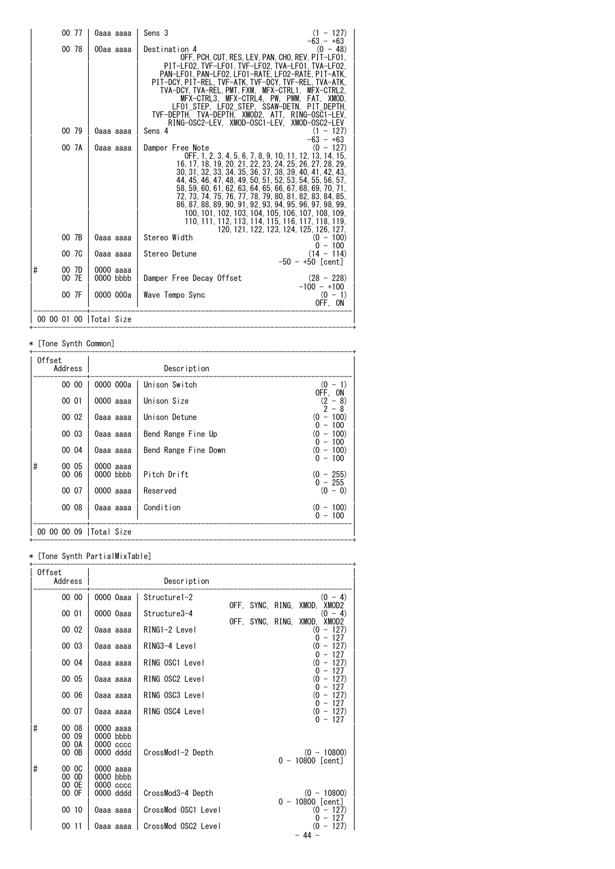| 00 77                    | 0aaa aaaa              | Sens 3                                                                                                                                                                                                                                                                                                                                                                                                                                                                                                                                                  | $(1 - 127)$<br>$-63 - +63$                             |
|--------------------------|------------------------|---------------------------------------------------------------------------------------------------------------------------------------------------------------------------------------------------------------------------------------------------------------------------------------------------------------------------------------------------------------------------------------------------------------------------------------------------------------------------------------------------------------------------------------------------------|--------------------------------------------------------|
| 00 78                    | 00aa aaaa              | Destination 4<br>OFF. PCH. CUT. RES. LEV. PAN. CHO. REV. PIT-LF01.<br>PIT-LF02. TVF-LF01. TVF-LF02. TVA-LF01. TVA-LF02.<br>PAN-LF01. PAN-LF02. LF01-RATE. LF02-RATE. PIT-ATK.<br>PIT-DCY PIT-REL TVF-ATK TVF-DCY TVF-REL TVA-ATK.<br>TVA-DCY TVA-REL PMT FXM MFX-CTRL1 MFX-CTRL2.<br>MFX-CTRL3. MFX-CTRL4. PW. PWM. FAT. XMOD.<br>LF01 STEP, LF02 STEP, SSAW-DETN, PIT DEPTH,<br>TVF-DEPTH. TVA-DEPTH. XMOD2. ATT. RING-OSC1-LEV.<br>RING-OSC2-LEV. XMOD-OSC1-LEV. XMOD-OSC2-LEV                                                                        | (0 - 48)                                               |
| 00 79                    | 0aaa aaaa              | Sens 4                                                                                                                                                                                                                                                                                                                                                                                                                                                                                                                                                  | $(1 - 127)$<br>$-63 - +63$                             |
| 00 7A                    | 0aaa aaaa              | Damper Free Note<br>OFF. 1. 2. 3. 4. 5. 6. 7. 8. 9. 10. 11. 12. 13. 14. 15.<br>16, 17, 18, 19, 20, 21, 22, 23, 24, 25, 26, 27, 28, 29,<br>30, 31, 32, 33, 34, 35, 36, 37, 38, 39, 40, 41, 42, 43,<br>44, 45, 46, 47, 48, 49, 50, 51, 52, 53, 54, 55, 56, 57,<br>58, 59, 60, 61, 62, 63, 64, 65, 66, 67, 68, 69, 70, 71,<br>72, 73, 74, 75, 76, 77, 78, 79, 80, 81, 82, 83, 84, 85,<br>86, 87, 88, 89, 90, 91, 92, 93, 94, 95, 96, 97, 98, 99,<br>100, 101, 102, 103, 104, 105, 106, 107, 108, 109,<br>110, 111, 112, 113, 114, 115, 116, 117, 118, 119, | $(0 - 127)$<br>120, 121, 122, 123, 124, 125, 126, 127, |
| 00 7B                    | 0aaa aaaa              | Stereo Width                                                                                                                                                                                                                                                                                                                                                                                                                                                                                                                                            | $(0 - 100)$<br>$0 - 100$                               |
| 00 7C                    | 0aaa aaaa              | Stereo Detune                                                                                                                                                                                                                                                                                                                                                                                                                                                                                                                                           | $(14 - 114)$<br>$-50 - +50$ [cent]                     |
| #<br>00 7D<br>00 7E      | 0000 aaaa<br>0000 bbbb | Damper Free Decay Offset                                                                                                                                                                                                                                                                                                                                                                                                                                                                                                                                | $(28 - 228)$                                           |
| 00 7F                    | 0000 000a              | Wave Tempo Sync                                                                                                                                                                                                                                                                                                                                                                                                                                                                                                                                         | $-100 - +100$<br>$(0 - 1)$<br>OFF. ON                  |
| 00 00 01 00   Total Size |                        |                                                                                                                                                                                                                                                                                                                                                                                                                                                                                                                                                         |                                                        |

#### \* [Tone Synth Common]

| Offset<br>Address |                |                          | Description          |                                                           |
|-------------------|----------------|--------------------------|----------------------|-----------------------------------------------------------|
|                   | 00 00          | 0000 000a                | Unison Switch        | $(0 - 1)$                                                 |
| 00 01             |                | 0000 aaaa                | Unison Size          | OFF. ON<br>(2)<br>$-8)$                                   |
|                   | 00 02          | 0aaa aaaa                | Unison Detune        | 2<br>-8<br>$\overline{\phantom{a}}$<br>$^{(0)}$<br>$-100$ |
|                   | 00 03          | 0aaa aaaa                | Bend Range Fine Up   | $-100$<br>0<br>$-100$<br>(0                               |
|                   | 00 04          | 0aaa aaaa                | Bend Range Fine Down | $-100$<br>$\Omega$<br>(0<br>$-100$<br>$0 - 100$           |
| #                 | 00 05<br>00 06 | 0000 aaaa<br>$0000$ bbbb | Pitch Drift          | $(0 - 255)$<br>$0 - 255$                                  |
|                   | 00 07          | 0000 aaaa                | Reserved             | $(0 - 0)$                                                 |
|                   | 00 08          | 0aaa aaaa                | Condition            | $-100$<br>(0)<br>$-100$<br>0                              |
| 00 00 00 09       |                | Total Size               |                      |                                                           |

+------------------------------------------------------------------------------+

#### \* [Tone Synth PartialMixTable]

| Offset<br>Address                                   |                                                               | Description         |                  |                                                  |
|-----------------------------------------------------|---------------------------------------------------------------|---------------------|------------------|--------------------------------------------------|
| 00 00                                               | 0000 Oaaa                                                     | Structure1-2        |                  | $(0 - 4)$<br>OFF, SYNC, RING, XMOD, XMOD2        |
| 00 01                                               | 0000 0aaa                                                     | Structure3-4        | OFF, SYNC, RING, | $-4)$<br>0)<br>XMOD.<br>XMOD2                    |
| 00 02                                               | 0aaa aaaa                                                     | RING1-2 Level       |                  | $-127$<br>$^{(0)}$<br>$-127$<br>0                |
| 00 03                                               | 0aaa aaaa                                                     | RING3-4 Level       |                  | $(0 - 127)$<br>$-127$<br>0                       |
| 00 04                                               | 0aaa aaaa                                                     | RING OSC1 Level     |                  | $(0 - 127)$<br>$-127$<br>$\Omega$                |
| 00 05                                               | 0aaa aaaa                                                     | RING OSC2 Level     |                  | $(0 - 127)$<br>$0 - 127$                         |
| 00 06                                               | 0aaa aaaa                                                     | RING OSC3 Level     |                  | $(0 - 127)$<br>$0 - 127$                         |
| 00 07                                               | 0aaa aaaa                                                     | RING OSC4 Level     |                  | $(0 - 127)$<br>$0 - 127$                         |
| #<br>00 08<br>00 09<br>00 0A<br>00 OB<br>#<br>00 OC | 0000 aaaa<br>0000 bbbb<br>0000 cccc<br>0000 dddd<br>0000 aaaa | CrossMod1-2 Depth   |                  | $(0 - 10800)$<br>$0 - 10800$ [cent]              |
| 00 OD<br>00 OE<br>00 OF                             | 0000 bbbb<br>0000 cccc<br>0000 dddd                           | CrossMod3-4 Depth   |                  | $(0 - 10800)$                                    |
| 00 10                                               | 0aaa aaaa                                                     | CrossMod OSC1 Level |                  | $0 - 10800$ [cent]<br>$(0 - 127)$<br>$-127$<br>0 |
| 0011                                                | 0aaa aaaa                                                     | CrossMod OSC2 Level |                  | $-127$<br>$^{(0)}$<br>- 44 -                     |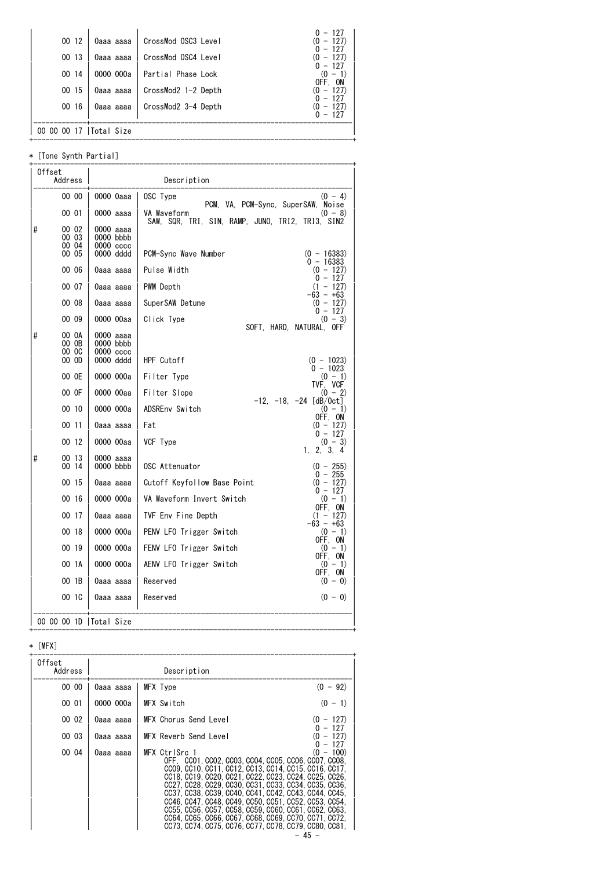| 00 12 | 0aaa aaaa  | CrossMod OSC3 Level | $0 - 127$<br>$-127$<br>(0            |
|-------|------------|---------------------|--------------------------------------|
| 00 13 | 0aaa aaaa  | CrossMod OSC4 Level | $0 - 127$<br>$-127$<br>(0)<br>$-127$ |
| 00 14 | 0000 000a  | Partial Phase Lock  | $(0 - 1)$<br>OFF. ON                 |
| 00 15 | 0aaa aaaa  | CrossMod2 1-2 Depth | $-127$<br>(0<br>$-127$               |
| 0016  | 0aaa aaaa  | CrossMod2 3-4 Depth | $-127$<br>(0<br>$0 - 127$            |
|       | Total Size |                     |                                      |

+------------------------------------------------------------------------------+

\* [Tone Synth Partial]

|   | Offset<br>Address |                          | Description                                                                                                        |
|---|-------------------|--------------------------|--------------------------------------------------------------------------------------------------------------------|
|   | 00 00             | 0000 Oaaa                | OSC Type<br>$(0 - 4)$                                                                                              |
|   | 00 01             | $0000$ aaaa              | PCM, VA, PCM-Sync, SuperSAW, Noise<br>VA Waveform<br>$(0 - 8)$<br>SAW, SQR, TRI, SIN, RAMP, JUNO, TRI2, TRI3, SIN2 |
| # | 00 02             | 0000 aaaa                |                                                                                                                    |
|   | 00 03<br>00 04    | 0000 bbbb<br>0000 cccc   |                                                                                                                    |
|   | 00 05             | 0000 dddd                | PCM-Sync Wave Number<br>$(0 - 16383)$<br>$0 - 16383$                                                               |
|   | 00 06             | 0aaa aaaa                | Pulse Width<br>$(0 - 127)$<br>$0 - 127$                                                                            |
|   | 00 07             | 0aaa aaaa                | $(1 - 127)$<br>PWM Depth<br>$-63 - +63$                                                                            |
|   | 00 08             | 0aaa aaaa                | $(0 - 127)$<br>SuperSAW Detune<br>$0 - 127$                                                                        |
|   | 00 09             | 0000 00aa                | $(0 - 3)$<br>Click Type<br>SOFT. HARD. NATURAL. OFF                                                                |
| # | 00 OA<br>00 OB    | 0000 aaaa<br>$0000$ bbbb |                                                                                                                    |
|   | 00 OC<br>000      | 0000 cccc<br>0000 dddd   | HPF Cutoff<br>$(0 - 1023)$                                                                                         |
|   |                   |                          | $0 - 1023$                                                                                                         |
|   | 00 OE             | 0000 000a                | Filter Type<br>$(0 - 1)$<br>TVF, VCF                                                                               |
|   | 00 OF             | 0000 00aa                | Filter Slope<br>$(0 - 2)$<br>$-12$ , $-18$ , $-24$ [dB/0ct]                                                        |
|   | 00 10             | 0000 000a                | ADSREnv Switch<br>$(0 - 1)$<br>OFF, ON                                                                             |
|   | 00 11             | 0aaa aaaa                | $(0 - 127)$<br>Fat<br>$0 - 127$                                                                                    |
|   | 00 12             | 0000 00aa                | VCF Type<br>$(0 - 3)$<br>1, 2, 3, 4                                                                                |
| # | 00 13<br>00 14    | $0000$ aaaa<br>0000 bbbb | OSC Attenuator<br>$(0 - 255)$                                                                                      |
|   | 00 15             | 0aaa aaaa                | $0 - 255$<br>Cutoff Keyfollow Base Point<br>$(0 - 127)$                                                            |
|   | 00 16             | 0000 000a                | $0 - 127$<br>VA Waveform Invert Switch<br>$(0 - 1)$                                                                |
|   | 00 17             | 0aaa aaaa                | OFF, ON<br>TVF Env Fine Depth<br>$(1 - 127)$                                                                       |
|   | 00 18             | 0000 000a                | $-63 - +63$<br>PENV LFO Trigger Switch<br>$(0 - 1)$                                                                |
|   | 00 19             | 0000 000a                | OFF, ON<br>FENV LFO Trigger Switch<br>$(0 - 1)$                                                                    |
|   | 00 1A             | 0000 000a                | OFF, ON<br>AENV LFO Trigger Switch<br>$(0 - 1)$                                                                    |
|   | 001B              | 0aaa aaaa                | OFF. ON<br>Reserved<br>$(0 - 0)$                                                                                   |
|   | 00 1C             | 0aaa aaaa                | Reserved<br>$(0 - 0)$                                                                                              |
|   |                   | 00 00 00 1D   Total Size |                                                                                                                    |

# \* [MFX]

| Offset<br>Address |           | Description                                                                                                                                                                                                                                                                                                                                                                                                                                                                                                                                  |                        |
|-------------------|-----------|----------------------------------------------------------------------------------------------------------------------------------------------------------------------------------------------------------------------------------------------------------------------------------------------------------------------------------------------------------------------------------------------------------------------------------------------------------------------------------------------------------------------------------------------|------------------------|
| 00 00             | 0aaa aaaa | MFX Type                                                                                                                                                                                                                                                                                                                                                                                                                                                                                                                                     | $(0 - 92)$             |
| 00 01             | 0000 000a | MFX Switch                                                                                                                                                                                                                                                                                                                                                                                                                                                                                                                                   | $(0 - 1)$              |
| 00 02             | 0aaa aaaa | MFX Chorus Send Level                                                                                                                                                                                                                                                                                                                                                                                                                                                                                                                        | $(0 - 127)$            |
| 00 03             | 0aaa aaaa | MFX Reverb Send Level                                                                                                                                                                                                                                                                                                                                                                                                                                                                                                                        | $-127$<br>$-127$<br>0) |
| 00 04             | 0aaa aaaa | MFX CtrlSrc 1<br>OFF CCO1. CCO2. CCO3. CCO4. CCO5. CCO6. CCO7. CCO8.<br>CC09. CC10. CC11. CC12. CC13. CC14. CC15. CC16. CC17.<br>CC18, CC19, CC20, CC21, CC22, CC23, CC24, CC25, CC26,<br>CC27. CC28. CC29. CC30. CC31. CC33. CC34. CC35. CC36.<br>CC37, CC38, CC39, CC40, CC41, CC42, CC43, CC44, CC45,<br>CC46. CC47. CC48. CC49. CC50. CC51. CC52. CC53. CC54.<br>CC55, CC56, CC57, CC58, CC59, CC60, CC61, CC62, CC63,<br>CC64, CC65, CC66, CC67, CC68, CC69, CC70, CC71, CC72,<br>CC73. CC74. CC75. CC76. CC77. CC78. CC79. CC80. CC81. | $-127$<br>$(0 - 100)$  |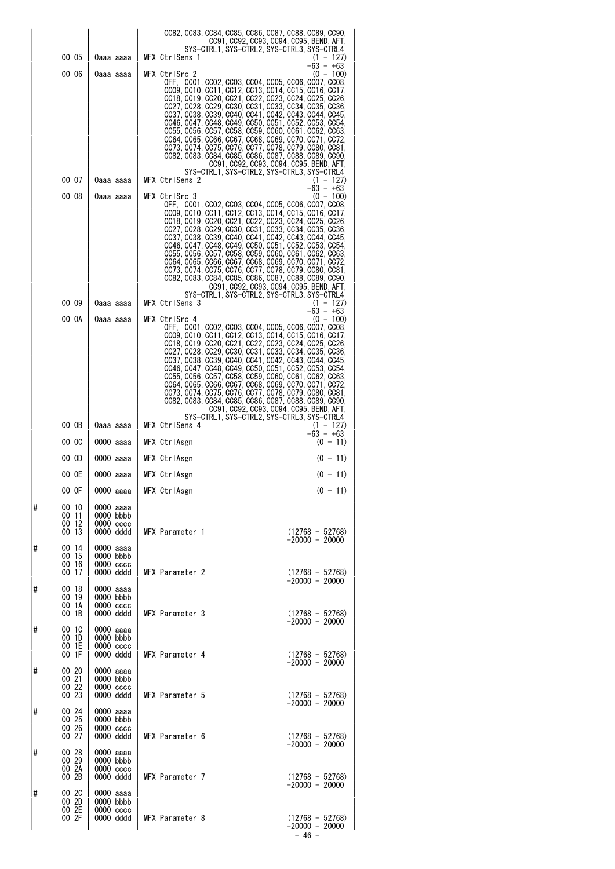|   |                                  |                                                       | CC82, CC83, CC84, CC85, CC86, CC87, CC88, CC89, CC90,                                                                                                                                                                                                                                                                                                                                                                                                                                                                                                                                                                            |
|---|----------------------------------|-------------------------------------------------------|----------------------------------------------------------------------------------------------------------------------------------------------------------------------------------------------------------------------------------------------------------------------------------------------------------------------------------------------------------------------------------------------------------------------------------------------------------------------------------------------------------------------------------------------------------------------------------------------------------------------------------|
|   | 00 05                            |                                                       | CC91, CC92, CC93, CC94, CC95, BEND, AFT,<br>SYS-CTRL1, SYS-CTRL2, SYS-CTRL3, SYS-CTRL4<br>MFX CtrlSens 1                                                                                                                                                                                                                                                                                                                                                                                                                                                                                                                         |
|   | 00 06                            | 0aaa aaaa                                             | $(1 - 127)$<br>-63 - +63<br>$(0 - 100)$<br>MFX CtrlSrc 2                                                                                                                                                                                                                                                                                                                                                                                                                                                                                                                                                                         |
|   |                                  | 0aaa aaaa                                             | OFF CCO1, CCO2, CCO3, CCO4, CCO5, CCO6, CCO7, CCO8,<br>CC09, CC10, CC11, CC12, CC13, CC14, CC15, CC16, CC17,<br>CC18, CC19, CC20, CC21, CC22, CC23, CC24, CC25, CC26,<br>CC27, CC28, CC29, CC30, CC31, CC33, CC34, CC35, CC36,<br>CC37, CC38, CC39, CC40, CC41, CC42, CC43, CC44, CC45,<br>CC46, CC47, CC48, CC49, CC50, CC51, CC52, CC53, CC54,<br>CC55, CC56, CC57, CC58, CC59, CC60, CC61, CC62, CC63,<br>CC64. CC65. CC66. CC67. CC68. CC69. CC70. CC71. CC72.<br>CC73, CC74, CC75, CC76, CC77, CC78, CC79, CC80, CC81,<br>CC82, CC83, CC84, CC85, CC86, CC87, CC88, CC89, CC90,<br>CC91, CC92, CC93, CC94, CC95, BEND, AFT, |
|   | 00 07                            | 0aaa aaaa                                             | SYS-CTRL1, SYS-CTRL2, SYS-CTRL3, SYS-CTRL4<br>MFX CtrlSens 2<br>$(1 - 127)$                                                                                                                                                                                                                                                                                                                                                                                                                                                                                                                                                      |
|   | 00 08                            | 0aaa aaaa                                             | $-63 - +63$<br>MFX CtrlSrc 3<br>$(0 - 100)$                                                                                                                                                                                                                                                                                                                                                                                                                                                                                                                                                                                      |
|   |                                  |                                                       | OFF CCO1, CCO2, CCO3, CCO4, CCO5, CCO6, CCO7, CCO8,<br>CC09, CC10, CC11, CC12, CC13, CC14, CC15, CC16, CC17,<br>CC18, CC19, CC20, CC21, CC22, CC23, CC24, CC25, CC26,<br>CC27. CC28. CC29. CC30. CC31. CC33. CC34. CC35. CC36.<br>CC37, CC38, CC39, CC40, CC41, CC42, CC43, CC44, CC45,<br>CC46, CC47, CC48, CC49, CC50, CC51, CC52, CC53, CC54,<br>CC55. CC56. CC57. CC58. CC59. CC60. CC61. CC62. CC63.<br>CC64, CC65, CC66, CC67, CC68, CC69, CC70, CC71, CC72,<br>CC73, CC74, CC75, CC76, CC77, CC78, CC79, CC80, CC81,<br>CC82, CC83, CC84, CC85, CC86, CC87, CC88, CC89, CC90,<br>CC91, CC92, CC93, CC94, CC95, BEND, AFT, |
|   | 00 09                            | 0aaa aaaa                                             | SYS-CTRL1, SYS-CTRL2, SYS-CTRL3, SYS-CTRL4<br>MFX CtrlSens 3<br>$(1 - 127)$                                                                                                                                                                                                                                                                                                                                                                                                                                                                                                                                                      |
|   | 00 OA                            | 0aaa aaaa                                             | $-63 - +63$<br>$(0 - 100)$<br>MFX CtrlSrc 4                                                                                                                                                                                                                                                                                                                                                                                                                                                                                                                                                                                      |
|   |                                  |                                                       | OFF CCO1, CCO2, CCO3, CCO4, CCO5, CCO6, CCO7, CCO8,<br>CC09, CC10, CC11, CC12, CC13, CC14, CC15, CC16, CC17,<br>CC18, CC19, CC20, CC21, CC22, CC23, CC24, CC25, CC26,<br>CC27, CC28, CC29, CC30, CC31, CC33, CC34, CC35, CC36,<br>.0037, 0038, 0039, 0040, 0041, 0042, 0043, 0044, 0045<br>CC46, CC47, CC48, CC49, CC50, CC51, CC52, CC53, CC54,<br>CC55, CC56, CC57, CC58, CC59, CC60, CC61, CC62, CC63,<br>CC64, CC65, CC66, CC67, CC68, CC69, CC70, CC71, CC72,<br>CC73, CC74, CC75, CC76, CC77, CC78, CC79, CC80, CC81,<br>CC82, CC83, CC84, CC85, CC86, CC87, CC88, CC89, CC90,<br>CC91, CC92, CC93, CC94, CC95, BEND, AFT, |
|   | 00 OB                            | 0aaa aaaa                                             | SYS-CTRL1, SYS-CTRL2, SYS-CTRL3, SYS-CTRL4<br>MFX CtrlSens 4<br>$(1 - 127)$                                                                                                                                                                                                                                                                                                                                                                                                                                                                                                                                                      |
|   | 00 OC                            | 0000 aaaa                                             | $-63 - +63$<br>MFX CtrlAsgn<br>$(0 - 11)$                                                                                                                                                                                                                                                                                                                                                                                                                                                                                                                                                                                        |
|   | 00 OD                            | 0000 aaaa                                             | MFX CtrlAsgn<br>$(0 - 11)$                                                                                                                                                                                                                                                                                                                                                                                                                                                                                                                                                                                                       |
|   | 00 OE                            | 0000 aaaa                                             | MFX CtrlAsgn<br>$(0 - 11)$                                                                                                                                                                                                                                                                                                                                                                                                                                                                                                                                                                                                       |
|   | 00 OF                            | 0000 aaaa                                             | MFX CtrlAsgn<br>$(0 - 11)$                                                                                                                                                                                                                                                                                                                                                                                                                                                                                                                                                                                                       |
| # | 00 10<br>00 11<br>00 12<br>00 13 | 0000 aaaa<br>$0000$ bbbb<br>$0000 \csc$<br>0000 dddd  | MFX Parameter 1<br>$(12768 - 52768)$<br>$-20000 - 20000$                                                                                                                                                                                                                                                                                                                                                                                                                                                                                                                                                                         |
| # | 00 14<br>00 15<br>00 16<br>00 17 | 0000 aaaa<br>0000 bbbb<br>0000 cccc<br>0000 dddd      | MFX Parameter 2<br>$(12768 - 52768)$<br>$-20000 - 20000$                                                                                                                                                                                                                                                                                                                                                                                                                                                                                                                                                                         |
| # | 00 18<br>00 19<br>00 1A<br>00 1B | 0000 aaaa<br>$0000$ bbbb<br>0000 cccc<br>0000 dddd    | MFX Parameter 3<br>$(12768 - 52768)$                                                                                                                                                                                                                                                                                                                                                                                                                                                                                                                                                                                             |
| # | 00 1C<br>00 1D<br>00 1E<br>00 1F | 0000 aaaa<br>0000 bbbb<br>$0000$ $cccc$<br>0000 dddd  | $-20000 - 20000$<br>MFX Parameter 4<br>$(12768 - 52768)$                                                                                                                                                                                                                                                                                                                                                                                                                                                                                                                                                                         |
| # | 00 20<br>00 21<br>00 22<br>00 23 | 0000 aaaa<br>$0000$ bbbb<br>$0000\,\csc$<br>0000 dddd | $-20000 - 20000$<br>MFX Parameter 5<br>$(12768 - 52768)$                                                                                                                                                                                                                                                                                                                                                                                                                                                                                                                                                                         |
| # | 00 24<br>00 25<br>00 26<br>00 27 | 0000 aaaa<br>$0000$ bbbb<br>0000 cccc<br>0000 dddd    | $-20000 - 20000$<br>MFX Parameter 6<br>$(12768 - 52768)$                                                                                                                                                                                                                                                                                                                                                                                                                                                                                                                                                                         |
| # | 00 28<br>00 29<br>00 2A<br>00 2B | 0000 aaaa<br>$0000$ bbbb<br>$0000 \csc$<br>0000 dddd  | $-20000 - 20000$<br>MFX Parameter 7<br>$(12768 - 52768)$                                                                                                                                                                                                                                                                                                                                                                                                                                                                                                                                                                         |
| # | 00 2C<br>00 2D<br>00 2E<br>00 2F | 0000 aaaa<br>0000 bbbb<br>$0000$ $cccc$<br>0000 dddd  | $-20000 - 20000$<br>MFX Parameter 8<br>$(12768 - 52768)$<br>$-20000 - 20000$<br>$-46 -$                                                                                                                                                                                                                                                                                                                                                                                                                                                                                                                                          |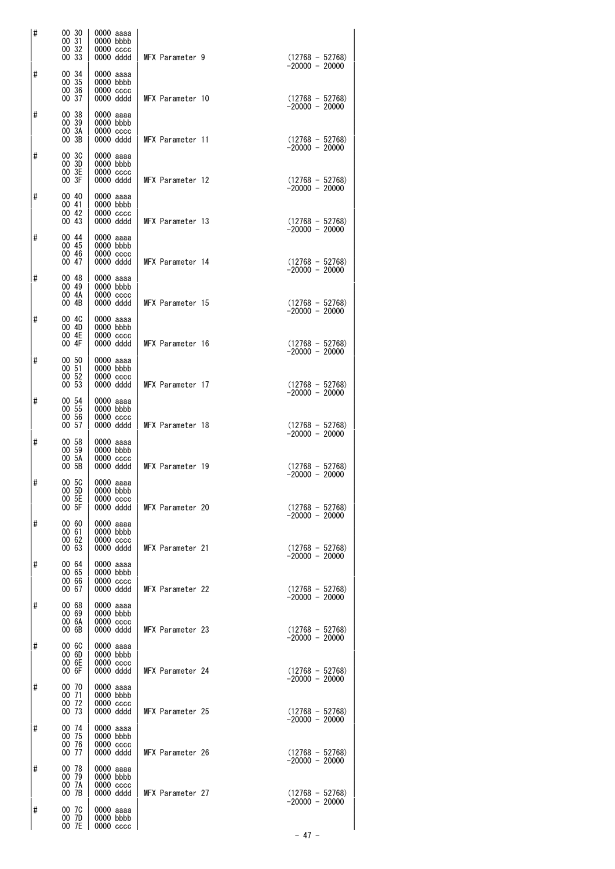| # | 00 30<br>00 31                   | 0000 aaaa<br>$0000$ bbbb                               |                  |                                       |
|---|----------------------------------|--------------------------------------------------------|------------------|---------------------------------------|
|   | 00 32<br>00 33                   | $0000$ $cccc$<br>0000 dddd                             | MFX Parameter 9  | $(12768 - 52768)$<br>$-20000 - 20000$ |
| # | 00 34<br>00 35<br>00 36<br>00 37 | 0000 aaaa<br>$0000$ bbbb<br>$0000$ $cccc$<br>0000 dddd | MFX Parameter 10 | $(12768 - 52768)$<br>$-20000 - 20000$ |
| # | 00 38<br>00 39<br>00 3A<br>00 3B | 0000 aaaa<br>0000 bbbb<br>$0000 \csc$<br>0000 dddd     | MFX Parameter 11 | $(12768 - 52768)$                     |
| # | 00 3C<br>00 3D<br>00 3E<br>00 3F | 0000 aaaa<br>$0000$ bbbb<br>$0000 \csc$<br>0000 dddd   | MFX Parameter 12 | $-20000 - 20000$                      |
| # | 00 40<br>00 41<br>00 42<br>00 43 | 0000 aaaa<br>$0000$ bbbb<br>$0000$ $cccc$<br>0000 dddd | MFX Parameter 13 | $(12768 - 52768)$<br>-20000 - 20000   |
| # | 00 44<br>00 45<br>00 46          | 0000 aaaa<br>$0000$ bbbb<br>0000 cccc                  |                  | $(12768 - 52768)$<br>$-20000 - 20000$ |
| # | 00 47<br>00 48<br>00 49<br>00 4A | 0000 dddd<br>0000 aaaa<br>$0000$ bbbb<br>0000 cccc     | MFX Parameter 14 | $(12768 - 52768)$<br>$-20000 - 20000$ |
| # | 00 4B<br>00 4C                   | 0000 dddd<br>0000 aaaa                                 | MFX Parameter 15 | $(12768 - 52768)$<br>$-20000 - 20000$ |
| # | 00 4D<br>00 4E<br>00 4F<br>00 50 | 0000 bbbb<br>$0000 \csc$<br>0000 dddd<br>0000 aaaa     | MFX Parameter 16 | $(12768 - 52768)$<br>$-20000 - 20000$ |
|   | 00 51<br>00 52<br>00 53          | $0000$ bbbb<br>$0000 \csc$<br>0000 dddd                | MFX Parameter 17 | $(12768 - 52768)$<br>$-20000 - 20000$ |
| # | 00 54<br>00 55<br>00 56<br>00 57 | 0000 aaaa<br>$0000$ bbbb<br>$0000 \csc$<br>0000 dddd   | MFX Parameter 18 | $(12768 - 52768)$<br>-20000 - 20000   |
| # | 00 58<br>00 59<br>00 5A<br>00 5B | 0000 aaaa<br>$0000$ bbbb<br>0000 cccc<br>0000 dddd     | MFX Parameter 19 | $(12768 - 52768)$                     |
| # | 00 5C<br>00 5D<br>00 5E<br>00 5F | 0000 aaaa<br>0000 bbbb<br>$0000 \csc$<br>0000 dddd     | MFX Parameter 20 | $-20000 - 20000$<br>$(12768 - 52768)$ |
| # | 00 60<br>00 61<br>00 62          | 0000 aaaa<br>0000 bbbb<br>$0000$ $cccc$                |                  | $-20000 - 20000$                      |
| # | 00 63<br>00 64<br>00 65<br>00 66 | 0000 dddd<br>0000 aaaa<br>0000 bbbb<br>$0000$ $cccc$   | MFX Parameter 21 | $(12768 - 52768)$<br>$-20000 - 20000$ |
| # | 00 67<br>00 68<br>00 69          | 0000 dddd<br>0000 aaaa<br>0000 bbbb                    | MFX Parameter 22 | $(12768 - 52768)$<br>-20000 - 20000   |
| # | 00 6A<br>00 6B<br>00 6C          | $0000 \csc$<br>0000 dddd<br>0000 aaaa                  | MFX Parameter 23 | $(12768 - 52768)$<br>-20000 - 20000   |
|   | 00 6D<br>00 6E<br>00 6F          | $0000$ bbbb<br>$0000$ $cccc$<br>0000 dddd              | MFX Parameter 24 | $(12768 - 52768)$<br>$-20000 - 20000$ |
| # | 00 70<br>00 71<br>00 72<br>00 73 | 0000 aaaa<br>$0000$ bbbb<br>$0000 \csc$<br>0000 dddd   | MFX Parameter 25 | $(12768 - 52768)$                     |
| # | 00 74<br>00 75<br>00 76<br>00 77 | 0000 aaaa<br>0000 bbbb<br>$0000$ $cccc$<br>0000 dddd   | MFX Parameter 26 | $-20000 - 20000$<br>$(12768 - 52768)$ |
| # | 00 78<br>00 79<br>00 7A          | 0000 aaaa<br>0000 bbbb<br>$0000$ $cccc$                |                  | $-20000 - 20000$                      |
| # | 00 7B<br>00 7C<br>00 7D<br>00 7E | 0000 dddd<br>0000 aaaa<br>$0000$ bbbb<br>$0000$ $cccc$ | MFX Parameter 27 | $(12768 - 52768)$<br>-20000 - 20000   |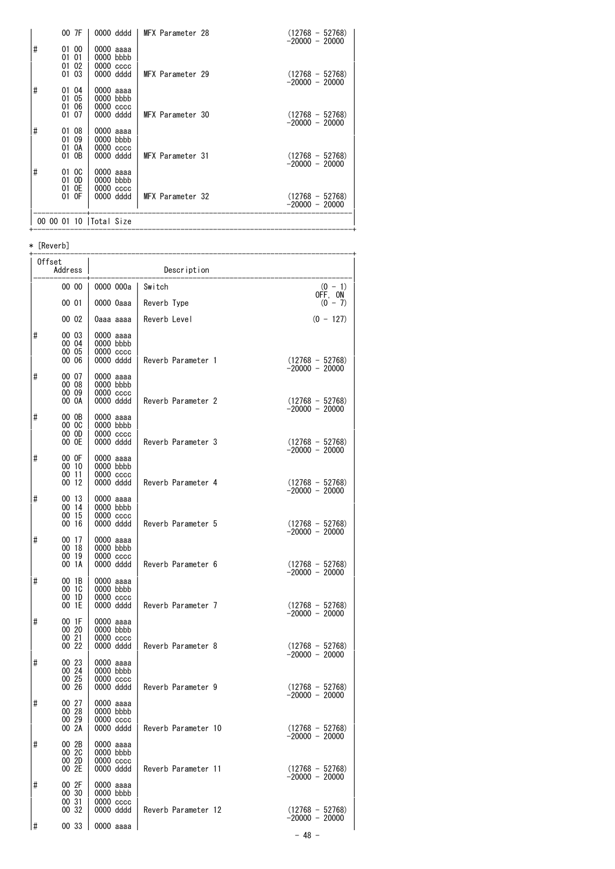|   | 00 7F                         | 0000 dddd                                 | MFX Parameter 28 | $(12768 - 52768)$<br>$-20000 - 20000$ |
|---|-------------------------------|-------------------------------------------|------------------|---------------------------------------|
| # | 01 00<br>01 01<br>01 02       | 0000 aaaa<br>$0000$ bbbb<br>$0000$ $cccc$ |                  |                                       |
|   | 01 03                         | 0000 dddd                                 | MFX Parameter 29 | $(12768 - 52768)$<br>$-20000 - 20000$ |
| # | 01 04<br>05<br>01<br>06<br>01 | 0000 aaaa<br>$0000$ bbbb<br>$0000 \csc$   |                  |                                       |
|   | 01 07                         | 0000 dddd                                 | MFX Parameter 30 | $(12768 - 52768)$<br>$-20000 - 20000$ |
| # | 01 08<br>01 09                | 0000 aaaa<br>$0000$ bbbb                  |                  |                                       |
|   | 0A<br>01<br>01 OB             | $0000$ $cccc$<br>0000 dddd                | MFX Parameter 31 | $(12768 - 52768)$<br>$-20000 - 20000$ |
| # | 01 OC<br>01 OD                | 0000 aaaa<br>0000 bbbb                    |                  |                                       |
|   | 01 OE<br>01 OF                | 0000 cccc<br>0000 dddd                    | MFX Parameter 32 | $(12768 - 52768)$<br>$-20000 - 20000$ |
|   |                               | 00 00 01 10   Total Size                  |                  |                                       |

\* [Reverb]

| Offset<br>Address |                                  |                                                        | Description         |                                                          |
|-------------------|----------------------------------|--------------------------------------------------------|---------------------|----------------------------------------------------------|
|                   | 00 00                            | 0000 000a l                                            | Switch              | $(0 - 1)$<br>OFF, ON                                     |
|                   | 00 01                            | 0000 0aaa                                              | Reverb Type         | $(0 - 7)$                                                |
|                   | 00 02                            | 0aaa aaaa                                              | Reverb Level        | $(0 - 127)$                                              |
| #                 | 00 03<br>00 04<br>00 05<br>00 06 | 0000 aaaa<br>$0000$ bbbb<br>$0000 \csc$<br>0000 dddd   | Reverb Parameter 1  | $(12768 - 52768)$<br>-20000 - 20000                      |
| #                 | 00 07<br>00 08<br>00 09<br>00 OA | 0000 aaaa<br>0000 bbbb<br>$0000$ $cccc$<br>0000 dddd   | Reverb Parameter 2  | $(12768 - 52768)$                                        |
| #                 | 00 OB<br>00 OC<br>00 OD<br>00 OE | 0000 aaaa<br>$0000$ bbbb<br>$0000 \csc$<br>0000 dddd   | Reverb Parameter 3  | $-20000 - 20000$<br>$(12768 - 52768)$                    |
| #                 | 00 OF<br>00 10<br>0011<br>00 12  | 0000 aaaa<br>$0000$ bbbb<br>$0000$ $cccc$<br>0000 dddd | Reverb Parameter 4  | $-20000 - 20000$                                         |
| #                 | 00 13<br>00 14<br>00 15<br>00 16 | 0000 aaaa<br>$0000$ bbbb<br>0000 cccc<br>0000 dddd     | Reverb Parameter 5  | $(12768 - 52768)$<br>-20000 - 20000<br>$(12768 - 52768)$ |
| #                 | 00 17<br>00 18<br>00 19<br>00 1A | 0000 aaaa<br>$0000$ bbbb<br>$0000$ $cccc$<br>0000 dddd | Reverb Parameter 6  | $-20000 - 20000$<br>$(12768 - 52768)$<br>-20000 - 20000  |
| #                 | 00 1B<br>00 1C<br>001D<br>00 1E  | 0000 aaaa<br>$0000$ bbbb<br>$0000$ $cccc$<br>0000 dddd | Reverb Parameter 7  | $(12768 - 52768)$<br>-20000 - 20000                      |
| #                 | 00 1F<br>00 20<br>00 21<br>00 22 | 0000 aaaa<br>$0000$ bbbb<br>$0000$ $cccc$<br>0000 dddd | Reverb Parameter 8  | $(12768 - 52768)$                                        |
| #                 | 00 23<br>00 24<br>00 25<br>00 26 | 0000 aaaa<br>$0000$ bbbb<br>$0000 \csc$<br>0000 dddd   | Reverb Parameter 9  | $-20000 - 20000$<br>$(12768 - 52768)$                    |
| #                 | 00 27<br>00 28<br>00 29<br>00 2A | 0000 aaaa<br>$0000$ bbbb<br>0000 cccc<br>0000 dddd     | Reverb Parameter 10 | $-20000 - 20000$<br>$(12768 - 52768)$                    |
| #                 | 00 2B<br>00 2C<br>00 2D<br>00 2E | 0000 aaaa<br>0000 bbbb<br>0000 cccc<br>0000 dddd       | Reverb Parameter 11 | $-20000 - 20000$<br>$(12768 - 52768)$                    |
| #                 | 00 2F<br>00 30<br>00 31<br>00 32 | 0000 aaaa<br>0000 bbbb<br>$0000 \csc$<br>0000 dddd     | Reverb Parameter 12 | $-20000 - 20000$<br>$(12768 - 52768)$                    |
| 1#                | 00 33                            | $\vert$ 0000 aaaa                                      |                     | $-20000 - 20000$                                         |
|                   |                                  |                                                        |                     | $-48 -$                                                  |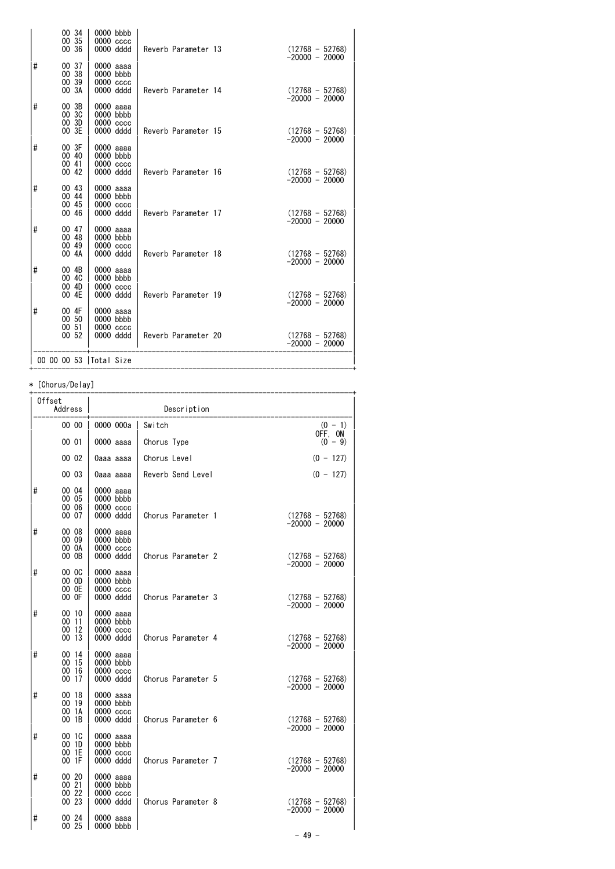|   | 00 34<br>00 35<br>00 36          | 0000 bbbb<br>0000 cccc<br>0000 dddd                    | Reverb Parameter 13 | $(12768 - 52768)$<br>$-20000 - 20000$ |
|---|----------------------------------|--------------------------------------------------------|---------------------|---------------------------------------|
| # | 00 37<br>00 38<br>00 39<br>00 3A | 0000 aaaa<br>0000 bbbb<br>$0000$ $cccc$<br>0000 dddd   | Reverb Parameter 14 | $(12768 - 52768)$                     |
| # | 00 3B<br>00 3C<br>00 3D<br>00 3E | 0000 aaaa<br>0000 bbbb<br>$0000$ $cccc$<br>0000 dddd   | Reverb Parameter 15 | $-20000 - 20000$<br>$(12768 - 52768)$ |
| # | 00 3F<br>00 40<br>0041<br>00 42  | 0000 aaaa<br>0000 bbbb<br>$0000$ $cccc$<br>0000 dddd   | Reverb Parameter 16 | $-20000 - 20000$<br>$(12768 - 52768)$ |
| # | 00 43<br>00 44<br>00 45          | 0000 aaaa<br>$0000$ bbbb<br>0000 cccc                  |                     | $-20000 - 20000$                      |
| # | 00 46<br>00 47<br>00 48<br>00 49 | 0000 dddd<br>0000 aaaa<br>$0000$ bbbb<br>0000 cccc     | Reverb Parameter 17 | $(12768 - 52768)$<br>$-20000 - 20000$ |
| # | 00 4A<br>00 4B<br>00 4C<br>00 4D | 0000 dddd<br>0000 aaaa<br>$0000$ bbbb<br>$0000$ $cccc$ | Reverb Parameter 18 | $(12768 - 52768)$<br>-20000 - 20000   |
| # | 00 4E<br>00 4F<br>00 50          | 0000 dddd<br>0000 aaaa<br>$0000$ bbbb                  | Reverb Parameter 19 | $(12768 - 52768)$<br>-20000 - 20000   |
|   | 00 51<br>00 52                   | 0000 cccc<br>0000 dddd                                 | Reverb Parameter 20 | $(12768 - 52768)$<br>-20000 - 20000   |
|   |                                  | 00 00 00 53   Total Size                               |                     |                                       |

\* [Chorus/Delay]

| Offset<br>Address |                                  |                                                        | Description        |                                                         |
|-------------------|----------------------------------|--------------------------------------------------------|--------------------|---------------------------------------------------------|
|                   | 00 00                            | 0000 000a                                              | Switch             | $(0 - 1)$<br>OFF, ON                                    |
|                   | 00 01                            | 0000 aaaa                                              | Chorus Type        | $(0 - 9)$                                               |
|                   | 00 02                            | 0aaa aaaa                                              | Chorus Level       | $(0 - 127)$                                             |
|                   | 00 03                            | 0aaa aaaa                                              | Reverb Send Level  | $(0 - 127)$                                             |
| #                 | 00 04<br>00 05<br>00 06<br>00 07 | 0000 aaaa<br>0000 bbbb<br>0000 cccc<br>0000 dddd       | Chorus Parameter 1 | $(12768 - 52768)$<br>-20000 - 20000                     |
| #                 | 00 08<br>00 09<br>00 OA<br>00 OB | 0000 aaaa<br>$0000$ bbbb<br>$0000 \csc$<br>0000 dddd   | Chorus Parameter 2 | $(12768 - 52768)$<br>$-20000 - 20000$                   |
| #                 | 00 OC<br>00 OD<br>00 OE<br>00 OF | 0000 aaaa<br>$0000$ bbbb<br>$0000 \csc$<br>0000 dddd   | Chorus Parameter 3 | $(12768 - 52768)$<br>$-20000 - 20000$                   |
| #                 | 00 10<br>00 11<br>00 12<br>00 13 | $0000$ aaaa<br>0000 bbbb<br>$0000$ $cccc$<br>0000 dddd | Chorus Parameter 4 | $(12768 - 52768)$<br>$-20000 - 20000$                   |
| #                 | 00 14<br>00 15<br>00 16<br>00 17 | 0000 aaaa<br>0000 bbbb<br>0000 cccc<br>0000 dddd       | Chorus Parameter 5 | $(12768 - 52768)$<br>$-20000 - 20000$                   |
| #                 | 00 18<br>00 19<br>00 1A<br>00 1B | 0000 aaaa<br>$0000$ bbbb<br>0000 cccc<br>0000 dddd     | Chorus Parameter 6 | $(12768 - 52768)$                                       |
| #                 | 00 1C<br>001D<br>00 1E<br>00 1F  | 0000 aaaa<br>0000 bbbb<br>$0000 \csc$<br>0000 dddd     | Chorus Parameter 7 | $-20000 - 20000$<br>$(12768 - 52768)$                   |
| #                 | 00 20<br>00 21<br>00 22<br>00 23 | 0000 aaaa<br>0000 bbbb<br>0000 cccc<br>0000 dddd       | Chorus Parameter 8 | $-20000 - 20000$<br>$(12768 - 52768)$<br>-20000 - 20000 |
| #                 | 00 24<br>00 25                   | 0000 aaaa<br>0000 bbbb                                 |                    |                                                         |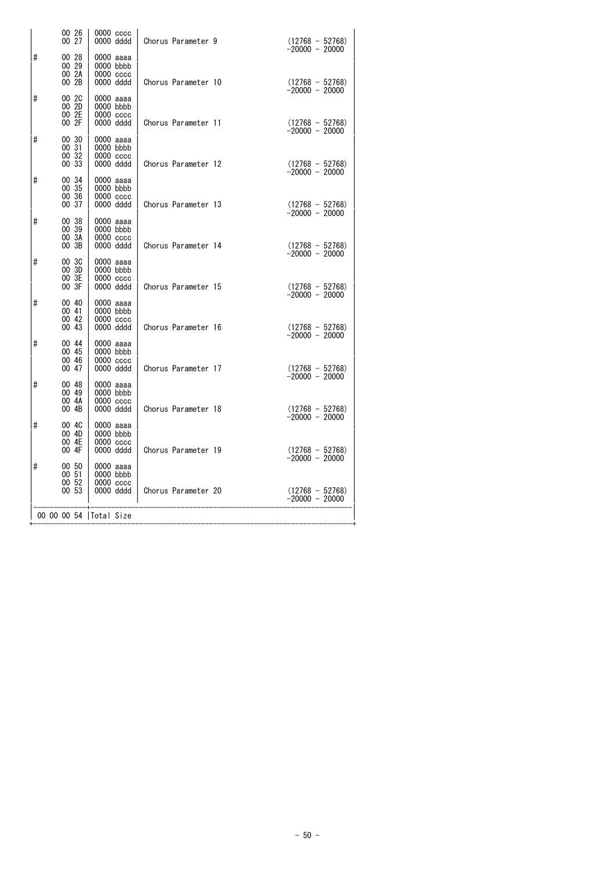|   | 00 26<br>00 27                               | $0000 \csc$<br>0000 dddd                               | Chorus Parameter 9  | $(12768 - 52768)$<br>-20000 - 20000   |
|---|----------------------------------------------|--------------------------------------------------------|---------------------|---------------------------------------|
| # | 00 28<br>$00\,29$<br>00 2A<br>00 2B          | 0000 aaaa<br>$0000$ bbbb<br>$0000 \csc$<br>0000 dddd   | Chorus Parameter 10 | $(12768 - 52768)$                     |
| # | 00 2C<br>00 2D<br>$00\overline{2}E$<br>00 2F | 0000 aaaa<br>0000 bbbb<br>$0000$ $cccc$<br>0000 dddd   | Chorus Parameter 11 | $-20000 - 20000$<br>$(12768 - 52768)$ |
| # | 00 30<br>00 31<br>00 32<br>00 33             | 0000 aaaa<br>$0000$ bbbb<br>0000 cccc<br>0000 dddd     | Chorus Parameter 12 | $-20000 - 20000$<br>$(12768 - 52768)$ |
| # | 00 34<br>$00\,35$<br>$00\,36$<br>00 37       | 0000 aaaa<br>$0000$ bbbb<br>$0000$ $cccc$<br>0000 dddd | Chorus Parameter 13 | $-20000 - 20000$<br>$(12768 - 52768)$ |
| # | 00 38<br>00 39<br>00 3A<br>00 3B             | 0000 aaaa<br>0000 bbbb<br>$0000$ $cccc$<br>0000 dddd   | Chorus Parameter 14 | $-20000 - 20000$<br>$(12768 - 52768)$ |
| # | 00 3C<br>00 3D<br>003E<br>00 3F              | 0000 aaaa<br>$0000$ bbbb<br>0000 cccc<br>0000 dddd     | Chorus Parameter 15 | $-20000 - 20000$<br>$(12768 - 52768)$ |
| # | 00 40<br>00 41<br>00 42                      | 0000 aaaa<br>0000 bbbb<br>$0000$ $cccc$                |                     | $-20000 - 20000$                      |
| # | 00 43<br>00 44<br>00 45<br>00 46             | 0000 dddd<br>0000 aaaa<br>$0000$ bbbb<br>$0000$ $cccc$ | Chorus Parameter 16 | $(12768 - 52768)$<br>-20000 - 20000   |
| # | 00 47<br>00 48<br>00 49<br>00 4A             | 0000 dddd<br>0000 aaaa<br>0000 bbbb<br>$0000$ $cccc$   | Chorus Parameter 17 | $(12768 - 52768)$<br>$-20000 - 20000$ |
| # | 00 4B<br>00 4C<br>00 4D                      | 0000 dddd<br>0000 aaaa<br>$0000$ bbbb                  | Chorus Parameter 18 | $(12768 - 52768)$<br>$-20000 - 20000$ |
| # | 00 4E<br>00 4F<br>00 50<br>00 51             | 0000 cccc<br>0000 dddd<br>0000 aaaa<br>0000 bbbb       | Chorus Parameter 19 | $(12768 - 52768)$<br>$-20000 - 20000$ |
|   | 00 52<br>00 53                               | 0000 cccc<br>0000 dddd                                 | Chorus Parameter 20 | $(12768 - 52768)$<br>-20000 - 20000   |
|   |                                              | 00 00 00 54   Total Size                               |                     |                                       |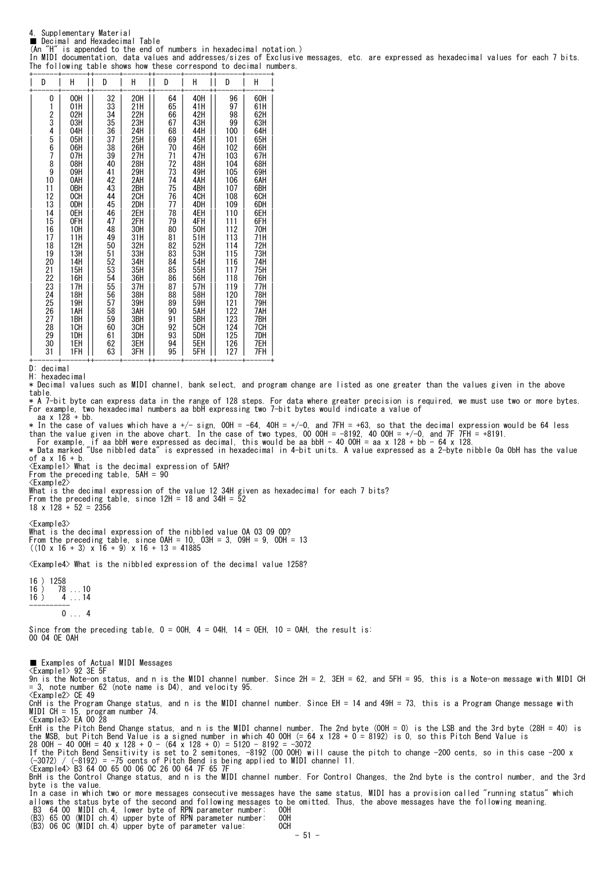4. Supplementary Material ■ Decimal and Hexadecimal Table

(An "H" is appended to the end of numbers in hexadecimal notation.)

In MIDI documentation, data values and addresses/sizes of Exclusive messages, etc. are expressed as hexadecimal values for each 7 bits. The following table shows how these correspond to decimal numbers. +------+------++------+------++------+------++------+------+

| D                                                                                                                                                      | Н                                                                                                                                                                                                                            | D                                                                                                                                                                                            | Н                                                                                                                                                                                                                            | D                                                                                                                                                                                            | Η                                                                                                                                                                                                                            | D                                                                                                                                                                                                                        | Н                                                                                                                                                                                                                            |
|--------------------------------------------------------------------------------------------------------------------------------------------------------|------------------------------------------------------------------------------------------------------------------------------------------------------------------------------------------------------------------------------|----------------------------------------------------------------------------------------------------------------------------------------------------------------------------------------------|------------------------------------------------------------------------------------------------------------------------------------------------------------------------------------------------------------------------------|----------------------------------------------------------------------------------------------------------------------------------------------------------------------------------------------|------------------------------------------------------------------------------------------------------------------------------------------------------------------------------------------------------------------------------|--------------------------------------------------------------------------------------------------------------------------------------------------------------------------------------------------------------------------|------------------------------------------------------------------------------------------------------------------------------------------------------------------------------------------------------------------------------|
| 0<br>1<br>23456789<br>10<br>11<br>i2<br>13<br>14<br>15<br>16<br>17<br>18<br>19<br>20<br>21<br>22<br>23<br>24<br>25<br>26<br>27<br>28<br>29<br>30<br>31 | 00H<br>01H<br>02H<br>03H<br>04H<br>05H<br>06H<br>07H<br>08H<br>09H<br>OAH<br>0BH<br>OCH<br>0DH<br>0EH<br>0FH<br>10H<br>11H<br>12H<br>13H<br>14H<br>15H<br>16H<br>17H<br>18H<br>19H<br>1AH<br>1BH<br>1CH<br>1DH<br>1EH<br>1FH | 32<br>33<br>34<br>35<br>36<br>37<br>38<br>39<br>40<br>41<br>42<br>43<br>44<br>45<br>46<br>47<br>48<br>49<br>50<br>51<br>52<br>53<br>54<br>55<br>56<br>57<br>58<br>59<br>60<br>61<br>62<br>63 | 20H<br>21H<br>22H<br>23H<br>24H<br>25H<br>26H<br>27H<br>28H<br>29H<br>2AH<br>2BH<br>2CH<br>2DH<br>2EH<br>2FH<br>30H<br>31H<br>32H<br>33H<br>34H<br>35H<br>36H<br>37H<br>38H<br>39H<br>3AH<br>3BH<br>3CH<br>3DH<br>3EH<br>3FH | 64<br>65<br>66<br>67<br>68<br>69<br>70<br>71<br>72<br>73<br>74<br>75<br>76<br>77<br>78<br>79<br>80<br>81<br>82<br>83<br>84<br>85<br>86<br>87<br>88<br>89<br>90<br>91<br>92<br>93<br>94<br>95 | 40H<br>41H<br>42H<br>43H<br>44H<br>45H<br>46H<br>47H<br>48H<br>49H<br>4AH<br>4BH<br>4CH<br>4DH<br>4EH<br>4FH<br>50H<br>51H<br>52H<br>53H<br>54H<br>55H<br>56H<br>57H<br>58H<br>59H<br>5AH<br>5BH<br>5CH<br>5DH<br>5EH<br>5FH | 96<br>97<br>98<br>99<br>100<br>101<br>102<br>103<br>104<br>105<br>106<br>107<br>108<br>109<br>110<br>111<br>112<br>113<br>114<br>115<br>116<br>117<br>118<br>119<br>120<br>121<br>122<br>123<br>124<br>125<br>126<br>127 | 60H<br>61H<br>62H<br>63H<br>64H<br>65H<br>66H<br>67H<br>68H<br>69H<br>6AH<br>6BH<br>6CH<br>6DH<br>6EH<br>6FH<br>70H<br>71H<br>72H<br>73H<br>74H<br>75H<br>76H<br>77H<br>78H<br>79H<br>7AH<br>7BH<br>7CH<br>7DH<br>7EH<br>7FH |

D: decimal

H: hexadecimal

\* Decimal values such as MIDI channel, bank select, and program change are listed as one greater than the values given in the above table.

\* A 7-bit byte can express data in the range of 128 steps. For data where greater precision is required, we must use two or more bytes. For example, two hexadecimal numbers aa bbH expressing two 7-bit bytes would indicate a value of aa x 128 + bb.

 $*$  In the case of values which have a +/- sign, 00H = -64, 40H = +/-0, and 7FH = +63, so that the decimal expression would be 64 less than the value given in the above chart. In the case of two types, OO OOH = -8192, 40 OOH = +/-O, and 7F 7FH = +8191.<br>For example, if aa bbH were expressed as decimal, this would be aa bbH - 40 OOH = aa x 128 + bb - 64 x 1

of a x 16 + b.

<Example1> What is the decimal expression of 5AH? From the preceding table, 5AH = 90

<Example2>

What is the decimal expression of the value 12 34H given as hexadecimal for each 7 bits? From the preceding table, since 12H = 18 and 34H = 52 18 x 128 + 52 = 2356

<Example3>

What is the decimal expression of the nibbled value 0A 03 09 0D? From the preceding table, since 0AH = 10, 03H = 3, 09H = 9, 0DH = 13 ((10 x 16 + 3) x 16 + 9) x 16 + 13 = 41885

<Example4> What is the nibbled expression of the decimal value 1258?

 $\begin{array}{c} 16 \\ 16 \end{array}$  ) 1258<br>16 ) 78  $\begin{array}{c} 16 \\ 16 \end{array}$  78 ... 10<br>16 ) 4 14 16 ) 4 ...14 ----------  $0...4$ 

Since from the preceding table,  $0 = 00H$ ,  $4 = 04H$ ,  $14 = 0H$ ,  $10 = 0H$ , the result is: 00 04 0E 0AH

■ Examples of Actual MIDI Messages <Example1> 92 3E 5F<br>9n is the Note-on status, and n is the MIDI channel number. Since 2H = 2, 3EH = 62, and 5FH = 95, this is a Note-on message with MIDI CH<br>= 3, note number 62 (note name is D4), and velocity 95.<br><Example2 CnH is the Program Change status, and n is the MIDI channel number. Since EH = 14 and 49H = 73, this is a Program Change message with MIDI CH = 15, program number 74.<br><Example3> EA 00 28<br>EnH is the Pitch Bend Change status, and n is the MIDI channel number. The 2nd byte (00H = 0) is the LSB and the 3rd byte (28H = 40) is<br>EnH is the Pitch Bend Value is a If the Pitch Bend Sensitivity is set to 2 semitones, -8192 (00 00H) will cause the pitch to change -200 cents, so in this case -200 x<br>(-3072) / (-8192) = -75 cents of Pitch Bend is being applied to MIDI channel 11.<br><Exampl byte is the value. In a case in which two or more messages consecutive messages have the same status, MIDI has a provision called "running status" which allows the status byte of the second and following messages to be omitted. Thus, the above messages have the following meaning.<br>B3 64 00 MIDI ch.4, lower byte of RPN parameter number: 00H<br>(B3) 65 00 (MIDI ch.4) upper byte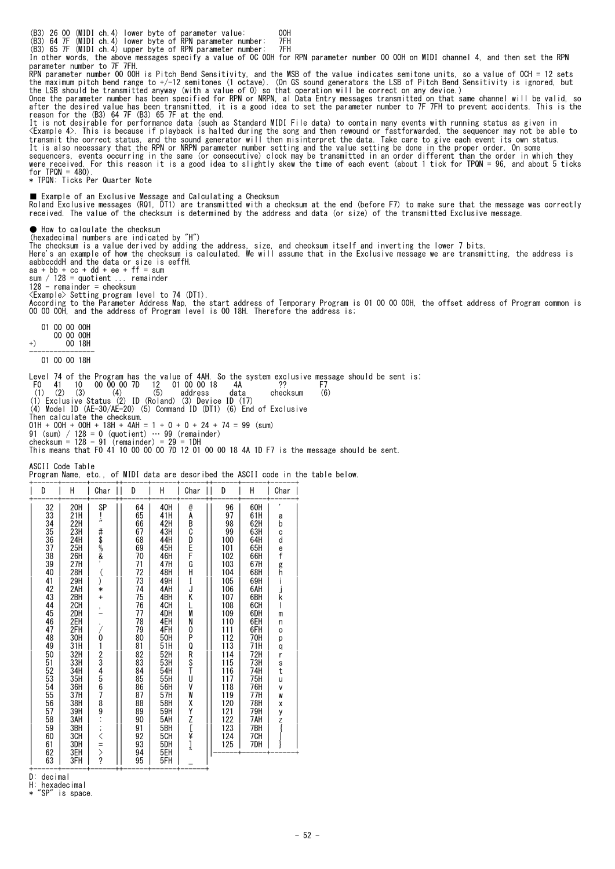(B3) 26 00 (MIDI ch.4) lower byte of parameter value: 00H (B3) 64 7F (MIDI ch.4) lower byte of RPN parameter number: 7FH (B3) 65 7F (MIDI ch.4) upper byte of RPN parameter number: 7FH In other words, the above messages specify a value of 0C 00H for RPN parameter number 00 00H on MIDI channel 4, and then set the RPN parameter number to 7F 7FH.<br>RPN parameter number 00 00H is Pitch Bend Sensitivity, and the MSB of the value indicates semitone units, so a value of OCH = 12 sets<br>the maximum pitch bend range to +/-12 semitones (1 octave). after the desired value has been transmitted, it is a good idea to set the parameter number to 7F 7FH to prevent accidents. This is the reason for the (B3) 64 7F (B3) 65 7F at the end.<br>It is not desirable for performance d \* TPQN: Ticks Per Quarter Note ■ Example of an Exclusive Message and Calculating a Checksum Roland Exclusive messages (RQ1, DT1) are transmitted with a checksum at the end (before F7) to make sure that the message was correctly<br>received. The value of the checksum is determined by the address and data (or size) of ● How to calculate the checksum (hexadecimal numbers are indicated by "H") The checksum is a value derived by adding the address, size, and checksum itself and inverting the lower 7 bits.<br>Here's an example of how the checksum is calculated. We will assume that in the Exclusive message we are tran aabbccddH and the data or size is eeffH. aa + bb + cc + dd + ee + ff = sum sum / 128 = quotient ... remainder 128 - remainder = checksum <Example> Setting program level to 74 (DT1). According to the Parameter Address Map, the start address of Temporary Program is 01 00 00 00H, the offset address of Program common is<br>00 00 00H, and the address of Program level is 00 18H. Therefore the address is; 01 00 00 00H  $(+)$  00 00 00H<br>+) 00 18H +) 00 18H ---------------- 01 00 00 18H Level 74 of the Program has the value of 4AH. So the system exclusive message should be sent is:<br>F0 41 10 00 00 00 7D 12 01 00 00 18 4A ?? F7<br>(1) (2) (3) (4)  $(5)$  address data checksum (6)<br>(1) Exclusive Status (2) ID (Ro

Then calculate the checksum.

 $01H + 00H + 00H + 18H + 4AH = 1 + 0 + 0 + 24 + 74 = 99$  (sum)

91 (sum) / 128 = 0 (quotient) … 99 (remainder) checksum = 128 - 91 (remainder) = 29 = 1DH This means that F0 41 10 00 00 00 7D 12 01 00 00 18 4A 1D F7 is the message should be sent.

ASCII Code Table

Program Name, etc., of MIDI data are described the ASCII code in the table below.

| D                                                                                                                                                                                                         | Н                                                                                                                                                                                                                            | Char                                                                                                                     | D                                                                                                                                                                                                                      | Н                                                                                                                                                                                                                            | Char                                                                                                                                                    | D                                                                                                                                                                                                                 | Н                                                                                                                                                                                                              | Char                                                                                                                                 |
|-----------------------------------------------------------------------------------------------------------------------------------------------------------------------------------------------------------|------------------------------------------------------------------------------------------------------------------------------------------------------------------------------------------------------------------------------|--------------------------------------------------------------------------------------------------------------------------|------------------------------------------------------------------------------------------------------------------------------------------------------------------------------------------------------------------------|------------------------------------------------------------------------------------------------------------------------------------------------------------------------------------------------------------------------------|---------------------------------------------------------------------------------------------------------------------------------------------------------|-------------------------------------------------------------------------------------------------------------------------------------------------------------------------------------------------------------------|----------------------------------------------------------------------------------------------------------------------------------------------------------------------------------------------------------------|--------------------------------------------------------------------------------------------------------------------------------------|
| 32<br>33<br>34<br>35<br>36<br>37<br>38<br>39<br>40<br>41<br>42<br>43<br>44<br>45<br>46<br>47<br>48<br>49<br>50<br>$\frac{51}{52}$<br>52<br>53<br>54<br>55<br>56<br>57<br>58<br>59<br>60<br>61<br>62<br>63 | 20H<br>21H<br>22H<br>23H<br>24H<br>25H<br>26H<br>27H<br>28H<br>29H<br>2AH<br>2BH<br>2CH<br>2DH<br>2EH<br>2FH<br>30H<br>31H<br>32H<br>33H<br>34H<br>35H<br>36H<br>37H<br>38H<br>39H<br>3AH<br>3BH<br>3CH<br>3DH<br>3EH<br>3FH | SP<br>ļ,<br>#\$%&<br>$\binom{1}{2}$<br>$\ast$<br>$\ddot{}$<br>$\overline{\phantom{a}}$<br><b>/0123456789‥‥&lt;=&gt;?</b> | 64<br>65<br>66<br>67<br>68<br>69<br>70<br>71<br>72<br>73<br>74<br>75<br>76<br>77<br>78<br>79<br>80<br>81<br>82<br>$8\overline{3}$<br>84<br>85<br>86<br>$\overline{87}$<br>88<br>89<br>90<br>91<br>92<br>93<br>94<br>95 | 40H<br>41H<br>42H<br>43H<br>44H<br>45H<br>46H<br>47H<br>48H<br>49H<br>4AH<br>4BH<br>4CH<br>4DH<br>4EH<br>4FH<br>50H<br>51H<br>52H<br>53H<br>54H<br>55H<br>56H<br>57H<br>58H<br>59H<br>5AH<br>5BH<br>5CH<br>5DH<br>5EH<br>5FH | @<br>A<br>В<br>C<br>D<br>E<br>F<br>G<br>H<br>I<br>J<br>Κ<br>L<br>M<br>N<br>0<br>P<br>Q<br>R<br>S<br>T<br>U<br>٧<br>W<br>X<br>Y<br>N<br>N<br>K<br>N<br>N | 96<br>97<br>98<br>99<br>100<br>101<br>102<br>103<br>104<br>105<br>106<br>107<br>108<br>109<br>110<br>111<br>112<br>113<br>114<br>115<br>116<br>117<br>118<br>119<br>$\frac{120}{121}$<br>122<br>123<br>124<br>125 | 60H<br>61H<br>62H<br>63H<br>64H<br>65H<br>66H<br>67H<br>68H<br>69H<br>6AH<br>6BH<br>6CH<br>6DH<br>6EH<br>6FH<br>70H<br>71H<br>72H<br>73H<br>74H<br>75H<br>76H<br>77H<br>78H<br>79H<br>7AH<br>7BH<br>7CH<br>7DH | а<br>þ<br>C<br>d<br>ef <sub>gh</sub><br>J<br>k<br>I<br>m<br>$\mathsf{n}$<br>o<br>р<br>q<br>r<br>s<br>t<br>u<br>V<br>W<br>X<br>y<br>Z |

+------+------+------++------+------+------+

D: decimal

H: hexadecimal<br>\* "SP" is spac  $\frac{1}{1}$  is space.